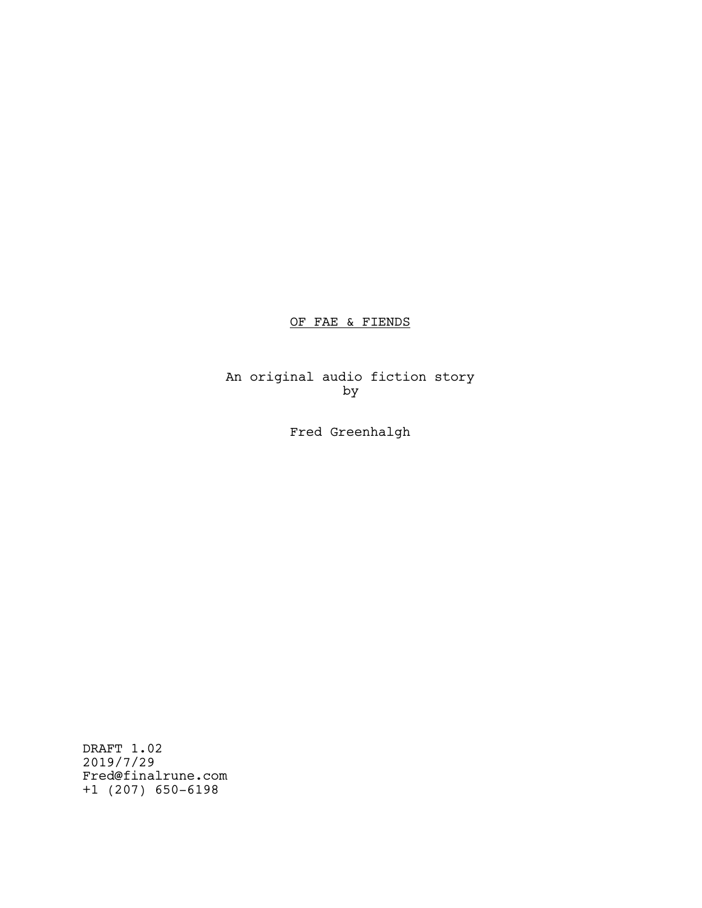# OF FAE & FIENDS

An original audio fiction story by

Fred Greenhalgh

DRAFT 1.02 2019/7/29 Fred@finalrune.com +1 (207) 650-6198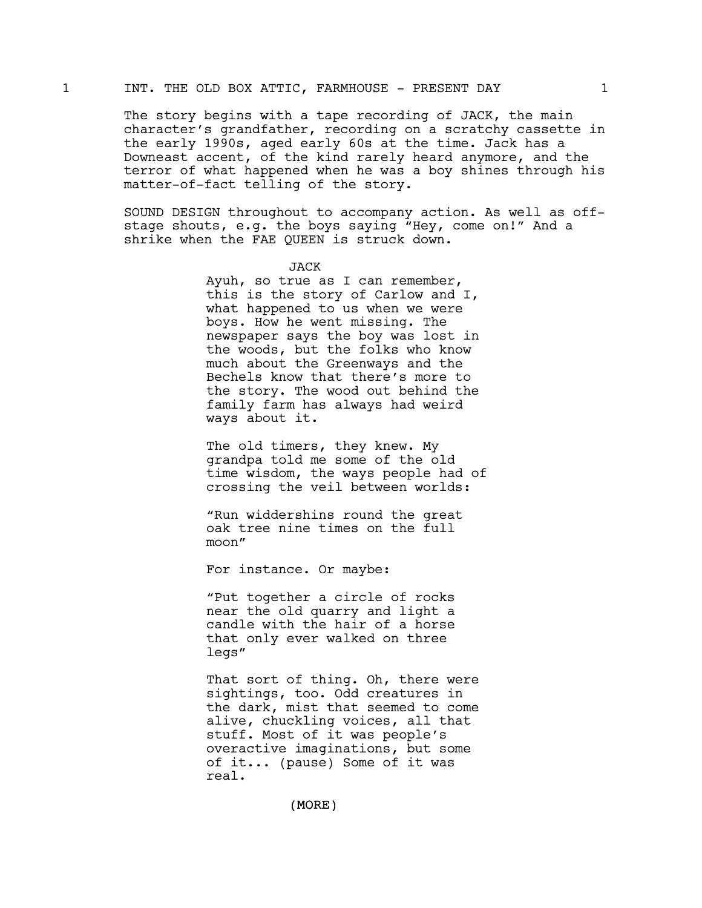# 1 INT. THE OLD BOX ATTIC, FARMHOUSE - PRESENT DAY 1

The story begins with a tape recording of JACK, the main character's grandfather, recording on a scratchy cassette in the early 1990s, aged early 60s at the time. Jack has a Downeast accent, of the kind rarely heard anymore, and the terror of what happened when he was a boy shines through his matter-of-fact telling of the story.

SOUND DESIGN throughout to accompany action. As well as offstage shouts, e.g. the boys saying "Hey, come on!" And a shrike when the FAE QUEEN is struck down.

### JACK

Ayuh, so true as I can remember, this is the story of Carlow and I, what happened to us when we were boys. How he went missing. The newspaper says the boy was lost in the woods, but the folks who know much about the Greenways and the Bechels know that there's more to the story. The wood out behind the family farm has always had weird ways about it.

The old timers, they knew. My grandpa told me some of the old time wisdom, the ways people had of crossing the veil between worlds:

"Run widdershins round the great oak tree nine times on the full moon"

For instance. Or maybe:

"Put together a circle of rocks near the old quarry and light a candle with the hair of a horse that only ever walked on three legs"

That sort of thing. Oh, there were sightings, too. Odd creatures in the dark, mist that seemed to come alive, chuckling voices, all that stuff. Most of it was people's overactive imaginations, but some of it... (pause) Some of it was real.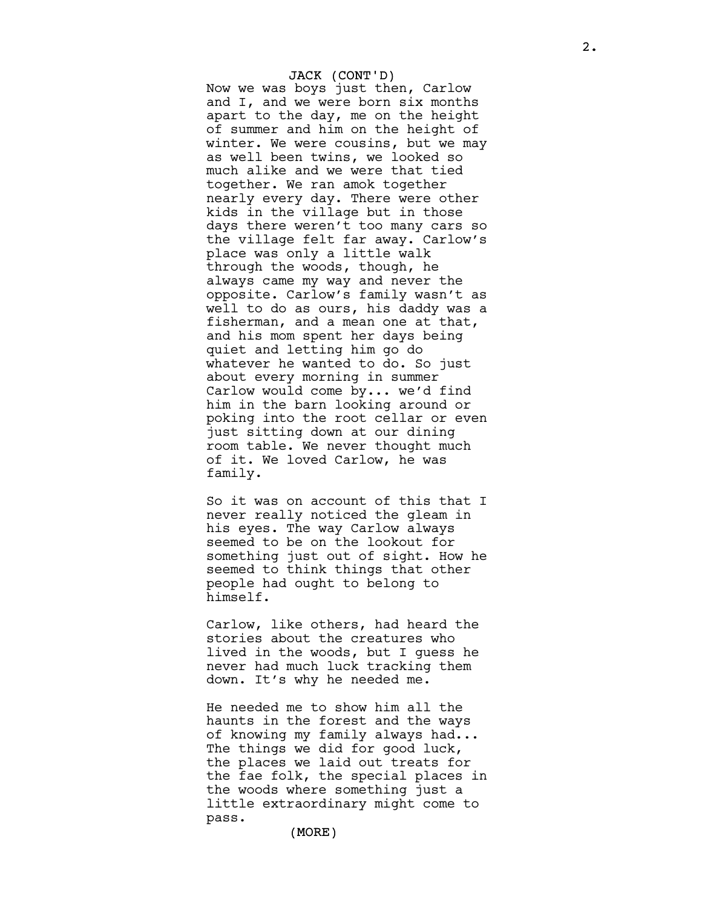## JACK (CONT'D)

Now we was boys just then, Carlow and I, and we were born six months apart to the day, me on the height of summer and him on the height of winter. We were cousins, but we may as well been twins, we looked so much alike and we were that tied together. We ran amok together nearly every day. There were other kids in the village but in those days there weren't too many cars so the village felt far away. Carlow's place was only a little walk through the woods, though, he always came my way and never the opposite. Carlow's family wasn't as well to do as ours, his daddy was a fisherman, and a mean one at that, and his mom spent her days being quiet and letting him go do whatever he wanted to do. So just about every morning in summer Carlow would come by... we'd find him in the barn looking around or poking into the root cellar or even just sitting down at our dining room table. We never thought much of it. We loved Carlow, he was family.

So it was on account of this that I never really noticed the gleam in his eyes. The way Carlow always seemed to be on the lookout for something just out of sight. How he seemed to think things that other people had ought to belong to himself.

Carlow, like others, had heard the stories about the creatures who lived in the woods, but I guess he never had much luck tracking them down. It's why he needed me.

He needed me to show him all the haunts in the forest and the ways of knowing my family always had... The things we did for good luck, the places we laid out treats for the fae folk, the special places in the woods where something just a little extraordinary might come to pass.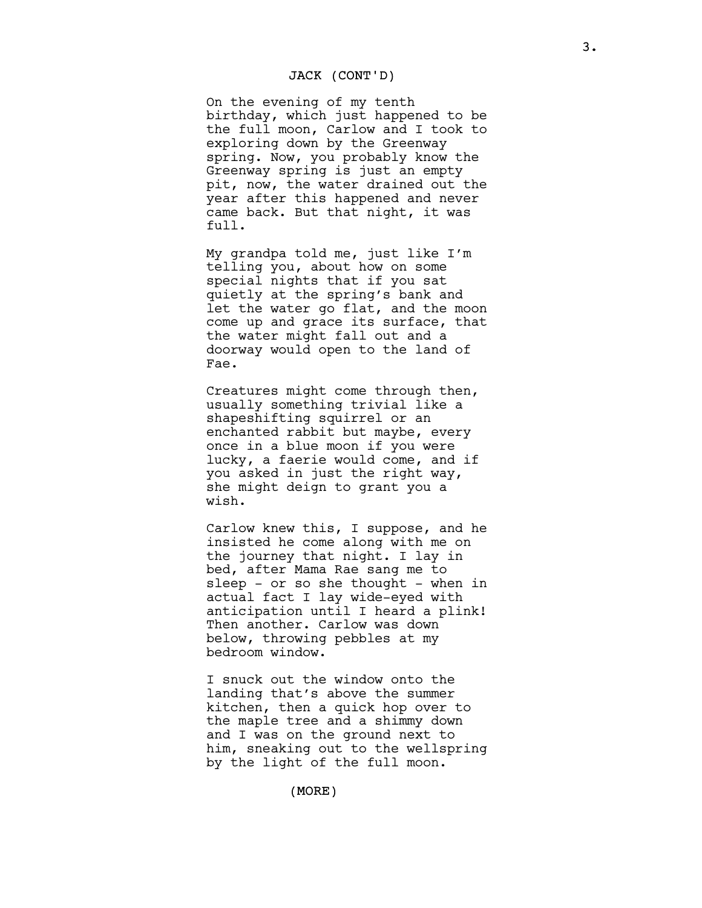## JACK (CONT'D)

On the evening of my tenth birthday, which just happened to be the full moon, Carlow and I took to exploring down by the Greenway spring. Now, you probably know the Greenway spring is just an empty pit, now, the water drained out the year after this happened and never came back. But that night, it was full.

My grandpa told me, just like I'm telling you, about how on some special nights that if you sat quietly at the spring's bank and let the water go flat, and the moon come up and grace its surface, that the water might fall out and a doorway would open to the land of Fae.

Creatures might come through then, usually something trivial like a shapeshifting squirrel or an enchanted rabbit but maybe, every once in a blue moon if you were lucky, a faerie would come, and if you asked in just the right way, she might deign to grant you a wish.

Carlow knew this, I suppose, and he insisted he come along with me on the journey that night. I lay in bed, after Mama Rae sang me to sleep  $-$  or so she thought  $-$  when in actual fact I lay wide-eyed with anticipation until I heard a plink! Then another. Carlow was down below, throwing pebbles at my bedroom window.

I snuck out the window onto the landing that's above the summer kitchen, then a quick hop over to the maple tree and a shimmy down and I was on the ground next to him, sneaking out to the wellspring by the light of the full moon.

3.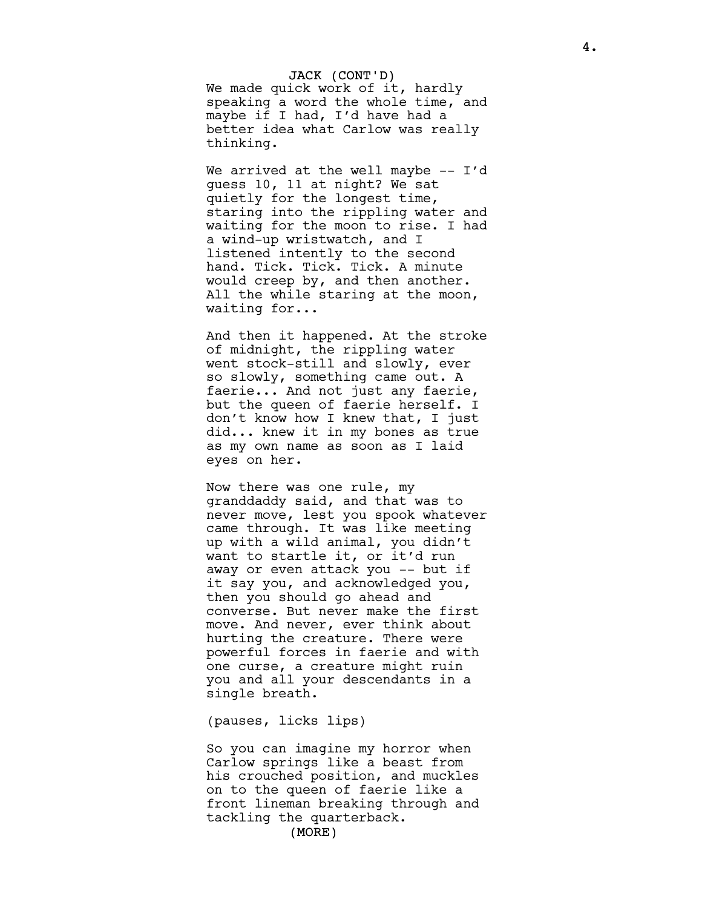JACK (CONT'D) We made quick work of it, hardly speaking a word the whole time, and maybe if I had, I'd have had a better idea what Carlow was really thinking.

We arrived at the well maybe  $-$  I'd guess 10, 11 at night? We sat quietly for the longest time, staring into the rippling water and waiting for the moon to rise. I had a wind-up wristwatch, and I listened intently to the second hand. Tick. Tick. Tick. A minute would creep by, and then another. All the while staring at the moon, waiting for...

And then it happened. At the stroke of midnight, the rippling water went stock-still and slowly, ever so slowly, something came out. A faerie... And not just any faerie, but the queen of faerie herself. I don't know how I knew that, I just did... knew it in my bones as true as my own name as soon as I laid eyes on her.

Now there was one rule, my granddaddy said, and that was to never move, lest you spook whatever came through. It was like meeting up with a wild animal, you didn't want to startle it, or it'd run away or even attack you -- but if it say you, and acknowledged you, then you should go ahead and converse. But never make the first move. And never, ever think about hurting the creature. There were powerful forces in faerie and with one curse, a creature might ruin you and all your descendants in a single breath.

(pauses, licks lips)

So you can imagine my horror when Carlow springs like a beast from his crouched position, and muckles on to the queen of faerie like a front lineman breaking through and tackling the quarterback.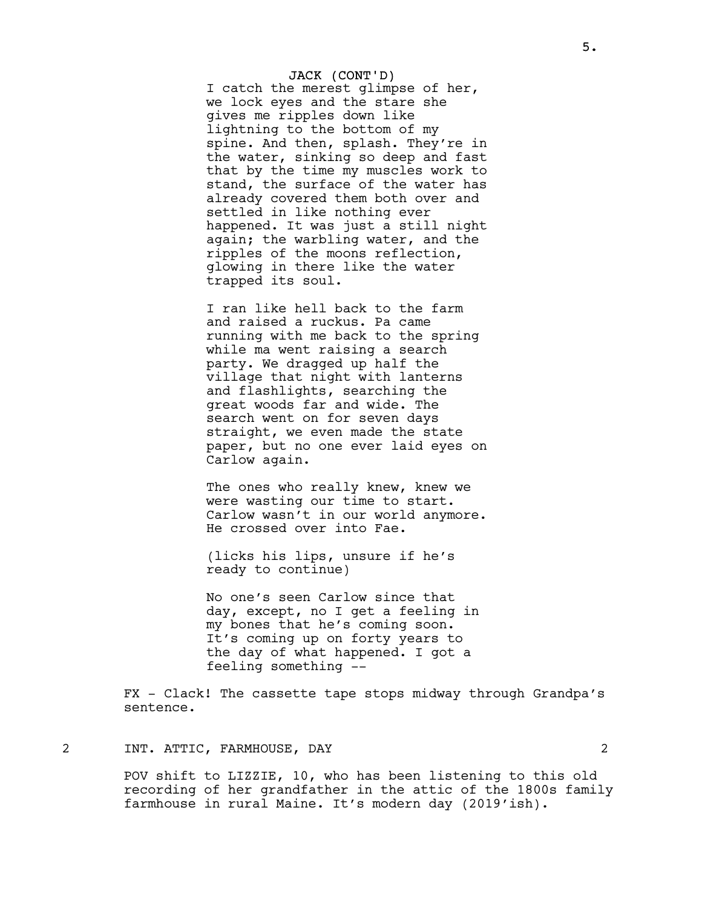### JACK (CONT'D)

I catch the merest glimpse of her, we lock eyes and the stare she gives me ripples down like lightning to the bottom of my spine. And then, splash. They're in the water, sinking so deep and fast that by the time my muscles work to stand, the surface of the water has already covered them both over and settled in like nothing ever happened. It was just a still night again; the warbling water, and the ripples of the moons reflection, glowing in there like the water trapped its soul.

I ran like hell back to the farm and raised a ruckus. Pa came running with me back to the spring while ma went raising a search party. We dragged up half the village that night with lanterns and flashlights, searching the great woods far and wide. The search went on for seven days straight, we even made the state paper, but no one ever laid eyes on Carlow again.

The ones who really knew, knew we were wasting our time to start. Carlow wasn't in our world anymore. He crossed over into Fae.

(licks his lips, unsure if he's ready to continue)

No one's seen Carlow since that day, except, no I get a feeling in my bones that he's coming soon. It's coming up on forty years to the day of what happened. I got a feeling something --

FX - Clack! The cassette tape stops midway through Grandpa's sentence.

# 2 INT. ATTIC, FARMHOUSE, DAY 2

POV shift to LIZZIE, 10, who has been listening to this old recording of her grandfather in the attic of the 1800s family farmhouse in rural Maine. It's modern day (2019'ish).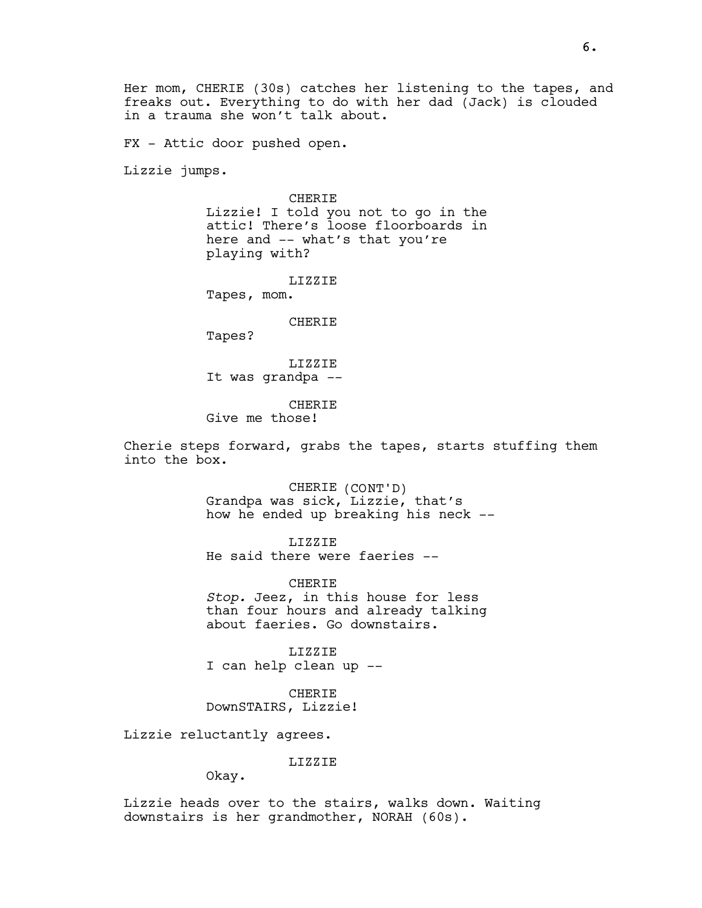Her mom, CHERIE (30s) catches her listening to the tapes, and freaks out. Everything to do with her dad (Jack) is clouded in a trauma she won't talk about.

FX - Attic door pushed open.

Lizzie jumps.

**CHERIE** 

Lizzie! I told you not to go in the attic! There's loose floorboards in here and -- what's that you're playing with?

LIZZIE

Tapes, mom.

CHERIE

Tapes?

LIZZIE It was grandpa --

CHERIE Give me those!

Cherie steps forward, grabs the tapes, starts stuffing them into the box.

> CHERIE (CONT'D) Grandpa was sick, Lizzie, that's how he ended up breaking his neck --

LIZZIE He said there were faeries --

CHERIE Stop. Jeez, in this house for less than four hours and already talking about faeries. Go downstairs.

LIZZIE I can help clean up --

CHERIE DownSTAIRS, Lizzie!

Lizzie reluctantly agrees.

LIZZIE

Okay.

Lizzie heads over to the stairs, walks down. Waiting downstairs is her grandmother, NORAH (60s).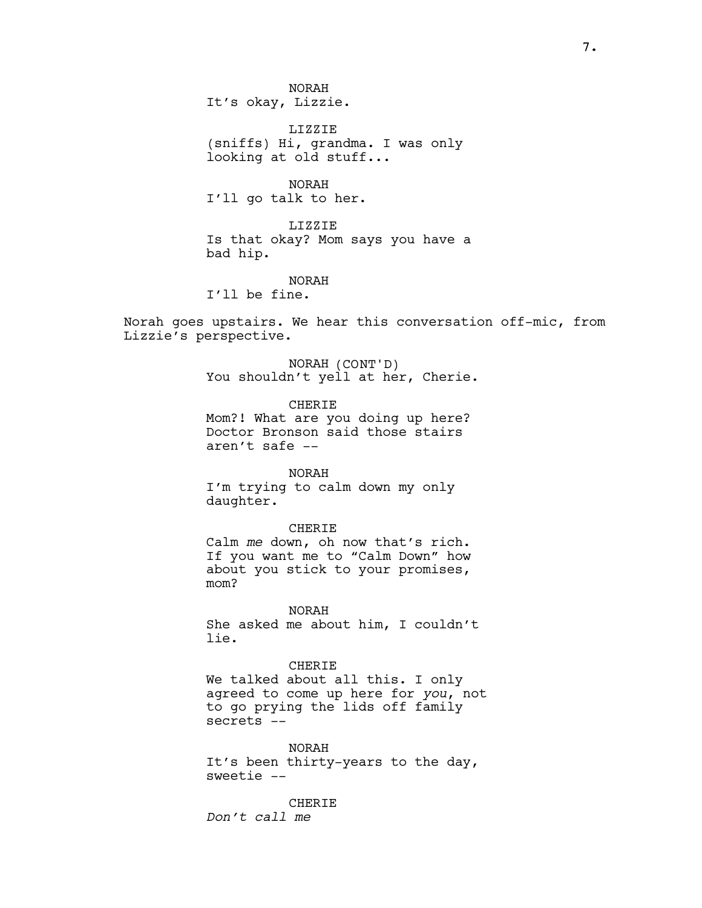NORAH It's okay, Lizzie.

LIZZIE (sniffs) Hi, grandma. I was only looking at old stuff...

NORAH I'll go talk to her.

LIZZIE Is that okay? Mom says you have a bad hip.

NORAH

I'll be fine.

Norah goes upstairs. We hear this conversation off-mic, from Lizzie's perspective.

> NORAH (CONT'D) You shouldn't yell at her, Cherie.

CHERIE Mom?! What are you doing up here? Doctor Bronson said those stairs aren't safe --

NORAH

I'm trying to calm down my only daughter.

CHERIE

Calm me down, oh now that's rich. If you want me to "Calm Down" how about you stick to your promises, mom?

NORAH She asked me about him, I couldn't lie.

CHERIE We talked about all this. I only agreed to come up here for you, not to go prying the lids off family secrets --

NORAH It's been thirty-years to the day, sweetie --

**CHERIE** Don't call me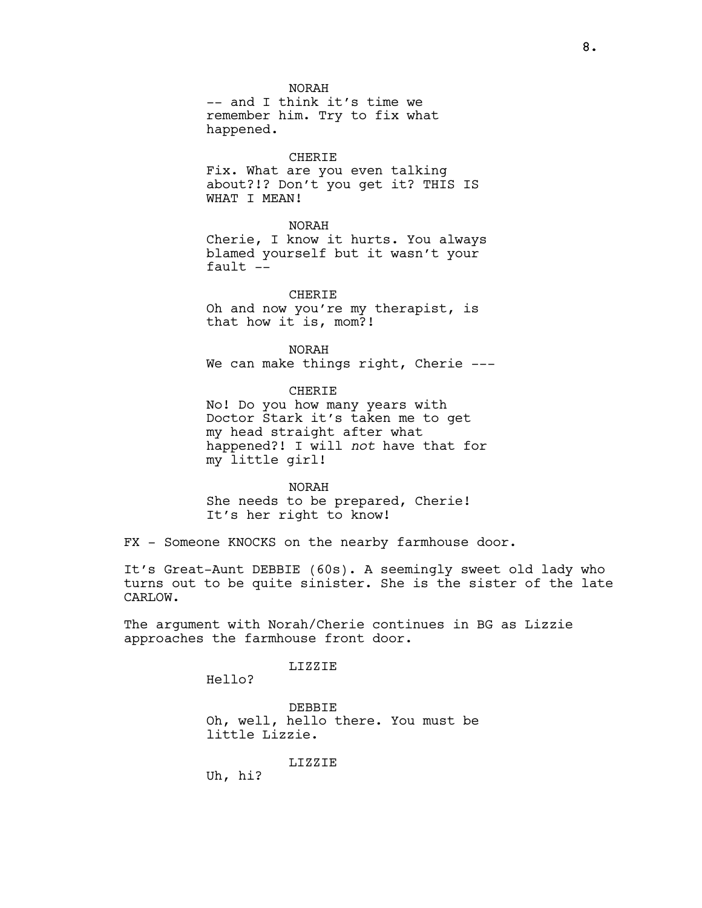NORAH -- and I think it's time we remember him. Try to fix what happened.

#### CHERIE

Fix. What are you even talking about?!? Don't you get it? THIS IS WHAT I MEAN!

#### NORAH

Cherie, I know it hurts. You always blamed yourself but it wasn't your fault --

CHERIE Oh and now you're my therapist, is that how it is, mom?!

NORAH We can make things right, Cherie ---

CHERIE No! Do you how many years with Doctor Stark it's taken me to get my head straight after what

happened?! I will not have that for my little girl!

#### NORAH

She needs to be prepared, Cherie! It's her right to know!

FX - Someone KNOCKS on the nearby farmhouse door.

It's Great-Aunt DEBBIE (60s). A seemingly sweet old lady who turns out to be quite sinister. She is the sister of the late CARLOW.

The argument with Norah/Cherie continues in BG as Lizzie approaches the farmhouse front door.

# LIZZIE

Hello?

DEBBIE Oh, well, hello there. You must be little Lizzie.

LIZZIE

Uh, hi?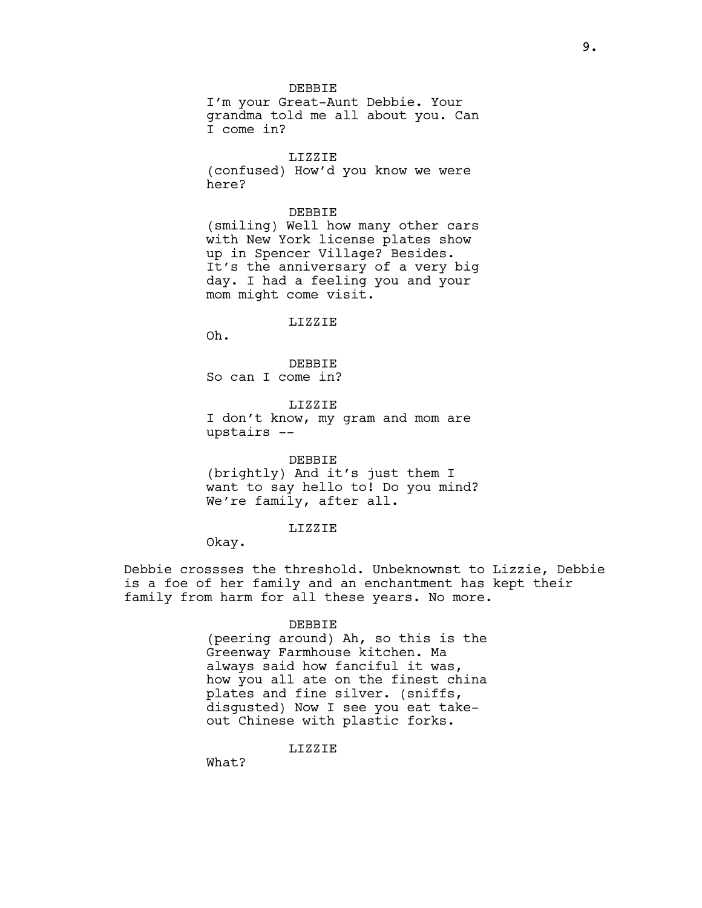DEBBIE

I'm your Great-Aunt Debbie. Your grandma told me all about you. Can I come in?

LIZZIE

(confused) How'd you know we were here?

## DEBBIE

(smiling) Well how many other cars with New York license plates show up in Spencer Village? Besides. It's the anniversary of a very big day. I had a feeling you and your mom might come visit.

LIZZIE

Oh.

DEBBIE So can I come in?

LIZZIE I don't know, my gram and mom are upstairs --

DEBBIE (brightly) And it's just them I want to say hello to! Do you mind? We're family, after all.

## LIZZIE

Okay.

Debbie crossses the threshold. Unbeknownst to Lizzie, Debbie is a foe of her family and an enchantment has kept their family from harm for all these years. No more.

#### DEBBIE

(peering around) Ah, so this is the Greenway Farmhouse kitchen. Ma always said how fanciful it was, how you all ate on the finest china plates and fine silver. (sniffs, disgusted) Now I see you eat takeout Chinese with plastic forks.

LIZZIE

What?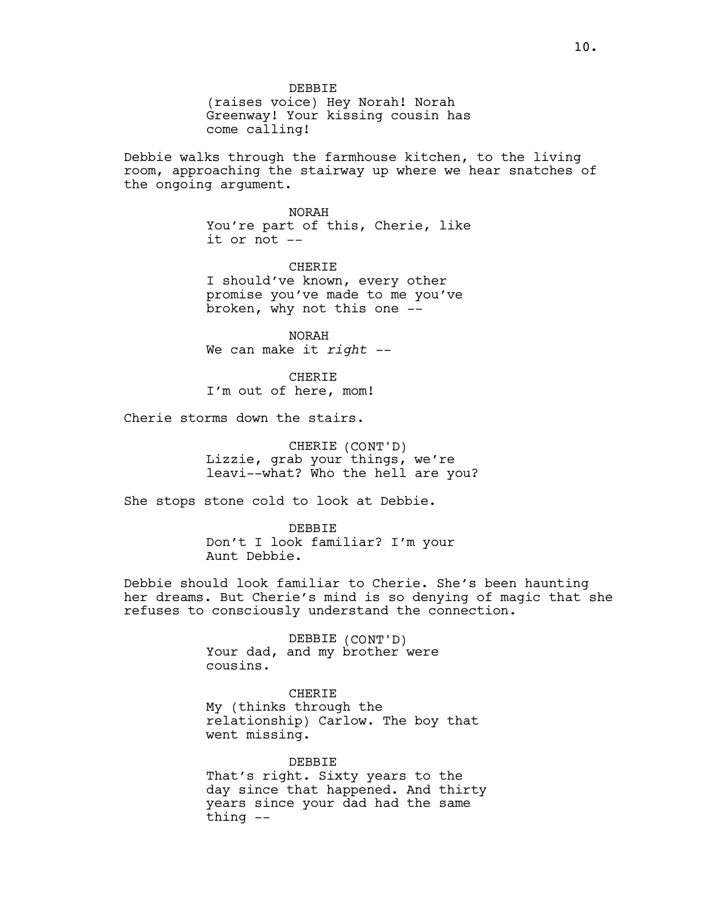DEBBIE (raises voice) Hey Norah! Norah Greenway! Your kissing cousin has come calling!

Debbie walks through the farmhouse kitchen, to the living room, approaching the stairway up where we hear snatches of the ongoing argument.

> NORAH You're part of this, Cherie, like it or not --

CHERIE I should've known, every other promise you've made to me you've broken, why not this one --

NORAH We can make it  $right$  --

CHERIE I'm out of here, mom!

Cherie storms down the stairs.

CHERIE (CONT'D) Lizzie, grab your things, we're leavi--what? Who the hell are you?

She stops stone cold to look at Debbie.

DEBBIE Don't I look familiar? I'm your Aunt Debbie.

Debbie should look familiar to Cherie. She's been haunting her dreams. But Cherie's mind is so denying of magic that she refuses to consciously understand the connection.

> DEBBIE (CONT'D) Your dad, and my brother were cousins.

CHERIE My (thinks through the relationship) Carlow. The boy that went missing.

DEBBIE That's right. Sixty years to the day since that happened. And thirty years since your dad had the same thing --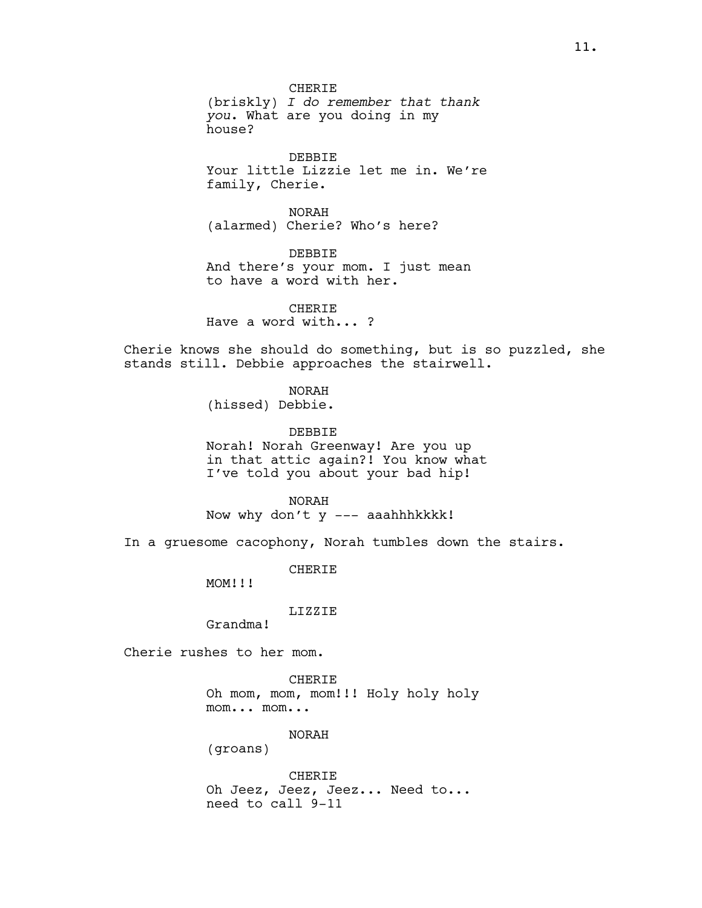CHERIE (briskly) I do remember that thank you. What are you doing in my house?

DEBBIE Your little Lizzie let me in. We're family, Cherie.

NORAH (alarmed) Cherie? Who's here?

DEBBIE And there's your mom. I just mean to have a word with her.

CHERIE Have a word with... ?

Cherie knows she should do something, but is so puzzled, she stands still. Debbie approaches the stairwell.

NORAH

(hissed) Debbie.

DEBBIE Norah! Norah Greenway! Are you up in that attic again?! You know what I've told you about your bad hip!

NORAH Now why don't y --- aaahhhkkkk!

In a gruesome cacophony, Norah tumbles down the stairs.

CHERIE

MOM!!!

LIZZIE

Grandma!

Cherie rushes to her mom.

CHERIE Oh mom, mom, mom!!! Holy holy holy mom... mom...

NORAH

(groans)

CHERIE Oh Jeez, Jeez, Jeez... Need to... need to call 9-11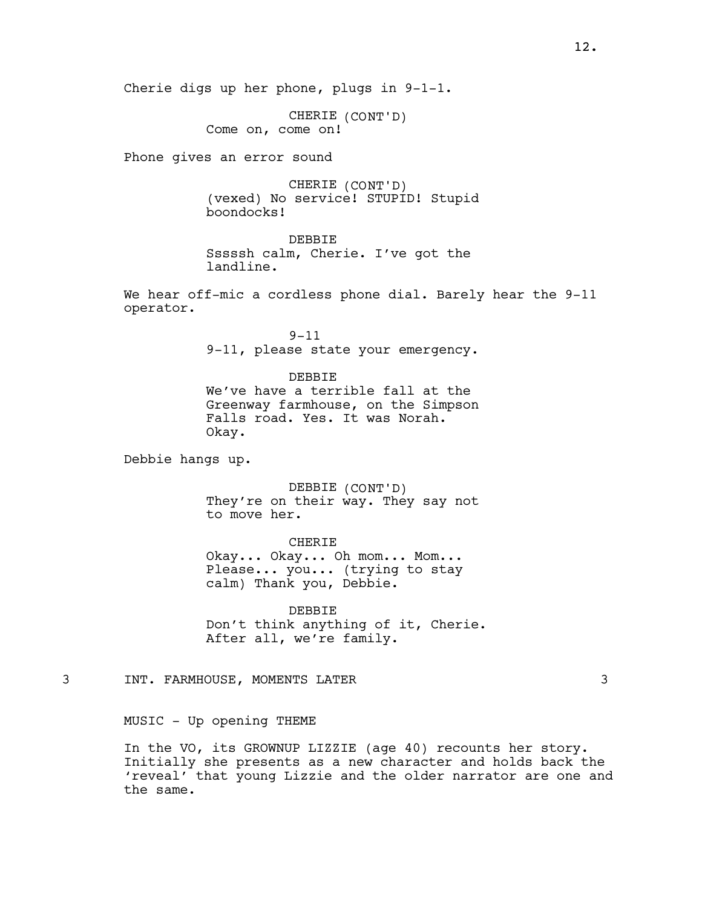Cherie digs up her phone, plugs in 9-1-1.

CHERIE (CONT'D) Come on, come on!

Phone gives an error sound

CHERIE (CONT'D) (vexed) No service! STUPID! Stupid boondocks!

DEBBIE Sssssh calm, Cherie. I've got the landline.

We hear off-mic a cordless phone dial. Barely hear the 9-11 operator.

> 9-11 9-11, please state your emergency.

DEBBIE We've have a terrible fall at the Greenway farmhouse, on the Simpson Falls road. Yes. It was Norah. Okay.

Debbie hangs up.

DEBBIE (CONT'D) They're on their way. They say not to move her.

CHERIE

Okay... Okay... Oh mom... Mom... Please... you... (trying to stay calm) Thank you, Debbie.

DEBBIE Don't think anything of it, Cherie. After all, we're family.

3 INT. FARMHOUSE, MOMENTS LATER 3

MUSIC - Up opening THEME

In the VO, its GROWNUP LIZZIE (age 40) recounts her story. Initially she presents as a new character and holds back the 'reveal' that young Lizzie and the older narrator are one and the same.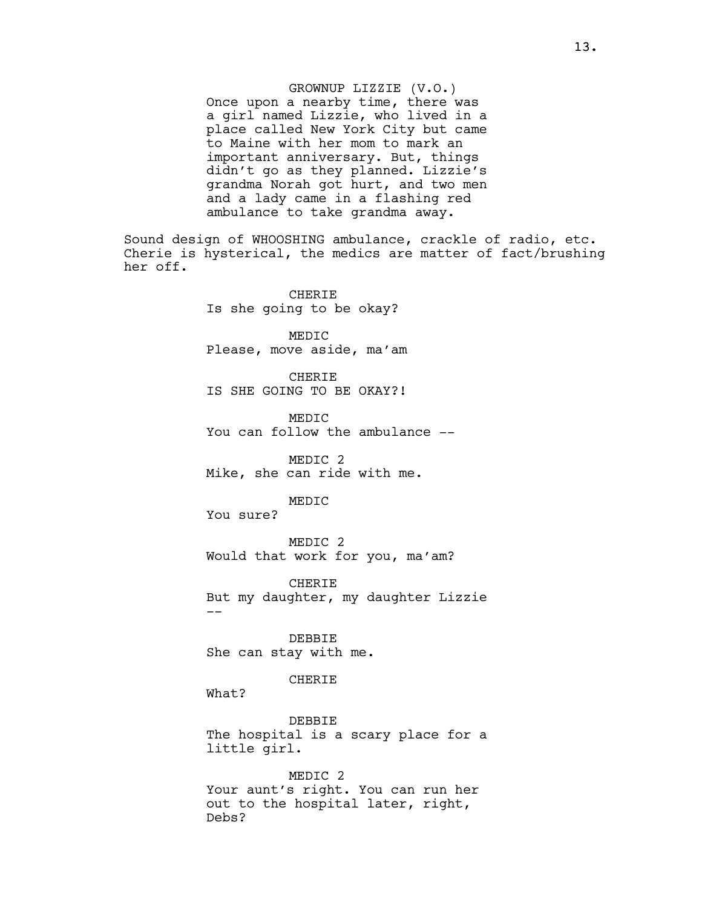GROWNUP LIZZIE (V.O.) Once upon a nearby time, there was a girl named Lizzie, who lived in a place called New York City but came to Maine with her mom to mark an important anniversary. But, things didn't go as they planned. Lizzie's grandma Norah got hurt, and two men and a lady came in a flashing red ambulance to take grandma away.

Sound design of WHOOSHING ambulance, crackle of radio, etc. Cherie is hysterical, the medics are matter of fact/brushing her off.

> **CHERIE** Is she going to be okay?

MEDIC Please, move aside, ma'am

CHERIE IS SHE GOING TO BE OKAY?!

MEDIC You can follow the ambulance --

MEDIC 2 Mike, she can ride with me.

MEDIC

You sure?

MEDIC 2 Would that work for you, ma'am?

CHERIE But my daughter, my daughter Lizzie --

DEBBIE She can stay with me.

CHERIE

What?

DEBBIE The hospital is a scary place for a little girl.

MEDIC 2 Your aunt's right. You can run her out to the hospital later, right, Debs?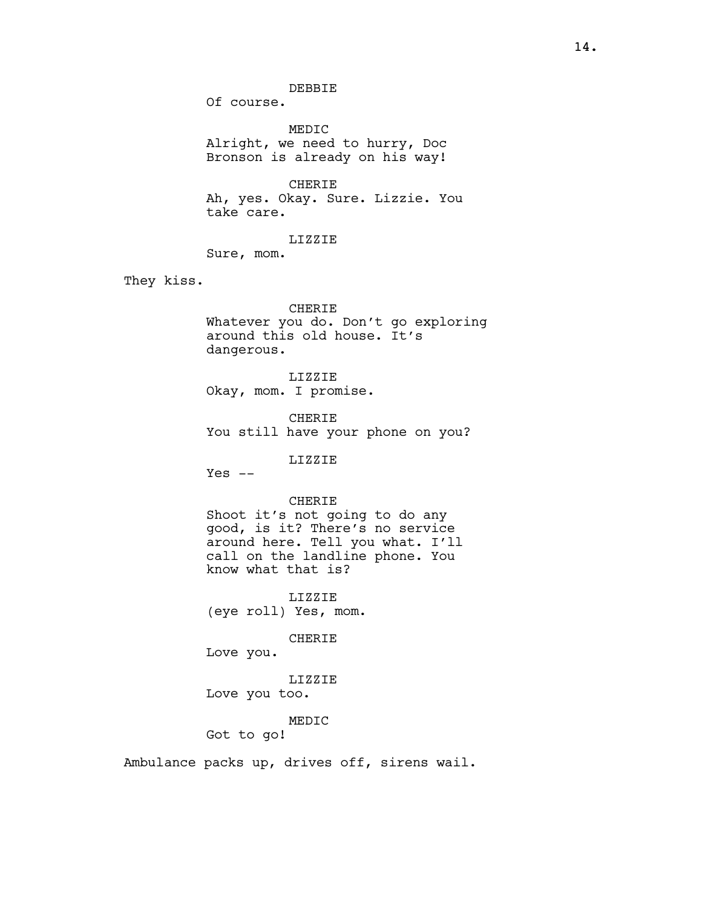DEBBIE

Of course.

MEDIC Alright, we need to hurry, Doc Bronson is already on his way!

CHERIE Ah, yes. Okay. Sure. Lizzie. You take care.

LIZZIE

Sure, mom.

They kiss.

#### CHERIE

Whatever you do. Don't go exploring around this old house. It's dangerous.

LIZZIE Okay, mom. I promise.

CHERIE You still have your phone on you?

LIZZIE

 $Yes --$ 

# CHERIE

Shoot it's not going to do any good, is it? There's no service around here. Tell you what. I'll call on the landline phone. You know what that is?

LIZZIE (eye roll) Yes, mom.

CHERIE

Love you.

LIZZIE Love you too.

## MEDIC

Got to go!

Ambulance packs up, drives off, sirens wail.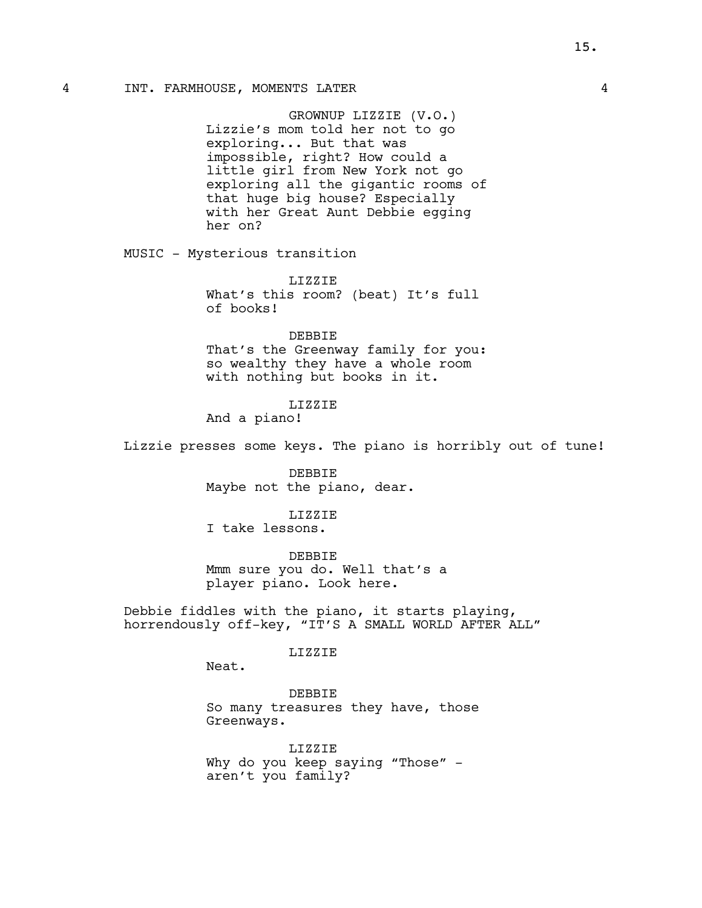## 4 INT. FARMHOUSE, MOMENTS LATER 4

GROWNUP LIZZIE (V.O.) Lizzie's mom told her not to go exploring... But that was impossible, right? How could a little girl from New York not go exploring all the gigantic rooms of that huge big house? Especially with her Great Aunt Debbie egging her on?

MUSIC - Mysterious transition

LIZZIE What's this room? (beat) It's full of books!

DEBBIE

That's the Greenway family for you: so wealthy they have a whole room with nothing but books in it.

# LIZZIE

And a piano!

Lizzie presses some keys. The piano is horribly out of tune!

DEBBIE Maybe not the piano, dear.

LIZZIE I take lessons.

DEBBIE Mmm sure you do. Well that's a player piano. Look here.

Debbie fiddles with the piano, it starts playing, horrendously off-key, "IT'S A SMALL WORLD AFTER ALL"

## LIZZIE

Neat.

DEBBIE So many treasures they have, those Greenways.

LIZZIE Why do you keep saying "Those" aren't you family?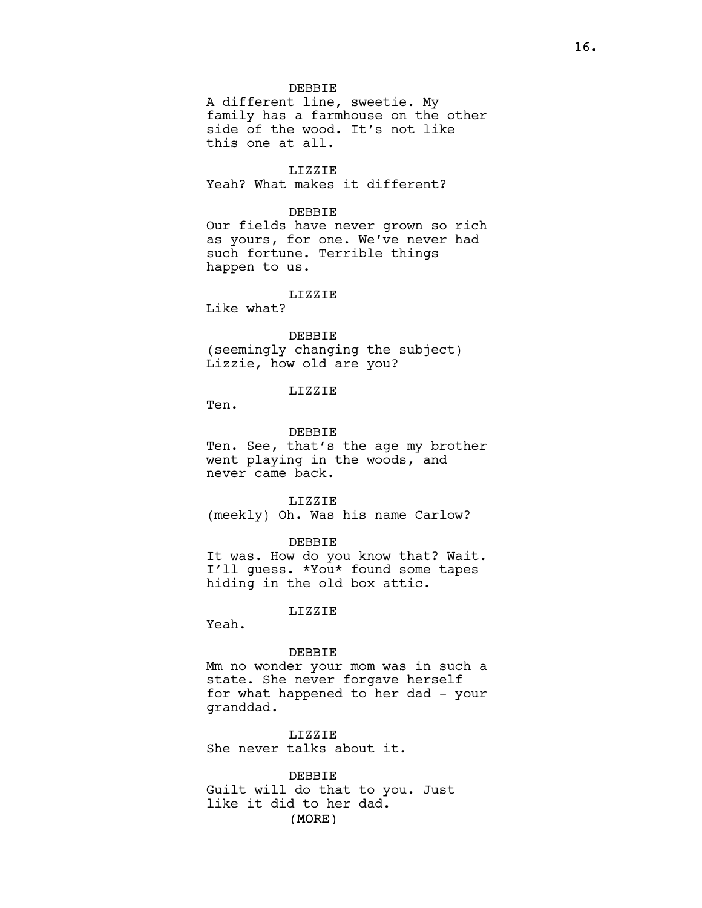DEBBIE A different line, sweetie. My family has a farmhouse on the other side of the wood. It's not like this one at all.

# LIZZIE

Yeah? What makes it different?

### DEBBIE

Our fields have never grown so rich as yours, for one. We've never had such fortune. Terrible things happen to us.

#### LIZZIE

Like what?

### DEBBIE

(seemingly changing the subject) Lizzie, how old are you?

# LIZZIE

Ten.

### DEBBIE

Ten. See, that's the age my brother went playing in the woods, and never came back.

LIZZIE (meekly) Oh. Was his name Carlow?

### DEBBIE

It was. How do you know that? Wait. I'll guess. \*You\* found some tapes hiding in the old box attic.

## LIZZIE

Yeah.

### DEBBIE

Mm no wonder your mom was in such a state. She never forgave herself for what happened to her dad - your granddad.

LIZZIE She never talks about it.

(MORE) DEBBIE Guilt will do that to you. Just like it did to her dad.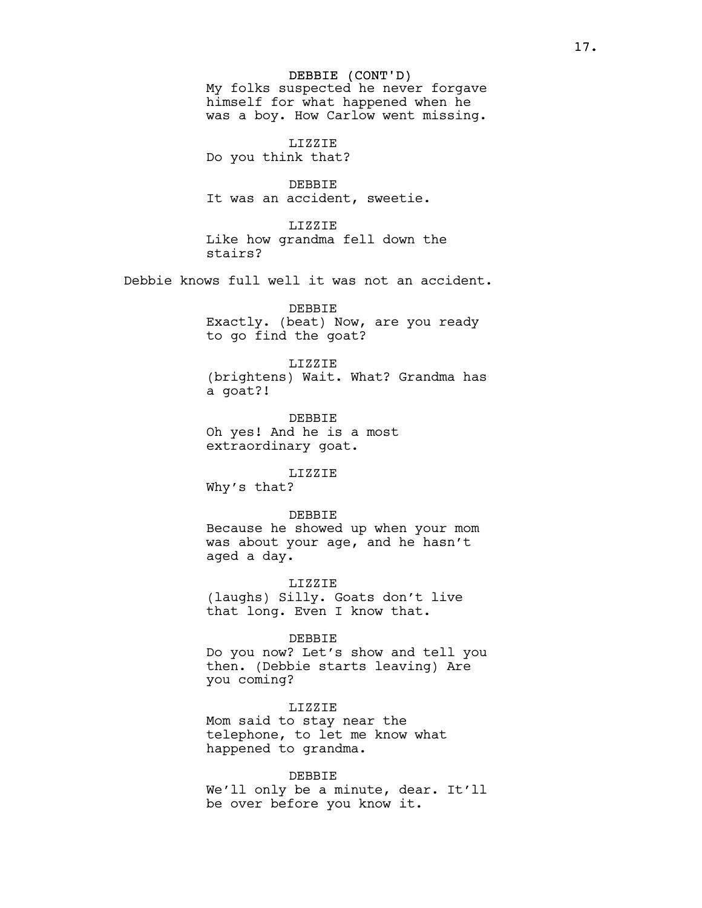## DEBBIE (CONT'D)

My folks suspected he never forgave himself for what happened when he was a boy. How Carlow went missing.

LIZZIE Do you think that?

DEBBIE It was an accident, sweetie.

LIZZIE Like how grandma fell down the stairs?

Debbie knows full well it was not an accident.

DEBBIE Exactly. (beat) Now, are you ready to go find the goat?

LIZZIE

(brightens) Wait. What? Grandma has a goat?!

DEBBIE Oh yes! And he is a most extraordinary goat.

LIZZIE Why's that?

DEBBIE Because he showed up when your mom was about your age, and he hasn't aged a day.

LIZZIE (laughs) Silly. Goats don't live that long. Even I know that.

### DEBBIE

Do you now? Let's show and tell you then. (Debbie starts leaving) Are you coming?

LIZZIE

Mom said to stay near the telephone, to let me know what happened to grandma.

#### DEBBIE

We'll only be a minute, dear. It'll be over before you know it.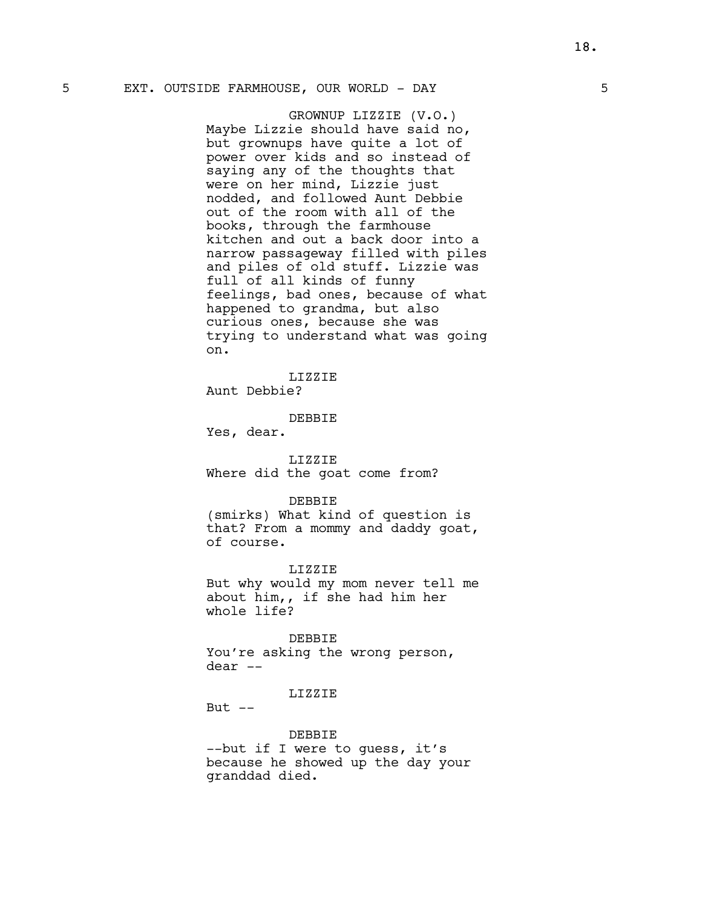# 5 EXT. OUTSIDE FARMHOUSE, OUR WORLD - DAY 5

GROWNUP LIZZIE (V.O.) Maybe Lizzie should have said no, but grownups have quite a lot of power over kids and so instead of saying any of the thoughts that were on her mind, Lizzie just nodded, and followed Aunt Debbie out of the room with all of the books, through the farmhouse kitchen and out a back door into a narrow passageway filled with piles and piles of old stuff. Lizzie was full of all kinds of funny feelings, bad ones, because of what happened to grandma, but also curious ones, because she was trying to understand what was going on.

LIZZIE Aunt Debbie?

DEBBIE

Yes, dear.

#### LIZZIE

Where did the goat come from?

#### DEBBIE

(smirks) What kind of question is that? From a mommy and daddy goat, of course.

LIZZIE

But why would my mom never tell me about him,, if she had him her whole life?

#### DEBBIE

You're asking the wrong person, dear --

# LIZZIE

But  $--$ 

# DEBBIE

--but if I were to guess, it's because he showed up the day your granddad died.

18.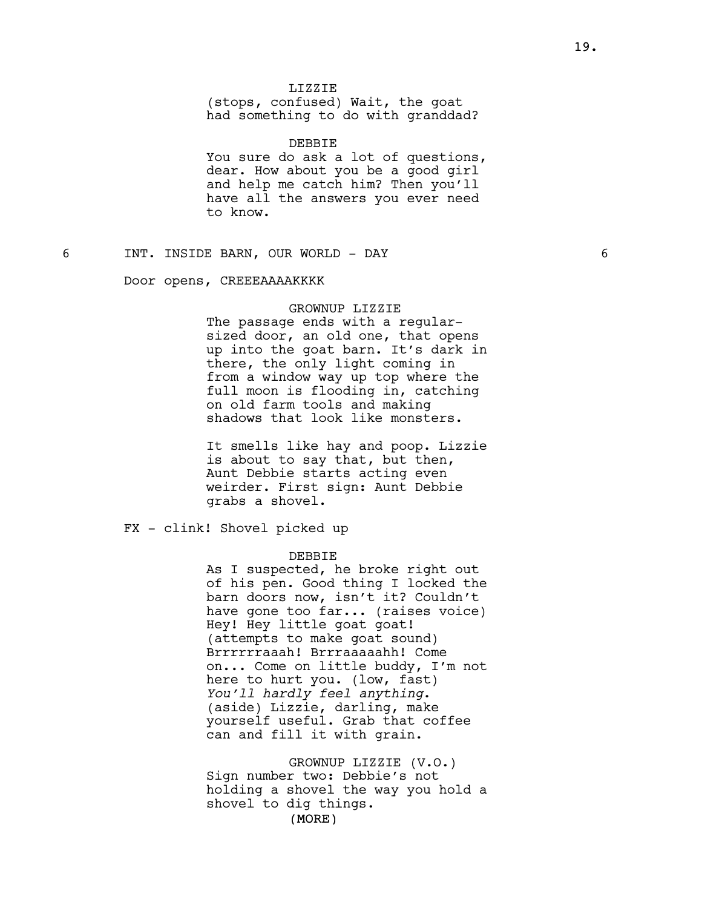# LIZZIE

(stops, confused) Wait, the goat had something to do with granddad?

DEBBIE You sure do ask a lot of questions, dear. How about you be a good girl and help me catch him? Then you'll have all the answers you ever need to know.

6 INT. INSIDE BARN, OUR WORLD - DAY 6

#### Door opens, CREEEAAAAKKKK

#### GROWNUP LIZZIE

The passage ends with a regularsized door, an old one, that opens up into the goat barn. It's dark in there, the only light coming in from a window way up top where the full moon is flooding in, catching on old farm tools and making shadows that look like monsters.

It smells like hay and poop. Lizzie is about to say that, but then, Aunt Debbie starts acting even weirder. First sign: Aunt Debbie grabs a shovel.

FX - clink! Shovel picked up

#### DEBBIE

As I suspected, he broke right out of his pen. Good thing I locked the barn doors now, isn't it? Couldn't have gone too far... (raises voice) Hey! Hey little goat goat! (attempts to make goat sound) Brrrrrraaah! Brrraaaaahh! Come on... Come on little buddy, I'm not here to hurt you. (low, fast) You'll hardly feel anything. (aside) Lizzie, darling, make yourself useful. Grab that coffee can and fill it with grain.

GROWNUP LIZZIE (V.O.) Sign number two: Debbie's not holding a shovel the way you hold a shovel to dig things.

(MORE)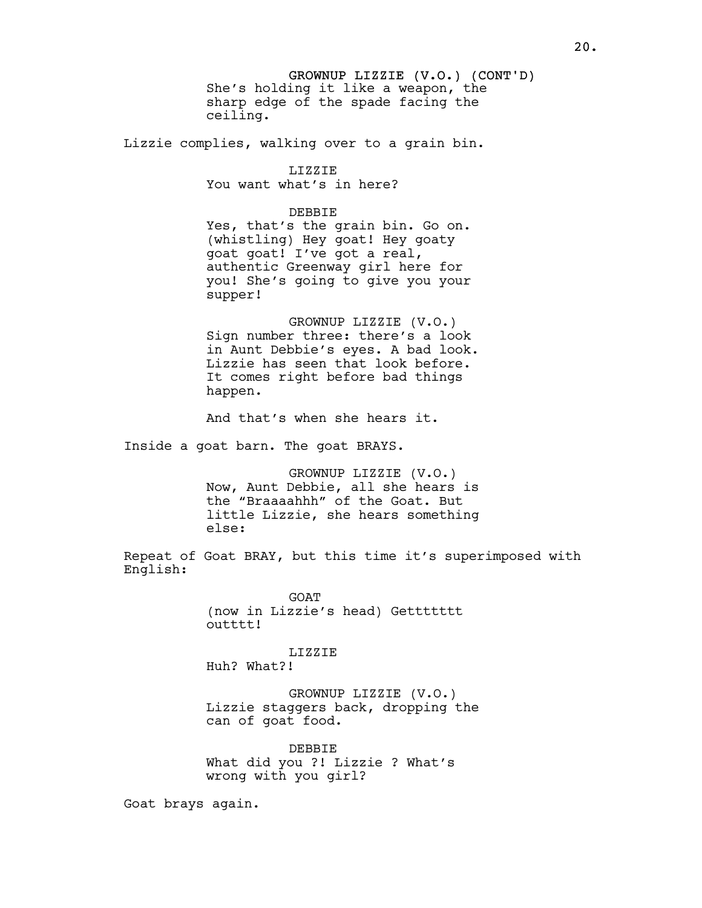GROWNUP LIZZIE (V.O.) (CONT'D) She's holding it like a weapon, the sharp edge of the spade facing the ceiling.

Lizzie complies, walking over to a grain bin.

LIZZIE You want what's in here?

DEBBIE

Yes, that's the grain bin. Go on. (whistling) Hey goat! Hey goaty goat goat! I've got a real, authentic Greenway girl here for you! She's going to give you your supper!

GROWNUP LIZZIE (V.O.) Sign number three: there's a look in Aunt Debbie's eyes. A bad look. Lizzie has seen that look before. It comes right before bad things happen.

And that's when she hears it.

Inside a goat barn. The goat BRAYS.

GROWNUP LIZZIE (V.O.) Now, Aunt Debbie, all she hears is the "Braaaahhh" of the Goat. But little Lizzie, she hears something else:

Repeat of Goat BRAY, but this time it's superimposed with English:

> **GOAT** (now in Lizzie's head) Gettttttt outttt!

LIZZIE Huh? What?!

GROWNUP LIZZIE (V.O.) Lizzie staggers back, dropping the can of goat food.

DEBBIE What did you ?! Lizzie ? What's wrong with you girl?

Goat brays again.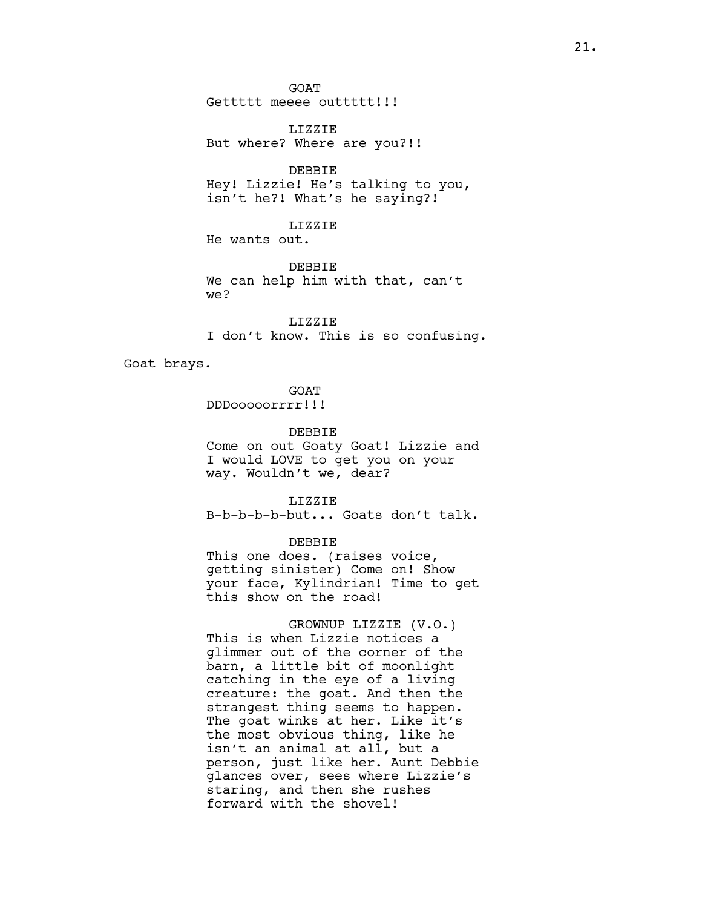GOAT Gettttt meeee outtttt!!!

LIZZIE But where? Where are you?!!

DEBBIE Hey! Lizzie! He's talking to you, isn't he?! What's he saying?!

LIZZIE

He wants out.

DEBBIE We can help him with that, can't we?

LIZZIE I don't know. This is so confusing.

Goat brays.

GOAT

DDDooooorrrr!!!

DEBBIE

Come on out Goaty Goat! Lizzie and I would LOVE to get you on your way. Wouldn't we, dear?

LIZZIE B-b-b-b-b-but... Goats don't talk.

DEBBIE

This one does. (raises voice, getting sinister) Come on! Show your face, Kylindrian! Time to get this show on the road!

GROWNUP LIZZIE (V.O.) This is when Lizzie notices a glimmer out of the corner of the barn, a little bit of moonlight catching in the eye of a living creature: the goat. And then the strangest thing seems to happen. The goat winks at her. Like it's the most obvious thing, like he isn't an animal at all, but a person, just like her. Aunt Debbie glances over, sees where Lizzie's staring, and then she rushes forward with the shovel!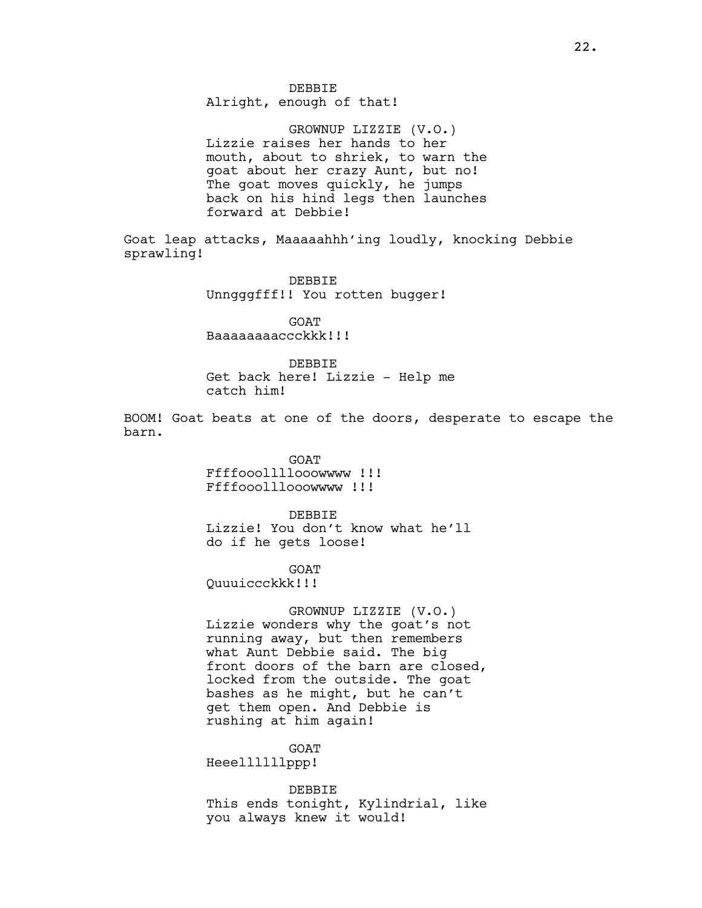# DEBBIE

Alright, enough of that!

GROWNUP LIZZIE (V.O.) Lizzie raises her hands to her mouth, about to shriek, to warn the goat about her crazy Aunt, but no! The goat moves quickly, he jumps back on his hind legs then launches forward at Debbie!

Goat leap attacks, Maaaaahhh'ing loudly, knocking Debbie sprawling!

> DEBBIE Unngggfff!! You rotten bugger!

**GOAT** Baaaaaaaaccckkk!!!

DEBBIE Get back here! Lizzie - Help me catch him!

BOOM! Goat beats at one of the doors, desperate to escape the barn.

> GOAT Ffffooollllooowwww !!! Ffffooolllooowwww !!!

DEBBIE Lizzie! You don't know what he'll do if he gets loose!

GOAT Quuuiccckkk!!!

GROWNUP LIZZIE (V.O.) Lizzie wonders why the goat's not running away, but then remembers what Aunt Debbie said. The big front doors of the barn are closed, locked from the outside. The goat bashes as he might, but he can't get them open. And Debbie is rushing at him again!

GOAT

Heeellllllppp!

DEBBIE This ends tonight, Kylindrial, like you always knew it would!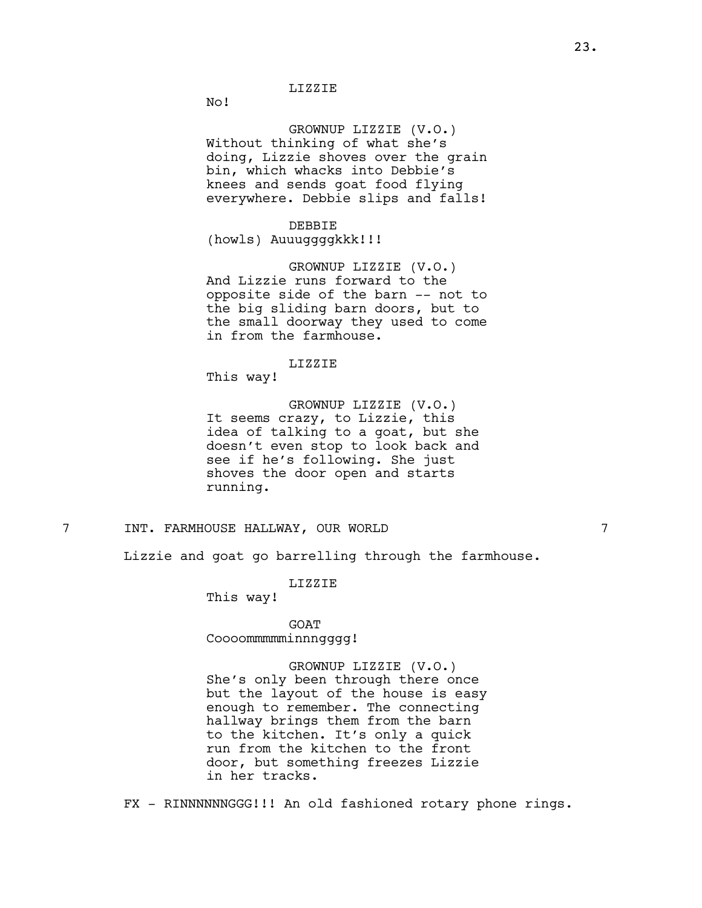No!

# GROWNUP LIZZIE (V.O.)

Without thinking of what she's doing, Lizzie shoves over the grain bin, which whacks into Debbie's knees and sends goat food flying everywhere. Debbie slips and falls!

DEBBIE

(howls) Auuuggggkkk!!!

GROWNUP LIZZIE (V.O.) And Lizzie runs forward to the opposite side of the barn -- not to the big sliding barn doors, but to the small doorway they used to come in from the farmhouse.

LIZZIE

This way!

GROWNUP LIZZIE (V.O.) It seems crazy, to Lizzie, this idea of talking to a goat, but she doesn't even stop to look back and see if he's following. She just shoves the door open and starts running.

# 7 INT. FARMHOUSE HALLWAY, OUR WORLD 7

Lizzie and goat go barrelling through the farmhouse.

LIZZIE

This way!

GOAT Coooommmmminnngggg!

GROWNUP LIZZIE (V.O.) She's only been through there once but the layout of the house is easy enough to remember. The connecting hallway brings them from the barn to the kitchen. It's only a quick run from the kitchen to the front door, but something freezes Lizzie in her tracks.

FX - RINNNNNNGGG!!! An old fashioned rotary phone rings.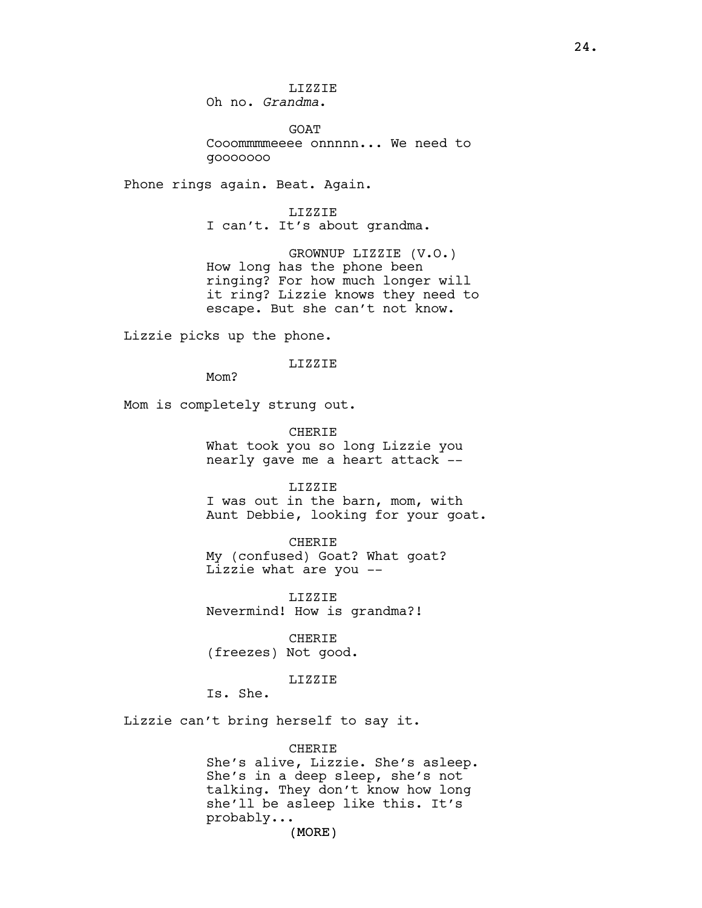GOAT Cooommmmeeee onnnnn... We need to gooooooo

Phone rings again. Beat. Again.

LIZZIE I can't. It's about grandma.

GROWNUP LIZZIE (V.O.) How long has the phone been ringing? For how much longer will it ring? Lizzie knows they need to escape. But she can't not know.

Lizzie picks up the phone.

LIZZIE

M<sub>O</sub>m?

Mom is completely strung out.

CHERIE What took you so long Lizzie you nearly gave me a heart attack --

LIZZIE

I was out in the barn, mom, with Aunt Debbie, looking for your goat.

CHERIE My (confused) Goat? What goat? Lizzie what are you --

LIZZIE Nevermind! How is grandma?!

CHERIE (freezes) Not good.

LIZZIE

Is. She.

Lizzie can't bring herself to say it.

**CHERIE** She's alive, Lizzie. She's asleep. She's in a deep sleep, she's not talking. They don't know how long she'll be asleep like this. It's probably...

(MORE)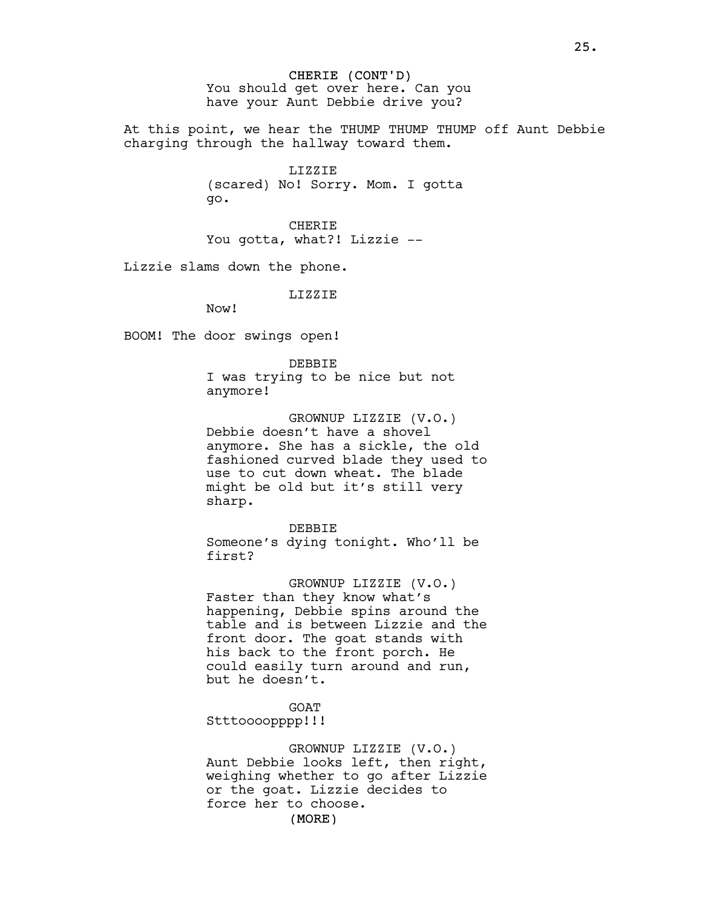CHERIE (CONT'D) You should get over here. Can you have your Aunt Debbie drive you?

At this point, we hear the THUMP THUMP THUMP off Aunt Debbie charging through the hallway toward them.

> LIZZIE (scared) No! Sorry. Mom. I gotta go.

CHERIE You gotta, what?! Lizzie --

Lizzie slams down the phone.

LIZZIE

Now!

BOOM! The door swings open!

DEBBIE I was trying to be nice but not anymore!

GROWNUP LIZZIE (V.O.) Debbie doesn't have a shovel anymore. She has a sickle, the old fashioned curved blade they used to use to cut down wheat. The blade might be old but it's still very sharp.

DEBBIE Someone's dying tonight. Who'll be first?

GROWNUP LIZZIE (V.O.) Faster than they know what's happening, Debbie spins around the table and is between Lizzie and the front door. The goat stands with his back to the front porch. He could easily turn around and run, but he doesn't.

GOAT Stttoooopppp!!!

GROWNUP LIZZIE (V.O.) Aunt Debbie looks left, then right, weighing whether to go after Lizzie or the goat. Lizzie decides to force her to choose.

(MORE)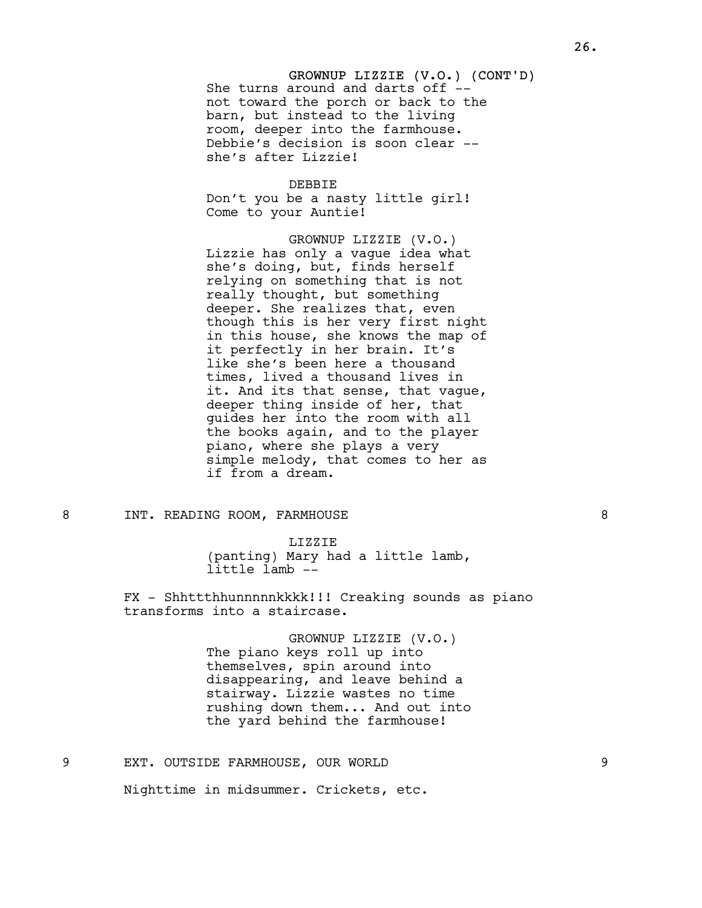# GROWNUP LIZZIE (V.O.) (CONT'D) She turns around and darts off -not toward the porch or back to the barn, but instead to the living room, deeper into the farmhouse. Debbie's decision is soon clear - she's after Lizzie!

DEBBIE Don't you be a nasty little girl! Come to your Auntie!

GROWNUP LIZZIE (V.O.) Lizzie has only a vague idea what she's doing, but, finds herself relying on something that is not really thought, but something deeper. She realizes that, even though this is her very first night in this house, she knows the map of it perfectly in her brain. It's like she's been here a thousand times, lived a thousand lives in it. And its that sense, that vague, deeper thing inside of her, that guides her into the room with all the books again, and to the player piano, where she plays a very simple melody, that comes to her as if from a dream.

## 8 INT. READING ROOM, FARMHOUSE 8

LIZZIE (panting) Mary had a little lamb, little lamb --

FX - Shhttthhunnnnnkkkk!!! Creaking sounds as piano transforms into a staircase.

> GROWNUP LIZZIE (V.O.) The piano keys roll up into themselves, spin around into disappearing, and leave behind a stairway. Lizzie wastes no time rushing down them... And out into the yard behind the farmhouse!

9 EXT. OUTSIDE FARMHOUSE, OUR WORLD 9

Nighttime in midsummer. Crickets, etc.

26.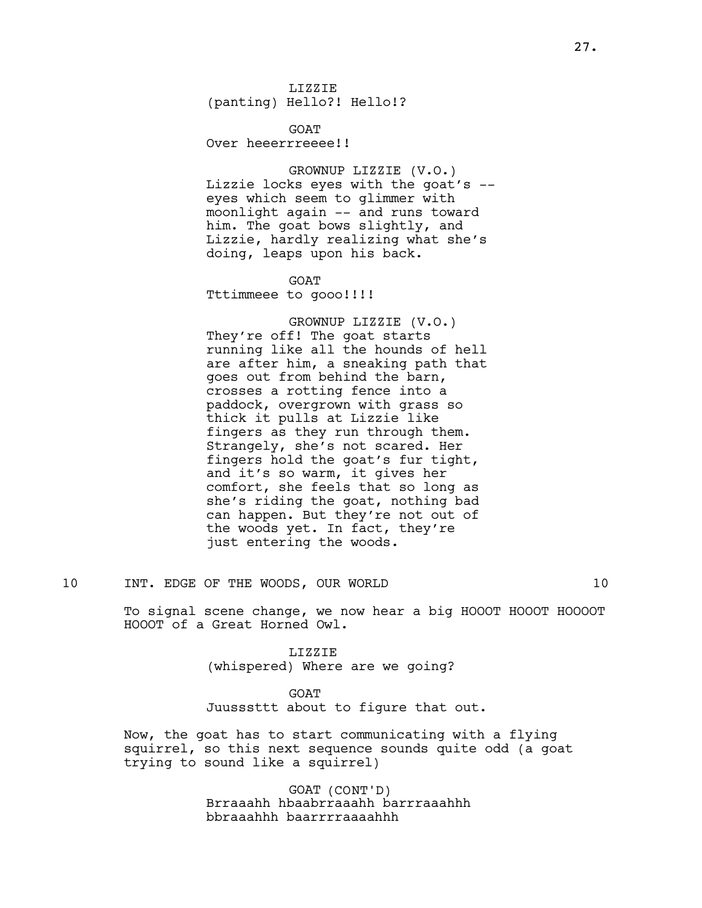LIZZIE (panting) Hello?! Hello!?

**GOAT** Over heeerrreeee!!

GROWNUP LIZZIE (V.O.) Lizzie locks eyes with the goat's - eyes which seem to glimmer with moonlight again -- and runs toward him. The goat bows slightly, and Lizzie, hardly realizing what she's doing, leaps upon his back.

GOAT Tttimmeee to gooo!!!!

GROWNUP LIZZIE (V.O.) They're off! The goat starts running like all the hounds of hell are after him, a sneaking path that goes out from behind the barn, crosses a rotting fence into a paddock, overgrown with grass so thick it pulls at Lizzie like fingers as they run through them. Strangely, she's not scared. Her fingers hold the goat's fur tight, and it's so warm, it gives her comfort, she feels that so long as she's riding the goat, nothing bad can happen. But they're not out of the woods yet. In fact, they're just entering the woods.

To signal scene change, we now hear a big HOOOT HOOOT HOOOOT HOOOT of a Great Horned Owl.

> LIZZIE (whispered) Where are we going?

GOAT Juusssttt about to figure that out.

Now, the goat has to start communicating with a flying squirrel, so this next sequence sounds quite odd (a goat trying to sound like a squirrel)

> GOAT (CONT'D) Brraaahh hbaabrraaahh barrraaahhh bbraaahhh baarrrraaaahhh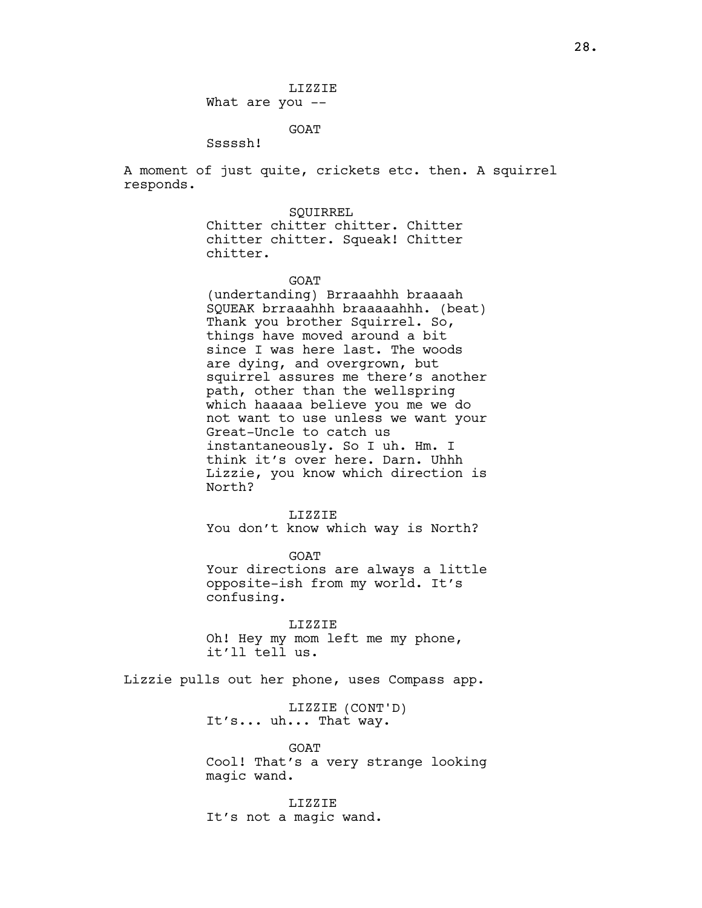LIZZIE What are you --

GOAT

Sssssh!

A moment of just quite, crickets etc. then. A squirrel responds.

> **SOUIRREL** Chitter chitter chitter. Chitter chitter chitter. Squeak! Chitter chitter.

> > **GOAT**

(undertanding) Brraaahhh braaaah SQUEAK brraaahhh braaaaahhh. (beat) Thank you brother Squirrel. So, things have moved around a bit since I was here last. The woods are dying, and overgrown, but squirrel assures me there's another path, other than the wellspring which haaaaa believe you me we do not want to use unless we want your Great-Uncle to catch us instantaneously. So I uh. Hm. I think it's over here. Darn. Uhhh Lizzie, you know which direction is North?

LIZZIE You don't know which way is North?

GOAT Your directions are always a little opposite-ish from my world. It's confusing.

LIZZIE Oh! Hey my mom left me my phone, it'll tell us.

Lizzie pulls out her phone, uses Compass app.

LIZZIE (CONT'D) It's... uh... That way.

GOAT Cool! That's a very strange looking magic wand.

LIZZIE It's not a magic wand.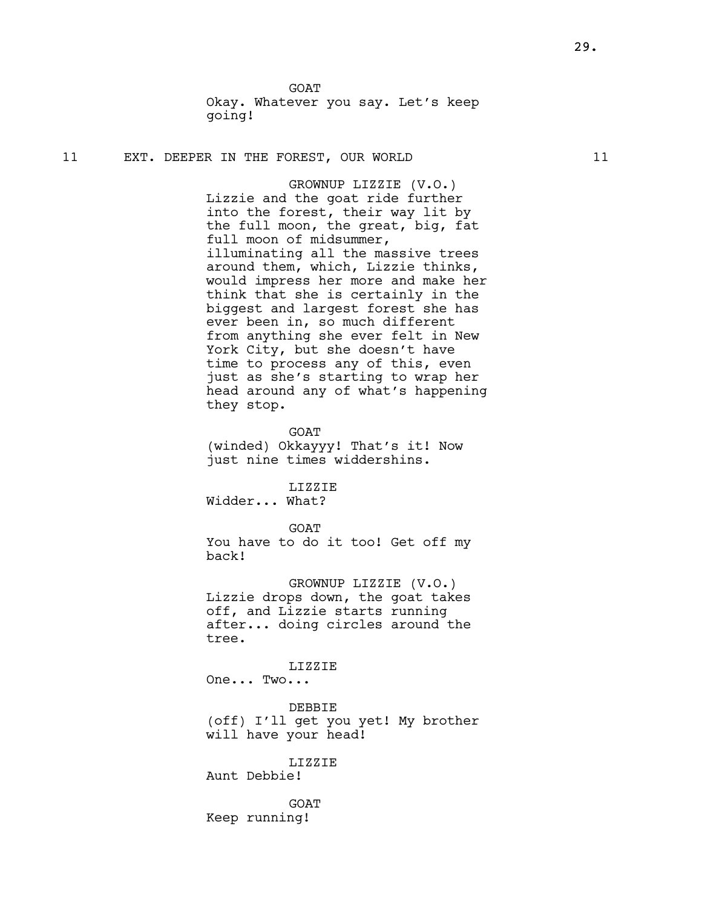GOAT Okay. Whatever you say. Let's keep going!

## 11 EXT. DEEPER IN THE FOREST, OUR WORLD 11

GROWNUP LIZZIE (V.O.) Lizzie and the goat ride further into the forest, their way lit by the full moon, the great, big, fat full moon of midsummer, illuminating all the massive trees around them, which, Lizzie thinks, would impress her more and make her think that she is certainly in the biggest and largest forest she has ever been in, so much different from anything she ever felt in New York City, but she doesn't have time to process any of this, even just as she's starting to wrap her head around any of what's happening they stop.

GOAT

(winded) Okkayyy! That's it! Now just nine times widdershins.

LIZZIE

Widder... What?

**GOAT** 

You have to do it too! Get off my back!

GROWNUP LIZZIE (V.O.) Lizzie drops down, the goat takes off, and Lizzie starts running after... doing circles around the tree.

LIZZIE

One... Two...

DEBBIE (off) I'll get you yet! My brother will have your head!

LIZZIE

Aunt Debbie!

**GOAT** Keep running!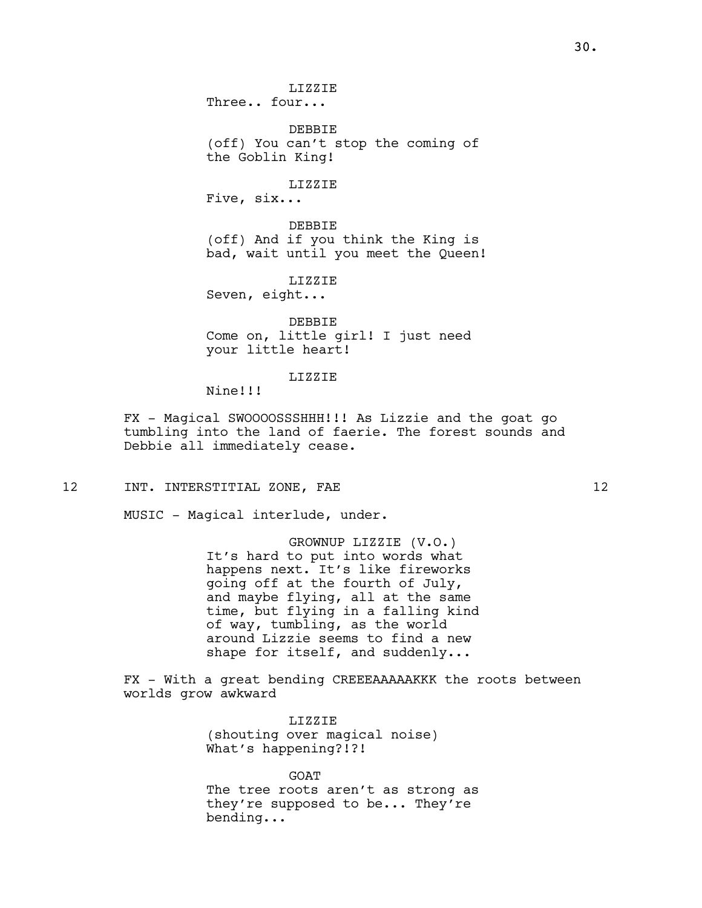(off) You can't stop the coming of the Goblin King!

LIZZIE

Five, six...

DEBBIE (off) And if you think the King is bad, wait until you meet the Queen!

LIZZIE Seven, eight...

DEBBIE Come on, little girl! I just need your little heart!

LIZZIE

Nine!!!

FX - Magical SWOOOOSSSHHH!!! As Lizzie and the goat go tumbling into the land of faerie. The forest sounds and Debbie all immediately cease.

12 INT. INTERSTITIAL ZONE, FAE 12

MUSIC - Magical interlude, under.

GROWNUP LIZZIE (V.O.) It's hard to put into words what happens next. It's like fireworks going off at the fourth of July, and maybe flying, all at the same time, but flying in a falling kind of way, tumbling, as the world around Lizzie seems to find a new shape for itself, and suddenly...

FX - With a great bending CREEEAAAAAKKK the roots between worlds grow awkward

> LIZZIE (shouting over magical noise) What's happening?!?!

**GOAT** The tree roots aren't as strong as they're supposed to be... They're bending...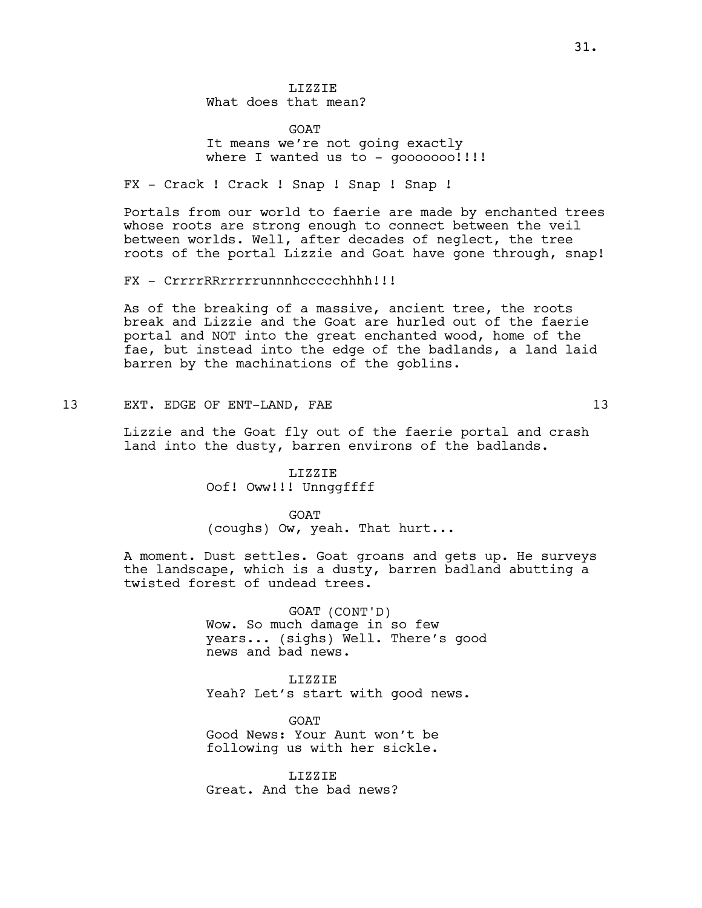LIZZIE What does that mean?

**GOAT** It means we're not going exactly where I wanted us to -  $q$ 00000000!!!!

FX - Crack ! Crack ! Snap ! Snap ! Snap !

Portals from our world to faerie are made by enchanted trees whose roots are strong enough to connect between the veil between worlds. Well, after decades of neglect, the tree roots of the portal Lizzie and Goat have gone through, snap!

FX - CrrrrRRrrrrrunnnhccccchhhh!!!

As of the breaking of a massive, ancient tree, the roots break and Lizzie and the Goat are hurled out of the faerie portal and NOT into the great enchanted wood, home of the fae, but instead into the edge of the badlands, a land laid barren by the machinations of the goblins.

13 EXT. EDGE OF ENT-LAND, FAE 13

Lizzie and the Goat fly out of the faerie portal and crash land into the dusty, barren environs of the badlands.

> LIZZIE Oof! Oww!!! Unnggffff

**GOAT** (coughs) Ow, yeah. That hurt...

A moment. Dust settles. Goat groans and gets up. He surveys the landscape, which is a dusty, barren badland abutting a twisted forest of undead trees.

> GOAT (CONT'D) Wow. So much damage in so few years... (sighs) Well. There's good news and bad news.

LIZZIE Yeah? Let's start with good news.

**GOAT** Good News: Your Aunt won't be following us with her sickle.

LIZZIE Great. And the bad news?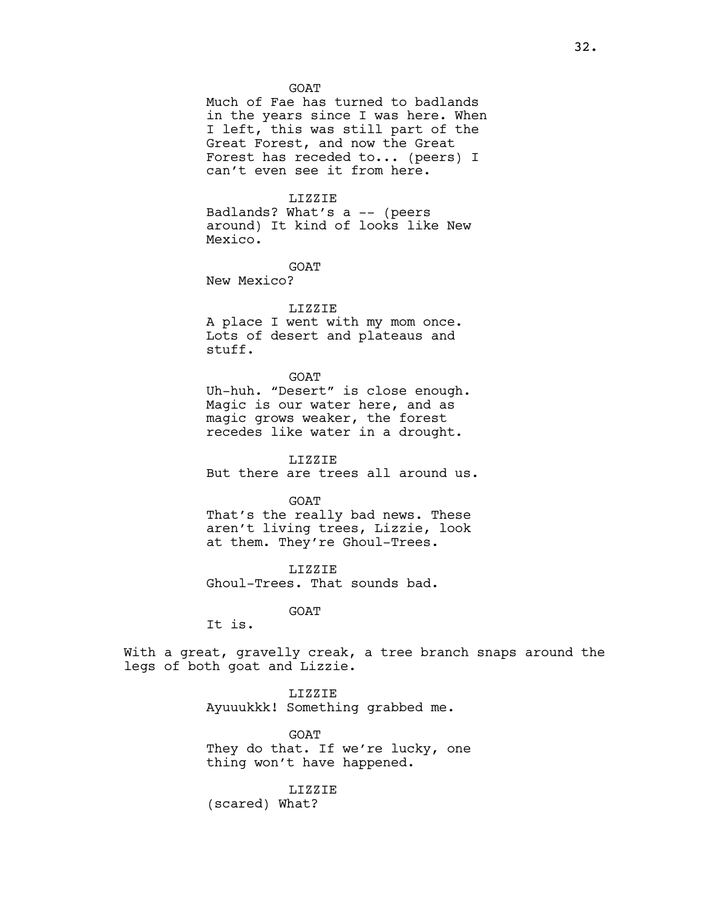#### **GOAT**

Much of Fae has turned to badlands in the years since I was here. When I left, this was still part of the Great Forest, and now the Great Forest has receded to... (peers) I can't even see it from here.

## LIZZIE

Badlands? What's a -- (peers around) It kind of looks like New Mexico.

GOAT New Mexico?

#### LIZZIE

A place I went with my mom once. Lots of desert and plateaus and stuff.

#### GOAT

Uh-huh. "Desert" is close enough. Magic is our water here, and as magic grows weaker, the forest recedes like water in a drought.

LIZZIE But there are trees all around us.

**GOAT** That's the really bad news. These aren't living trees, Lizzie, look at them. They're Ghoul-Trees.

LIZZIE Ghoul-Trees. That sounds bad.

GOAT

It is.

With a great, gravelly creak, a tree branch snaps around the legs of both goat and Lizzie.

> LIZZIE Ayuuukkk! Something grabbed me.

GOAT They do that. If we're lucky, one thing won't have happened.

LIZZIE

(scared) What?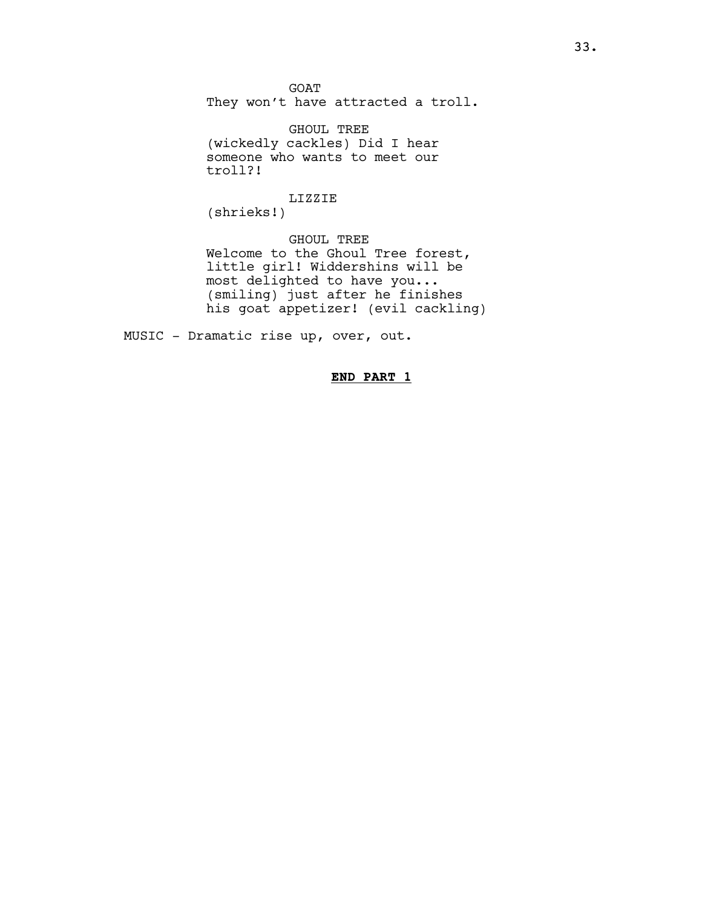GOAT

They won't have attracted a troll.

GHOUL TREE (wickedly cackles) Did I hear someone who wants to meet our troll?!

# LIZZIE

(shrieks!)

GHOUL TREE Welcome to the Ghoul Tree forest, little girl! Widdershins will be most delighted to have you... (smiling) just after he finishes his goat appetizer! (evil cackling)

MUSIC - Dramatic rise up, over, out.

# END PART 1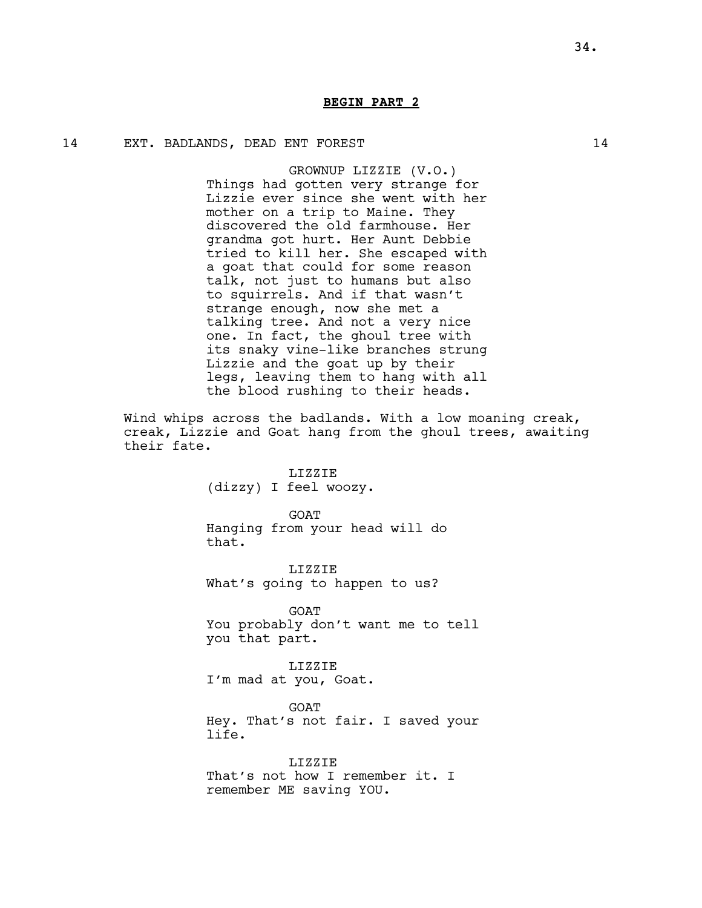# BEGIN PART 2

## 14 EXT. BADLANDS, DEAD ENT FOREST 14

GROWNUP LIZZIE (V.O.) Things had gotten very strange for Lizzie ever since she went with her mother on a trip to Maine. They discovered the old farmhouse. Her grandma got hurt. Her Aunt Debbie tried to kill her. She escaped with a goat that could for some reason talk, not just to humans but also to squirrels. And if that wasn't strange enough, now she met a talking tree. And not a very nice one. In fact, the ghoul tree with its snaky vine-like branches strung Lizzie and the goat up by their legs, leaving them to hang with all the blood rushing to their heads.

Wind whips across the badlands. With a low moaning creak, creak, Lizzie and Goat hang from the ghoul trees, awaiting their fate.

> LIZZIE (dizzy) I feel woozy.

GOAT Hanging from your head will do that.

LIZZIE What's going to happen to us?

GOAT You probably don't want me to tell you that part.

LIZZIE I'm mad at you, Goat.

GOAT Hey. That's not fair. I saved your life.

LIZZIE That's not how I remember it. I remember ME saving YOU.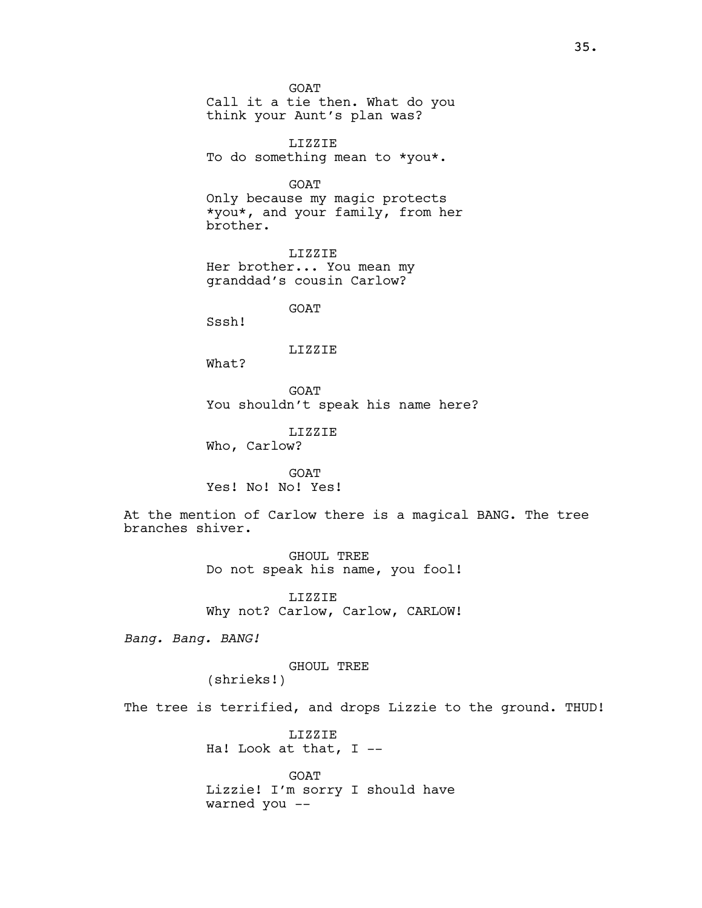GOAT Call it a tie then. What do you think your Aunt's plan was? LIZZIE To do something mean to \*you\*. GOAT Only because my magic protects \*you\*, and your family, from her brother. LIZZIE Her brother... You mean my granddad's cousin Carlow? GOAT Sssh! LIZZIE What? GOAT You shouldn't speak his name here? LIZZIE Who, Carlow? GOAT Yes! No! No! Yes! At the mention of Carlow there is a magical BANG. The tree branches shiver. GHOUL TREE Do not speak his name, you fool! LIZZIE Why not? Carlow, Carlow, CARLOW! Bang. Bang. BANG! GHOUL TREE

(shrieks!)

The tree is terrified, and drops Lizzie to the ground. THUD!

LIZZIE Ha! Look at that, I --

GOAT Lizzie! I'm sorry I should have warned you --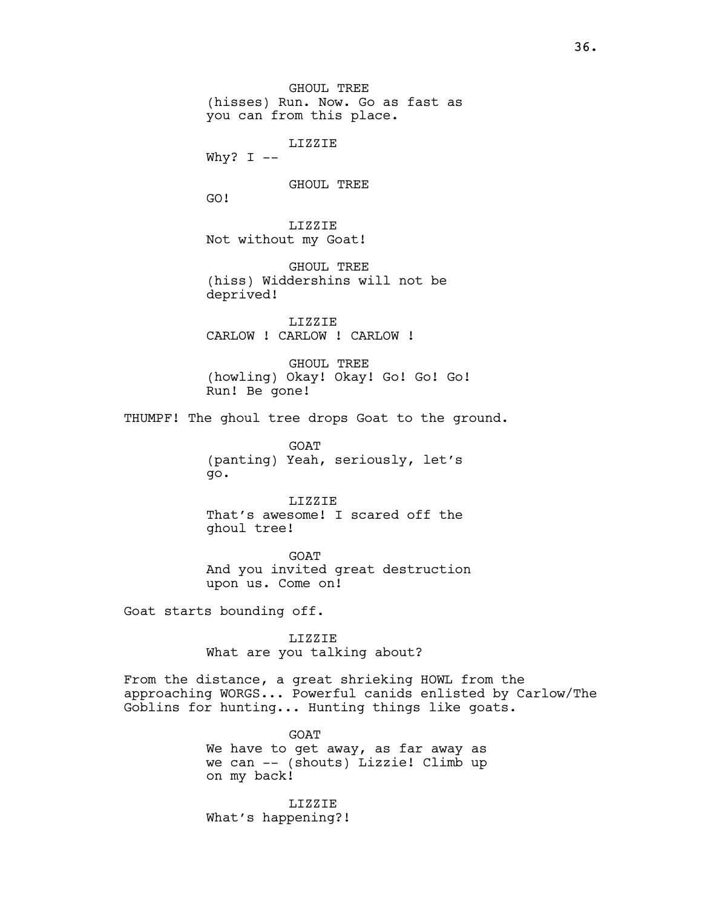GHOUL TREE (hisses) Run. Now. Go as fast as you can from this place.

LIZZIE

Why?  $I$  --

GHOUL TREE

GO!

LIZZIE Not without my Goat!

GHOUL TREE (hiss) Widdershins will not be deprived!

LIZZIE CARLOW ! CARLOW ! CARLOW !

GHOUL TREE (howling) Okay! Okay! Go! Go! Go! Run! Be gone!

THUMPF! The ghoul tree drops Goat to the ground.

GOAT (panting) Yeah, seriously, let's go.

LIZZIE That's awesome! I scared off the ghoul tree!

GOAT And you invited great destruction upon us. Come on!

Goat starts bounding off.

LIZZIE What are you talking about?

From the distance, a great shrieking HOWL from the approaching WORGS... Powerful canids enlisted by Carlow/The Goblins for hunting... Hunting things like goats.

> GOAT We have to get away, as far away as we can -- (shouts) Lizzie! Climb up on my back!

LIZZIE What's happening?!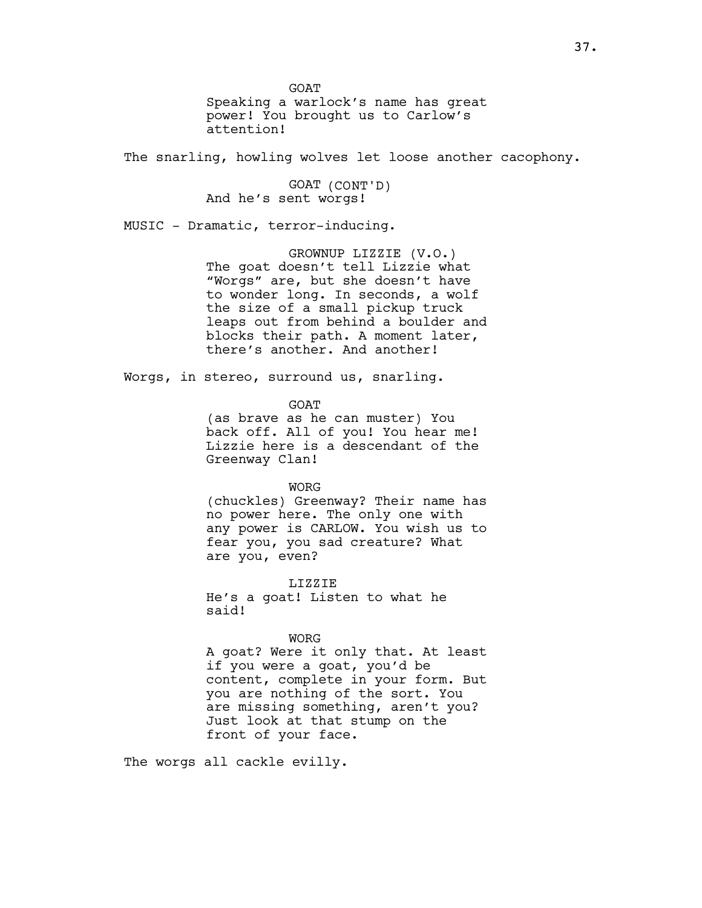GOAT Speaking a warlock's name has great power! You brought us to Carlow's attention!

The snarling, howling wolves let loose another cacophony.

GOAT (CONT'D) And he's sent worgs!

MUSIC - Dramatic, terror-inducing.

GROWNUP LIZZIE (V.O.) The goat doesn't tell Lizzie what "Worgs" are, but she doesn't have to wonder long. In seconds, a wolf the size of a small pickup truck leaps out from behind a boulder and blocks their path. A moment later, there's another. And another!

Worgs, in stereo, surround us, snarling.

GOAT

(as brave as he can muster) You back off. All of you! You hear me! Lizzie here is a descendant of the Greenway Clan!

WORG

(chuckles) Greenway? Their name has no power here. The only one with any power is CARLOW. You wish us to fear you, you sad creature? What are you, even?

LIZZIE He's a goat! Listen to what he said!

WORG

A goat? Were it only that. At least if you were a goat, you'd be content, complete in your form. But you are nothing of the sort. You are missing something, aren't you? Just look at that stump on the front of your face.

The worgs all cackle evilly.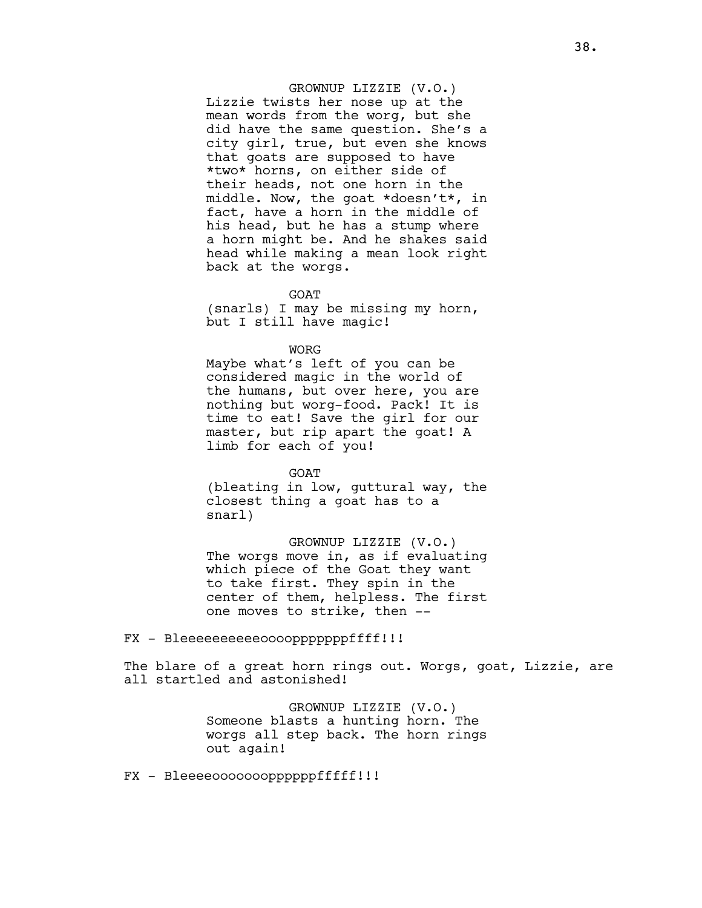GROWNUP LIZZIE (V.O.) Lizzie twists her nose up at the mean words from the worg, but she did have the same question. She's a city girl, true, but even she knows that goats are supposed to have \*two\* horns, on either side of their heads, not one horn in the middle. Now, the goat \*doesn't\*, in fact, have a horn in the middle of his head, but he has a stump where a horn might be. And he shakes said head while making a mean look right back at the worgs.

**GOAT** 

(snarls) I may be missing my horn, but I still have magic!

**WORG** 

Maybe what's left of you can be considered magic in the world of the humans, but over here, you are nothing but worg-food. Pack! It is time to eat! Save the girl for our master, but rip apart the goat! A limb for each of you!

**GOAT** (bleating in low, guttural way, the closest thing a goat has to a snarl)

GROWNUP LIZZIE (V.O.) The worgs move in, as if evaluating which piece of the Goat they want to take first. They spin in the center of them, helpless. The first one moves to strike, then --

FX - Bleeeeeeeeeeoooopppppppffff!!!

The blare of a great horn rings out. Worgs, goat, Lizzie, are all startled and astonished!

> GROWNUP LIZZIE (V.O.) Someone blasts a hunting horn. The worgs all step back. The horn rings out again!

FX - Bleeeeoooooooppppppfffff!!!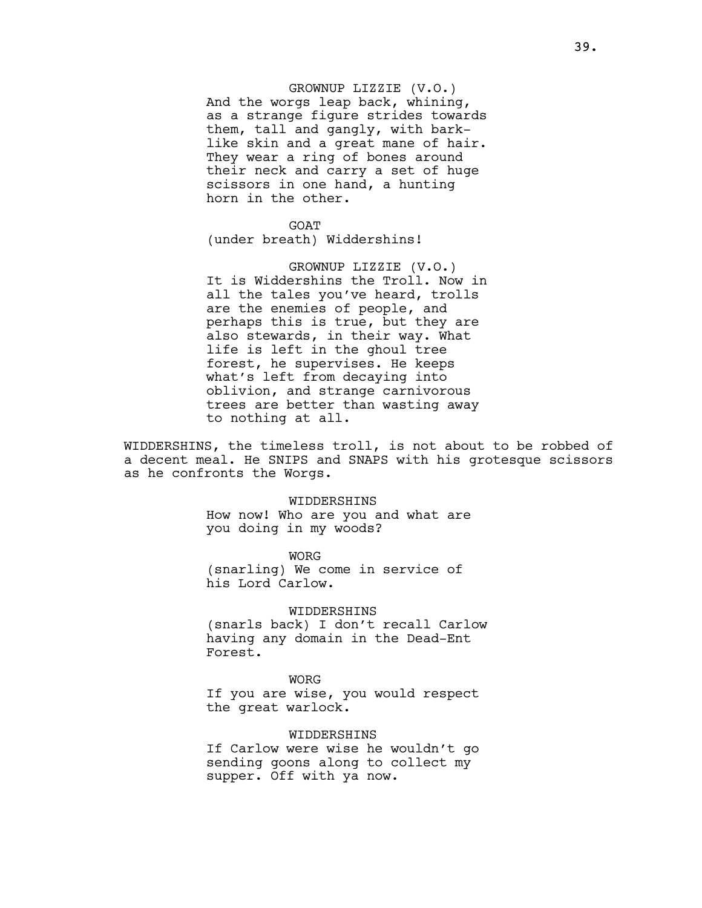# GROWNUP LIZZIE (V.O.)

And the worgs leap back, whining, as a strange figure strides towards them, tall and gangly, with barklike skin and a great mane of hair. They wear a ring of bones around their neck and carry a set of huge scissors in one hand, a hunting horn in the other.

**GOAT** (under breath) Widdershins!

GROWNUP LIZZIE (V.O.) It is Widdershins the Troll. Now in all the tales you've heard, trolls are the enemies of people, and perhaps this is true, but they are also stewards, in their way. What life is left in the ghoul tree forest, he supervises. He keeps what's left from decaying into oblivion, and strange carnivorous trees are better than wasting away to nothing at all.

WIDDERSHINS, the timeless troll, is not about to be robbed of a decent meal. He SNIPS and SNAPS with his grotesque scissors as he confronts the Worgs.

#### WIDDERSHINS

How now! Who are you and what are you doing in my woods?

WORG (snarling) We come in service of his Lord Carlow.

# WIDDERSHINS

(snarls back) I don't recall Carlow having any domain in the Dead-Ent Forest.

WORG If you are wise, you would respect the great warlock.

#### WIDDERSHINS

If Carlow were wise he wouldn't go sending goons along to collect my supper. Off with ya now.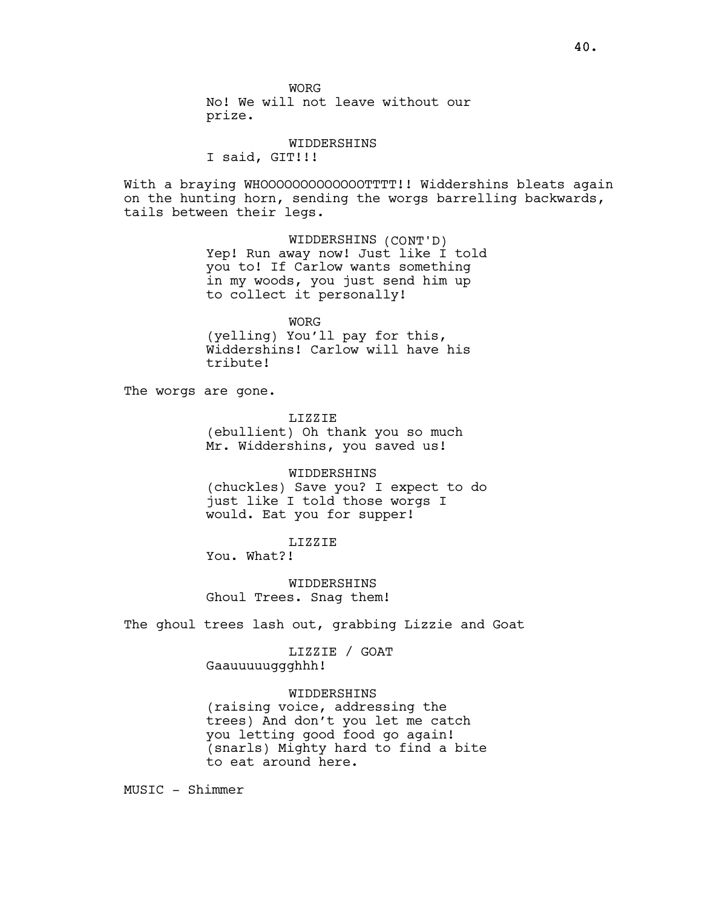WORG No! We will not leave without our prize.

## WIDDERSHINS

I said, GIT!!!

With a braying WHOOOOOOOOOOOOOTTTT!! Widdershins bleats again on the hunting horn, sending the worgs barrelling backwards, tails between their legs.

> WIDDERSHINS (CONT'D) Yep! Run away now! Just like I told you to! If Carlow wants something in my woods, you just send him up to collect it personally!

> > WORG

(yelling) You'll pay for this, Widdershins! Carlow will have his tribute!

The worgs are gone.

LIZZIE

(ebullient) Oh thank you so much Mr. Widdershins, you saved us!

# WIDDERSHINS

(chuckles) Save you? I expect to do just like I told those worgs I would. Eat you for supper!

# LIZZIE

You. What?!

WIDDERSHINS Ghoul Trees. Snag them!

The ghoul trees lash out, grabbing Lizzie and Goat

LIZZIE / GOAT Gaauuuuuggghhh!

#### WIDDERSHINS

(raising voice, addressing the trees) And don't you let me catch you letting good food go again! (snarls) Mighty hard to find a bite to eat around here.

MUSIC - Shimmer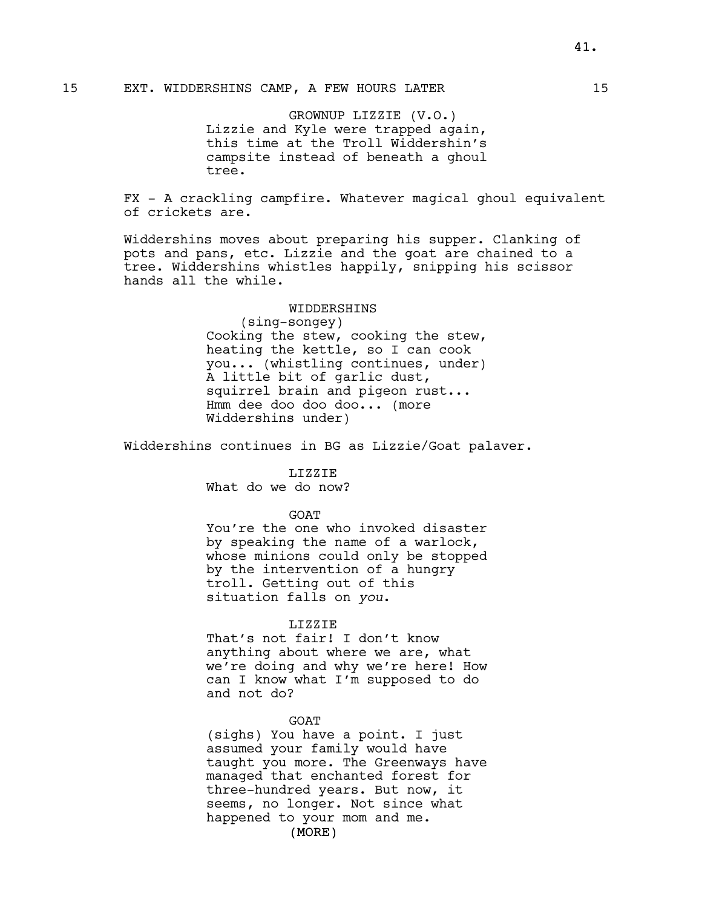# 15 EXT. WIDDERSHINS CAMP, A FEW HOURS LATER 15

GROWNUP LIZZIE (V.O.) Lizzie and Kyle were trapped again, this time at the Troll Widdershin's campsite instead of beneath a ghoul tree.

FX - A crackling campfire. Whatever magical ghoul equivalent of crickets are.

Widdershins moves about preparing his supper. Clanking of pots and pans, etc. Lizzie and the goat are chained to a tree. Widdershins whistles happily, snipping his scissor hands all the while.

# WIDDERSHINS

(sing-songey) Cooking the stew, cooking the stew, heating the kettle, so I can cook you... (whistling continues, under) A little bit of garlic dust, squirrel brain and pigeon rust... Hmm dee doo doo doo... (more Widdershins under)

Widdershins continues in BG as Lizzie/Goat palaver.

LIZZIE

What do we do now?

**GOAT** 

You're the one who invoked disaster by speaking the name of a warlock, whose minions could only be stopped by the intervention of a hungry troll. Getting out of this situation falls on you.

#### LIZZIE

That's not fair! I don't know anything about where we are, what we're doing and why we're here! How can I know what I'm supposed to do and not do?

#### GOAT

(sighs) You have a point. I just assumed your family would have taught you more. The Greenways have managed that enchanted forest for three-hundred years. But now, it seems, no longer. Not since what happened to your mom and me.

(MORE)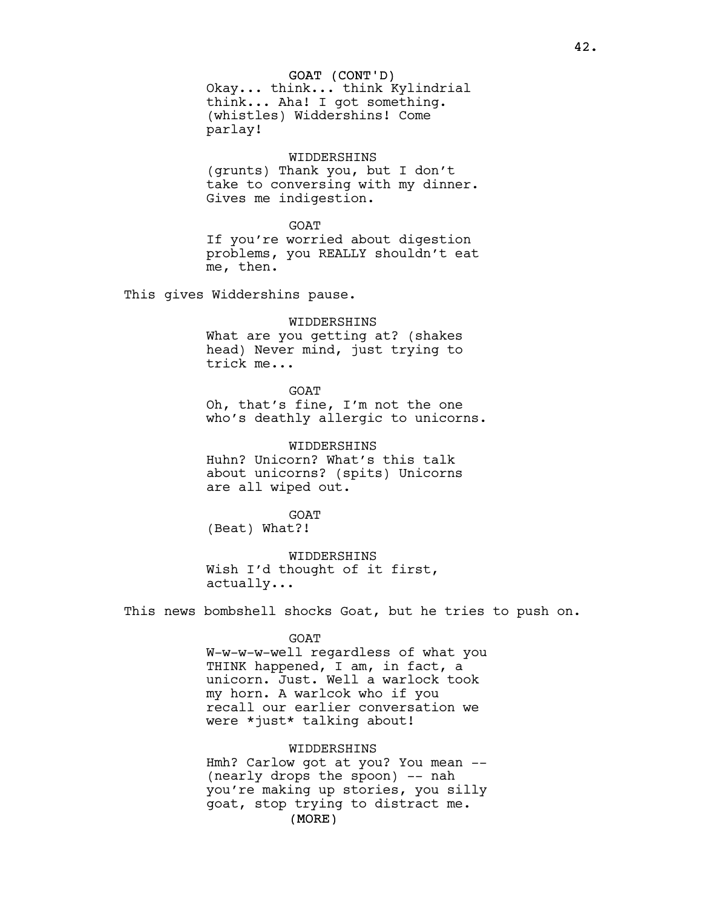Okay... think... think Kylindrial think... Aha! I got something. (whistles) Widdershins! Come parlay!

## WIDDERSHINS

(grunts) Thank you, but I don't take to conversing with my dinner. Gives me indigestion.

#### GOAT

If you're worried about digestion problems, you REALLY shouldn't eat me, then.

This gives Widdershins pause.

# WIDDERSHINS

What are you getting at? (shakes head) Never mind, just trying to trick me...

GOAT

Oh, that's fine, I'm not the one who's deathly allergic to unicorns.

WIDDERSHINS Huhn? Unicorn? What's this talk about unicorns? (spits) Unicorns are all wiped out.

GOAT (Beat) What?!

WIDDERSHINS Wish I'd thought of it first, actually...

This news bombshell shocks Goat, but he tries to push on.

#### GOAT

W-w-w-w-well regardless of what you THINK happened, I am, in fact, a unicorn. Just. Well a warlock took my horn. A warlcok who if you recall our earlier conversation we were \*just\* talking about!

# WIDDERSHINS

(MORE) Hmh? Carlow got at you? You mean -- (nearly drops the spoon) -- nah you're making up stories, you silly goat, stop trying to distract me.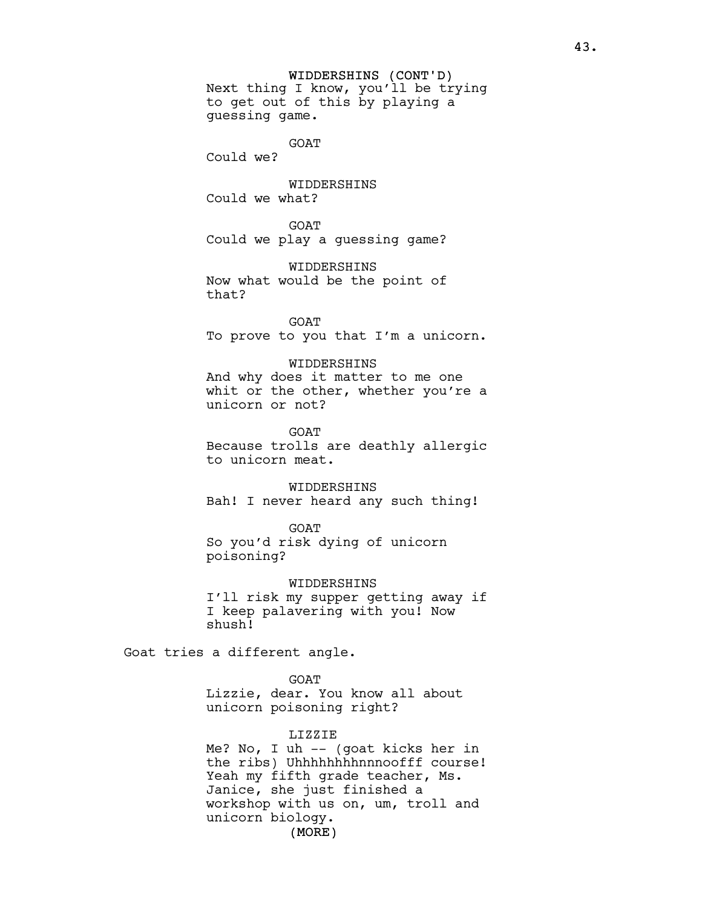## WIDDERSHINS (CONT'D)

Next thing I know, you'll be trying to get out of this by playing a guessing game.

GOAT

Could we?

WIDDERSHINS Could we what?

**GOAT** Could we play a guessing game?

WIDDERSHINS Now what would be the point of that?

**GOAT** To prove to you that I'm a unicorn.

WIDDERSHINS And why does it matter to me one whit or the other, whether you're a unicorn or not?

GOAT Because trolls are deathly allergic to unicorn meat.

WIDDERSHINS Bah! I never heard any such thing!

GOAT

So you'd risk dying of unicorn poisoning?

WIDDERSHINS I'll risk my supper getting away if I keep palavering with you! Now shush!

Goat tries a different angle.

GOAT

Lizzie, dear. You know all about unicorn poisoning right?

#### LIZZIE

(MORE) Me? No, I uh -- (goat kicks her in the ribs) Uhhhhhhhhnnnoofff course! Yeah my fifth grade teacher, Ms. Janice, she just finished a workshop with us on, um, troll and unicorn biology.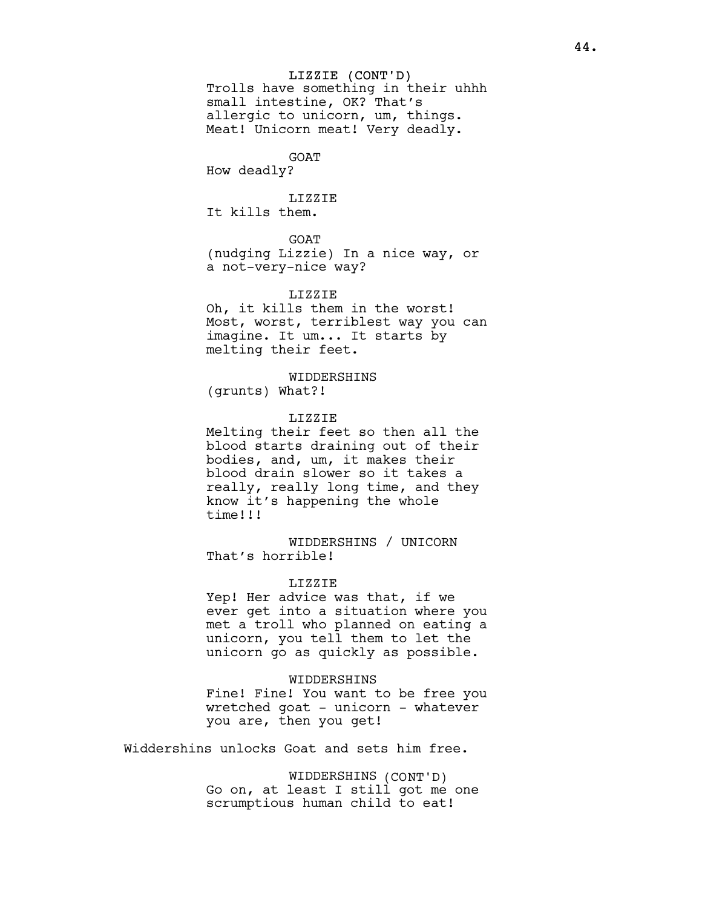## LIZZIE (CONT'D)

Trolls have something in their uhhh small intestine, OK? That's allergic to unicorn, um, things. Meat! Unicorn meat! Very deadly.

# GOAT

How deadly?

# LIZZIE It kills them.

GOAT

(nudging Lizzie) In a nice way, or a not-very-nice way?

# LIZZIE

Oh, it kills them in the worst! Most, worst, terriblest way you can imagine. It um... It starts by melting their feet.

# WIDDERSHINS

(grunts) What?!

#### LIZZIE

Melting their feet so then all the blood starts draining out of their bodies, and, um, it makes their blood drain slower so it takes a really, really long time, and they know it's happening the whole time!!!

WIDDERSHINS / UNICORN That's horrible!

### LIZZIE

Yep! Her advice was that, if we ever get into a situation where you met a troll who planned on eating a unicorn, you tell them to let the unicorn go as quickly as possible.

#### WIDDERSHINS

Fine! Fine! You want to be free you wretched goat - unicorn - whatever you are, then you get!

Widdershins unlocks Goat and sets him free.

WIDDERSHINS (CONT'D) Go on, at least I still got me one scrumptious human child to eat!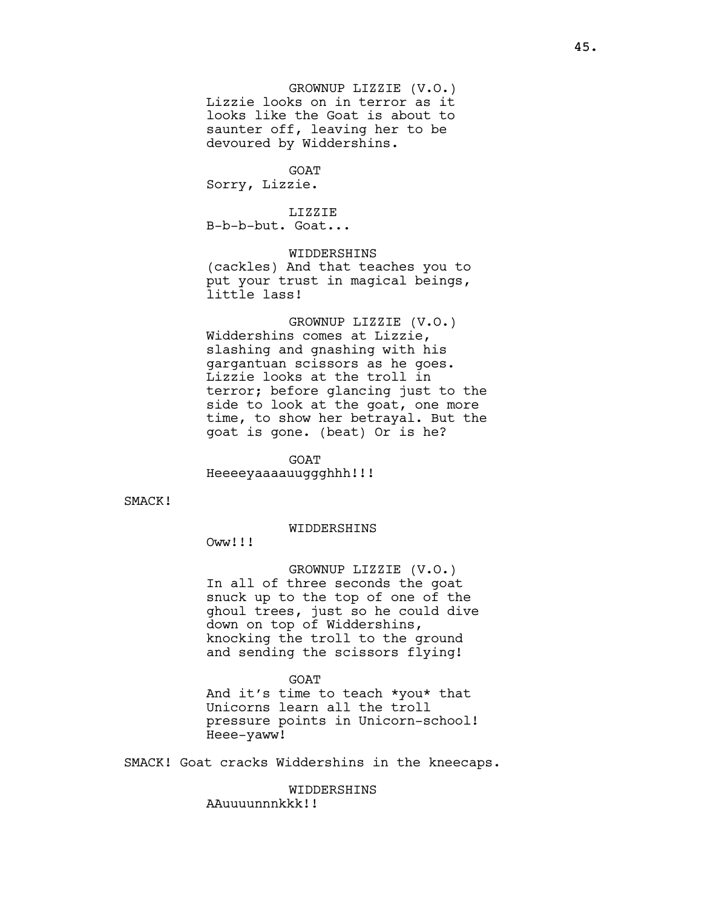GROWNUP LIZZIE (V.O.) Lizzie looks on in terror as it looks like the Goat is about to saunter off, leaving her to be devoured by Widdershins.

**GOAT** Sorry, Lizzie.

LIZZIE

B-b-b-but. Goat...

WIDDERSHINS (cackles) And that teaches you to put your trust in magical beings, little lass!

GROWNUP LIZZIE (V.O.) Widdershins comes at Lizzie, slashing and gnashing with his gargantuan scissors as he goes. Lizzie looks at the troll in terror; before glancing just to the side to look at the goat, one more time, to show her betrayal. But the goat is gone. (beat) Or is he?

GOAT Heeeeyaaaauuggghhh!!!

SMACK!

WIDDERSHINS

Oww!!!

GROWNUP LIZZIE (V.O.) In all of three seconds the goat snuck up to the top of one of the ghoul trees, just so he could dive down on top of Widdershins, knocking the troll to the ground and sending the scissors flying!

GOAT

And it's time to teach \*you\* that Unicorns learn all the troll pressure points in Unicorn-school! Heee-yaww!

SMACK! Goat cracks Widdershins in the kneecaps.

WIDDERSHINS AAuuuunnnkkk!!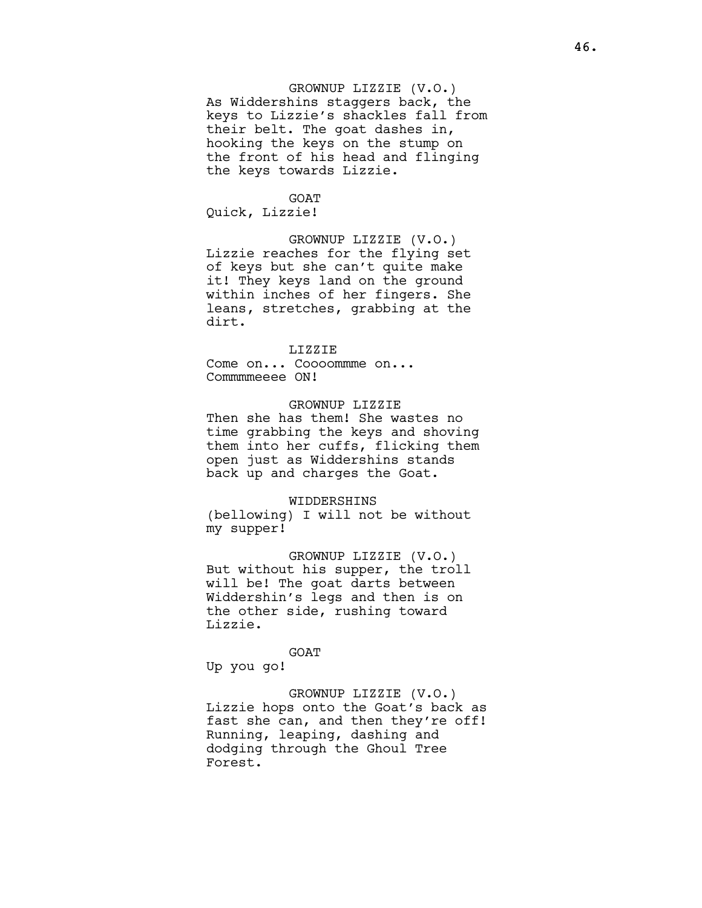# GROWNUP LIZZIE (V.O.)

As Widdershins staggers back, the keys to Lizzie's shackles fall from their belt. The goat dashes in, hooking the keys on the stump on the front of his head and flinging the keys towards Lizzie.

# **GOAT**

Quick, Lizzie!

GROWNUP LIZZIE (V.O.) Lizzie reaches for the flying set of keys but she can't quite make it! They keys land on the ground within inches of her fingers. She leans, stretches, grabbing at the dirt.

### LIZZIE

Come on... Coooommme on... Commmmeeee ON!

# GROWNUP LIZZIE

Then she has them! She wastes no time grabbing the keys and shoving them into her cuffs, flicking them open just as Widdershins stands back up and charges the Goat.

#### WIDDERSHINS

(bellowing) I will not be without my supper!

GROWNUP LIZZIE (V.O.) But without his supper, the troll will be! The goat darts between Widdershin's legs and then is on the other side, rushing toward Lizzie.

GOAT

Up you go!

GROWNUP LIZZIE (V.O.) Lizzie hops onto the Goat's back as fast she can, and then they're off! Running, leaping, dashing and dodging through the Ghoul Tree Forest.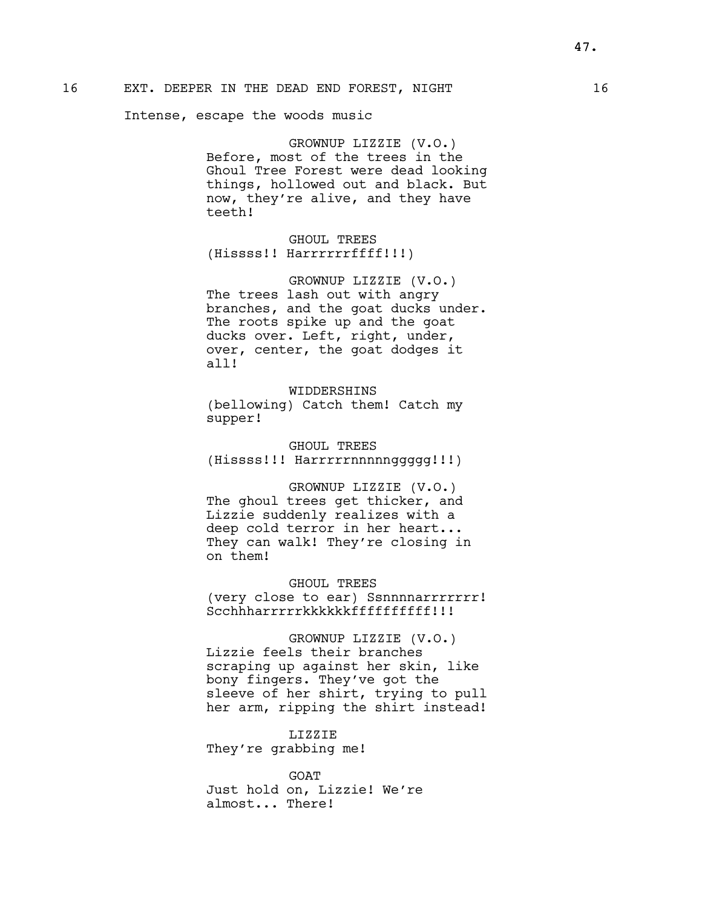Intense, escape the woods music

GROWNUP LIZZIE (V.O.) Before, most of the trees in the Ghoul Tree Forest were dead looking things, hollowed out and black. But now, they're alive, and they have teeth!

GHOUL TREES (Hissss!! Harrrrrrffff!!!)

GROWNUP LIZZIE (V.O.) The trees lash out with angry branches, and the goat ducks under. The roots spike up and the goat ducks over. Left, right, under, over, center, the goat dodges it all!

WIDDERSHINS (bellowing) Catch them! Catch my supper!

GHOUL TREES (Hissss!!! Harrrrrnnnnnggggg!!!)

GROWNUP LIZZIE (V.O.) The ghoul trees get thicker, and Lizzie suddenly realizes with a deep cold terror in her heart... They can walk! They're closing in on them!

GHOUL TREES (very close to ear) Ssnnnnarrrrrrr! Scchhharrrrrkkkkkkffffffffff!!!

GROWNUP LIZZIE (V.O.) Lizzie feels their branches scraping up against her skin, like bony fingers. They've got the sleeve of her shirt, trying to pull her arm, ripping the shirt instead!

LIZZIE They're grabbing me!

GOAT Just hold on, Lizzie! We're almost... There!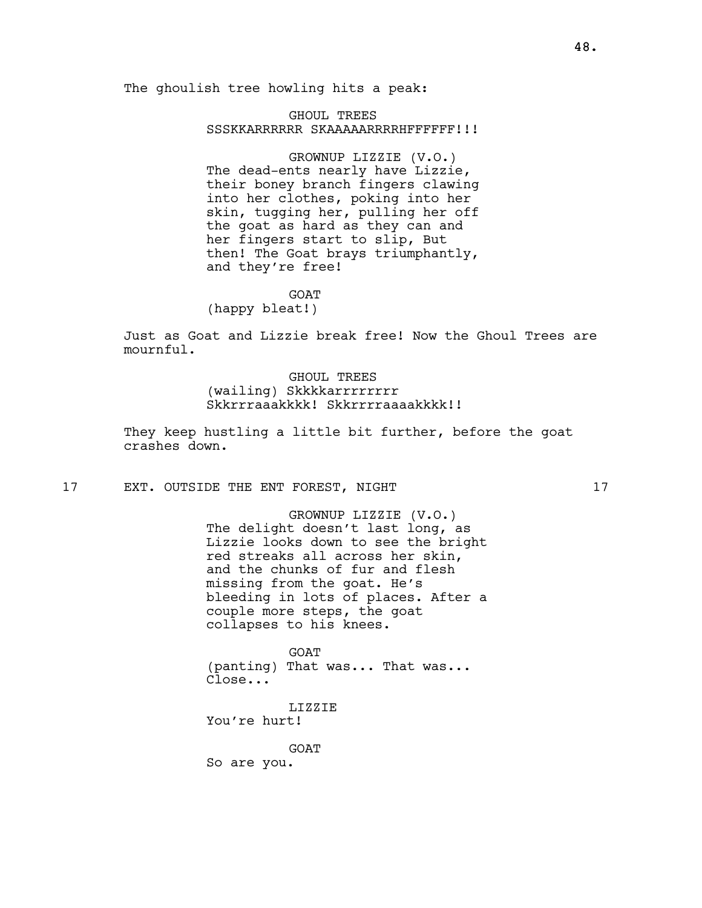The ghoulish tree howling hits a peak:

GHOUL TREES SSSKKARRRRRR SKAAAAARRRRHFFFFFF!!!

GROWNUP LIZZIE (V.O.) The dead-ents nearly have Lizzie, their boney branch fingers clawing into her clothes, poking into her skin, tugging her, pulling her off the goat as hard as they can and her fingers start to slip, But then! The Goat brays triumphantly, and they're free!

**GOAT** 

(happy bleat!)

Just as Goat and Lizzie break free! Now the Ghoul Trees are mournful.

> GHOUL TREES (wailing) Skkkkarrrrrrrr Skkrrraaakkkk! Skkrrrraaaakkkk!!

They keep hustling a little bit further, before the goat crashes down.

17 EXT. OUTSIDE THE ENT FOREST, NIGHT 17

GROWNUP LIZZIE (V.O.) The delight doesn't last long, as Lizzie looks down to see the bright red streaks all across her skin, and the chunks of fur and flesh missing from the goat. He's bleeding in lots of places. After a couple more steps, the goat collapses to his knees.

GOAT (panting) That was... That was... Close...

LIZZIE You're hurt!

GOAT

So are you.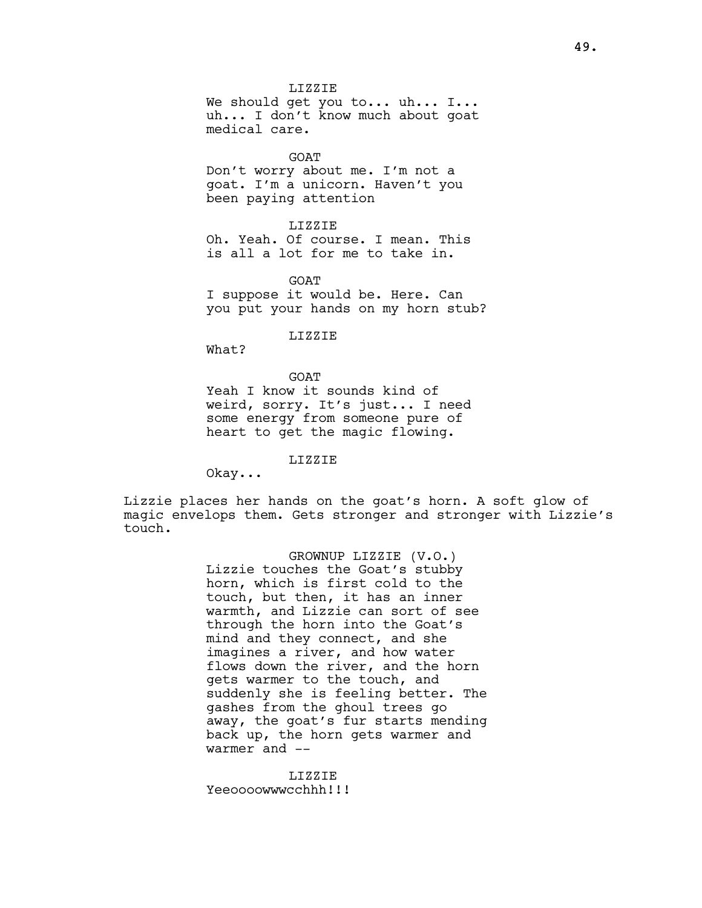LIZZIE We should get you to... uh... I... uh... I don't know much about goat medical care.

GOAT

Don't worry about me. I'm not a goat. I'm a unicorn. Haven't you been paying attention

LIZZIE

Oh. Yeah. Of course. I mean. This is all a lot for me to take in.

**GOAT** I suppose it would be. Here. Can you put your hands on my horn stub?

LIZZIE

What?

**GOAT** Yeah I know it sounds kind of weird, sorry. It's just... I need some energy from someone pure of heart to get the magic flowing.

LIZZIE

Okay...

Lizzie places her hands on the goat's horn. A soft glow of magic envelops them. Gets stronger and stronger with Lizzie's touch.

> GROWNUP LIZZIE (V.O.) Lizzie touches the Goat's stubby horn, which is first cold to the touch, but then, it has an inner warmth, and Lizzie can sort of see through the horn into the Goat's mind and they connect, and she imagines a river, and how water flows down the river, and the horn gets warmer to the touch, and suddenly she is feeling better. The gashes from the ghoul trees go away, the goat's fur starts mending back up, the horn gets warmer and warmer and --

LIZZIE Yeeoooowwwcchhh!!!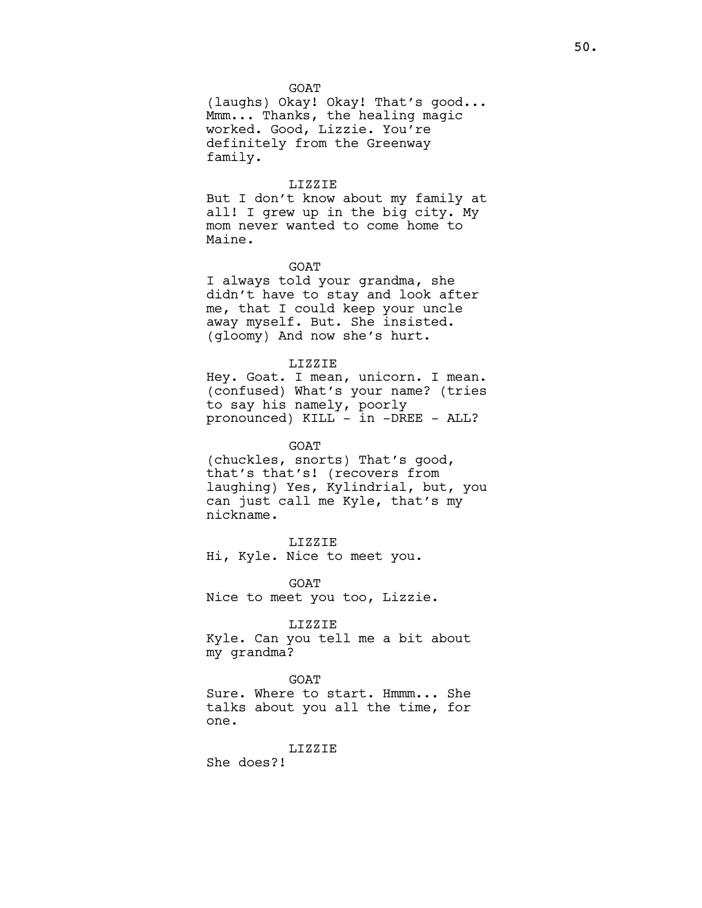#### GOAT

(laughs) Okay! Okay! That's good... Mmm... Thanks, the healing magic worked. Good, Lizzie. You're definitely from the Greenway family.

#### LIZZIE

But I don't know about my family at all! I grew up in the big city. My mom never wanted to come home to Maine.

## GOAT

I always told your grandma, she didn't have to stay and look after me, that I could keep your uncle away myself. But. She insisted. (gloomy) And now she's hurt.

#### LIZZIE

Hey. Goat. I mean, unicorn. I mean. (confused) What's your name? (tries to say his namely, poorly pronounced) KILL - in -DREE - ALL?

#### GOAT

(chuckles, snorts) That's good, that's that's! (recovers from laughing) Yes, Kylindrial, but, you can just call me Kyle, that's my nickname.

### LIZZIE

Hi, Kyle. Nice to meet you.

GOAT Nice to meet you too, Lizzie.

## LIZZIE

Kyle. Can you tell me a bit about my grandma?

## GOAT

Sure. Where to start. Hmmm... She talks about you all the time, for one.

#### LIZZIE

She does?!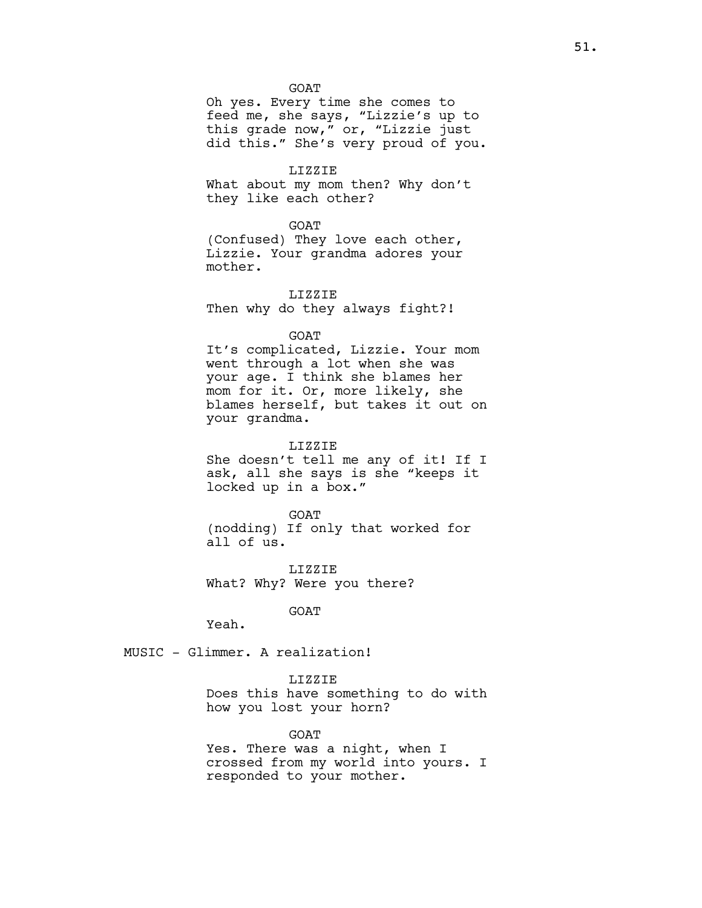GOAT

Oh yes. Every time she comes to feed me, she says, "Lizzie's up to this grade now," or, "Lizzie just did this." She's very proud of you.

LIZZIE

What about my mom then? Why don't they like each other?

#### GOAT

(Confused) They love each other, Lizzie. Your grandma adores your mother.

LIZZIE Then why do they always fight?!

GOAT

It's complicated, Lizzie. Your mom went through a lot when she was your age. I think she blames her mom for it. Or, more likely, she blames herself, but takes it out on your grandma.

LIZZIE

She doesn't tell me any of it! If I ask, all she says is she "keeps it locked up in a box."

GOAT (nodding) If only that worked for all of us.

LIZZIE What? Why? Were you there?

GOAT

Yeah.

MUSIC - Glimmer. A realization!

# LIZZIE

Does this have something to do with how you lost your horn?

GOAT

Yes. There was a night, when I crossed from my world into yours. I responded to your mother.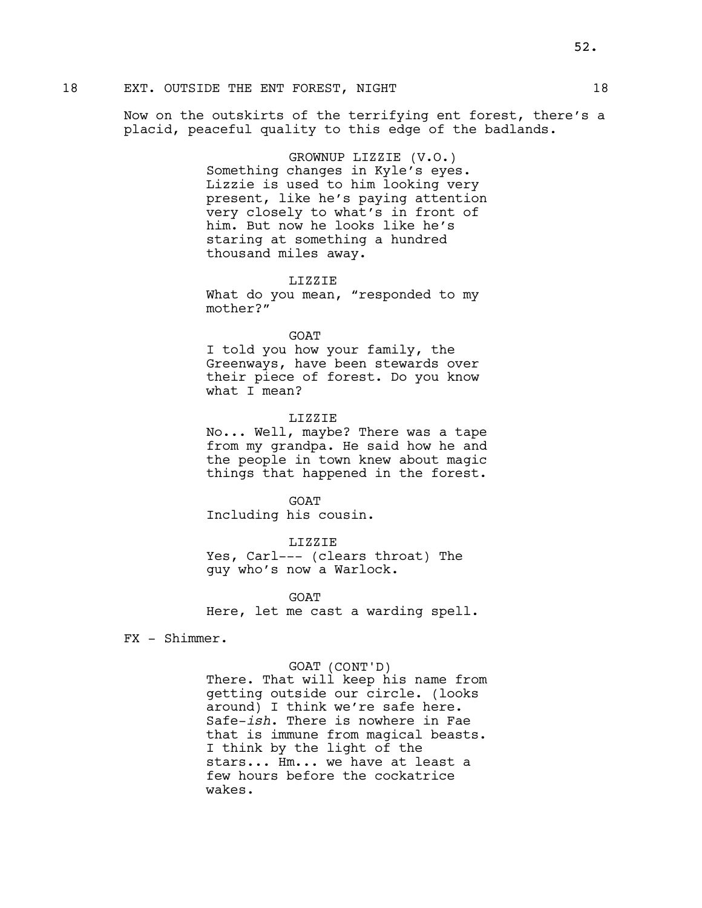Now on the outskirts of the terrifying ent forest, there's a placid, peaceful quality to this edge of the badlands.

> GROWNUP LIZZIE (V.O.) Something changes in Kyle's eyes. Lizzie is used to him looking very present, like he's paying attention very closely to what's in front of him. But now he looks like he's staring at something a hundred thousand miles away.

> > LIZZIE

What do you mean, "responded to my mother?"

GOAT

I told you how your family, the Greenways, have been stewards over their piece of forest. Do you know what I mean?

#### LIZZIE

No... Well, maybe? There was a tape from my grandpa. He said how he and the people in town knew about magic things that happened in the forest.

**GOAT** Including his cousin.

LIZZIE

Yes, Carl--- (clears throat) The guy who's now a Warlock.

**GOAT** 

Here, let me cast a warding spell.

FX - Shimmer.

GOAT (CONT'D)

There. That will keep his name from getting outside our circle. (looks around) I think we're safe here. Safe-ish. There is nowhere in Fae that is immune from magical beasts. I think by the light of the stars... Hm... we have at least a few hours before the cockatrice wakes.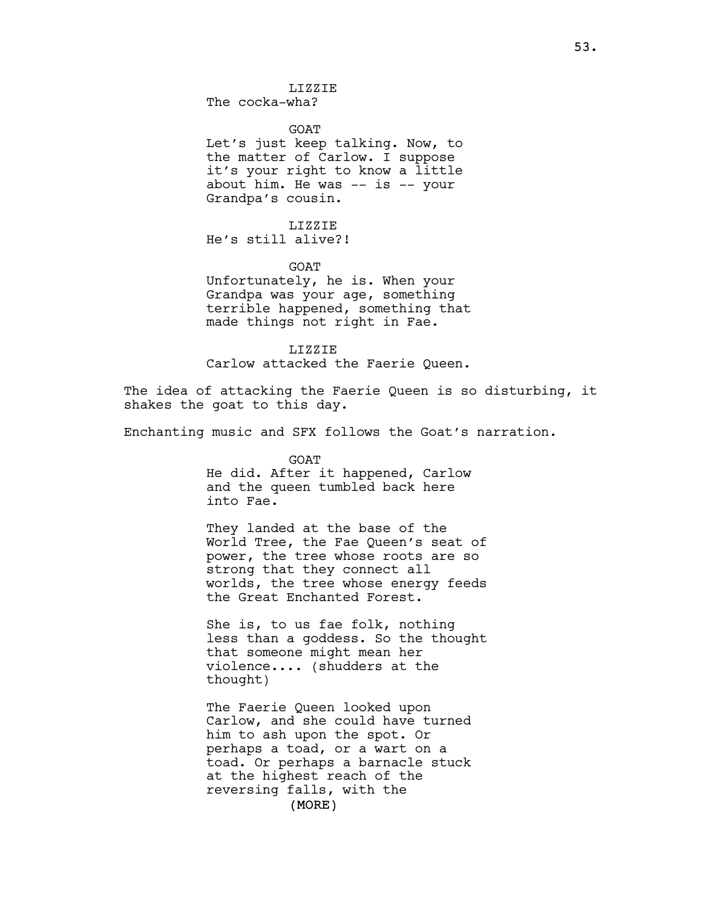LIZZIE The cocka-wha?

**GOAT** 

Let's just keep talking. Now, to the matter of Carlow. I suppose it's your right to know a little about him. He was -- is -- your Grandpa's cousin.

LIZZIE

He's still alive?!

GOAT

Unfortunately, he is. When your Grandpa was your age, something terrible happened, something that made things not right in Fae.

LIZZIE Carlow attacked the Faerie Queen.

The idea of attacking the Faerie Queen is so disturbing, it shakes the goat to this day.

Enchanting music and SFX follows the Goat's narration.

GOAT He did. After it happened, Carlow and the queen tumbled back here into Fae.

They landed at the base of the World Tree, the Fae Queen's seat of power, the tree whose roots are so strong that they connect all worlds, the tree whose energy feeds the Great Enchanted Forest.

She is, to us fae folk, nothing less than a goddess. So the thought that someone might mean her violence.... (shudders at the thought)

(MORE) The Faerie Queen looked upon Carlow, and she could have turned him to ash upon the spot. Or perhaps a toad, or a wart on a toad. Or perhaps a barnacle stuck at the highest reach of the reversing falls, with the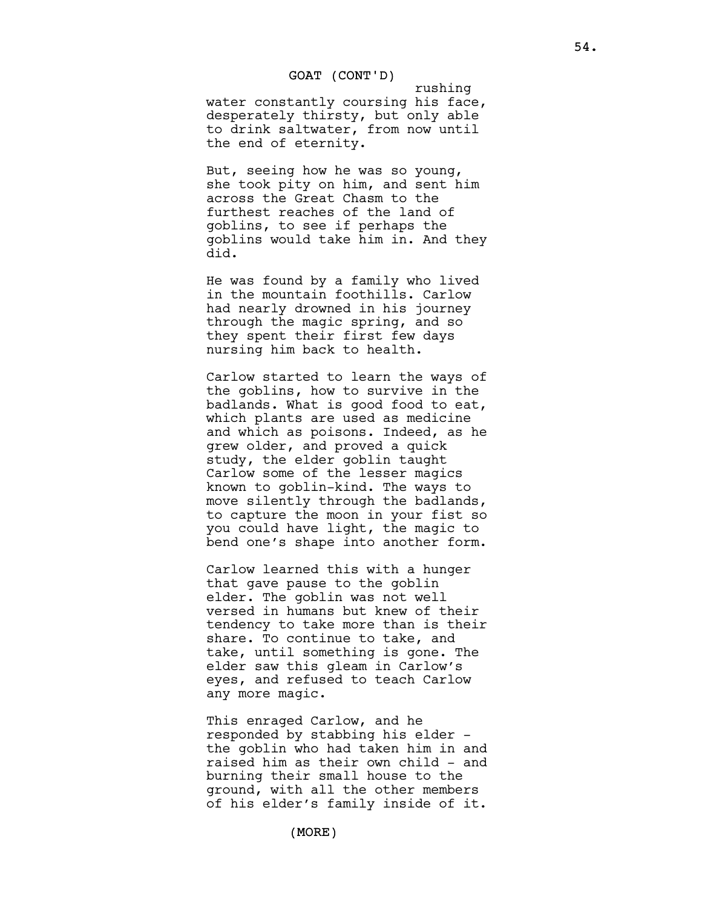rushing water constantly coursing his face, desperately thirsty, but only able to drink saltwater, from now until the end of eternity.

But, seeing how he was so young, she took pity on him, and sent him across the Great Chasm to the furthest reaches of the land of goblins, to see if perhaps the goblins would take him in. And they did.

He was found by a family who lived in the mountain foothills. Carlow had nearly drowned in his journey through the magic spring, and so they spent their first few days nursing him back to health.

Carlow started to learn the ways of the goblins, how to survive in the badlands. What is good food to eat, which plants are used as medicine and which as poisons. Indeed, as he grew older, and proved a quick study, the elder goblin taught Carlow some of the lesser magics known to goblin-kind. The ways to move silently through the badlands, to capture the moon in your fist so you could have light, the magic to bend one's shape into another form.

Carlow learned this with a hunger that gave pause to the goblin elder. The goblin was not well versed in humans but knew of their tendency to take more than is their share. To continue to take, and take, until something is gone. The elder saw this gleam in Carlow's eyes, and refused to teach Carlow any more magic.

This enraged Carlow, and he responded by stabbing his elder the goblin who had taken him in and raised him as their own child - and burning their small house to the ground, with all the other members of his elder's family inside of it.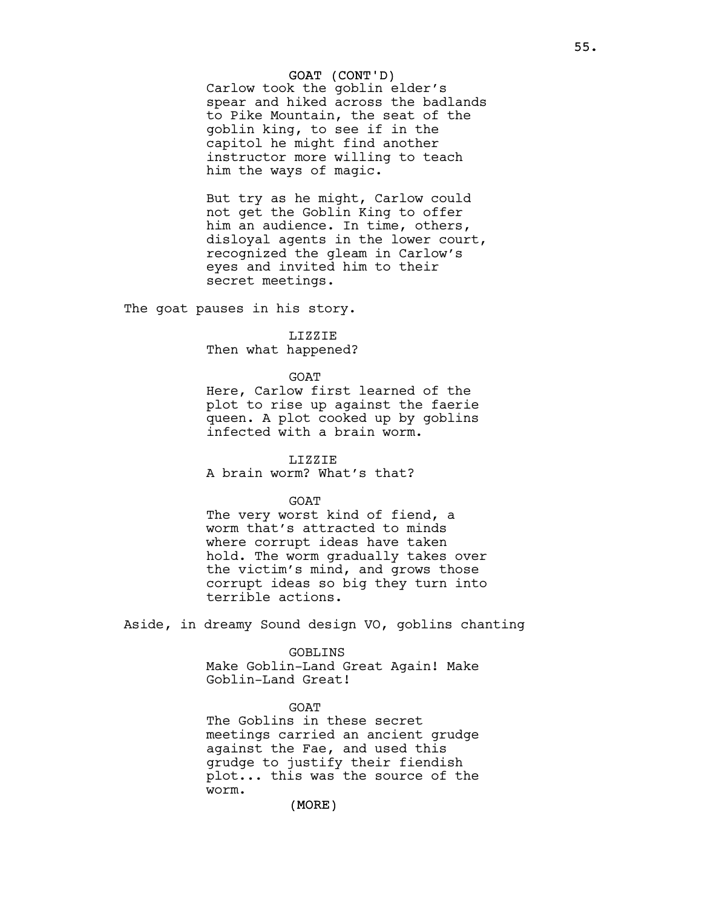Carlow took the goblin elder's spear and hiked across the badlands to Pike Mountain, the seat of the goblin king, to see if in the capitol he might find another instructor more willing to teach him the ways of magic.

But try as he might, Carlow could not get the Goblin King to offer him an audience. In time, others, disloyal agents in the lower court, recognized the gleam in Carlow's eyes and invited him to their secret meetings.

The goat pauses in his story.

#### LIZZIE

Then what happened?

#### GOAT

Here, Carlow first learned of the plot to rise up against the faerie queen. A plot cooked up by goblins infected with a brain worm.

LIZZIE A brain worm? What's that?

### **GOAT**

The very worst kind of fiend, a worm that's attracted to minds where corrupt ideas have taken hold. The worm gradually takes over the victim's mind, and grows those corrupt ideas so big they turn into terrible actions.

Aside, in dreamy Sound design VO, goblins chanting

#### GOBLINS

Make Goblin-Land Great Again! Make Goblin-Land Great!

GOAT The Goblins in these secret meetings carried an ancient grudge against the Fae, and used this grudge to justify their fiendish plot... this was the source of the worm.

## (MORE)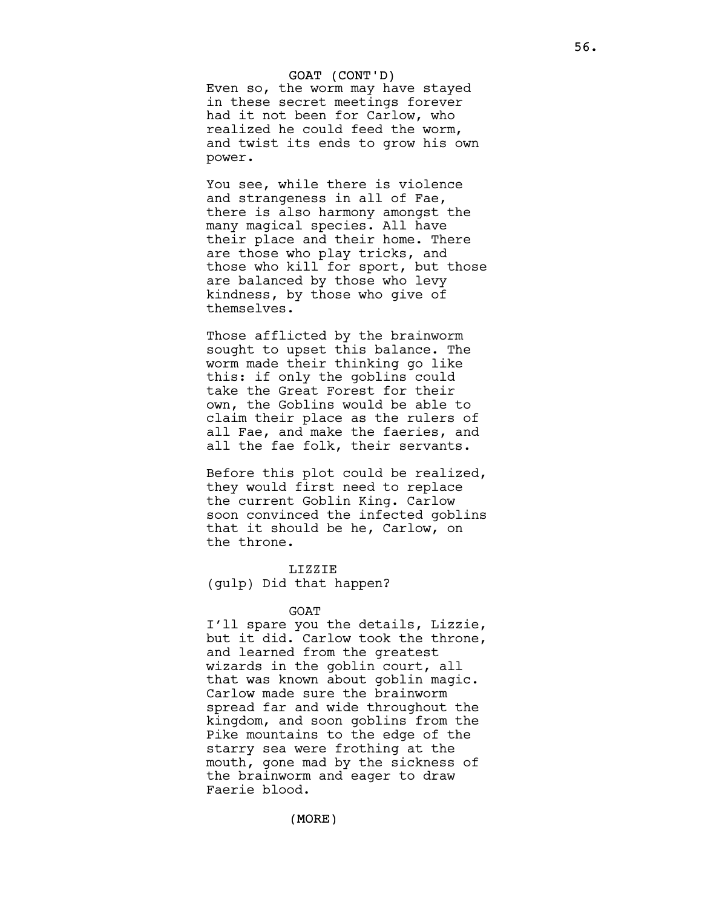Even so, the worm may have stayed in these secret meetings forever had it not been for Carlow, who realized he could feed the worm, and twist its ends to grow his own power.

You see, while there is violence and strangeness in all of Fae, there is also harmony amongst the many magical species. All have their place and their home. There are those who play tricks, and those who kill for sport, but those are balanced by those who levy kindness, by those who give of themselves.

Those afflicted by the brainworm sought to upset this balance. The worm made their thinking go like this: if only the goblins could take the Great Forest for their own, the Goblins would be able to claim their place as the rulers of all Fae, and make the faeries, and all the fae folk, their servants.

Before this plot could be realized, they would first need to replace the current Goblin King. Carlow soon convinced the infected goblins that it should be he, Carlow, on the throne.

#### LIZZIE

(gulp) Did that happen?

#### GOAT

I'll spare you the details, Lizzie, but it did. Carlow took the throne, and learned from the greatest wizards in the goblin court, all that was known about goblin magic. Carlow made sure the brainworm spread far and wide throughout the kingdom, and soon goblins from the Pike mountains to the edge of the starry sea were frothing at the mouth, gone mad by the sickness of the brainworm and eager to draw Faerie blood.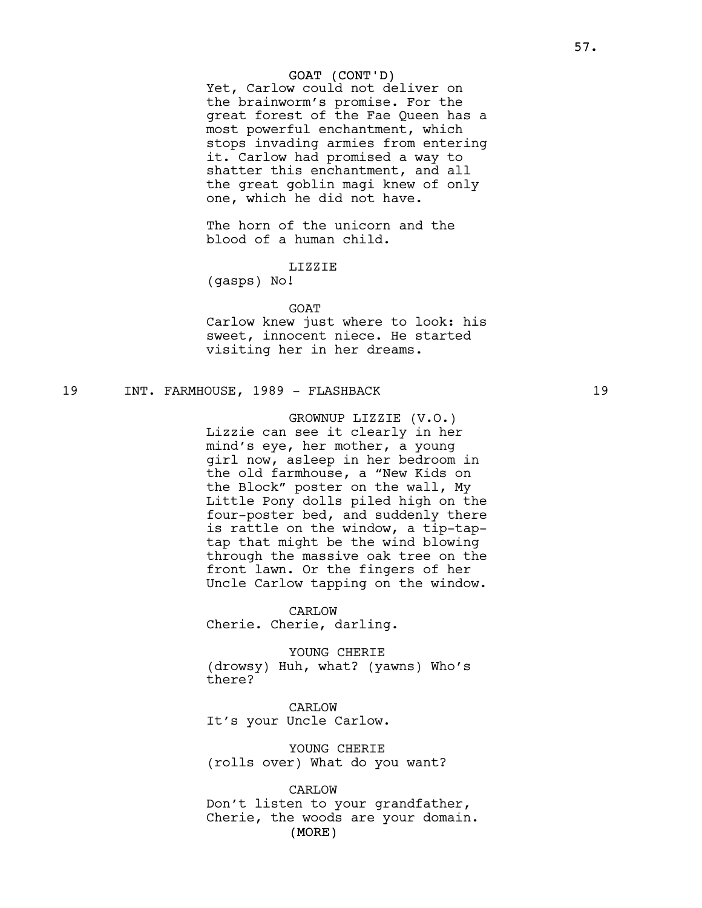Yet, Carlow could not deliver on the brainworm's promise. For the great forest of the Fae Queen has a most powerful enchantment, which stops invading armies from entering it. Carlow had promised a way to shatter this enchantment, and all the great goblin magi knew of only one, which he did not have.

The horn of the unicorn and the blood of a human child.

## LIZZIE

(gasps) No!

GOAT

Carlow knew just where to look: his sweet, innocent niece. He started visiting her in her dreams.

## 19 INT. FARMHOUSE, 1989 - FLASHBACK 19

GROWNUP LIZZIE (V.O.) Lizzie can see it clearly in her mind's eye, her mother, a young girl now, asleep in her bedroom in the old farmhouse, a "New Kids on the Block" poster on the wall, My Little Pony dolls piled high on the four-poster bed, and suddenly there is rattle on the window, a tip-taptap that might be the wind blowing through the massive oak tree on the front lawn. Or the fingers of her Uncle Carlow tapping on the window.

CARLOW Cherie. Cherie, darling.

YOUNG CHERIE (drowsy) Huh, what? (yawns) Who's there?

CARLOW It's your Uncle Carlow.

YOUNG CHERIE (rolls over) What do you want?

(MORE) CARLOW Don't listen to your grandfather, Cherie, the woods are your domain.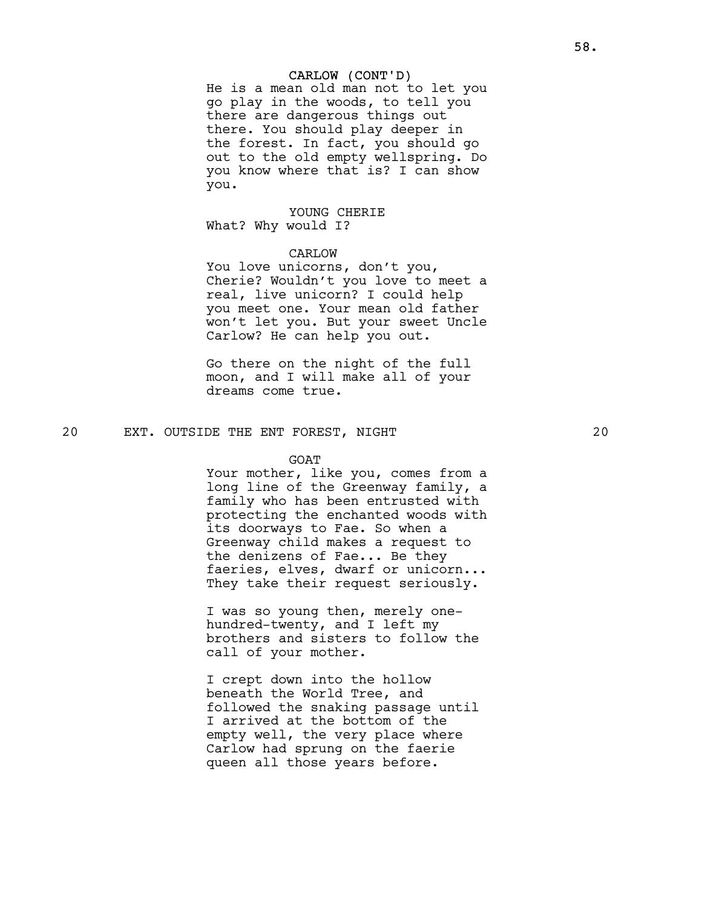#### CARLOW (CONT'D)

He is a mean old man not to let you go play in the woods, to tell you there are dangerous things out there. You should play deeper in the forest. In fact, you should go out to the old empty wellspring. Do you know where that is? I can show you.

# YOUNG CHERIE

What? Why would I?

# CARLOW

You love unicorns, don't you, Cherie? Wouldn't you love to meet a real, live unicorn? I could help you meet one. Your mean old father won't let you. But your sweet Uncle Carlow? He can help you out.

Go there on the night of the full moon, and I will make all of your dreams come true.

20 EXT. OUTSIDE THE ENT FOREST, NIGHT 20

#### GOAT

Your mother, like you, comes from a long line of the Greenway family, a family who has been entrusted with protecting the enchanted woods with its doorways to Fae. So when a Greenway child makes a request to the denizens of Fae... Be they faeries, elves, dwarf or unicorn... They take their request seriously.

I was so young then, merely onehundred-twenty, and I left my brothers and sisters to follow the call of your mother.

I crept down into the hollow beneath the World Tree, and followed the snaking passage until I arrived at the bottom of the empty well, the very place where Carlow had sprung on the faerie queen all those years before.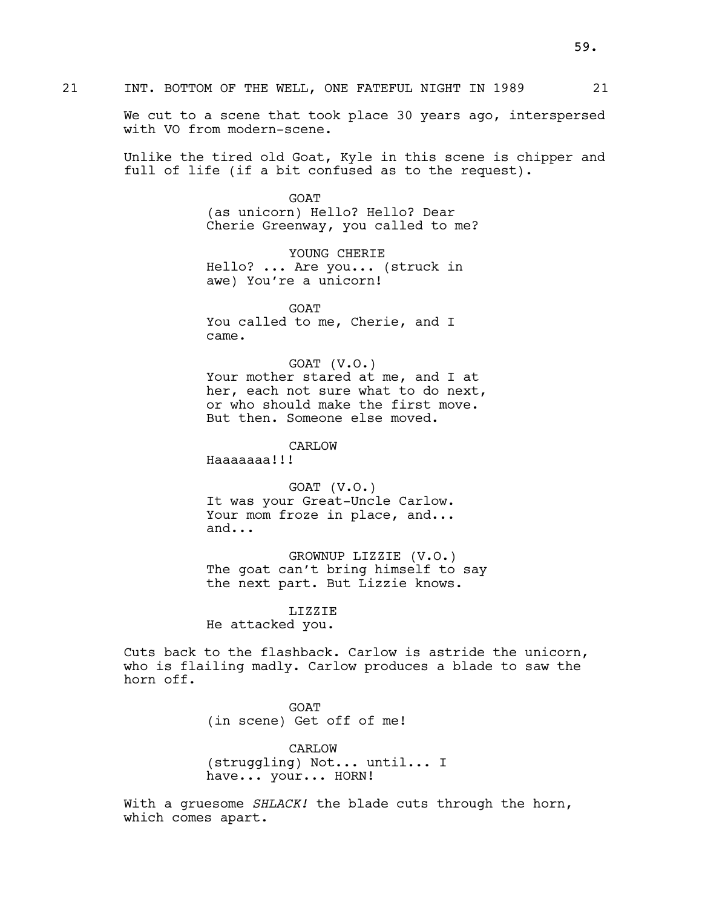We cut to a scene that took place 30 years ago, interspersed with VO from modern-scene.

Unlike the tired old Goat, Kyle in this scene is chipper and full of life (if a bit confused as to the request).

> **GOAT** (as unicorn) Hello? Hello? Dear Cherie Greenway, you called to me?

YOUNG CHERIE Hello? ... Are you... (struck in awe) You're a unicorn!

GOAT You called to me, Cherie, and I came.

GOAT (V.O.) Your mother stared at me, and I at her, each not sure what to do next, or who should make the first move. But then. Someone else moved.

CARLOW

Haaaaaaa!!!

GOAT (V.O.) It was your Great-Uncle Carlow. Your mom froze in place, and... and...

GROWNUP LIZZIE (V.O.) The goat can't bring himself to say the next part. But Lizzie knows.

#### LIZZIE

He attacked you.

Cuts back to the flashback. Carlow is astride the unicorn, who is flailing madly. Carlow produces a blade to saw the horn off.

> GOAT (in scene) Get off of me!

CARLOW (struggling) Not... until... I have... your... HORN!

With a gruesome SHLACK! the blade cuts through the horn, which comes apart.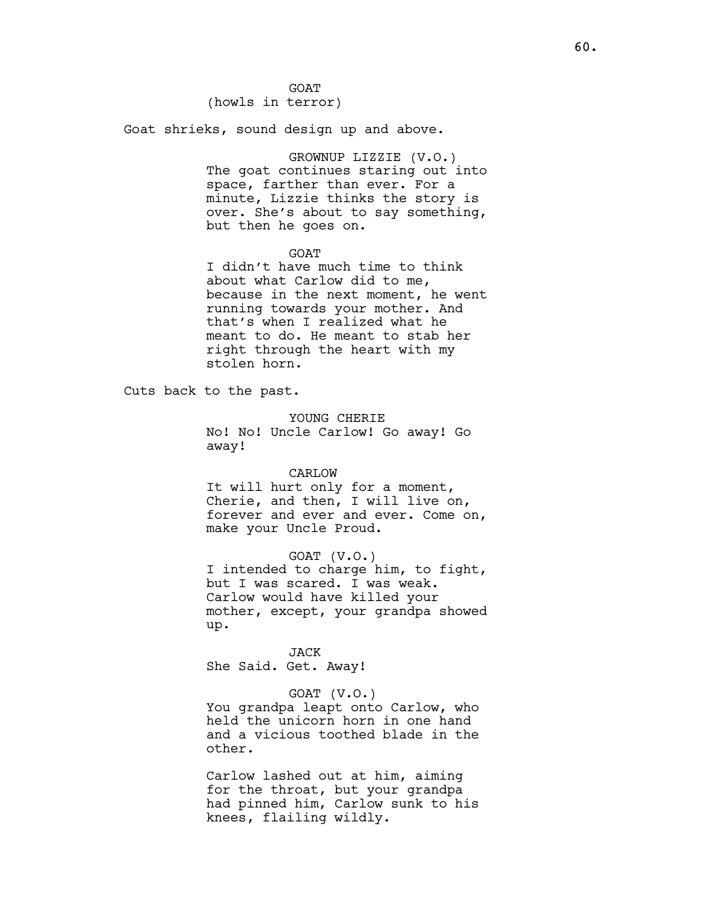GOAT (howls in terror)

Goat shrieks, sound design up and above.

GROWNUP LIZZIE (V.O.) The goat continues staring out into space, farther than ever. For a minute, Lizzie thinks the story is over. She's about to say something, but then he goes on.

#### GOAT

I didn't have much time to think about what Carlow did to me, because in the next moment, he went running towards your mother. And that's when I realized what he meant to do. He meant to stab her right through the heart with my stolen horn.

Cuts back to the past.

YOUNG CHERIE

No! No! Uncle Carlow! Go away! Go away!

#### CARLOW

It will hurt only for a moment, Cherie, and then, I will live on, forever and ever and ever. Come on, make your Uncle Proud.

GOAT (V.O.)

I intended to charge him, to fight, but I was scared. I was weak. Carlow would have killed your mother, except, your grandpa showed up.

**JACK** She Said. Get. Away!

# GOAT (V.O.)

You grandpa leapt onto Carlow, who held the unicorn horn in one hand and a vicious toothed blade in the other.

Carlow lashed out at him, aiming for the throat, but your grandpa had pinned him, Carlow sunk to his knees, flailing wildly.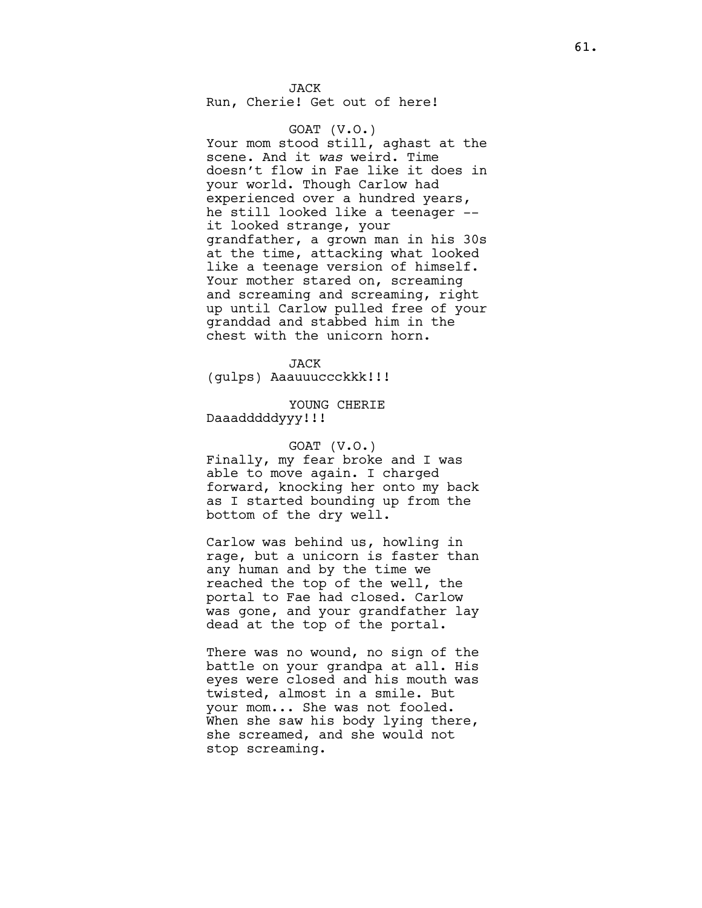JACK Run, Cherie! Get out of here!

GOAT (V.O.) Your mom stood still, aghast at the scene. And it was weird. Time doesn't flow in Fae like it does in your world. Though Carlow had experienced over a hundred years, he still looked like a teenager - it looked strange, your grandfather, a grown man in his 30s at the time, attacking what looked like a teenage version of himself. Your mother stared on, screaming and screaming and screaming, right up until Carlow pulled free of your granddad and stabbed him in the chest with the unicorn horn.

JACK (gulps) Aaauuuccckkk!!!

YOUNG CHERIE Daaadddddyyy!!!

GOAT (V.O.) Finally, my fear broke and I was able to move again. I charged

forward, knocking her onto my back as I started bounding up from the bottom of the dry well.

Carlow was behind us, howling in rage, but a unicorn is faster than any human and by the time we reached the top of the well, the portal to Fae had closed. Carlow was gone, and your grandfather lay dead at the top of the portal.

There was no wound, no sign of the battle on your grandpa at all. His eyes were closed and his mouth was twisted, almost in a smile. But your mom... She was not fooled. When she saw his body lying there, she screamed, and she would not stop screaming.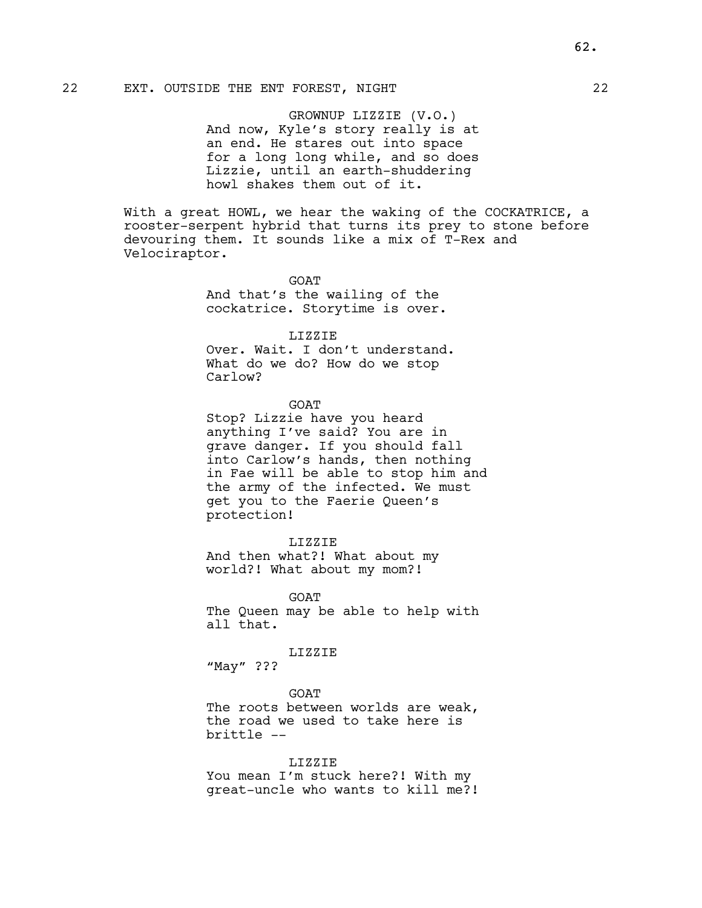# 22 EXT. OUTSIDE THE ENT FOREST, NIGHT 22

GROWNUP LIZZIE (V.O.) And now, Kyle's story really is at an end. He stares out into space for a long long while, and so does Lizzie, until an earth-shuddering howl shakes them out of it.

With a great HOWL, we hear the waking of the COCKATRICE, a rooster-serpent hybrid that turns its prey to stone before devouring them. It sounds like a mix of T-Rex and Velociraptor.

> **GOAT** And that's the wailing of the cockatrice. Storytime is over.

> > LIZZIE

Over. Wait. I don't understand. What do we do? How do we stop Carlow?

GOAT

Stop? Lizzie have you heard anything I've said? You are in grave danger. If you should fall into Carlow's hands, then nothing in Fae will be able to stop him and the army of the infected. We must get you to the Faerie Queen's protection!

LIZZIE

And then what?! What about my world?! What about my mom?!

**GOAT** The Queen may be able to help with all that.

LIZZIE

"May" ???

GOAT

The roots between worlds are weak, the road we used to take here is brittle --

## LIZZIE

You mean I'm stuck here?! With my great-uncle who wants to kill me?!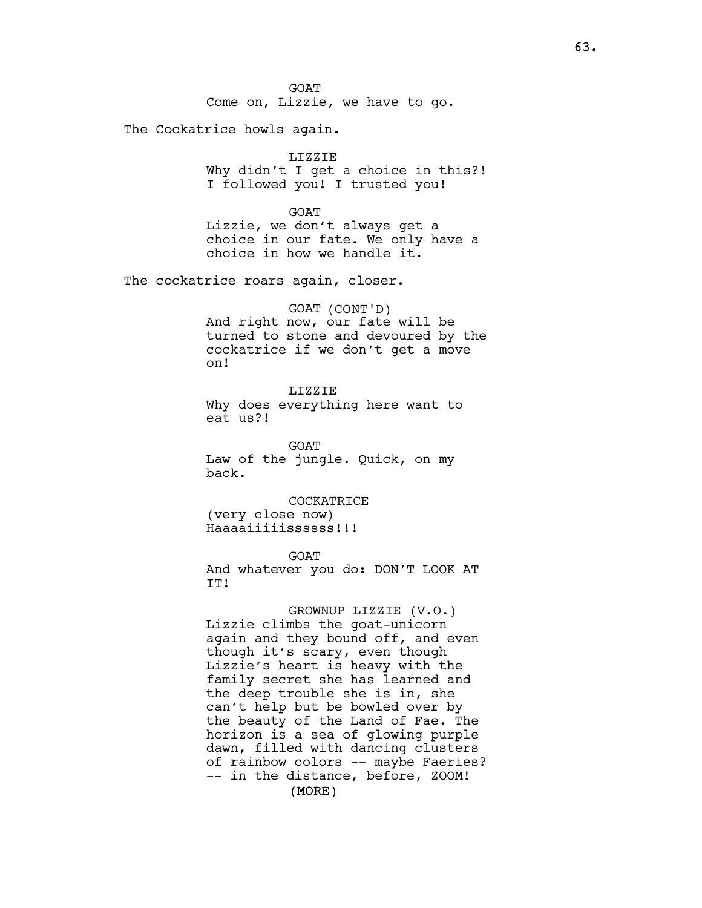GOAT Come on, Lizzie, we have to go.

The Cockatrice howls again.

#### LIZZIE

Why didn't I get a choice in this?! I followed you! I trusted you!

GOAT Lizzie, we don't always get a choice in our fate. We only have a choice in how we handle it.

The cockatrice roars again, closer.

GOAT (CONT'D) And right now, our fate will be turned to stone and devoured by the cockatrice if we don't get a move on!

LIZZIE Why does everything here want to eat us?!

GOAT Law of the jungle. Quick, on my back.

COCKATRICE (very close now) Haaaaiiiiissssss!!!

GOAT And whatever you do: DON'T LOOK AT IT!

(MORE) GROWNUP LIZZIE (V.O.) Lizzie climbs the goat-unicorn again and they bound off, and even though it's scary, even though Lizzie's heart is heavy with the family secret she has learned and the deep trouble she is in, she can't help but be bowled over by the beauty of the Land of Fae. The horizon is a sea of glowing purple dawn, filled with dancing clusters of rainbow colors -- maybe Faeries? -- in the distance, before, ZOOM!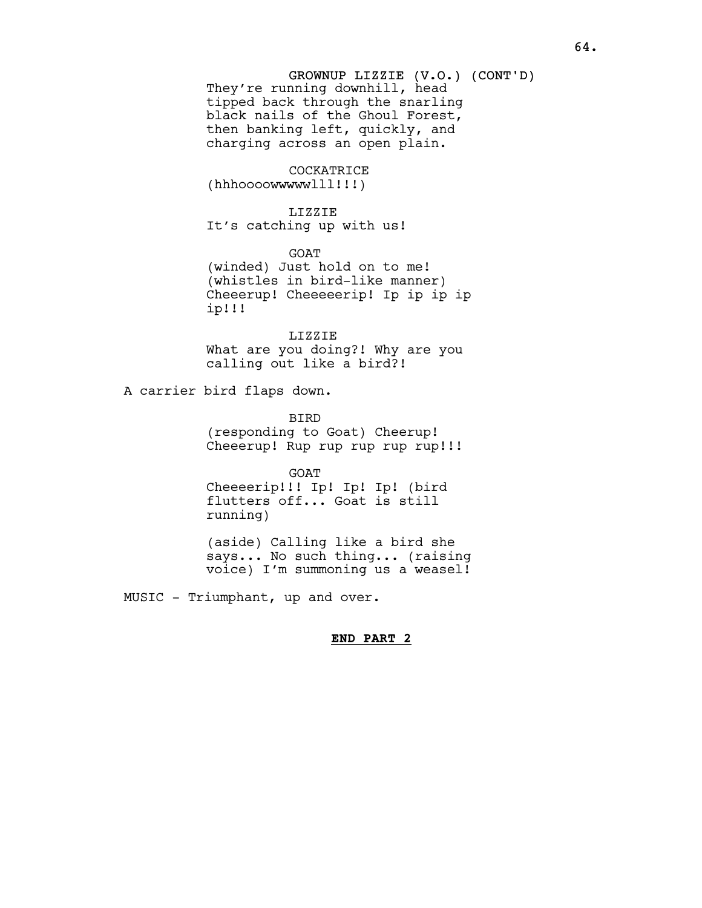# GROWNUP LIZZIE (V.O.) (CONT'D)

They're running downhill, head tipped back through the snarling black nails of the Ghoul Forest, then banking left, quickly, and charging across an open plain.

# COCKATRICE

(hhhoooowwwwwlll!!!)

## LIZZIE

It's catching up with us!

GOAT

(winded) Just hold on to me! (whistles in bird-like manner) Cheeerup! Cheeeeerip! Ip ip ip ip ip!!!

LIZZIE What are you doing?! Why are you calling out like a bird?!

A carrier bird flaps down.

BIRD (responding to Goat) Cheerup! Cheeerup! Rup rup rup rup rup!!!

GOAT Cheeeerip!!! Ip! Ip! Ip! (bird flutters off... Goat is still running)

(aside) Calling like a bird she says... No such thing... (raising voice) I'm summoning us a weasel!

MUSIC - Triumphant, up and over.

# END PART 2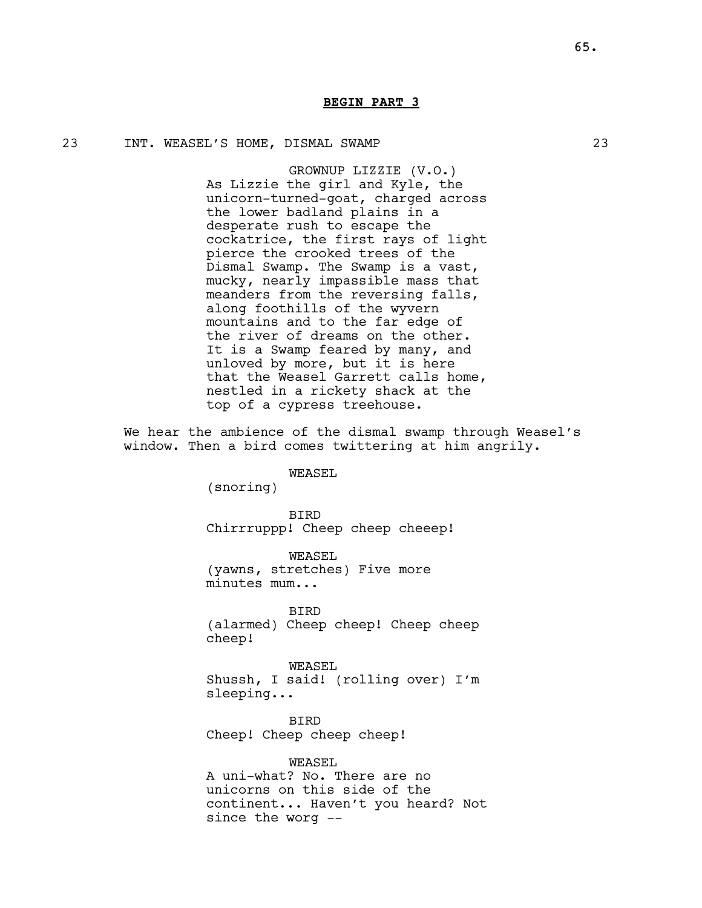# BEGIN PART 3

## 23 INT. WEASEL'S HOME, DISMAL SWAMP 23

GROWNUP LIZZIE (V.O.) As Lizzie the girl and Kyle, the unicorn-turned-goat, charged across the lower badland plains in a desperate rush to escape the cockatrice, the first rays of light pierce the crooked trees of the Dismal Swamp. The Swamp is a vast, mucky, nearly impassible mass that meanders from the reversing falls, along foothills of the wyvern mountains and to the far edge of the river of dreams on the other. It is a Swamp feared by many, and unloved by more, but it is here that the Weasel Garrett calls home, nestled in a rickety shack at the top of a cypress treehouse.

We hear the ambience of the dismal swamp through Weasel's window. Then a bird comes twittering at him angrily.

# WEASEL

(snoring)

BIRD Chirrruppp! Cheep cheep cheeep!

WEASEL (yawns, stretches) Five more minutes mum...

BIRD (alarmed) Cheep cheep! Cheep cheep cheep!

WEASEL Shussh, I said! (rolling over) I'm sleeping...

BIRD Cheep! Cheep cheep cheep!

WEASEL A uni-what? No. There are no unicorns on this side of the continent... Haven't you heard? Not since the worg --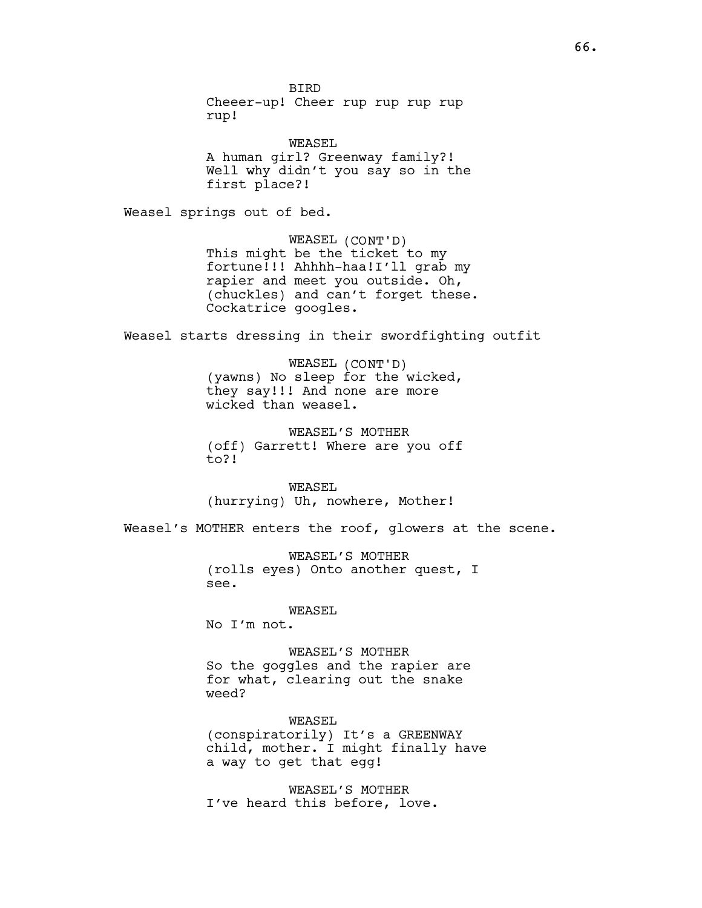BIRD Cheeer-up! Cheer rup rup rup rup rup!

WEASEL A human girl? Greenway family?! Well why didn't you say so in the first place?!

Weasel springs out of bed.

WEASEL (CONT'D) This might be the ticket to my fortune!!! Ahhhh-haa!I'll grab my rapier and meet you outside. Oh, (chuckles) and can't forget these. Cockatrice googles.

Weasel starts dressing in their swordfighting outfit

WEASEL (CONT'D) (yawns) No sleep for the wicked, they say!!! And none are more wicked than weasel.

WEASEL'S MOTHER (off) Garrett! Where are you off to?!

WEASEL (hurrying) Uh, nowhere, Mother!

Weasel's MOTHER enters the roof, glowers at the scene.

WEASEL'S MOTHER (rolls eyes) Onto another quest, I see.

WEASEL

No I'm not.

WEASEL'S MOTHER So the goggles and the rapier are for what, clearing out the snake weed?

WEASEL (conspiratorily) It's a GREENWAY child, mother. I might finally have a way to get that egg!

WEASEL'S MOTHER I've heard this before, love.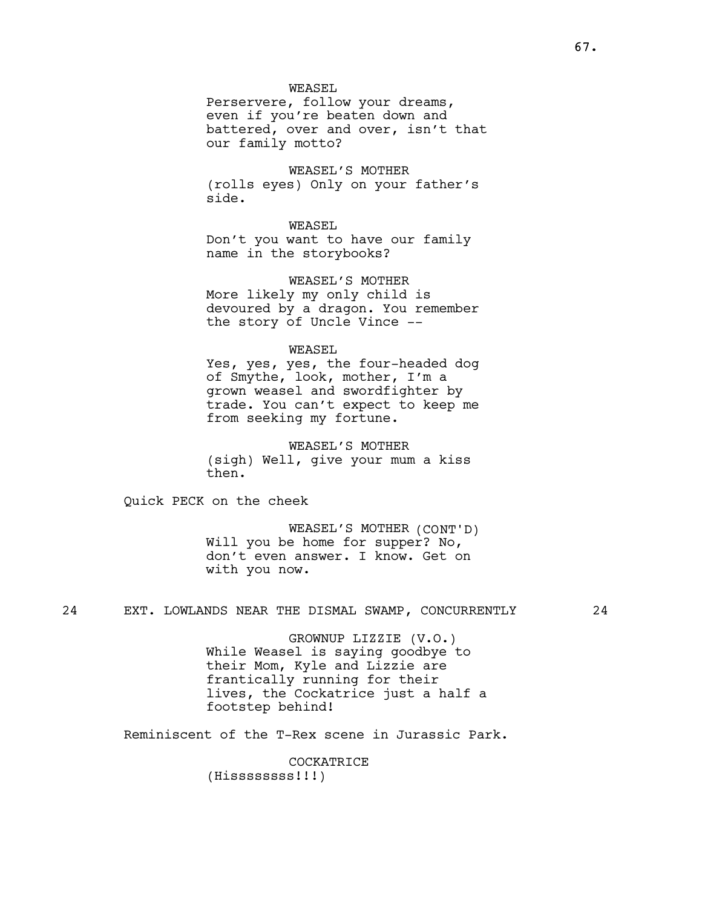## WEASEL

Perservere, follow your dreams, even if you're beaten down and battered, over and over, isn't that our family motto?

WEASEL'S MOTHER (rolls eyes) Only on your father's side.

## WEASEL

Don't you want to have our family name in the storybooks?

WEASEL'S MOTHER More likely my only child is devoured by a dragon. You remember the story of Uncle Vince --

## WEASEL

Yes, yes, yes, the four-headed dog of Smythe, look, mother, I'm a grown weasel and swordfighter by trade. You can't expect to keep me from seeking my fortune.

# WEASEL'S MOTHER

(sigh) Well, give your mum a kiss then.

Quick PECK on the cheek

WEASEL'S MOTHER (CONT'D) Will you be home for supper? No, don't even answer. I know. Get on with you now.

## 24 EXT. LOWLANDS NEAR THE DISMAL SWAMP, CONCURRENTLY 24

GROWNUP LIZZIE (V.O.) While Weasel is saying goodbye to their Mom, Kyle and Lizzie are frantically running for their lives, the Cockatrice just a half a footstep behind!

Reminiscent of the T-Rex scene in Jurassic Park.

COCKATRICE (Hissssssss!!!)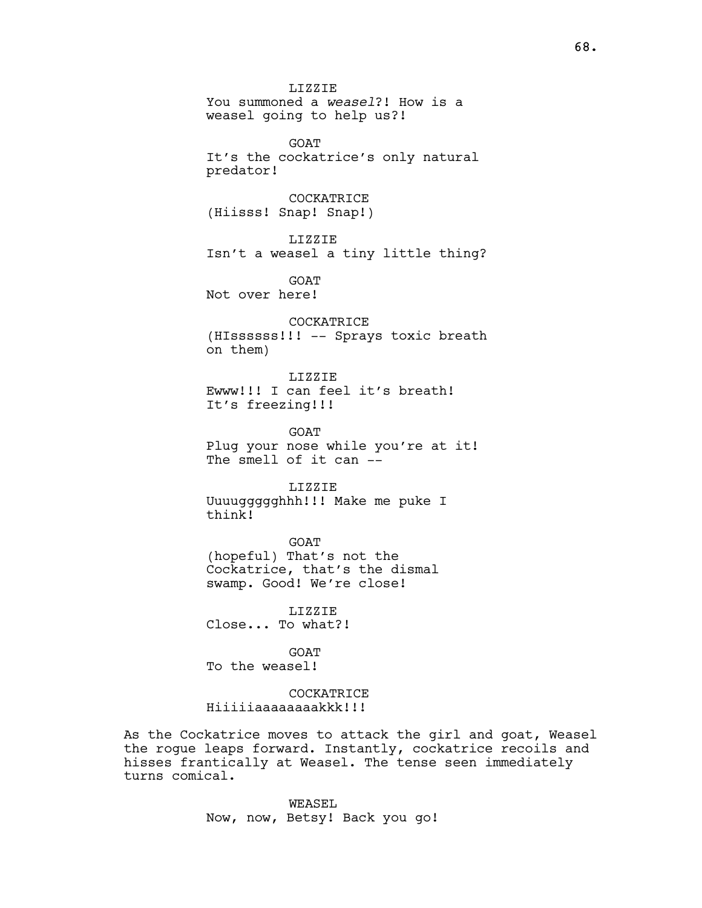LIZZIE You summoned a weasel?! How is a weasel going to help us?! GOAT It's the cockatrice's only natural predator! **COCKATRICE** (Hiisss! Snap! Snap!) LIZZIE Isn't a weasel a tiny little thing? GOAT Not over here! COCKATRICE (HIssssss!!! -- Sprays toxic breath on them) LIZZIE Ewww!!! I can feel it's breath! It's freezing!!! GOAT Plug your nose while you're at it! The smell of it can  $-$ LIZZIE Uuuuggggghhh!!! Make me puke I think! GOAT (hopeful) That's not the Cockatrice, that's the dismal swamp. Good! We're close! LIZZIE Close... To what?!

**GOAT** 

To the weasel!

COCKATRICE Hiiiiiaaaaaaaakkk!!!

As the Cockatrice moves to attack the girl and goat, Weasel the rogue leaps forward. Instantly, cockatrice recoils and hisses frantically at Weasel. The tense seen immediately turns comical.

> WEASEL Now, now, Betsy! Back you go!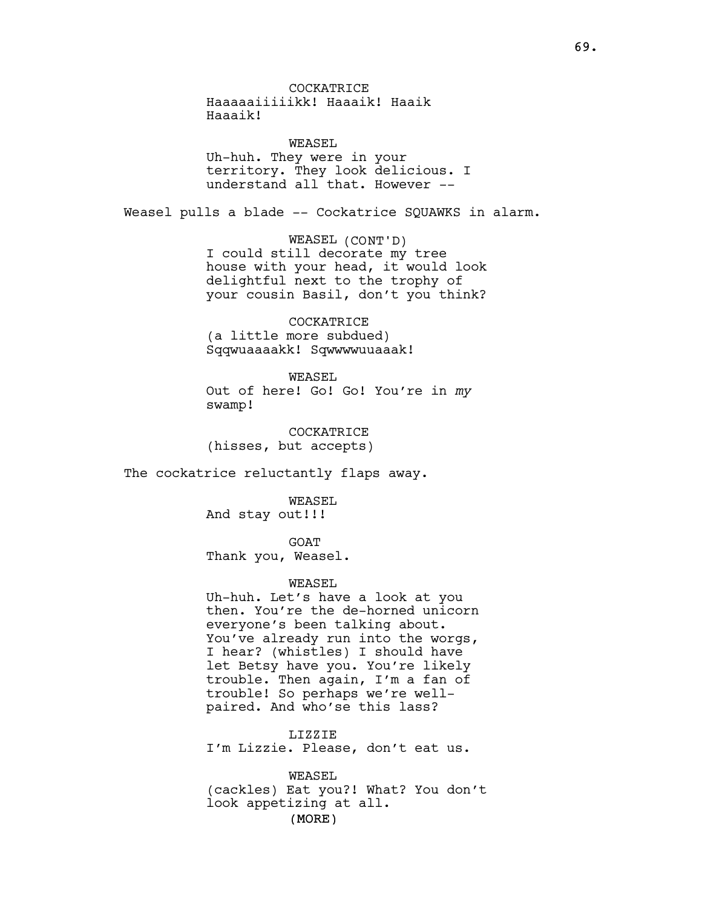COCKATRICE Haaaaaiiiiikk! Haaaik! Haaik Haaaik!

WEASEL Uh-huh. They were in your territory. They look delicious. I understand all that. However --

Weasel pulls a blade -- Cockatrice SQUAWKS in alarm.

WEASEL (CONT'D) I could still decorate my tree house with your head, it would look delightful next to the trophy of your cousin Basil, don't you think?

COCKATRICE (a little more subdued) Sqqwuaaaakk! Sqwwwwuuaaak!

WEASEL Out of here! Go! Go! You're in my swamp!

COCKATRICE (hisses, but accepts)

The cockatrice reluctantly flaps away.

WEASEL And stay out!!!

GOAT

Thank you, Weasel.

#### WEASEL

Uh-huh. Let's have a look at you then. You're the de-horned unicorn everyone's been talking about. You've already run into the worgs, I hear? (whistles) I should have let Betsy have you. You're likely trouble. Then again, I'm a fan of trouble! So perhaps we're wellpaired. And who'se this lass?

LIZZIE I'm Lizzie. Please, don't eat us.

(MORE) WEASEL (cackles) Eat you?! What? You don't look appetizing at all.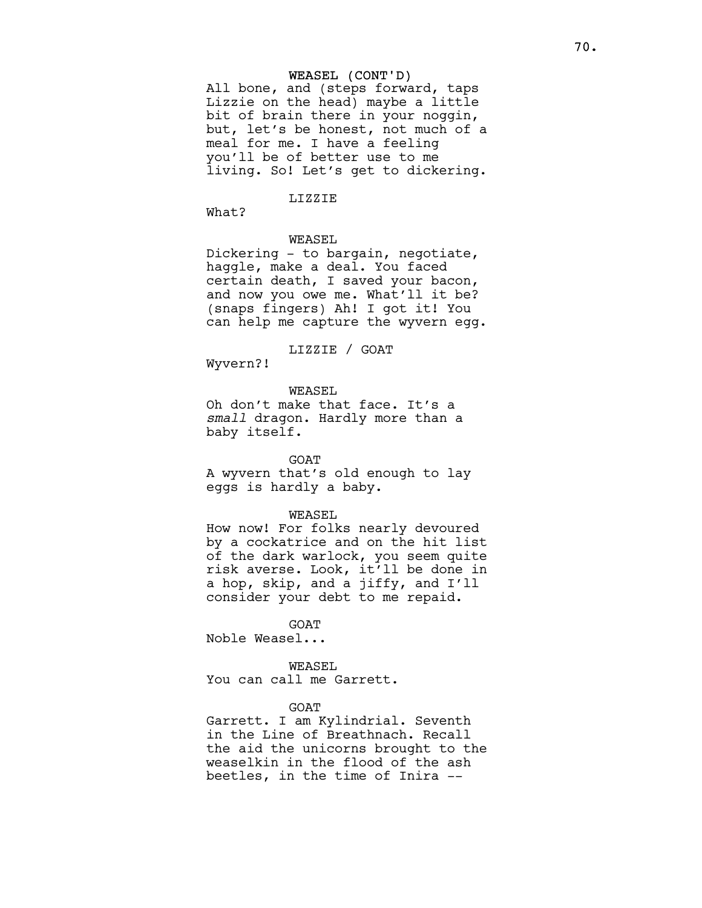## WEASEL (CONT'D)

All bone, and (steps forward, taps Lizzie on the head) maybe a little bit of brain there in your noggin, but, let's be honest, not much of a meal for me. I have a feeling you'll be of better use to me living. So! Let's get to dickering.

### LIZZIE

What?

## WEASEL

Dickering - to bargain, negotiate, haggle, make a deal. You faced certain death, I saved your bacon, and now you owe me. What'll it be? (snaps fingers) Ah! I got it! You can help me capture the wyvern egg.

LIZZIE / GOAT

Wyvern?!

## WEASEL

Oh don't make that face. It's a small dragon. Hardly more than a baby itself.

#### GOAT

A wyvern that's old enough to lay eggs is hardly a baby.

#### WEASEL

How now! For folks nearly devoured by a cockatrice and on the hit list of the dark warlock, you seem quite risk averse. Look, it'll be done in a hop, skip, and a jiffy, and I'll consider your debt to me repaid.

#### **GOAT**

Noble Weasel...

#### WEASEL

You can call me Garrett.

## GOAT

Garrett. I am Kylindrial. Seventh in the Line of Breathnach. Recall the aid the unicorns brought to the weaselkin in the flood of the ash beetles, in the time of Inira --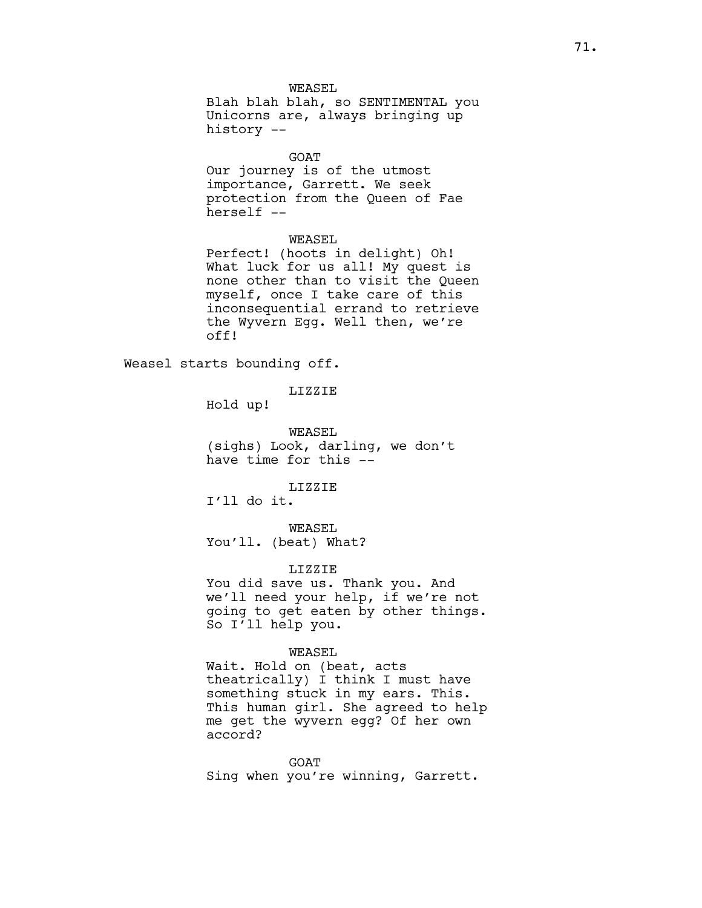WEASEL

Blah blah blah, so SENTIMENTAL you Unicorns are, always bringing up history --

GOAT

Our journey is of the utmost importance, Garrett. We seek protection from the Queen of Fae herself --

## WEASEL

Perfect! (hoots in delight) Oh! What luck for us all! My quest is none other than to visit the Queen myself, once I take care of this inconsequential errand to retrieve the Wyvern Egg. Well then, we're off!

Weasel starts bounding off.

LIZZIE

Hold up!

WEASEL (sighs) Look, darling, we don't have time for this --

LIZZIE

I'll do it.

WEASEL You'll. (beat) What?

#### LIZZIE

You did save us. Thank you. And we'll need your help, if we're not going to get eaten by other things. So I'll help you.

# WEASEL

Wait. Hold on (beat, acts theatrically) I think I must have something stuck in my ears. This. This human girl. She agreed to help me get the wyvern egg? Of her own accord?

GOAT Sing when you're winning, Garrett.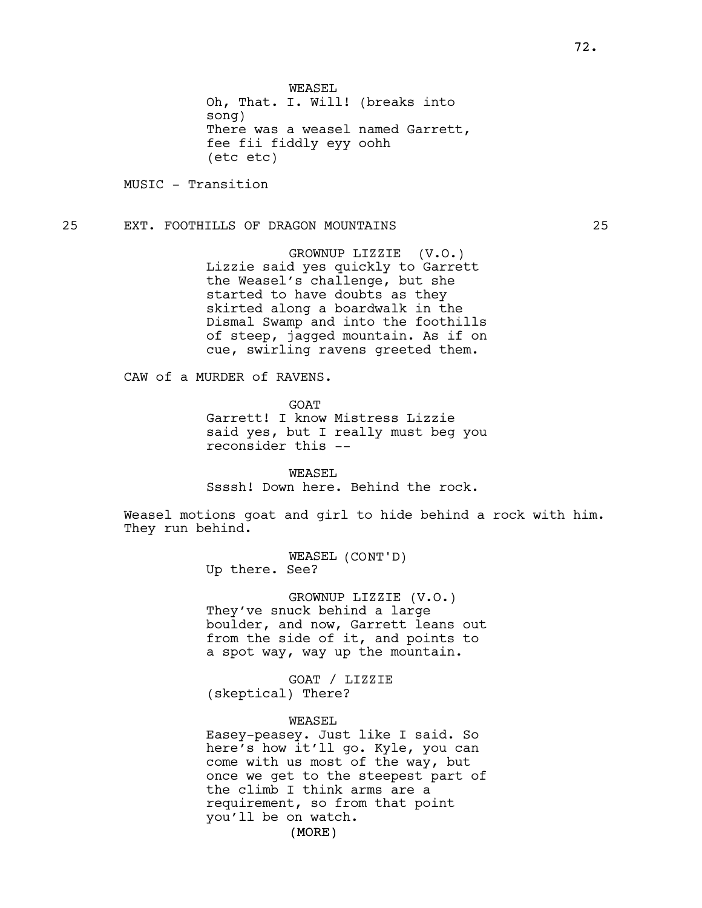WEASEL

Oh, That. I. Will! (breaks into song) There was a weasel named Garrett, fee fii fiddly eyy oohh (etc etc)

MUSIC - Transition

# 25 EXT. FOOTHILLS OF DRAGON MOUNTAINS 25

GROWNUP LIZZIE (V.O.) Lizzie said yes quickly to Garrett the Weasel's challenge, but she started to have doubts as they skirted along a boardwalk in the Dismal Swamp and into the foothills of steep, jagged mountain. As if on cue, swirling ravens greeted them.

CAW of a MURDER of RAVENS.

**GOAT** 

Garrett! I know Mistress Lizzie said yes, but I really must beg you reconsider this --

WEASEL Ssssh! Down here. Behind the rock.

Weasel motions goat and girl to hide behind a rock with him. They run behind.

> WEASEL (CONT'D) Up there. See?

GROWNUP LIZZIE (V.O.) They've snuck behind a large boulder, and now, Garrett leans out from the side of it, and points to a spot way, way up the mountain.

GOAT / LIZZIE (skeptical) There?

#### WEASEL

Easey-peasey. Just like I said. So here's how it'll go. Kyle, you can come with us most of the way, but once we get to the steepest part of the climb I think arms are a requirement, so from that point you'll be on watch.

(MORE)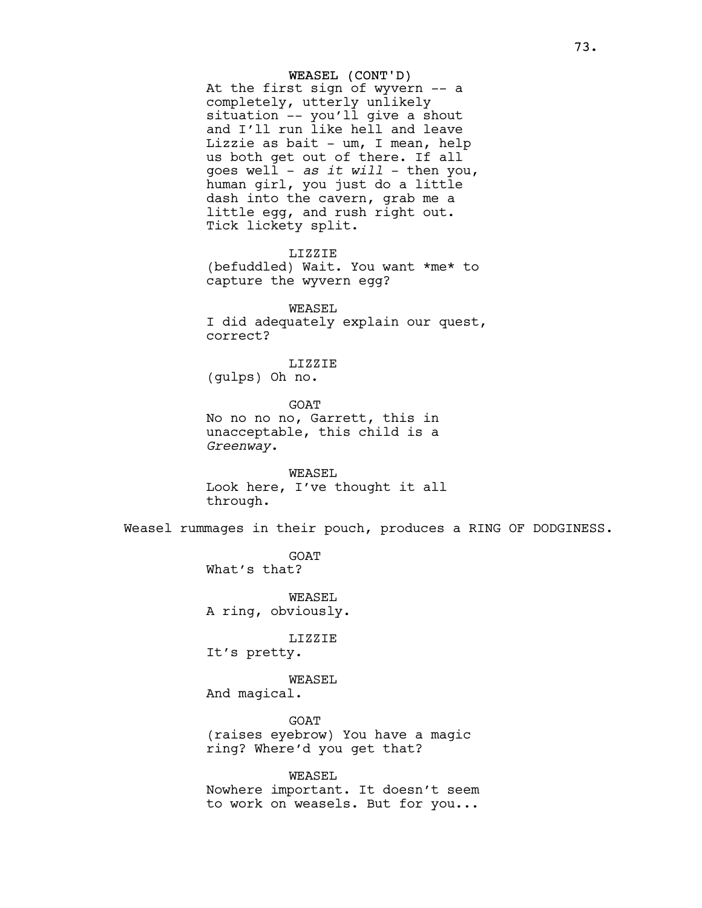## WEASEL (CONT'D)

At the first sign of wyvern -- a completely, utterly unlikely situation -- you'll give a shout and I'll run like hell and leave Lizzie as bait - um, I mean, help us both get out of there. If all goes well - as it will - then you, human girl, you just do a little dash into the cavern, grab me a little egg, and rush right out. Tick lickety split.

LIZZIE (befuddled) Wait. You want \*me\* to capture the wyvern egg?

WEASEL I did adequately explain our quest, correct?

# LIZZIE

(gulps) Oh no.

GOAT No no no no, Garrett, this in unacceptable, this child is a Greenway.

WEASEL Look here, I've thought it all through.

Weasel rummages in their pouch, produces a RING OF DODGINESS.

GOAT What's that?

WEASEL A ring, obviously.

LIZZIE

It's pretty.

WEASEL

And magical.

GOAT (raises eyebrow) You have a magic ring? Where'd you get that?

WEASEL Nowhere important. It doesn't seem to work on weasels. But for you...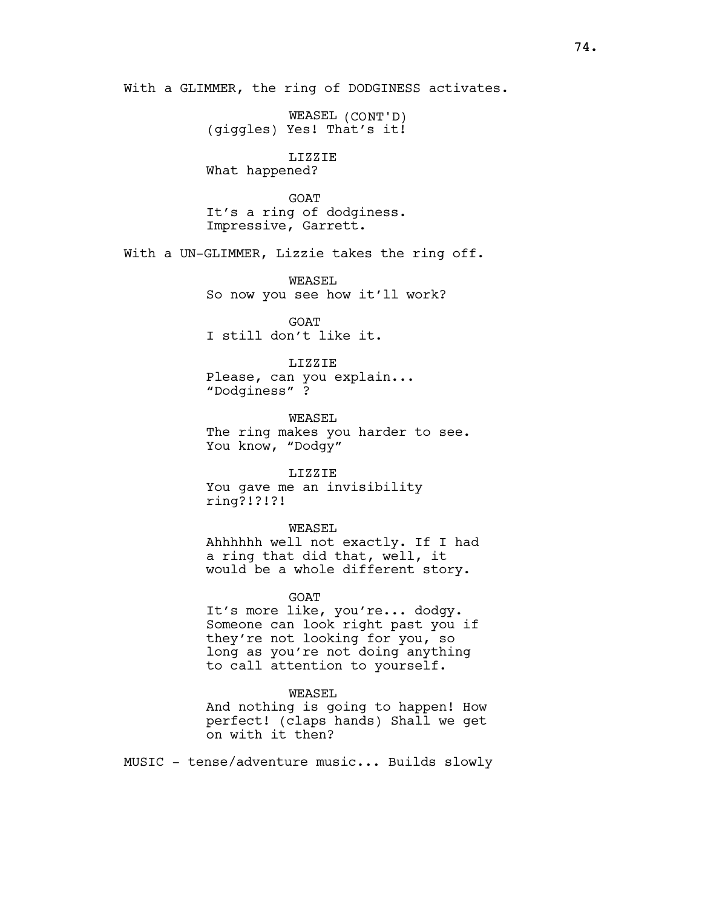With a GLIMMER, the ring of DODGINESS activates.

WEASEL (CONT'D) (giggles) Yes! That's it!

LIZZIE What happened?

**GOAT** It's a ring of dodginess. Impressive, Garrett.

With a UN-GLIMMER, Lizzie takes the ring off.

WEASEL So now you see how it'll work?

GOAT I still don't like it.

LIZZIE Please, can you explain... "Dodginess" ?

WEASEL The ring makes you harder to see. You know, "Dodgy"

LIZZIE You gave me an invisibility ring?!?!?!

WEASEL

Ahhhhhh well not exactly. If I had a ring that did that, well, it would be a whole different story.

GOAT

It's more like, you're... dodgy. Someone can look right past you if they're not looking for you, so long as you're not doing anything to call attention to yourself.

WEASEL

And nothing is going to happen! How perfect! (claps hands) Shall we get on with it then?

MUSIC - tense/adventure music... Builds slowly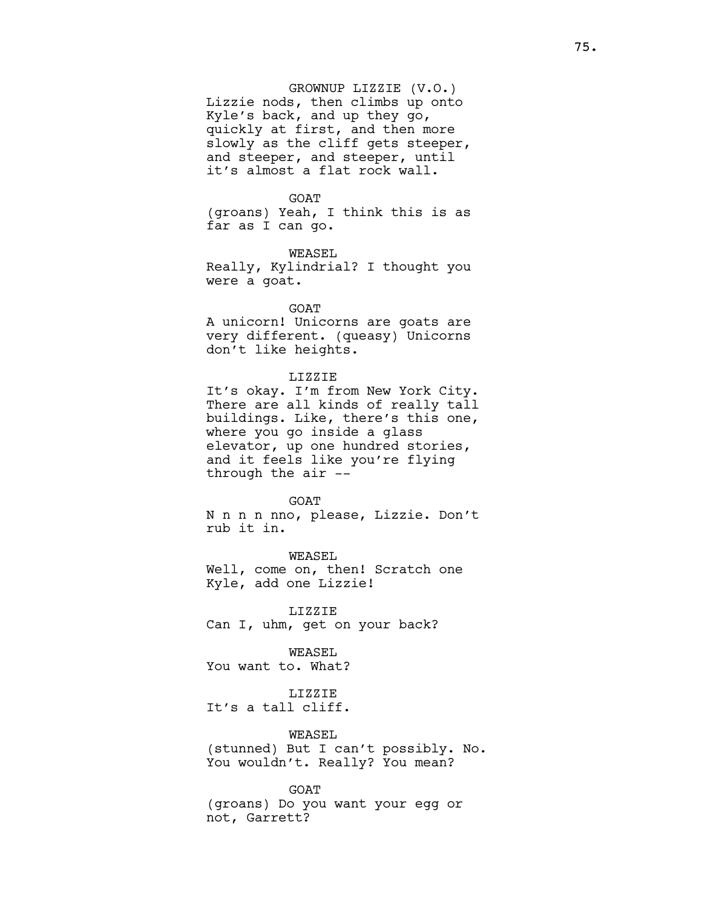# GROWNUP LIZZIE (V.O.)

Lizzie nods, then climbs up onto Kyle's back, and up they go, quickly at first, and then more slowly as the cliff gets steeper, and steeper, and steeper, until it's almost a flat rock wall.

## **GOAT**

(groans) Yeah, I think this is as far as I can go.

WEASEL Really, Kylindrial? I thought you were a goat.

## GOAT

A unicorn! Unicorns are goats are very different. (queasy) Unicorns don't like heights.

## LIZZIE

It's okay. I'm from New York City. There are all kinds of really tall buildings. Like, there's this one, where you go inside a glass elevator, up one hundred stories, and it feels like you're flying through the air --

#### **GOAT**

N n n n nno, please, Lizzie. Don't rub it in.

WEASEL Well, come on, then! Scratch one Kyle, add one Lizzie!

LIZZIE Can I, uhm, get on your back?

# WEASEL

You want to. What?

# LIZZIE

It's a tall cliff.

# WEASEL

(stunned) But I can't possibly. No. You wouldn't. Really? You mean?

## GOAT

(groans) Do you want your egg or not, Garrett?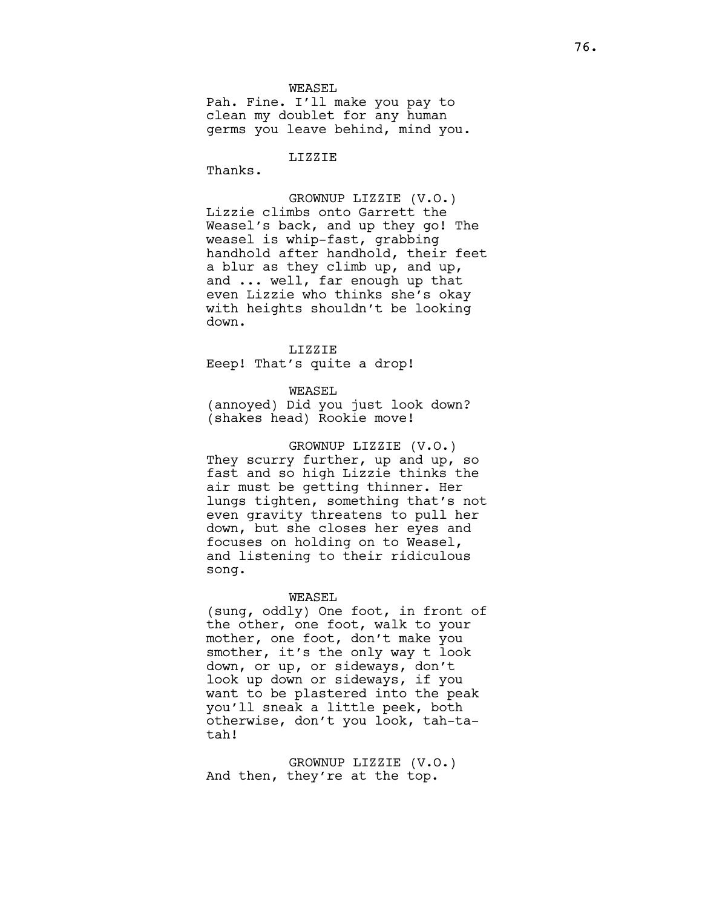WEASEL

Pah. Fine. I'll make you pay to clean my doublet for any human germs you leave behind, mind you.

LIZZIE

Thanks.

GROWNUP LIZZIE (V.O.) Lizzie climbs onto Garrett the Weasel's back, and up they go! The weasel is whip-fast, grabbing handhold after handhold, their feet a blur as they climb up, and up, and ... well, far enough up that even Lizzie who thinks she's okay with heights shouldn't be looking down.

LIZZIE Eeep! That's quite a drop!

WEASEL

(annoyed) Did you just look down? (shakes head) Rookie move!

GROWNUP LIZZIE (V.O.) They scurry further, up and up, so fast and so high Lizzie thinks the air must be getting thinner. Her lungs tighten, something that's not even gravity threatens to pull her down, but she closes her eyes and focuses on holding on to Weasel, and listening to their ridiculous song.

WEASEL

(sung, oddly) One foot, in front of the other, one foot, walk to your mother, one foot, don't make you smother, it's the only way t look down, or up, or sideways, don't look up down or sideways, if you want to be plastered into the peak you'll sneak a little peek, both otherwise, don't you look, tah-tatah!

GROWNUP LIZZIE (V.O.) And then, they're at the top.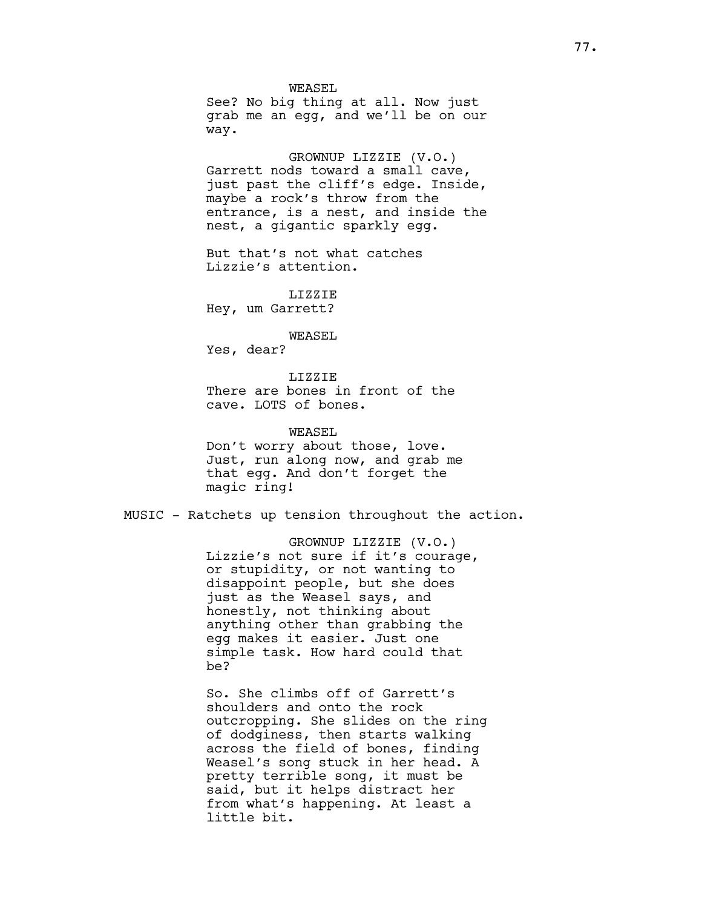WEASEL See? No big thing at all. Now just grab me an egg, and we'll be on our way.

GROWNUP LIZZIE (V.O.) Garrett nods toward a small cave, just past the cliff's edge. Inside, maybe a rock's throw from the entrance, is a nest, and inside the nest, a gigantic sparkly egg.

But that's not what catches Lizzie's attention.

LIZZIE Hey, um Garrett?

WEASEL

Yes, dear?

LIZZIE There are bones in front of the cave. LOTS of bones.

WEASEL Don't worry about those, love. Just, run along now, and grab me that egg. And don't forget the magic ring!

MUSIC - Ratchets up tension throughout the action.

GROWNUP LIZZIE (V.O.) Lizzie's not sure if it's courage, or stupidity, or not wanting to disappoint people, but she does just as the Weasel says, and honestly, not thinking about anything other than grabbing the egg makes it easier. Just one simple task. How hard could that be?

So. She climbs off of Garrett's shoulders and onto the rock outcropping. She slides on the ring of dodginess, then starts walking across the field of bones, finding Weasel's song stuck in her head. A pretty terrible song, it must be said, but it helps distract her from what's happening. At least a little bit.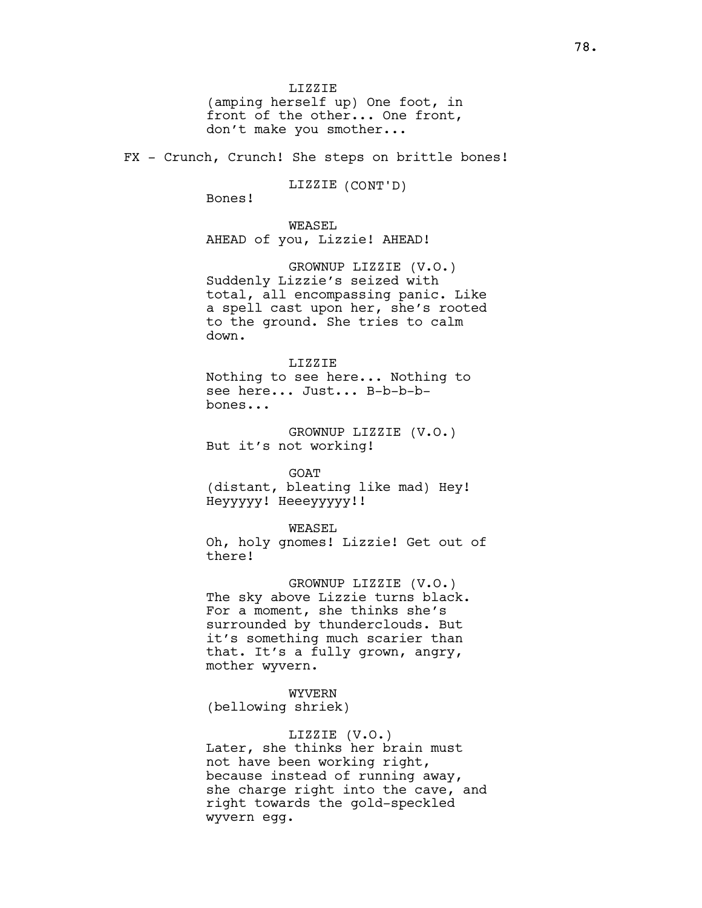LIZZIE (amping herself up) One foot, in front of the other... One front, don't make you smother...

FX - Crunch, Crunch! She steps on brittle bones!

LIZZIE (CONT'D)

Bones!

WEASEL AHEAD of you, Lizzie! AHEAD!

GROWNUP LIZZIE (V.O.) Suddenly Lizzie's seized with total, all encompassing panic. Like a spell cast upon her, she's rooted to the ground. She tries to calm down.

LIZZIE Nothing to see here... Nothing to see here... Just... B-b-b-bbones...

GROWNUP LIZZIE (V.O.) But it's not working!

GOAT (distant, bleating like mad) Hey! Heyyyyy! Heeeyyyyy!!

WEASEL

Oh, holy gnomes! Lizzie! Get out of there!

GROWNUP LIZZIE (V.O.) The sky above Lizzie turns black. For a moment, she thinks she's surrounded by thunderclouds. But it's something much scarier than that. It's a fully grown, angry, mother wyvern.

WYVERN

(bellowing shriek)

LIZZIE (V.O.)

Later, she thinks her brain must not have been working right, because instead of running away, she charge right into the cave, and right towards the gold-speckled wyvern egg.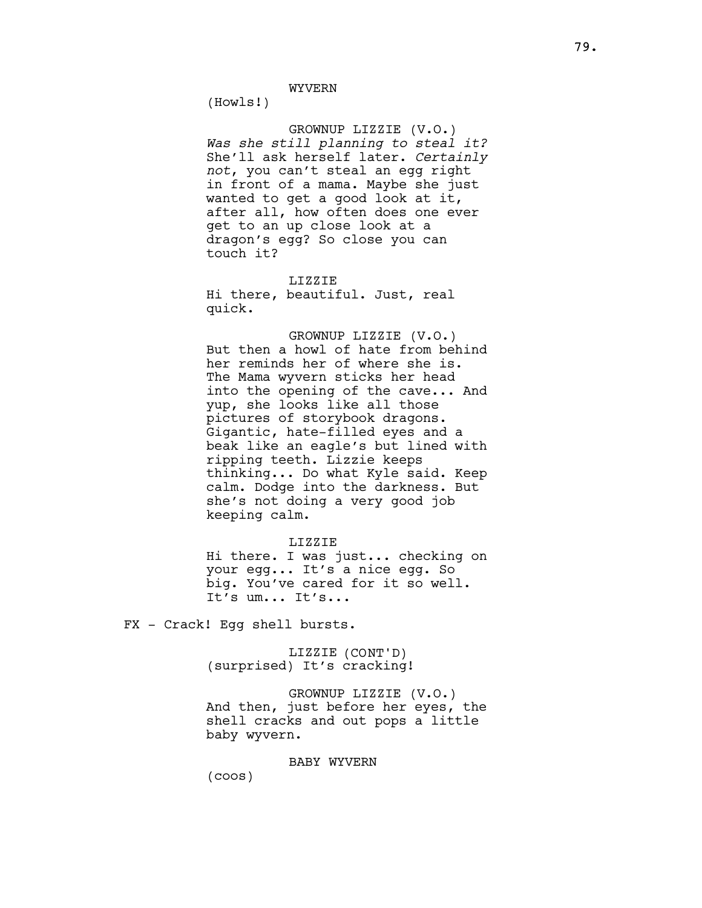(Howls!)

# GROWNUP LIZZIE (V.O.)

Was she still planning to steal it? She'll ask herself later. Certainly not, you can't steal an egg right in front of a mama. Maybe she just wanted to get a good look at it, after all, how often does one ever get to an up close look at a dragon's egg? So close you can touch it?

LIZZIE

Hi there, beautiful. Just, real quick.

GROWNUP LIZZIE (V.O.) But then a howl of hate from behind her reminds her of where she is. The Mama wyvern sticks her head into the opening of the cave... And yup, she looks like all those pictures of storybook dragons. Gigantic, hate-filled eyes and a beak like an eagle's but lined with ripping teeth. Lizzie keeps thinking... Do what Kyle said. Keep calm. Dodge into the darkness. But she's not doing a very good job keeping calm.

# LIZZIE

Hi there. I was just... checking on your egg... It's a nice egg. So big. You've cared for it so well. It's um... It's...

FX - Crack! Egg shell bursts.

LIZZIE (CONT'D) (surprised) It's cracking!

GROWNUP LIZZIE (V.O.) And then, just before her eyes, the shell cracks and out pops a little baby wyvern.

BABY WYVERN

(coos)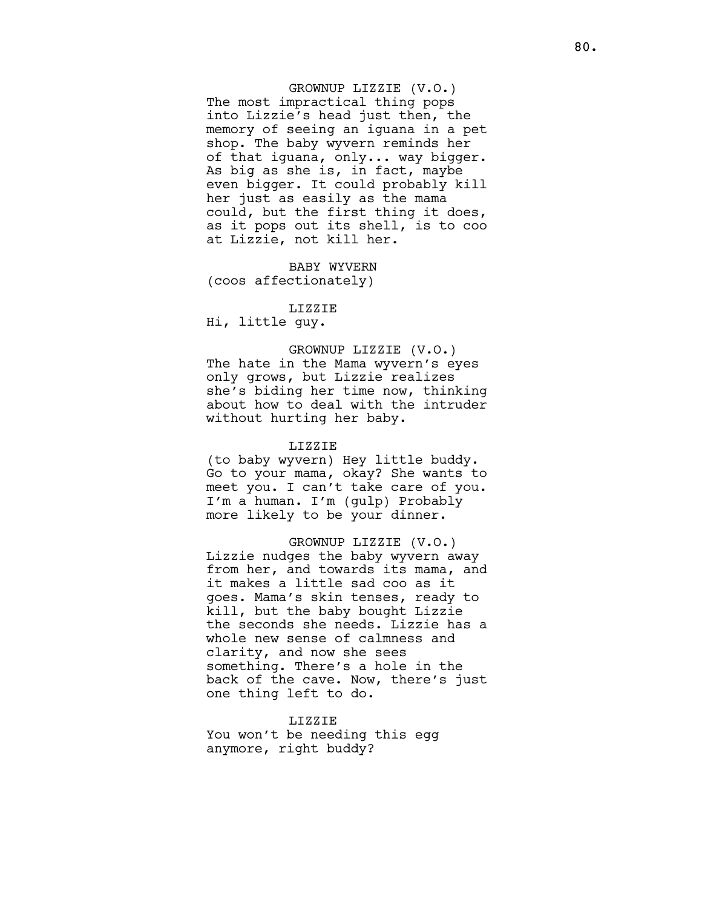GROWNUP LIZZIE (V.O.) The most impractical thing pops into Lizzie's head just then, the memory of seeing an iguana in a pet shop. The baby wyvern reminds her of that iguana, only... way bigger. As big as she is, in fact, maybe even bigger. It could probably kill her just as easily as the mama could, but the first thing it does, as it pops out its shell, is to coo at Lizzie, not kill her.

BABY WYVERN (coos affectionately)

#### LIZZIE

Hi, little guy.

# GROWNUP LIZZIE (V.O.)

The hate in the Mama wyvern's eyes only grows, but Lizzie realizes she's biding her time now, thinking about how to deal with the intruder without hurting her baby.

## LIZZIE

(to baby wyvern) Hey little buddy. Go to your mama, okay? She wants to meet you. I can't take care of you. I'm a human. I'm (gulp) Probably more likely to be your dinner.

GROWNUP LIZZIE (V.O.) Lizzie nudges the baby wyvern away from her, and towards its mama, and it makes a little sad coo as it goes. Mama's skin tenses, ready to kill, but the baby bought Lizzie the seconds she needs. Lizzie has a whole new sense of calmness and clarity, and now she sees something. There's a hole in the back of the cave. Now, there's just one thing left to do.

#### LIZZIE

You won't be needing this egg anymore, right buddy?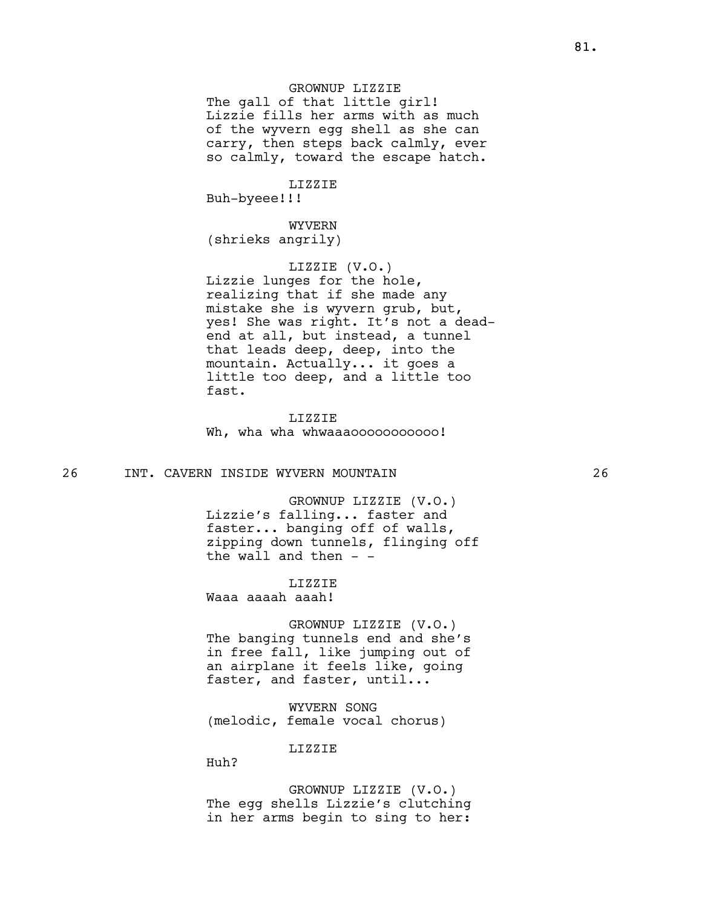# GROWNUP LIZZIE

The gall of that little girl! Lizzie fills her arms with as much of the wyvern egg shell as she can carry, then steps back calmly, ever so calmly, toward the escape hatch.

#### LIZZIE

Buh-byeee!!!

WYVERN (shrieks angrily)

# LIZZIE (V.O.)

Lizzie lunges for the hole, realizing that if she made any mistake she is wyvern grub, but, yes! She was right. It's not a deadend at all, but instead, a tunnel that leads deep, deep, into the mountain. Actually... it goes a little too deep, and a little too fast.

LIZZIE Wh, wha wha whwaaaooooooooooo!

# 26 INT. CAVERN INSIDE WYVERN MOUNTAIN 26

GROWNUP LIZZIE (V.O.) Lizzie's falling... faster and faster... banging off of walls, zipping down tunnels, flinging off the wall and then  $-$ 

LIZZIE

Waaa aaaah aaah!

GROWNUP LIZZIE (V.O.) The banging tunnels end and she's in free fall, like jumping out of an airplane it feels like, going faster, and faster, until...

WYVERN SONG (melodic, female vocal chorus)

LIZZIE

Huh?

GROWNUP LIZZIE (V.O.) The egg shells Lizzie's clutching in her arms begin to sing to her: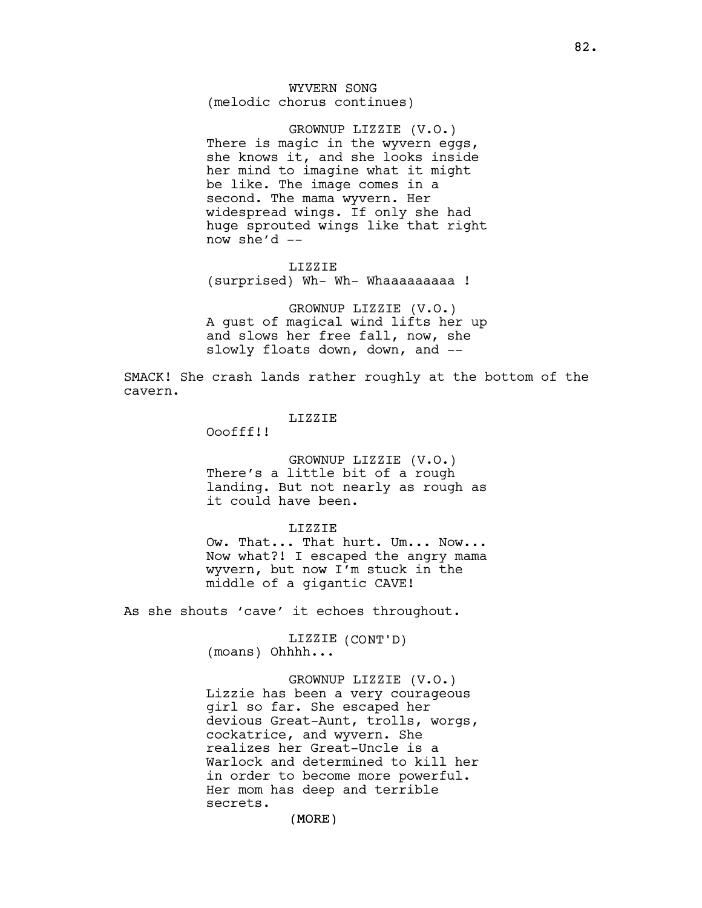WYVERN SONG (melodic chorus continues)

GROWNUP LIZZIE (V.O.) There is magic in the wyvern eggs, she knows it, and she looks inside her mind to imagine what it might be like. The image comes in a second. The mama wyvern. Her widespread wings. If only she had huge sprouted wings like that right now she'd  $-$ 

#### LIZZIE

(surprised) Wh- Wh- Whaaaaaaaaa !

GROWNUP LIZZIE (V.O.) A gust of magical wind lifts her up and slows her free fall, now, she slowly floats down, down, and --

SMACK! She crash lands rather roughly at the bottom of the cavern.

# LIZZIE

Ooofff!!

GROWNUP LIZZIE (V.O.) There's a little bit of a rough landing. But not nearly as rough as it could have been.

## LIZZIE

Ow. That... That hurt. Um... Now... Now what?! I escaped the angry mama wyvern, but now I'm stuck in the middle of a gigantic CAVE!

As she shouts 'cave' it echoes throughout.

LIZZIE (CONT'D) (moans) Ohhhh...

GROWNUP LIZZIE (V.O.) Lizzie has been a very courageous girl so far. She escaped her devious Great-Aunt, trolls, worgs, cockatrice, and wyvern. She realizes her Great-Uncle is a Warlock and determined to kill her in order to become more powerful. Her mom has deep and terrible secrets.

(MORE)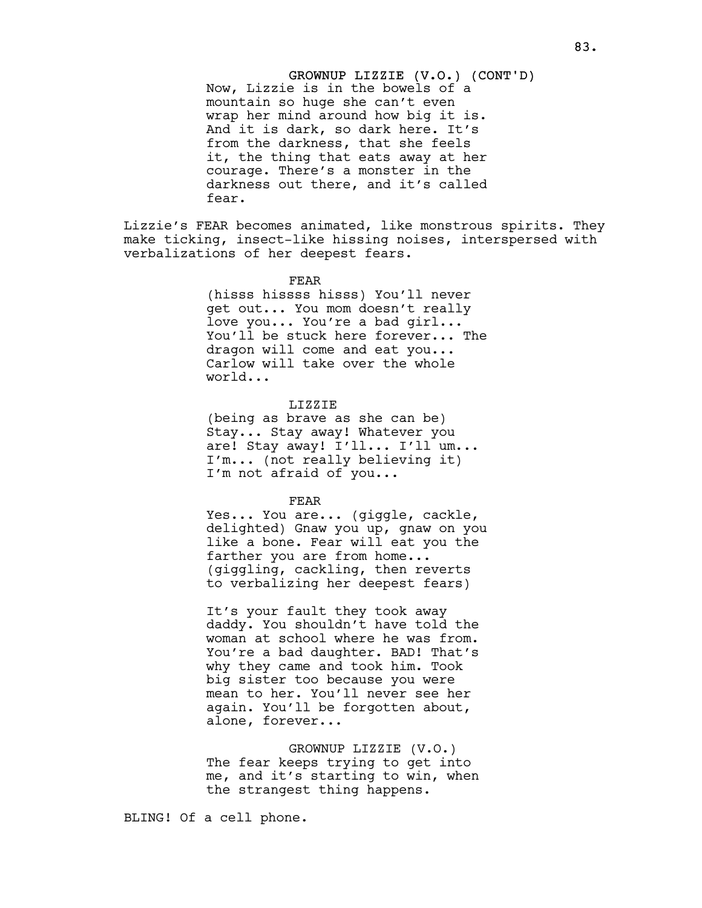GROWNUP LIZZIE (V.O.) (CONT'D) Now, Lizzie is in the bowels of a mountain so huge she can't even wrap her mind around how big it is. And it is dark, so dark here. It's from the darkness, that she feels it, the thing that eats away at her courage. There's a monster in the darkness out there, and it's called fear.

Lizzie's FEAR becomes animated, like monstrous spirits. They make ticking, insect-like hissing noises, interspersed with verbalizations of her deepest fears.

#### FEAR

(hisss hissss hisss) You'll never get out... You mom doesn't really love you... You're a bad girl... You'll be stuck here forever... The dragon will come and eat you... Carlow will take over the whole world...

## LIZZIE

(being as brave as she can be) Stay... Stay away! Whatever you are! Stay away! I'll... I'll um... I'm... (not really believing it) I'm not afraid of you...

#### FEAR

Yes... You are... (giggle, cackle, delighted) Gnaw you up, gnaw on you like a bone. Fear will eat you the farther you are from home... (giggling, cackling, then reverts to verbalizing her deepest fears)

It's your fault they took away daddy. You shouldn't have told the woman at school where he was from. You're a bad daughter. BAD! That's why they came and took him. Took big sister too because you were mean to her. You'll never see her again. You'll be forgotten about, alone, forever...

GROWNUP LIZZIE (V.O.) The fear keeps trying to get into me, and it's starting to win, when the strangest thing happens.

BLING! Of a cell phone.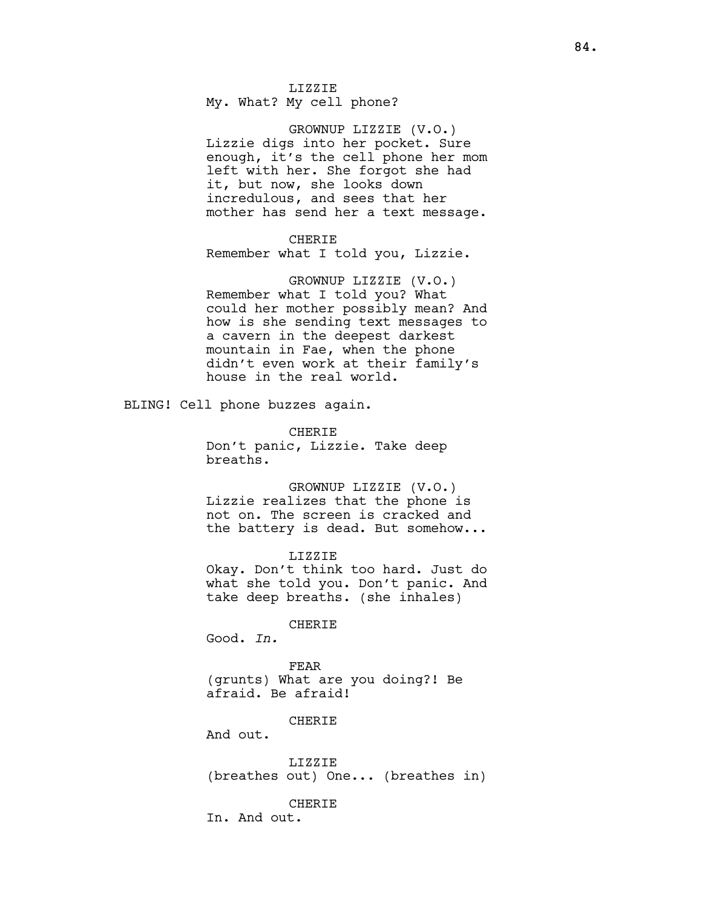LIZZIE My. What? My cell phone?

GROWNUP LIZZIE (V.O.) Lizzie digs into her pocket. Sure enough, it's the cell phone her mom left with her. She forgot she had it, but now, she looks down incredulous, and sees that her mother has send her a text message.

## CHERIE

Remember what I told you, Lizzie.

GROWNUP LIZZIE (V.O.) Remember what I told you? What could her mother possibly mean? And how is she sending text messages to a cavern in the deepest darkest mountain in Fae, when the phone didn't even work at their family's house in the real world.

BLING! Cell phone buzzes again.

CHERIE Don't panic, Lizzie. Take deep breaths.

GROWNUP LIZZIE (V.O.) Lizzie realizes that the phone is not on. The screen is cracked and the battery is dead. But somehow...

LIZZIE Okay. Don't think too hard. Just do what she told you. Don't panic. And take deep breaths. (she inhales)

CHERIE

Good. In.

FEAR (grunts) What are you doing?! Be afraid. Be afraid!

CHERIE

And out.

LIZZIE (breathes out) One... (breathes in)

**CHERIE** 

In. And out.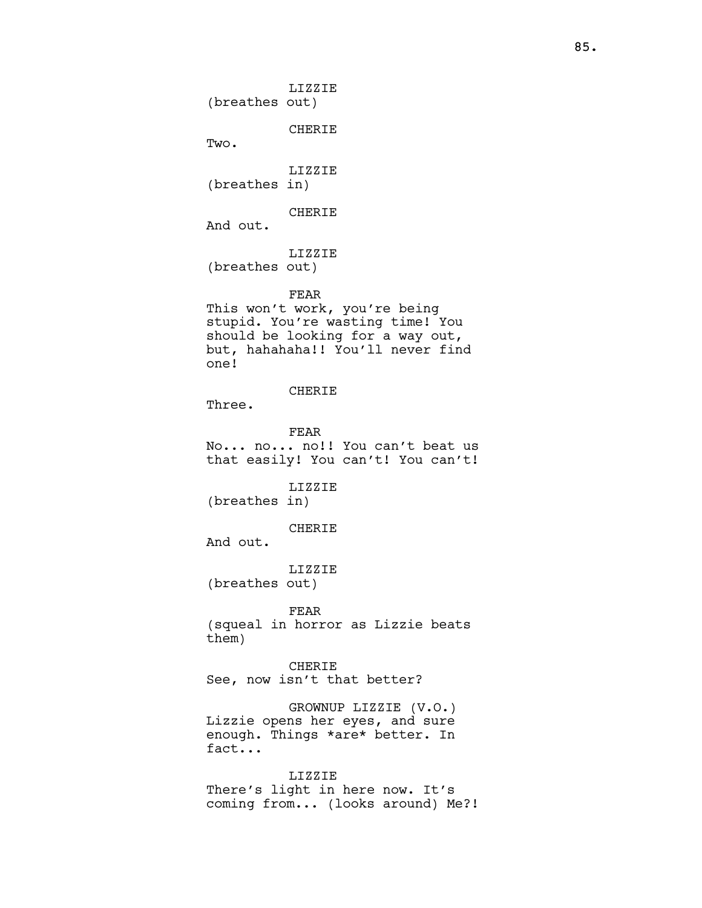LIZZIE (breathes out) CHERIE Two. LIZZIE (breathes in) CHERIE And out. LIZZIE (breathes out) FEAR This won't work, you're being stupid. You're wasting time! You should be looking for a way out, but, hahahaha!! You'll never find one! CHERIE Three. FEAR No... no... no!! You can't beat us that easily! You can't! You can't! LIZZIE (breathes in) CHERIE And out. LIZZIE (breathes out) FEAR (squeal in horror as Lizzie beats them) CHERIE See, now isn't that better? GROWNUP LIZZIE (V.O.) Lizzie opens her eyes, and sure enough. Things \*are\* better. In fact... LIZZIE There's light in here now. It's coming from... (looks around) Me?!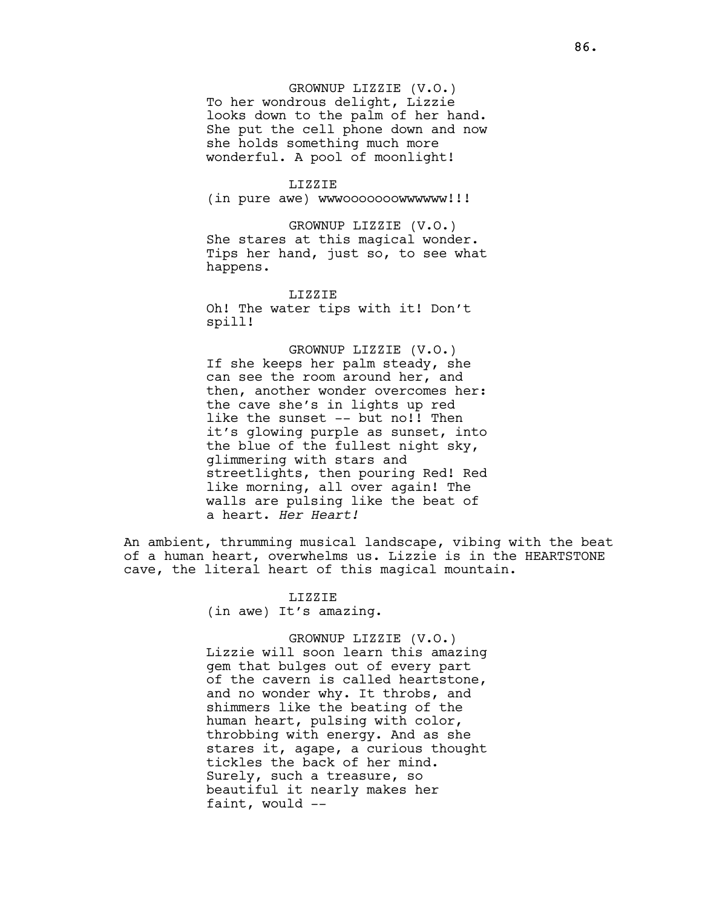# GROWNUP LIZZIE (V.O.)

To her wondrous delight, Lizzie looks down to the palm of her hand. She put the cell phone down and now she holds something much more wonderful. A pool of moonlight!

## LIZZIE

(in pure awe) wwwooooooowwwwww!!!

GROWNUP LIZZIE (V.O.) She stares at this magical wonder. Tips her hand, just so, to see what happens.

LIZZIE Oh! The water tips with it! Don't spill!

GROWNUP LIZZIE (V.O.) If she keeps her palm steady, she can see the room around her, and then, another wonder overcomes her: the cave she's in lights up red like the sunset -- but no!! Then it's glowing purple as sunset, into the blue of the fullest night sky, glimmering with stars and streetlights, then pouring Red! Red like morning, all over again! The walls are pulsing like the beat of a heart. Her Heart!

An ambient, thrumming musical landscape, vibing with the beat of a human heart, overwhelms us. Lizzie is in the HEARTSTONE cave, the literal heart of this magical mountain.

> LIZZIE (in awe) It's amazing.

## GROWNUP LIZZIE (V.O.)

Lizzie will soon learn this amazing gem that bulges out of every part of the cavern is called heartstone, and no wonder why. It throbs, and shimmers like the beating of the human heart, pulsing with color, throbbing with energy. And as she stares it, agape, a curious thought tickles the back of her mind. Surely, such a treasure, so beautiful it nearly makes her faint, would --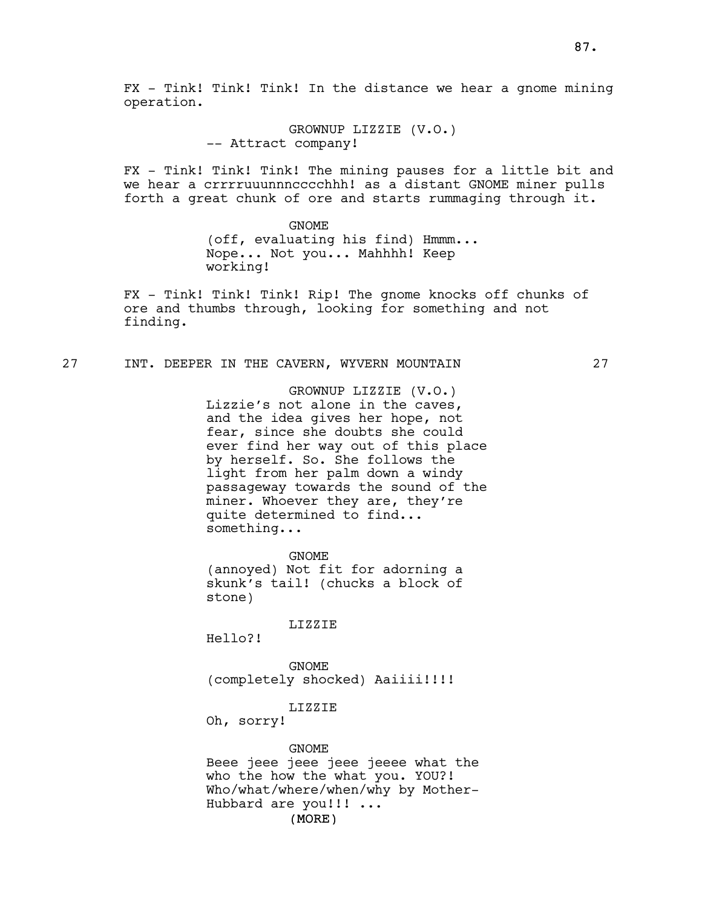GROWNUP LIZZIE (V.O.) -- Attract company!

FX - Tink! Tink! Tink! The mining pauses for a little bit and we hear a crrrruuunnncccchhh! as a distant GNOME miner pulls forth a great chunk of ore and starts rummaging through it.

> GNOME (off, evaluating his find) Hmmm... Nope... Not you... Mahhhh! Keep working!

FX - Tink! Tink! Tink! Rip! The gnome knocks off chunks of ore and thumbs through, looking for something and not finding.

# 27 INT. DEEPER IN THE CAVERN, WYVERN MOUNTAIN 27

GROWNUP LIZZIE (V.O.) Lizzie's not alone in the caves, and the idea gives her hope, not fear, since she doubts she could ever find her way out of this place by herself. So. She follows the light from her palm down a windy passageway towards the sound of the miner. Whoever they are, they're quite determined to find... something...

GNOME (annoyed) Not fit for adorning a skunk's tail! (chucks a block of stone)

LIZZIE

Hello?!

GNOME (completely shocked) Aaiiii!!!!

## LIZZIE

Oh, sorry!

GNOME

(MORE) Beee jeee jeee jeee jeeee what the who the how the what you. YOU?! Who/what/where/when/why by Mother-Hubbard are you!!! ...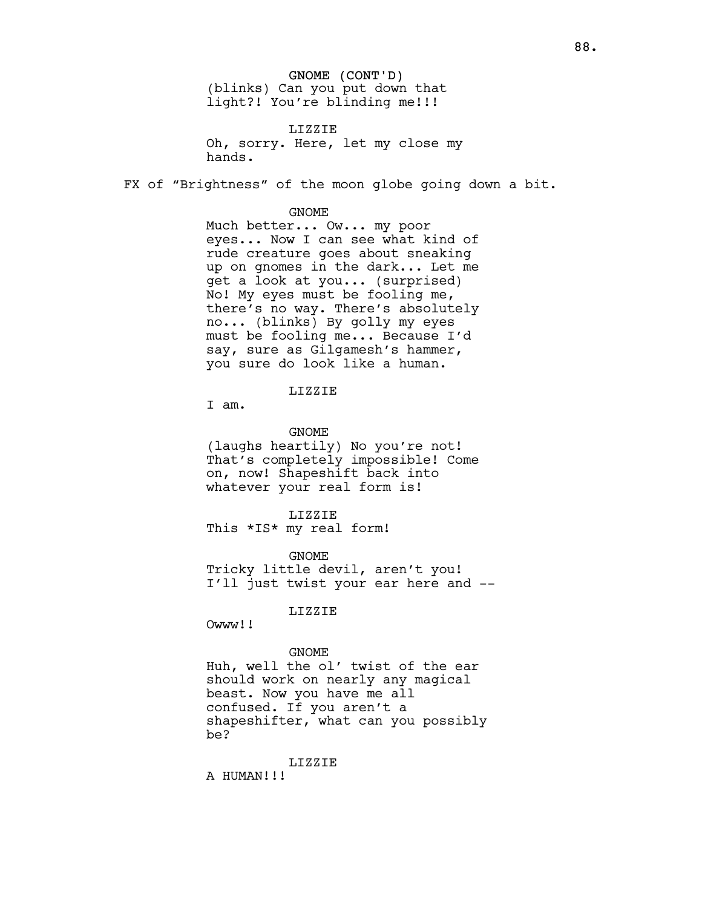# GNOME (CONT'D) (blinks) Can you put down that light?! You're blinding me!!!

LIZZIE Oh, sorry. Here, let my close my hands.

FX of "Brightness" of the moon globe going down a bit.

## GNOME

Much better... Ow... my poor eyes... Now I can see what kind of rude creature goes about sneaking up on gnomes in the dark... Let me get a look at you... (surprised) No! My eyes must be fooling me, there's no way. There's absolutely no... (blinks) By golly my eyes must be fooling me... Because I'd say, sure as Gilgamesh's hammer, you sure do look like a human.

LIZZIE

I am.

GNOME

(laughs heartily) No you're not! That's completely impossible! Come on, now! Shapeshift back into whatever your real form is!

LIZZIE

This \*IS\* my real form!

GNOME Tricky little devil, aren't you! I'll just twist your ear here and --

LIZZIE

Owww!!

# GNOME

Huh, well the ol' twist of the ear should work on nearly any magical beast. Now you have me all confused. If you aren't a shapeshifter, what can you possibly be?

LIZZIE

A HUMAN!!!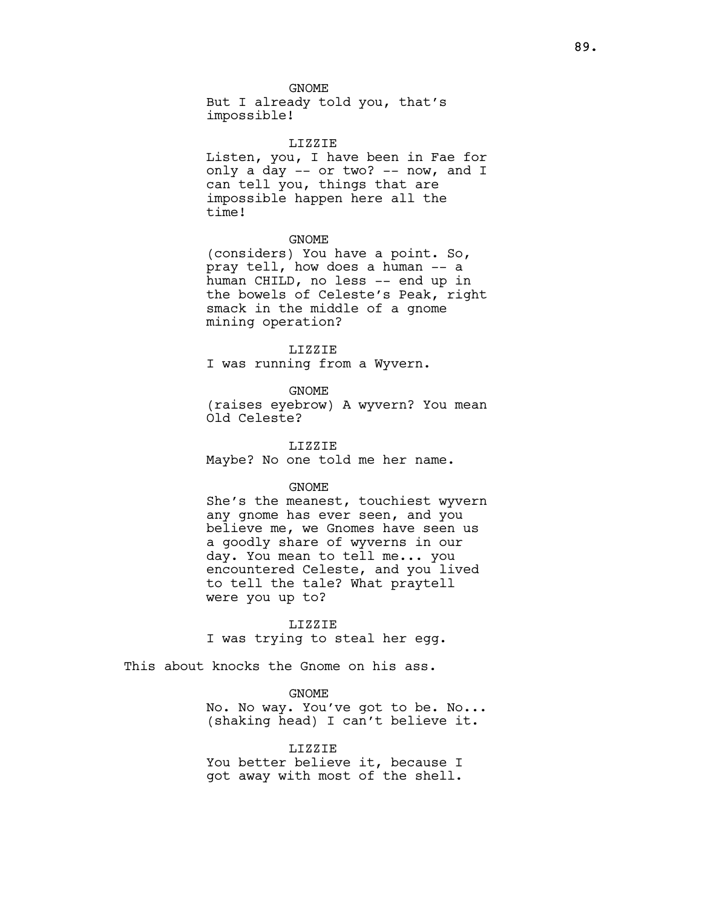But I already told you, that's impossible!

#### LIZZIE

Listen, you, I have been in Fae for only a day -- or two? -- now, and I can tell you, things that are impossible happen here all the time!

# GNOME

(considers) You have a point. So, pray tell, how does a human -- a human CHILD, no less -- end up in the bowels of Celeste's Peak, right smack in the middle of a gnome mining operation?

# LIZZIE

I was running from a Wyvern.

# GNOME

(raises eyebrow) A wyvern? You mean Old Celeste?

LIZZIE Maybe? No one told me her name.

#### GNOME

She's the meanest, touchiest wyvern any gnome has ever seen, and you believe me, we Gnomes have seen us a goodly share of wyverns in our day. You mean to tell me... you encountered Celeste, and you lived to tell the tale? What praytell were you up to?

## LIZZIE

I was trying to steal her egg.

This about knocks the Gnome on his ass.

# GNOME

No. No way. You've got to be. No... (shaking head) I can't believe it.

# LIZZIE

You better believe it, because I got away with most of the shell.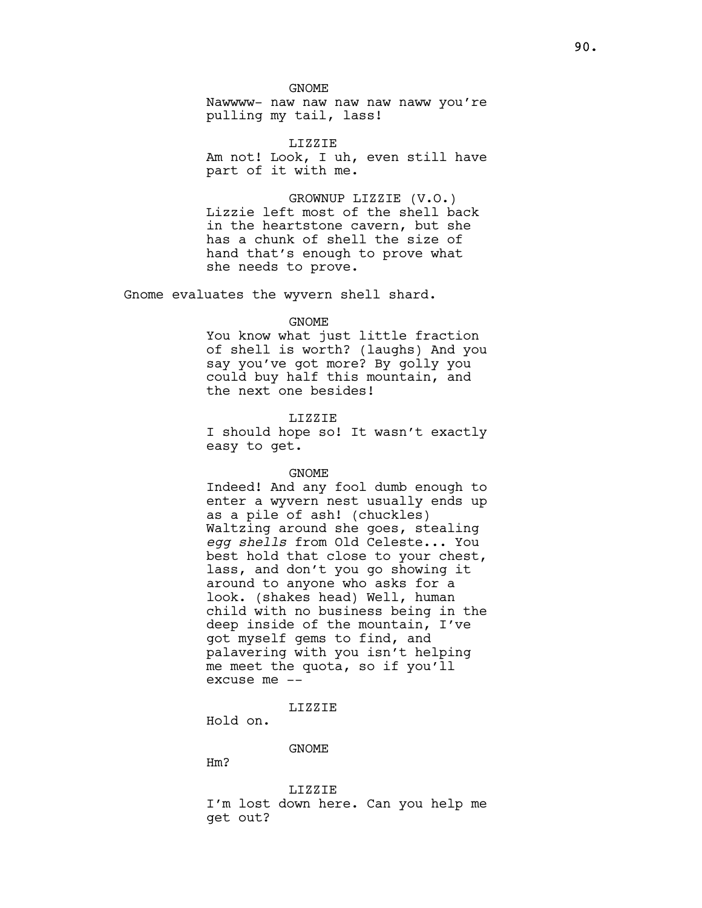Nawwww- naw naw naw naw naww you're pulling my tail, lass!

LIZZIE Am not! Look, I uh, even still have part of it with me.

GROWNUP LIZZIE (V.O.) Lizzie left most of the shell back in the heartstone cavern, but she has a chunk of shell the size of hand that's enough to prove what she needs to prove.

Gnome evaluates the wyvern shell shard.

#### GNOME

You know what just little fraction of shell is worth? (laughs) And you say you've got more? By golly you could buy half this mountain, and the next one besides!

## LIZZIE

I should hope so! It wasn't exactly easy to get.

#### GNOME

Indeed! And any fool dumb enough to enter a wyvern nest usually ends up as a pile of ash! (chuckles) Waltzing around she goes, stealing egg shells from Old Celeste... You best hold that close to your chest, lass, and don't you go showing it around to anyone who asks for a look. (shakes head) Well, human child with no business being in the deep inside of the mountain, I've got myself gems to find, and palavering with you isn't helping me meet the quota, so if you'll excuse me --

LIZZIE

Hold on.

# GNOME

Hm?

LIZZIE I'm lost down here. Can you help me get out?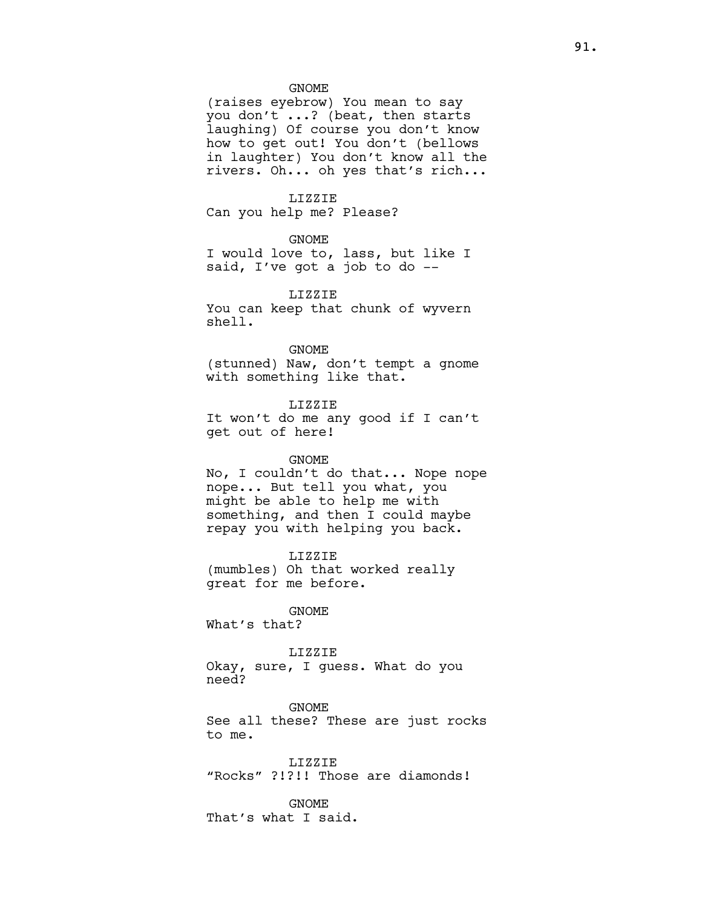(raises eyebrow) You mean to say you don't ...? (beat, then starts laughing) Of course you don't know how to get out! You don't (bellows in laughter) You don't know all the rivers. Oh... oh yes that's rich...

#### LIZZIE

Can you help me? Please?

# GNOME

I would love to, lass, but like I said, I've got a job to do --

# LIZZIE

You can keep that chunk of wyvern shell.

## GNOME

(stunned) Naw, don't tempt a gnome with something like that.

#### LIZZIE

It won't do me any good if I can't get out of here!

#### GNOME

No, I couldn't do that... Nope nope nope... But tell you what, you might be able to help me with something, and then I could maybe repay you with helping you back.

## LIZZIE

(mumbles) Oh that worked really great for me before.

# GNOME

What's that?

## LIZZIE

Okay, sure, I guess. What do you need?

GNOME See all these? These are just rocks to me.

LIZZIE "Rocks" ?!?!! Those are diamonds!

#### GNOME

That's what I said.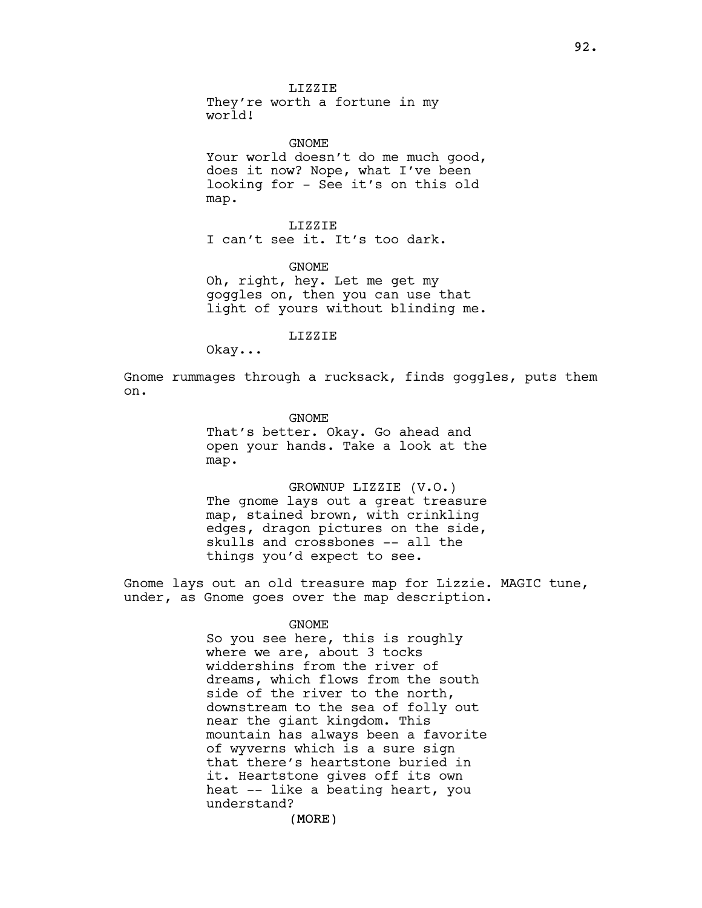They're worth a fortune in my world!

GNOME Your world doesn't do me much good, does it now? Nope, what I've been looking for - See it's on this old map.

LIZZIE I can't see it. It's too dark.

GNOME

Oh, right, hey. Let me get my goggles on, then you can use that light of yours without blinding me.

LIZZIE

Okay...

Gnome rummages through a rucksack, finds goggles, puts them on.

GNOME

That's better. Okay. Go ahead and open your hands. Take a look at the map.

GROWNUP LIZZIE (V.O.) The gnome lays out a great treasure map, stained brown, with crinkling edges, dragon pictures on the side, skulls and crossbones -- all the things you'd expect to see.

Gnome lays out an old treasure map for Lizzie. MAGIC tune, under, as Gnome goes over the map description.

#### GNOME

So you see here, this is roughly where we are, about 3 tocks widdershins from the river of dreams, which flows from the south side of the river to the north, downstream to the sea of folly out near the giant kingdom. This mountain has always been a favorite of wyverns which is a sure sign that there's heartstone buried in it. Heartstone gives off its own heat -- like a beating heart, you understand?

(MORE)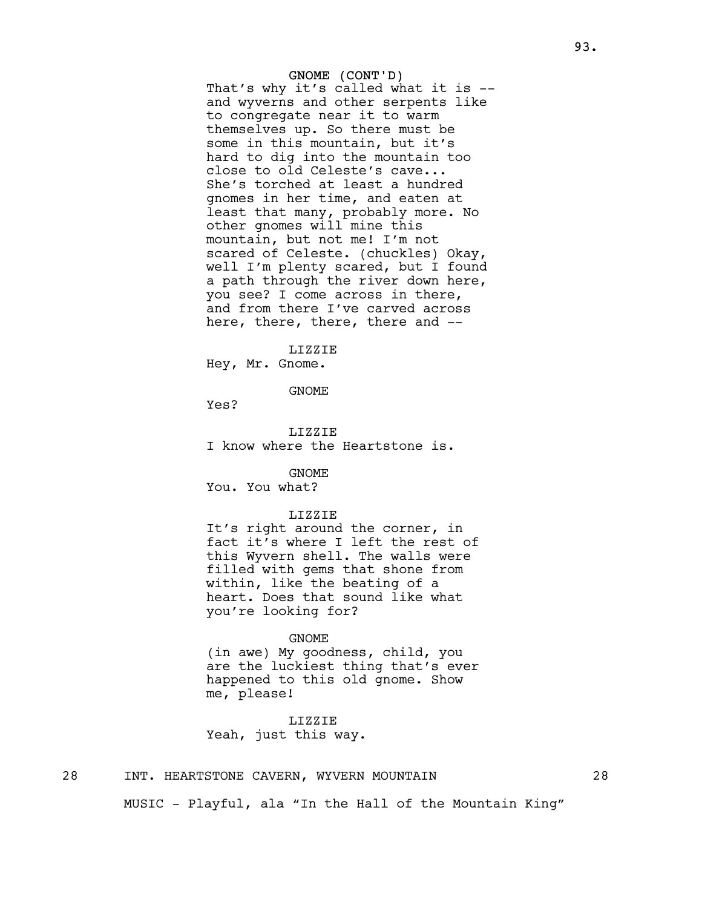# GNOME (CONT'D)

That's why it's called what it is - and wyverns and other serpents like to congregate near it to warm themselves up. So there must be some in this mountain, but it's hard to dig into the mountain too close to old Celeste's cave... She's torched at least a hundred gnomes in her time, and eaten at least that many, probably more. No other gnomes will mine this mountain, but not me! I'm not scared of Celeste. (chuckles) Okay, well I'm plenty scared, but I found a path through the river down here, you see? I come across in there, and from there I've carved across here, there, there, there and --

LIZZIE

Hey, Mr. Gnome.

GNOME

Yes?

LIZZIE I know where the Heartstone is.

GNOME

You. You what?

## LIZZIE

It's right around the corner, in fact it's where I left the rest of this Wyvern shell. The walls were filled with gems that shone from within, like the beating of a heart. Does that sound like what you're looking for?

#### GNOME

(in awe) My goodness, child, you are the luckiest thing that's ever happened to this old gnome. Show me, please!

LIZZIE Yeah, just this way.

# 28 INT. HEARTSTONE CAVERN, WYVERN MOUNTAIN 28

MUSIC - Playful, ala "In the Hall of the Mountain King"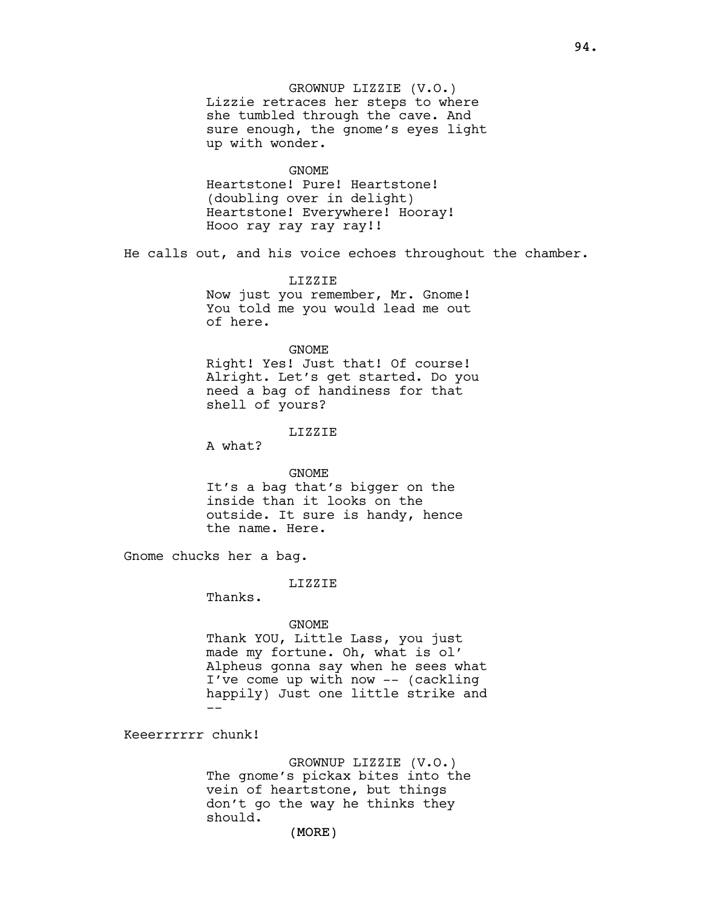GROWNUP LIZZIE (V.O.) Lizzie retraces her steps to where she tumbled through the cave. And sure enough, the gnome's eyes light up with wonder. GNOME Heartstone! Pure! Heartstone! (doubling over in delight) Heartstone! Everywhere! Hooray! Hooo ray ray ray ray!! He calls out, and his voice echoes throughout the chamber. LIZZIE Now just you remember, Mr. Gnome! You told me you would lead me out of here. GNOME Right! Yes! Just that! Of course! Alright. Let's get started. Do you need a bag of handiness for that shell of yours? LIZZIE A what? GNOME It's a bag that's bigger on the inside than it looks on the outside. It sure is handy, hence the name. Here. Gnome chucks her a bag. LIZZIE Thanks. GNOME Thank YOU, Little Lass, you just made my fortune. Oh, what is ol' Alpheus gonna say when he sees what I've come up with now -- (cackling happily) Just one little strike and

Keeerrrrrr chunk!

--

GROWNUP LIZZIE (V.O.) The gnome's pickax bites into the vein of heartstone, but things don't go the way he thinks they should.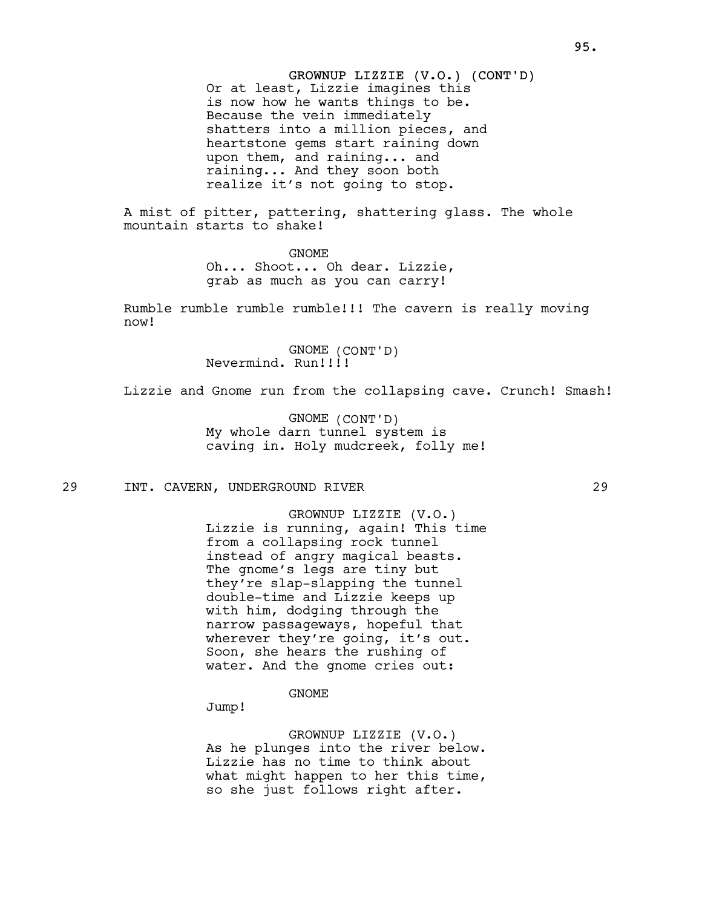GROWNUP LIZZIE (V.O.) (CONT'D) Or at least, Lizzie imagines this is now how he wants things to be. Because the vein immediately shatters into a million pieces, and heartstone gems start raining down upon them, and raining... and raining... And they soon both realize it's not going to stop.

A mist of pitter, pattering, shattering glass. The whole mountain starts to shake!

> GNOME Oh... Shoot... Oh dear. Lizzie, grab as much as you can carry!

Rumble rumble rumble rumble!!! The cavern is really moving now!

> GNOME (CONT'D) Nevermind. Run!!!!

Lizzie and Gnome run from the collapsing cave. Crunch! Smash!

GNOME (CONT'D) My whole darn tunnel system is caving in. Holy mudcreek, folly me!

29 INT. CAVERN, UNDERGROUND RIVER 29

GROWNUP LIZZIE (V.O.) Lizzie is running, again! This time from a collapsing rock tunnel instead of angry magical beasts. The gnome's legs are tiny but they're slap-slapping the tunnel double-time and Lizzie keeps up with him, dodging through the narrow passageways, hopeful that wherever they're going, it's out. Soon, she hears the rushing of water. And the gnome cries out:

GNOME

Jump!

GROWNUP LIZZIE (V.O.) As he plunges into the river below. Lizzie has no time to think about what might happen to her this time, so she just follows right after.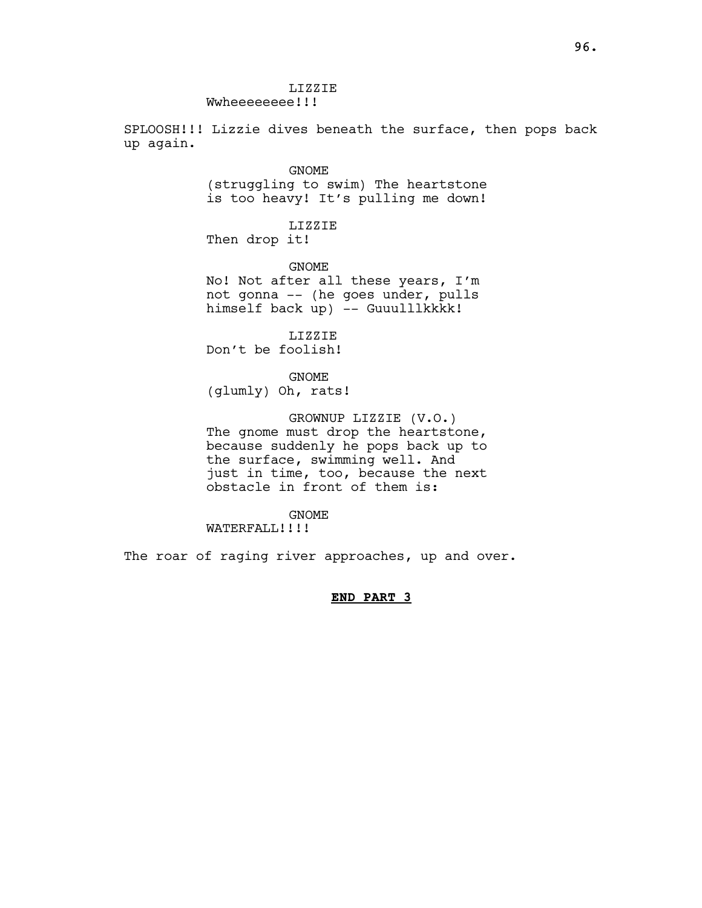LIZZIE Wwheeeeeee!!!

SPLOOSH!!! Lizzie dives beneath the surface, then pops back up again.

GNOME

(struggling to swim) The heartstone is too heavy! It's pulling me down!

LIZZIE Then drop it!

GNOME

No! Not after all these years, I'm not gonna -- (he goes under, pulls himself back up) -- Guuulllkkkk!

LIZZIE

Don't be foolish!

GNOME

(glumly) Oh, rats!

GROWNUP LIZZIE (V.O.) The gnome must drop the heartstone, because suddenly he pops back up to the surface, swimming well. And just in time, too, because the next obstacle in front of them is:

GNOME

WATERFALL!!!!

The roar of raging river approaches, up and over.

END PART 3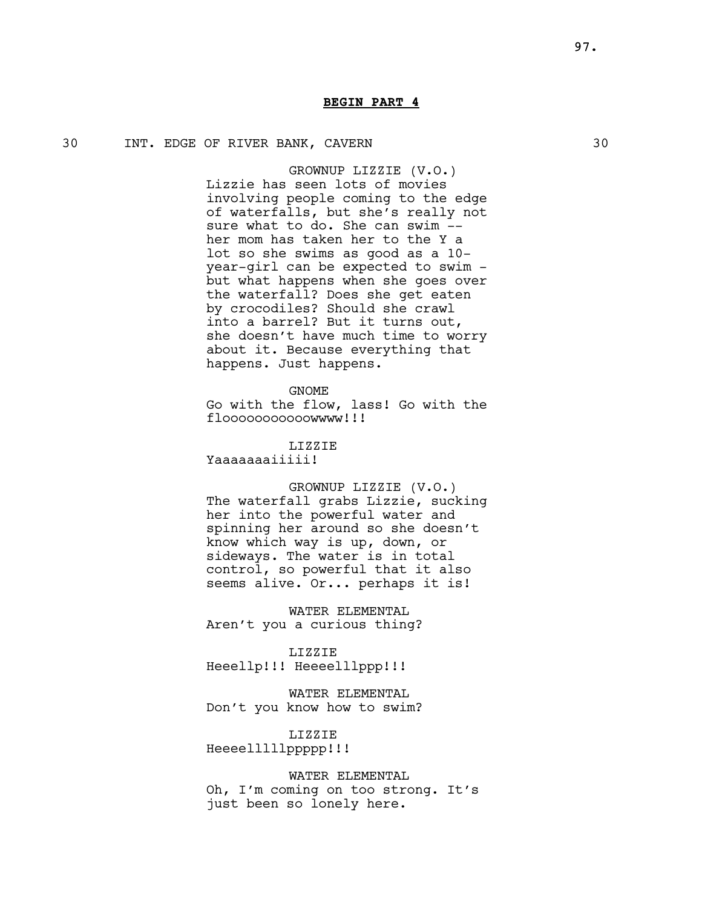# BEGIN PART 4

# 30 INT. EDGE OF RIVER BANK, CAVERN 30

GROWNUP LIZZIE (V.O.) Lizzie has seen lots of movies involving people coming to the edge of waterfalls, but she's really not sure what to do. She can swim - her mom has taken her to the Y a lot so she swims as good as a 10 year-girl can be expected to swim but what happens when she goes over the waterfall? Does she get eaten by crocodiles? Should she crawl into a barrel? But it turns out, she doesn't have much time to worry about it. Because everything that happens. Just happens.

GNOME

Go with the flow, lass! Go with the flooooooooooowwww!!!

LIZZIE

Yaaaaaaaiiiii!

# GROWNUP LIZZIE (V.O.)

The waterfall grabs Lizzie, sucking her into the powerful water and spinning her around so she doesn't know which way is up, down, or sideways. The water is in total control, so powerful that it also seems alive. Or... perhaps it is!

WATER ELEMENTAL Aren't you a curious thing?

LIZZIE Heeellp!!! Heeeelllppp!!!

WATER ELEMENTAL Don't you know how to swim?

LIZZIE Heeeelllllppppp!!!

WATER ELEMENTAL Oh, I'm coming on too strong. It's just been so lonely here.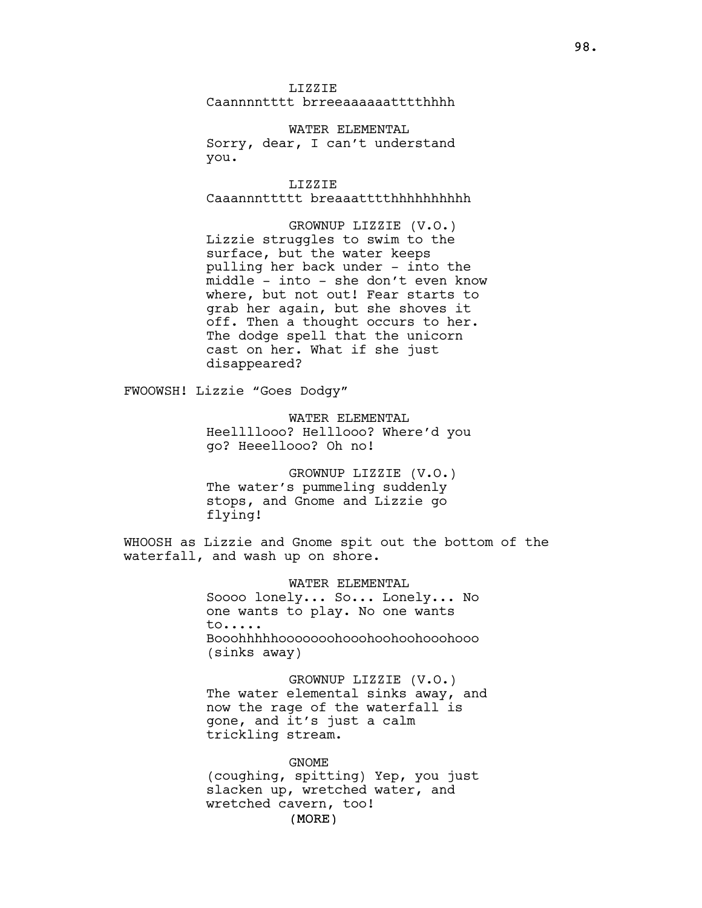LIZZIE Caannnntttt brreeaaaaaatttthhhh

WATER ELEMENTAL Sorry, dear, I can't understand you.

LIZZIE Caaannnttttt breaaatttthhhhhhhhhh

GROWNUP LIZZIE (V.O.) Lizzie struggles to swim to the surface, but the water keeps pulling her back under - into the middle - into - she don't even know where, but not out! Fear starts to grab her again, but she shoves it off. Then a thought occurs to her. The dodge spell that the unicorn cast on her. What if she just disappeared?

FWOOWSH! Lizzie "Goes Dodgy"

WATER ELEMENTAL Heellllooo? Helllooo? Where'd you go? Heeellooo? Oh no!

GROWNUP LIZZIE (V.O.) The water's pummeling suddenly stops, and Gnome and Lizzie go flying!

WHOOSH as Lizzie and Gnome spit out the bottom of the waterfall, and wash up on shore.

> WATER ELEMENTAL Soooo lonely... So... Lonely... No one wants to play. No one wants to..... Booohhhhhooooooohooohoohoohooohooo (sinks away)

GROWNUP LIZZIE (V.O.) The water elemental sinks away, and now the rage of the waterfall is gone, and it's just a calm trickling stream.

(MORE) GNOME (coughing, spitting) Yep, you just slacken up, wretched water, and wretched cavern, too!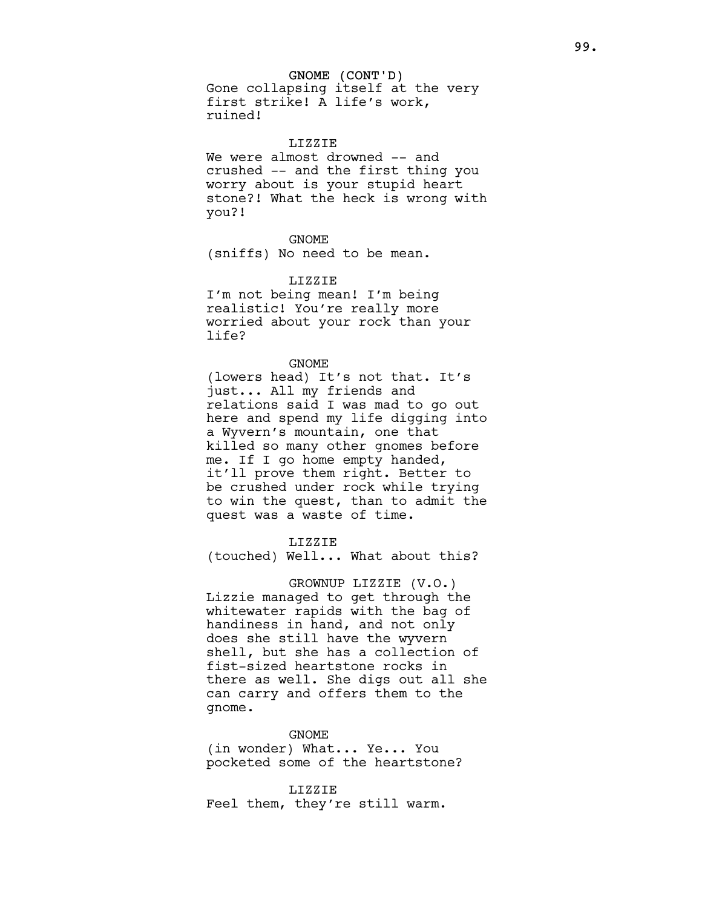## GNOME (CONT'D)

Gone collapsing itself at the very first strike! A life's work, ruined!

## LIZZIE

We were almost drowned -- and crushed -- and the first thing you worry about is your stupid heart stone?! What the heck is wrong with you?!

# GNOME

(sniffs) No need to be mean.

## LIZZIE

I'm not being mean! I'm being realistic! You're really more worried about your rock than your life?

#### GNOME

(lowers head) It's not that. It's just... All my friends and relations said I was mad to go out here and spend my life digging into a Wyvern's mountain, one that killed so many other gnomes before me. If I go home empty handed, it'll prove them right. Better to be crushed under rock while trying to win the quest, than to admit the quest was a waste of time.

# LIZZIE

(touched) Well... What about this?

# GROWNUP LIZZIE (V.O.)

Lizzie managed to get through the whitewater rapids with the bag of handiness in hand, and not only does she still have the wyvern shell, but she has a collection of fist-sized heartstone rocks in there as well. She digs out all she can carry and offers them to the gnome.

#### GNOME

(in wonder) What... Ye... You pocketed some of the heartstone?

# LIZZIE Feel them, they're still warm.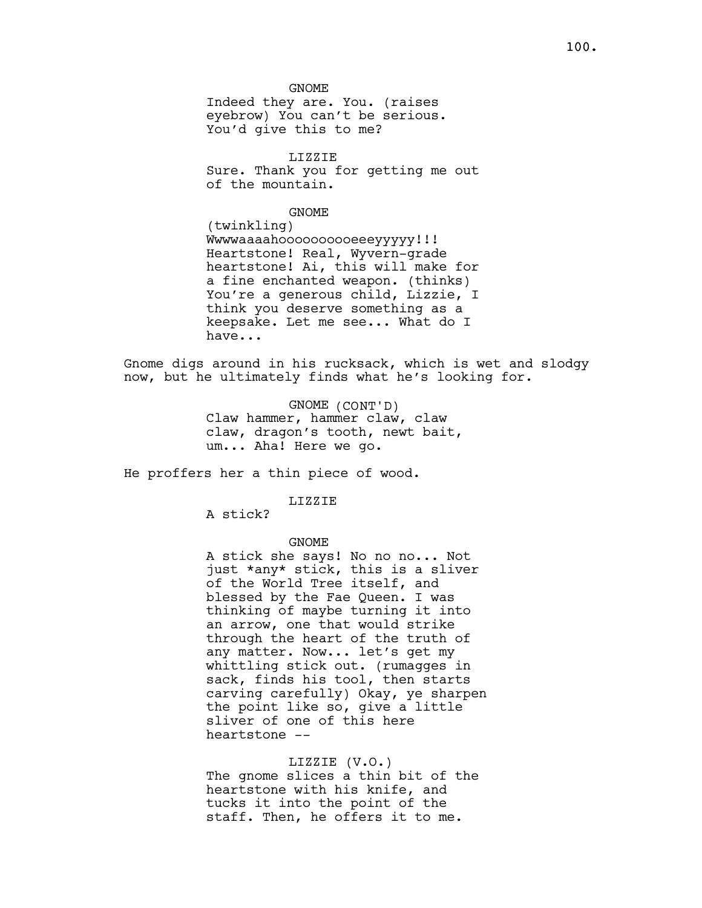Indeed they are. You. (raises eyebrow) You can't be serious. You'd give this to me?

LIZZIE Sure. Thank you for getting me out of the mountain.

#### GNOME

(twinkling) Wwwwaaaahoooooooooeeeyyyyy!!! Heartstone! Real, Wyvern-grade heartstone! Ai, this will make for a fine enchanted weapon. (thinks) You're a generous child, Lizzie, I think you deserve something as a keepsake. Let me see... What do I have...

Gnome digs around in his rucksack, which is wet and slodgy now, but he ultimately finds what he's looking for.

> GNOME (CONT'D) Claw hammer, hammer claw, claw claw, dragon's tooth, newt bait, um... Aha! Here we go.

He proffers her a thin piece of wood.

## LIZZIE

A stick?

# GNOME

A stick she says! No no no... Not just \*any\* stick, this is a sliver of the World Tree itself, and blessed by the Fae Queen. I was thinking of maybe turning it into an arrow, one that would strike through the heart of the truth of any matter. Now... let's get my whittling stick out. (rumagges in sack, finds his tool, then starts carving carefully) Okay, ye sharpen the point like so, give a little sliver of one of this here heartstone --

## LIZZIE (V.O.)

The gnome slices a thin bit of the heartstone with his knife, and tucks it into the point of the staff. Then, he offers it to me.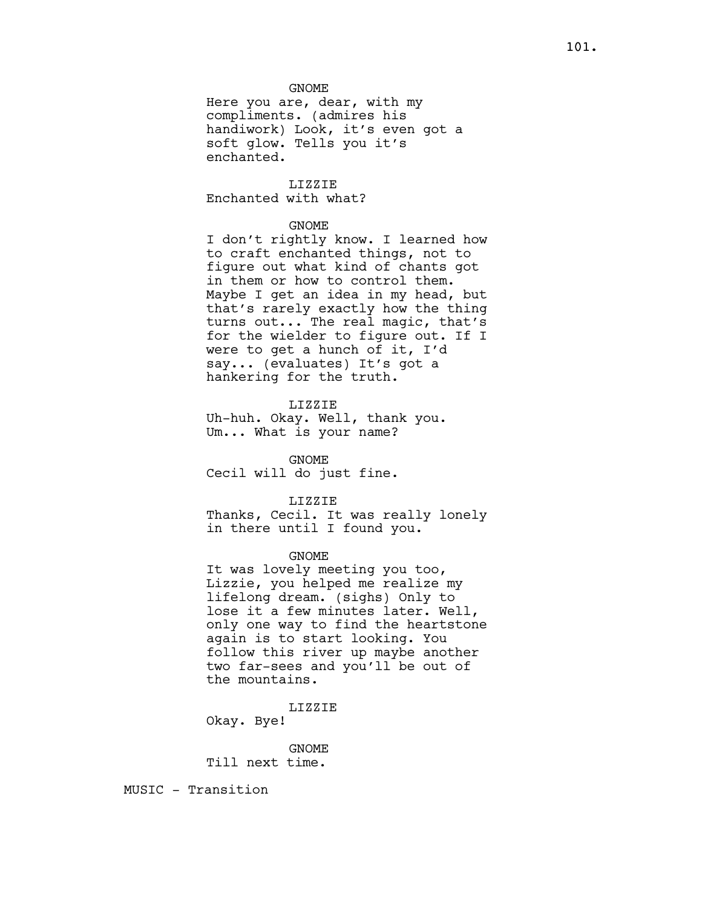Here you are, dear, with my compliments. (admires his handiwork) Look, it's even got a soft glow. Tells you it's enchanted.

LIZZIE Enchanted with what?

## GNOME

I don't rightly know. I learned how to craft enchanted things, not to figure out what kind of chants got in them or how to control them. Maybe I get an idea in my head, but that's rarely exactly how the thing turns out... The real magic, that's for the wielder to figure out. If I were to get a hunch of it, I'd say... (evaluates) It's got a hankering for the truth.

## LIZZIE

Uh-huh. Okay. Well, thank you. Um... What is your name?

GNOME Cecil will do just fine.

# LIZZIE

Thanks, Cecil. It was really lonely in there until I found you.

#### GNOME

It was lovely meeting you too, Lizzie, you helped me realize my lifelong dream. (sighs) Only to lose it a few minutes later. Well, only one way to find the heartstone again is to start looking. You follow this river up maybe another two far-sees and you'll be out of the mountains.

LIZZIE

Okay. Bye!

GNOME Till next time.

MUSIC - Transition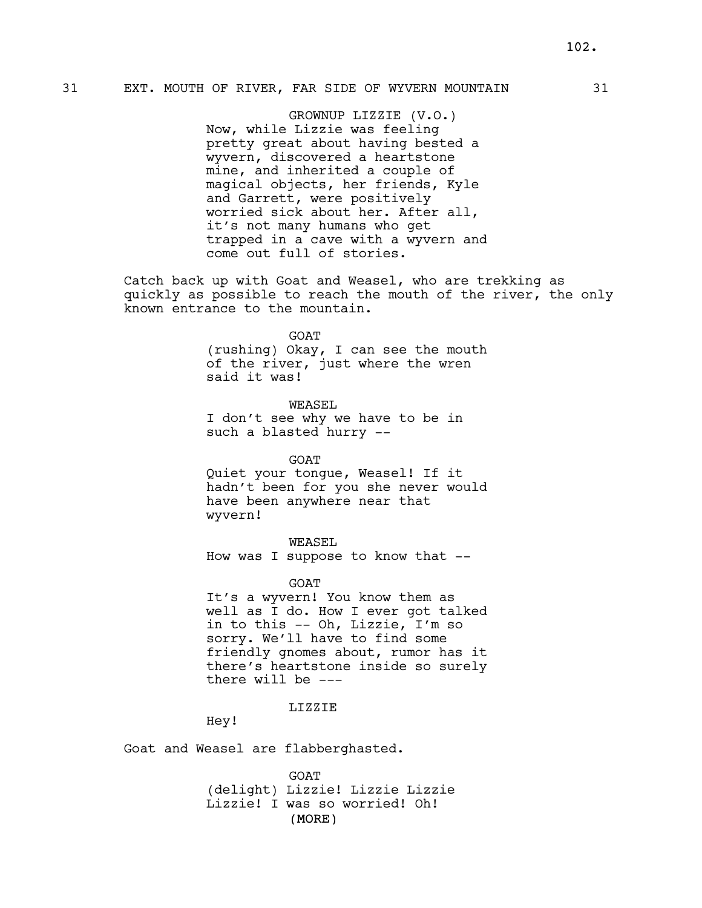# 31 EXT. MOUTH OF RIVER, FAR SIDE OF WYVERN MOUNTAIN 31

GROWNUP LIZZIE (V.O.) Now, while Lizzie was feeling pretty great about having bested a wyvern, discovered a heartstone mine, and inherited a couple of magical objects, her friends, Kyle and Garrett, were positively worried sick about her. After all, it's not many humans who get trapped in a cave with a wyvern and come out full of stories.

Catch back up with Goat and Weasel, who are trekking as quickly as possible to reach the mouth of the river, the only known entrance to the mountain.

#### GOAT

(rushing) Okay, I can see the mouth of the river, just where the wren said it was!

WEASEL I don't see why we have to be in such a blasted hurry --

GOAT

Quiet your tongue, Weasel! If it hadn't been for you she never would have been anywhere near that wyvern!

WEASEL

How was I suppose to know that --

GOAT

It's a wyvern! You know them as well as I do. How I ever got talked in to this -- Oh, Lizzie, I'm so sorry. We'll have to find some friendly gnomes about, rumor has it there's heartstone inside so surely there will be ---

## LIZZIE

Hey!

Goat and Weasel are flabberghasted.

(MORE) GOAT (delight) Lizzie! Lizzie Lizzie Lizzie! I was so worried! Oh!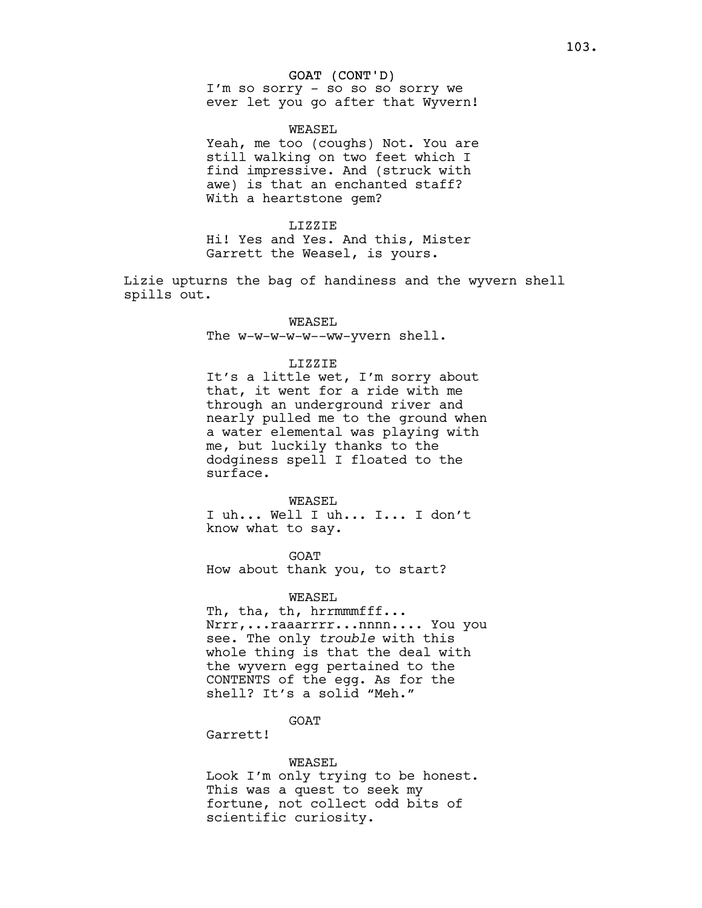# GOAT (CONT'D)

I'm so sorry - so so so sorry we ever let you go after that Wyvern!

## WEASEL

Yeah, me too (coughs) Not. You are still walking on two feet which I find impressive. And (struck with awe) is that an enchanted staff? With a heartstone gem?

#### LIZZIE

Hi! Yes and Yes. And this, Mister Garrett the Weasel, is yours.

Lizie upturns the bag of handiness and the wyvern shell spills out.

# WEASEL

The w-w-w-w-w--ww-yvern shell.

## LIZZIE

It's a little wet, I'm sorry about that, it went for a ride with me through an underground river and nearly pulled me to the ground when a water elemental was playing with me, but luckily thanks to the dodginess spell I floated to the surface.

#### WEASEL

I uh... Well I uh... I... I don't know what to say.

GOAT How about thank you, to start?

## WEASEL

Th, tha, th, hrrmmmfff... Nrrr,...raaarrrr...nnnn.... You you see. The only trouble with this whole thing is that the deal with the wyvern egg pertained to the CONTENTS of the egg. As for the shell? It's a solid "Meh."

# GOAT

Garrett!

## WEASEL

Look I'm only trying to be honest. This was a quest to seek my fortune, not collect odd bits of scientific curiosity.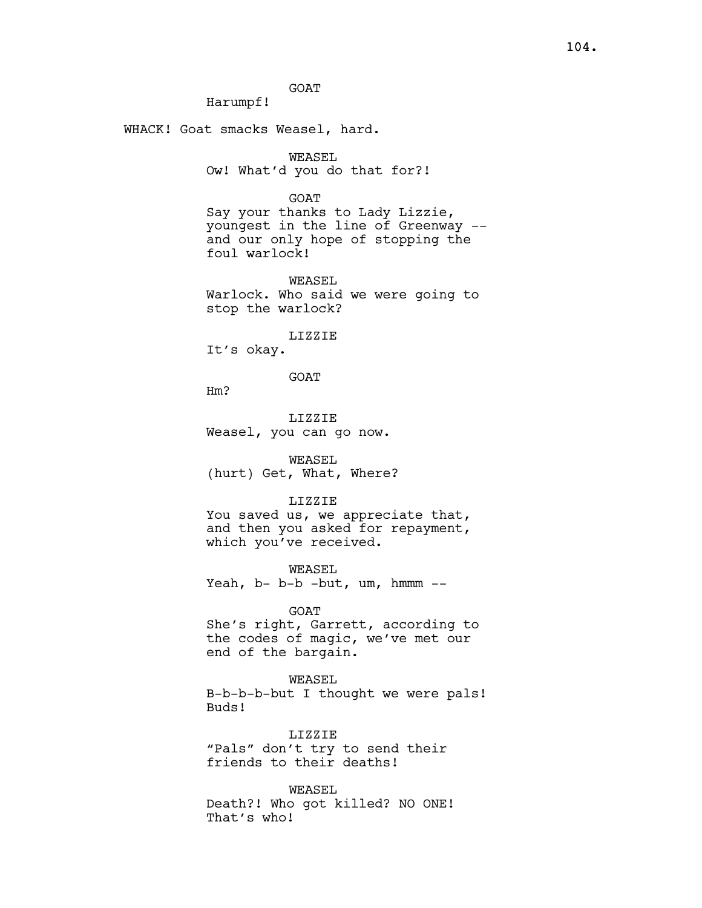GOAT

Harumpf!

WHACK! Goat smacks Weasel, hard.

WEASEL Ow! What'd you do that for?!

**GOAT** 

Say your thanks to Lady Lizzie, youngest in the line of Greenway - and our only hope of stopping the foul warlock!

WEASEL

Warlock. Who said we were going to stop the warlock?

LIZZIE

It's okay.

GOAT

Hm?

LIZZIE Weasel, you can go now.

WEASEL (hurt) Get, What, Where?

LIZZIE

You saved us, we appreciate that, and then you asked for repayment, which you've received.

WEASEL Yeah, b- b-b -but, um, hmmm --

GOAT

She's right, Garrett, according to the codes of magic, we've met our end of the bargain.

WEASEL B-b-b-b-but I thought we were pals! Buds!

LIZZIE "Pals" don't try to send their friends to their deaths!

WEASEL Death?! Who got killed? NO ONE! That's who!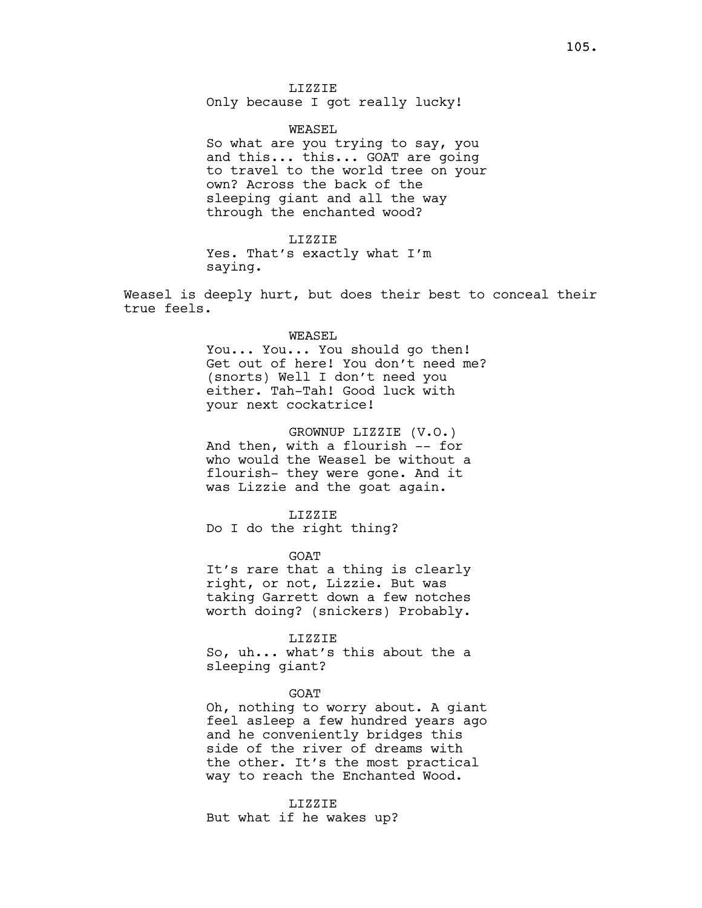LIZZIE Only because I got really lucky!

# WEASEL

So what are you trying to say, you and this... this... GOAT are going to travel to the world tree on your own? Across the back of the sleeping giant and all the way through the enchanted wood?

## LIZZIE

Yes. That's exactly what I'm saying.

Weasel is deeply hurt, but does their best to conceal their true feels.

#### WEASEL

You... You... You should go then! Get out of here! You don't need me? (snorts) Well I don't need you either. Tah-Tah! Good luck with your next cockatrice!

GROWNUP LIZZIE (V.O.) And then, with a flourish -- for who would the Weasel be without a flourish- they were gone. And it was Lizzie and the goat again.

LIZZIE

Do I do the right thing?

GOAT

It's rare that a thing is clearly right, or not, Lizzie. But was taking Garrett down a few notches worth doing? (snickers) Probably.

#### LIZZIE

So, uh... what's this about the a sleeping giant?

## GOAT

Oh, nothing to worry about. A giant feel asleep a few hundred years ago and he conveniently bridges this side of the river of dreams with the other. It's the most practical way to reach the Enchanted Wood.

# LIZZIE

But what if he wakes up?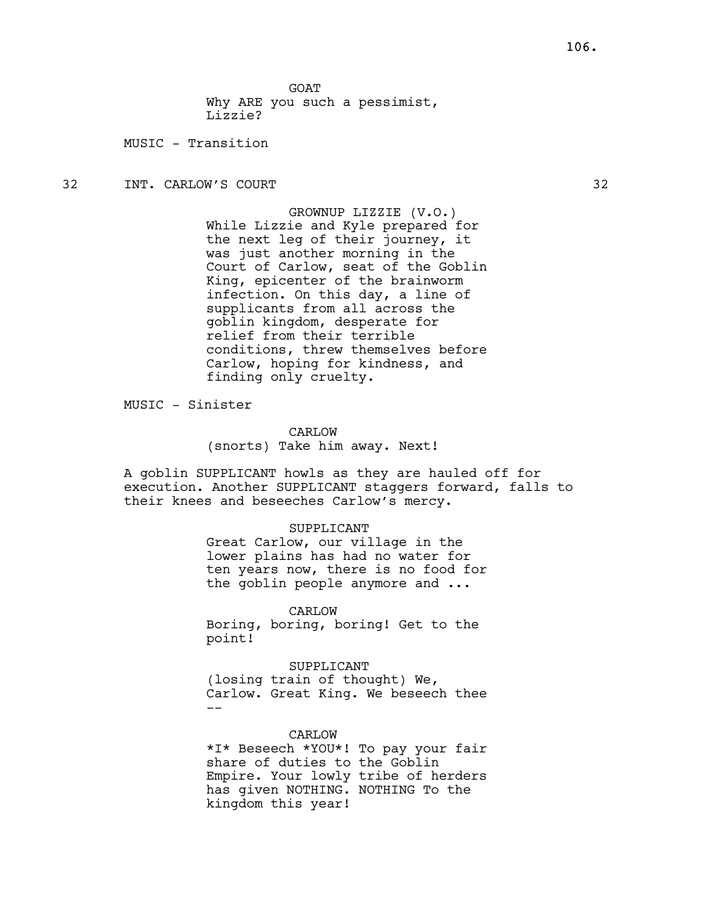**GOAT** 

Why ARE you such a pessimist, Lizzie?

MUSIC - Transition

32 INT. CARLOW'S COURT 32

GROWNUP LIZZIE (V.O.) While Lizzie and Kyle prepared for the next leg of their journey, it was just another morning in the Court of Carlow, seat of the Goblin King, epicenter of the brainworm infection. On this day, a line of supplicants from all across the goblin kingdom, desperate for relief from their terrible conditions, threw themselves before Carlow, hoping for kindness, and finding only cruelty.

MUSIC - Sinister

CARLOW (snorts) Take him away. Next!

A goblin SUPPLICANT howls as they are hauled off for execution. Another SUPPLICANT staggers forward, falls to their knees and beseeches Carlow's mercy.

## SUPPLICANT

Great Carlow, our village in the lower plains has had no water for ten years now, there is no food for the goblin people anymore and ...

CARLOW

Boring, boring, boring! Get to the point!

SUPPLICANT (losing train of thought) We, Carlow. Great King. We beseech thee --

#### CARLOW

\*I\* Beseech \*YOU\*! To pay your fair share of duties to the Goblin Empire. Your lowly tribe of herders has given NOTHING. NOTHING To the kingdom this year!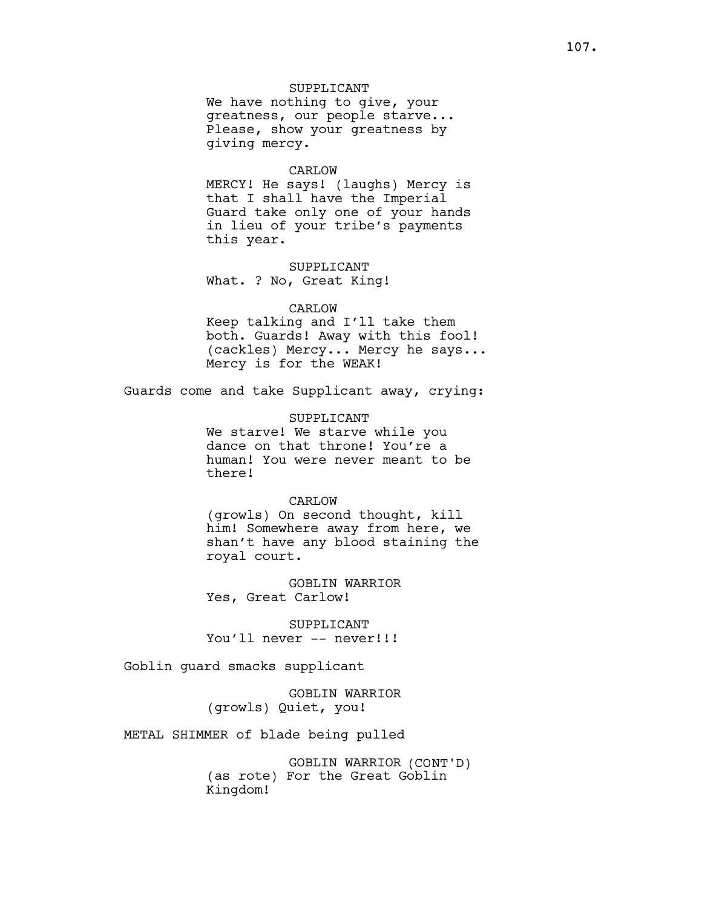# SUPPLICANT

We have nothing to give, your greatness, our people starve... Please, show your greatness by giving mercy.

#### CARLOW

MERCY! He says! (laughs) Mercy is that I shall have the Imperial Guard take only one of your hands in lieu of your tribe's payments this year.

#### SUPPLICANT

What. ? No, Great King!

## CARLOW

Keep talking and I'll take them both. Guards! Away with this fool! (cackles) Mercy... Mercy he says... Mercy is for the WEAK!

Guards come and take Supplicant away, crying:

## SUPPLICANT

We starve! We starve while you dance on that throne! You're a human! You were never meant to be there!

# CARLOW

(growls) On second thought, kill him! Somewhere away from here, we shan't have any blood staining the royal court.

GOBLIN WARRIOR Yes, Great Carlow!

SUPPLICANT You'll never -- never!!!

Goblin guard smacks supplicant

GOBLIN WARRIOR (growls) Quiet, you!

METAL SHIMMER of blade being pulled

GOBLIN WARRIOR (CONT'D) (as rote) For the Great Goblin Kingdom!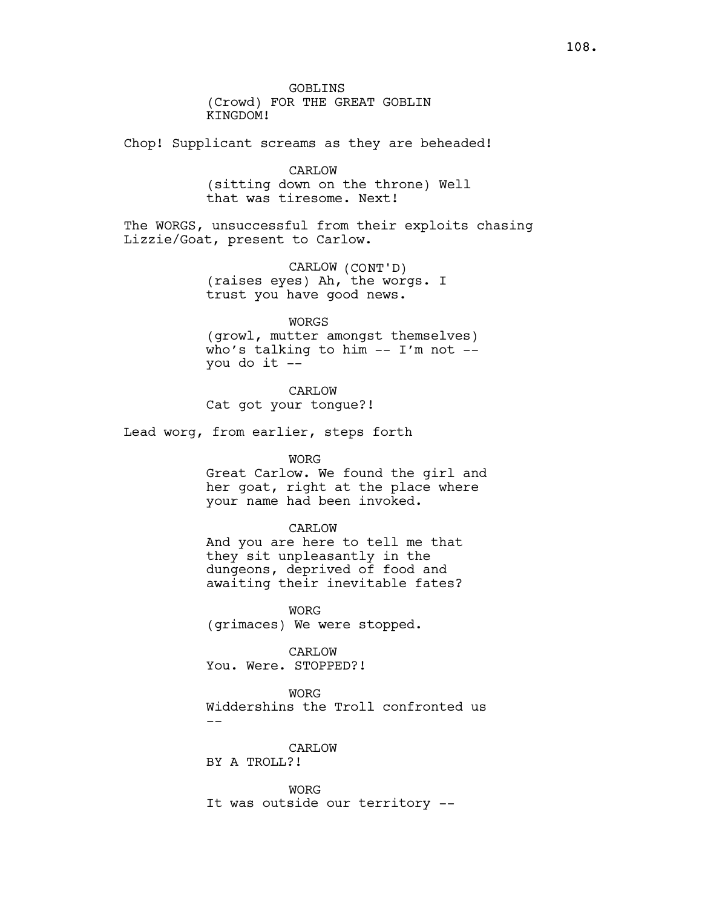GOBLINS (Crowd) FOR THE GREAT GOBLIN KINGDOM!

Chop! Supplicant screams as they are beheaded!

# CARLOW

(sitting down on the throne) Well that was tiresome. Next!

The WORGS, unsuccessful from their exploits chasing Lizzie/Goat, present to Carlow.

> CARLOW (CONT'D) (raises eyes) Ah, the worgs. I trust you have good news.

> > WORGS

(growl, mutter amongst themselves) who's talking to him -- I'm not - you do it --

# CARLOW

Cat got your tongue?!

Lead worg, from earlier, steps forth

# WORG

Great Carlow. We found the girl and her goat, right at the place where your name had been invoked.

#### CARLOW

And you are here to tell me that they sit unpleasantly in the dungeons, deprived of food and awaiting their inevitable fates?

WORG (grimaces) We were stopped.

## CARLOW

You. Were. STOPPED?!

WORG

Widdershins the Troll confronted us --

#### CARLOW

BY A TROLL?!

WORG It was outside our territory --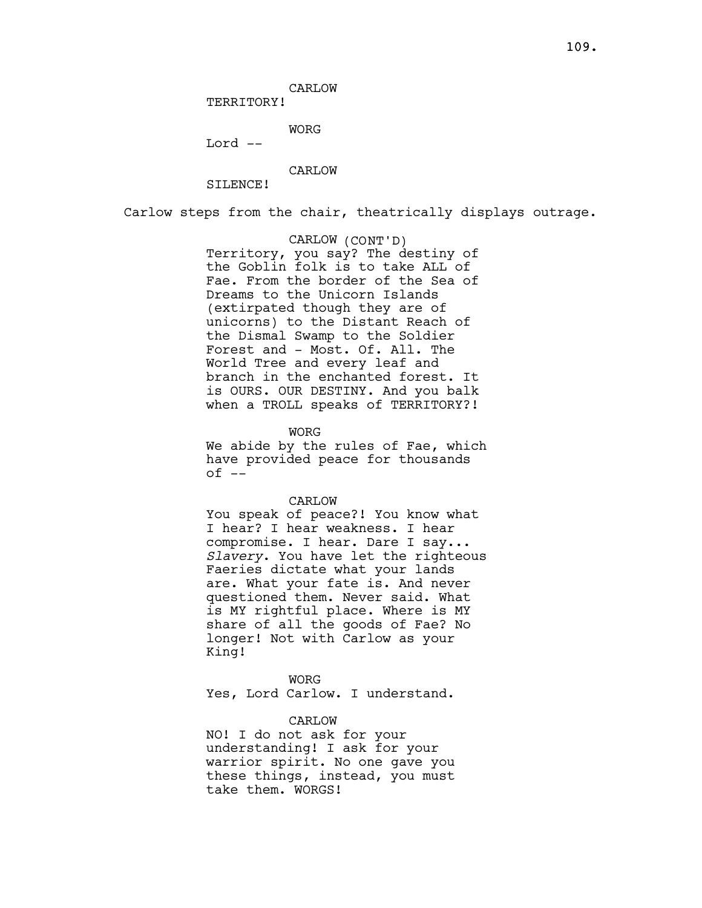CARLOW

TERRITORY!

WORG

Lord --

CARLOW

SILENCE!

Carlow steps from the chair, theatrically displays outrage.

CARLOW (CONT'D) Territory, you say? The destiny of the Goblin folk is to take ALL of Fae. From the border of the Sea of Dreams to the Unicorn Islands (extirpated though they are of unicorns) to the Distant Reach of the Dismal Swamp to the Soldier Forest and - Most. Of. All. The World Tree and every leaf and branch in the enchanted forest. It is OURS. OUR DESTINY. And you balk when a TROLL speaks of TERRITORY?!

WORG

We abide by the rules of Fae, which have provided peace for thousands  $of --$ 

#### CARLOW

You speak of peace?! You know what I hear? I hear weakness. I hear compromise. I hear. Dare I say... Slavery. You have let the righteous Faeries dictate what your lands are. What your fate is. And never questioned them. Never said. What is MY rightful place. Where is MY share of all the goods of Fae? No longer! Not with Carlow as your King!

WORG Yes, Lord Carlow. I understand.

#### CARLOW

NO! I do not ask for your understanding! I ask for your warrior spirit. No one gave you these things, instead, you must take them. WORGS!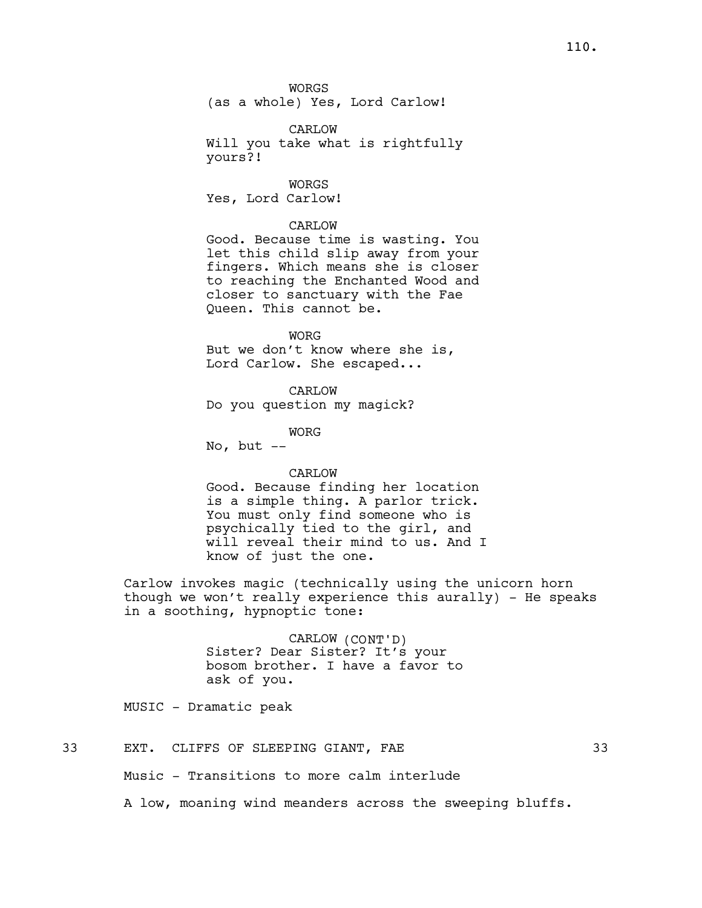WORGS

(as a whole) Yes, Lord Carlow!

CARLOW

Will you take what is rightfully yours?!

WORGS

Yes, Lord Carlow!

# CARLOW

Good. Because time is wasting. You let this child slip away from your fingers. Which means she is closer to reaching the Enchanted Wood and closer to sanctuary with the Fae Queen. This cannot be.

WORG

But we don't know where she is, Lord Carlow. She escaped...

CARLOW

Do you question my magick?

WORG

No, but  $--$ 

# CARLOW

Good. Because finding her location is a simple thing. A parlor trick. You must only find someone who is psychically tied to the girl, and will reveal their mind to us. And I know of just the one.

Carlow invokes magic (technically using the unicorn horn though we won't really experience this aurally) - He speaks in a soothing, hypnoptic tone:

> CARLOW (CONT'D) Sister? Dear Sister? It's your bosom brother. I have a favor to ask of you.

MUSIC - Dramatic peak

# 33 EXT. CLIFFS OF SLEEPING GIANT, FAE 33

Music - Transitions to more calm interlude

A low, moaning wind meanders across the sweeping bluffs.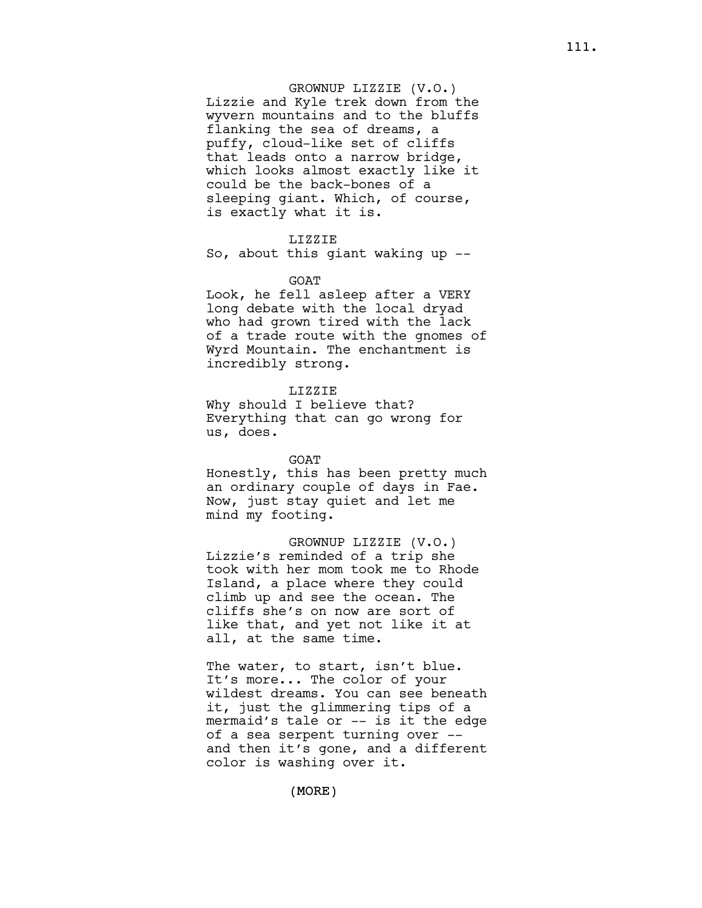## GROWNUP LIZZIE (V.O.)

Lizzie and Kyle trek down from the wyvern mountains and to the bluffs flanking the sea of dreams, a puffy, cloud-like set of cliffs that leads onto a narrow bridge, which looks almost exactly like it could be the back-bones of a sleeping giant. Which, of course, is exactly what it is.

# LIZZIE

So, about this giant waking up --

#### GOAT

Look, he fell asleep after a VERY long debate with the local dryad who had grown tired with the lack of a trade route with the gnomes of Wyrd Mountain. The enchantment is incredibly strong.

## LIZZIE

Why should I believe that? Everything that can go wrong for us, does.

#### GOAT

Honestly, this has been pretty much an ordinary couple of days in Fae. Now, just stay quiet and let me mind my footing.

GROWNUP LIZZIE (V.O.) Lizzie's reminded of a trip she took with her mom took me to Rhode Island, a place where they could climb up and see the ocean. The cliffs she's on now are sort of like that, and yet not like it at all, at the same time.

The water, to start, isn't blue. It's more... The color of your wildest dreams. You can see beneath it, just the glimmering tips of a mermaid's tale or -- is it the edge of a sea serpent turning over - and then it's gone, and a different color is washing over it.

(MORE)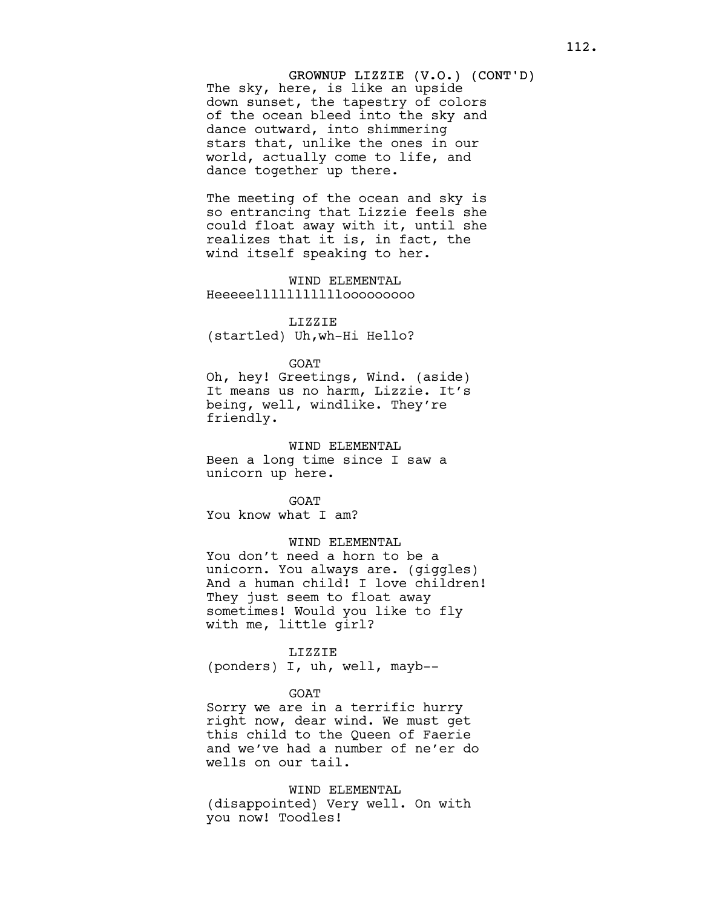# GROWNUP LIZZIE (V.O.) (CONT'D) The sky, here, is like an upside down sunset, the tapestry of colors of the ocean bleed into the sky and dance outward, into shimmering stars that, unlike the ones in our world, actually come to life, and dance together up there.

The meeting of the ocean and sky is so entrancing that Lizzie feels she could float away with it, until she realizes that it is, in fact, the wind itself speaking to her.

WIND ELEMENTAL Heeeeelllllllllllooooooooo

# LIZZIE (startled) Uh,wh-Hi Hello?

#### GOAT

Oh, hey! Greetings, Wind. (aside) It means us no harm, Lizzie. It's being, well, windlike. They're friendly.

#### WIND ELEMENTAL

Been a long time since I saw a unicorn up here.

GOAT

You know what I am?

# WIND ELEMENTAL

You don't need a horn to be a unicorn. You always are. (giggles) And a human child! I love children! They just seem to float away sometimes! Would you like to fly with me, little girl?

#### LIZZIE

(ponders) I, uh, well, mayb--

#### GOAT

Sorry we are in a terrific hurry right now, dear wind. We must get this child to the Queen of Faerie and we've had a number of ne'er do wells on our tail.

WIND ELEMENTAL (disappointed) Very well. On with you now! Toodles!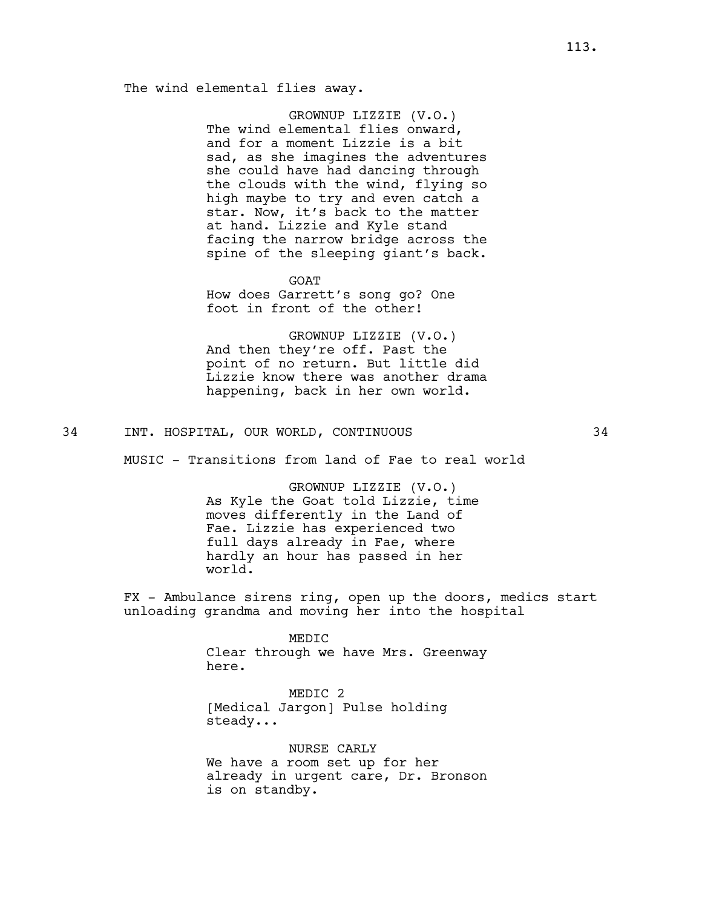# The wind elemental flies away.

GROWNUP LIZZIE (V.O.) The wind elemental flies onward, and for a moment Lizzie is a bit sad, as she imagines the adventures she could have had dancing through the clouds with the wind, flying so high maybe to try and even catch a star. Now, it's back to the matter at hand. Lizzie and Kyle stand facing the narrow bridge across the spine of the sleeping giant's back.

GOAT

How does Garrett's song go? One foot in front of the other!

GROWNUP LIZZIE (V.O.) And then they're off. Past the point of no return. But little did Lizzie know there was another drama happening, back in her own world.

# 34 INT. HOSPITAL, OUR WORLD, CONTINUOUS 34

MUSIC - Transitions from land of Fae to real world

GROWNUP LIZZIE (V.O.) As Kyle the Goat told Lizzie, time moves differently in the Land of Fae. Lizzie has experienced two full days already in Fae, where hardly an hour has passed in her world.

FX - Ambulance sirens ring, open up the doors, medics start unloading grandma and moving her into the hospital

> MEDIC Clear through we have Mrs. Greenway here.

MEDIC 2 [Medical Jargon] Pulse holding steady...

NURSE CARLY We have a room set up for her already in urgent care, Dr. Bronson is on standby.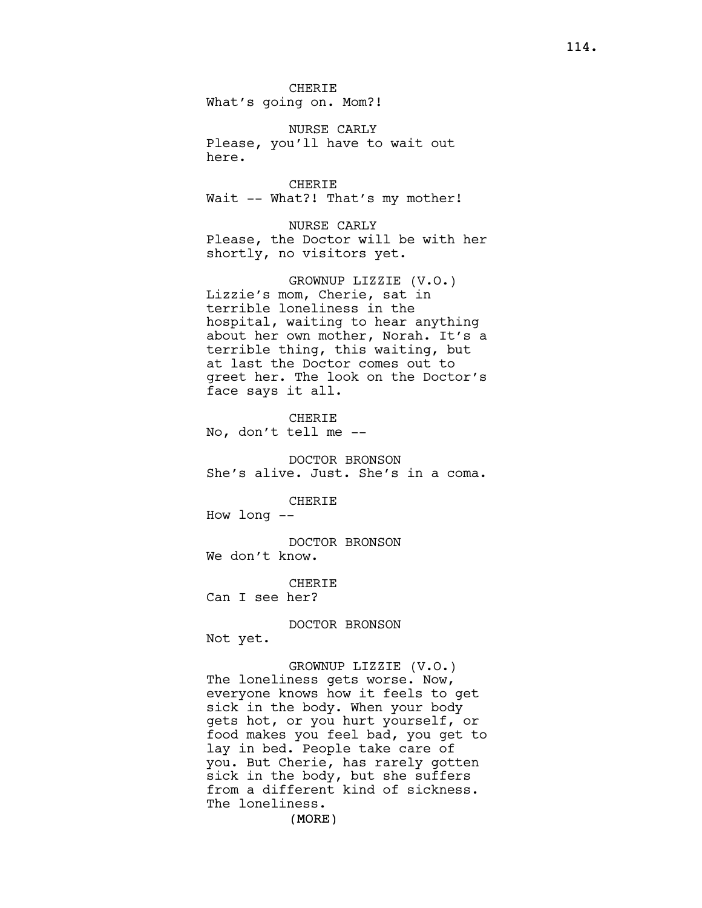CHERIE What's going on. Mom?!

NURSE CARLY Please, you'll have to wait out here.

CHERIE Wait -- What?! That's my mother!

NURSE CARLY Please, the Doctor will be with her shortly, no visitors yet.

GROWNUP LIZZIE (V.O.) Lizzie's mom, Cherie, sat in terrible loneliness in the hospital, waiting to hear anything about her own mother, Norah. It's a terrible thing, this waiting, but at last the Doctor comes out to greet her. The look on the Doctor's face says it all.

CHERIE No, don't tell me --

DOCTOR BRONSON She's alive. Just. She's in a coma.

CHERIE

How long --

DOCTOR BRONSON We don't know.

CHERIE Can I see her?

DOCTOR BRONSON Not yet.

GROWNUP LIZZIE (V.O.) The loneliness gets worse. Now, everyone knows how it feels to get sick in the body. When your body gets hot, or you hurt yourself, or food makes you feel bad, you get to lay in bed. People take care of you. But Cherie, has rarely gotten sick in the body, but she suffers from a different kind of sickness. The loneliness.

(MORE)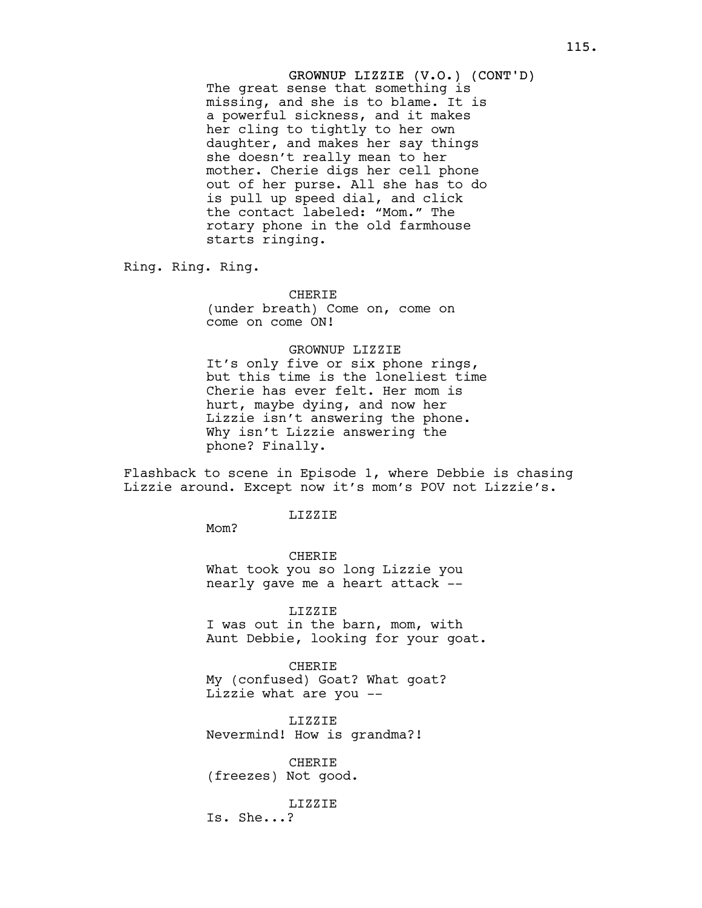GROWNUP LIZZIE (V.O.) (CONT'D) The great sense that something is missing, and she is to blame. It is a powerful sickness, and it makes her cling to tightly to her own daughter, and makes her say things she doesn't really mean to her mother. Cherie digs her cell phone out of her purse. All she has to do is pull up speed dial, and click the contact labeled: "Mom." The rotary phone in the old farmhouse starts ringing.

Ring. Ring. Ring.

**CHERIE** (under breath) Come on, come on come on come ON!

## GROWNUP LIZZIE

It's only five or six phone rings, but this time is the loneliest time Cherie has ever felt. Her mom is hurt, maybe dying, and now her Lizzie isn't answering the phone. Why isn't Lizzie answering the phone? Finally.

Flashback to scene in Episode 1, where Debbie is chasing Lizzie around. Except now it's mom's POV not Lizzie's.

#### LIZZIE

Mom?

CHERIE What took you so long Lizzie you nearly gave me a heart attack --

LIZZIE I was out in the barn, mom, with Aunt Debbie, looking for your goat.

CHERIE My (confused) Goat? What goat? Lizzie what are you --

LIZZIE Nevermind! How is grandma?!

CHERIE (freezes) Not good.

LIZZIE

Is. She...?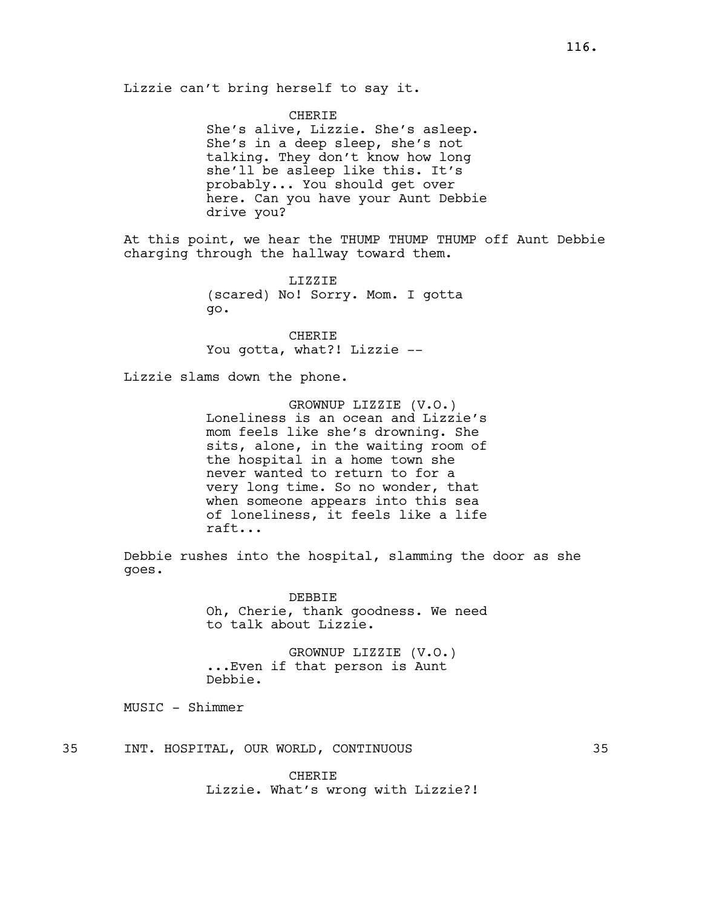CHERIE She's alive, Lizzie. She's asleep. She's in a deep sleep, she's not talking. They don't know how long she'll be asleep like this. It's probably... You should get over here. Can you have your Aunt Debbie drive you?

At this point, we hear the THUMP THUMP THUMP off Aunt Debbie charging through the hallway toward them.

> LIZZIE (scared) No! Sorry. Mom. I gotta go.

CHERIE You gotta, what?! Lizzie --

Lizzie slams down the phone.

GROWNUP LIZZIE (V.O.) Loneliness is an ocean and Lizzie's mom feels like she's drowning. She sits, alone, in the waiting room of the hospital in a home town she never wanted to return to for a very long time. So no wonder, that when someone appears into this sea of loneliness, it feels like a life raft...

Debbie rushes into the hospital, slamming the door as she goes.

> DEBBIE Oh, Cherie, thank goodness. We need to talk about Lizzie.

GROWNUP LIZZIE (V.O.) ...Even if that person is Aunt Debbie.

MUSIC - Shimmer

35 INT. HOSPITAL, OUR WORLD, CONTINUOUS 35

CHERIE Lizzie. What's wrong with Lizzie?!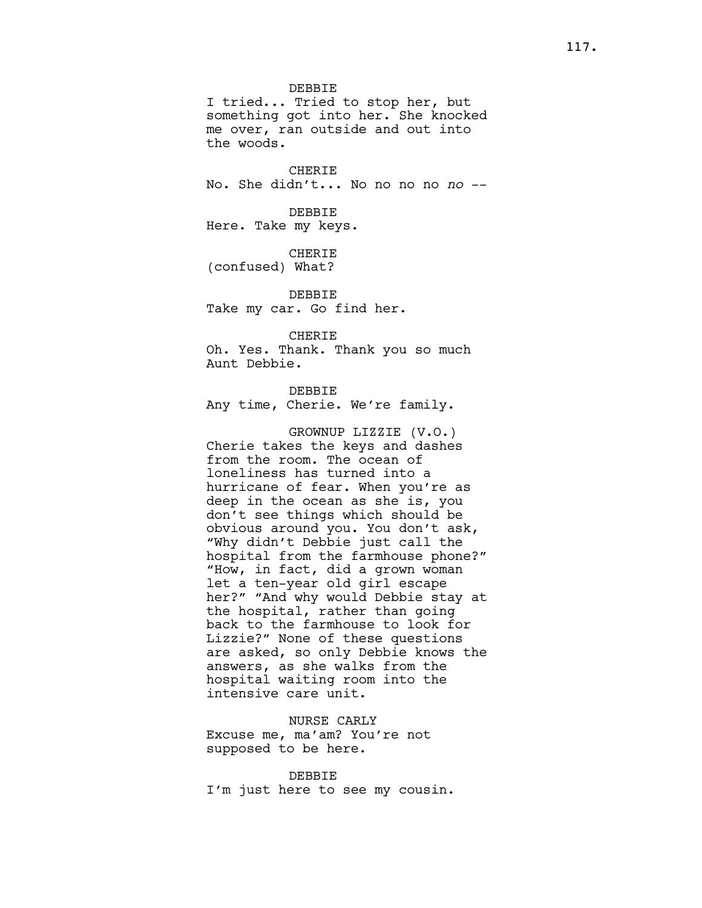DEBBIE

I tried... Tried to stop her, but something got into her. She knocked me over, ran outside and out into the woods.

CHERIE No. She didn't... No no no no no --

DEBBIE Here. Take my keys.

CHERIE (confused) What?

DEBBIE Take my car. Go find her.

CHERIE Oh. Yes. Thank. Thank you so much Aunt Debbie.

DEBBIE

Any time, Cherie. We're family.

GROWNUP LIZZIE (V.O.) Cherie takes the keys and dashes from the room. The ocean of loneliness has turned into a hurricane of fear. When you're as deep in the ocean as she is, you don't see things which should be obvious around you. You don't ask, "Why didn't Debbie just call the hospital from the farmhouse phone?" "How, in fact, did a grown woman let a ten-year old girl escape her?" "And why would Debbie stay at the hospital, rather than going back to the farmhouse to look for Lizzie?" None of these questions are asked, so only Debbie knows the answers, as she walks from the hospital waiting room into the intensive care unit.

NURSE CARLY Excuse me, ma'am? You're not supposed to be here.

DEBBIE I'm just here to see my cousin.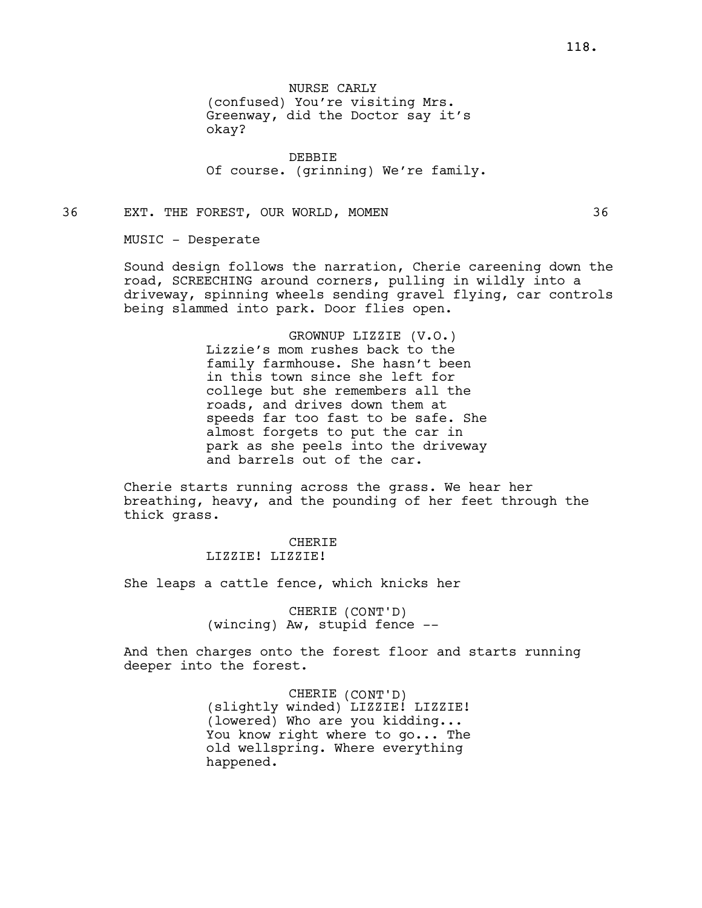NURSE CARLY (confused) You're visiting Mrs. Greenway, did the Doctor say it's okay?

DEBBIE Of course. (grinning) We're family.

36 EXT. THE FOREST, OUR WORLD, MOMEN 36

MUSIC - Desperate

Sound design follows the narration, Cherie careening down the road, SCREECHING around corners, pulling in wildly into a driveway, spinning wheels sending gravel flying, car controls being slammed into park. Door flies open.

> GROWNUP LIZZIE (V.O.) Lizzie's mom rushes back to the family farmhouse. She hasn't been in this town since she left for college but she remembers all the roads, and drives down them at speeds far too fast to be safe. She almost forgets to put the car in park as she peels into the driveway and barrels out of the car.

Cherie starts running across the grass. We hear her breathing, heavy, and the pounding of her feet through the thick grass.

# CHERIE LIZZIE! LIZZIE!

She leaps a cattle fence, which knicks her

CHERIE (CONT'D) (wincing) Aw, stupid fence --

And then charges onto the forest floor and starts running deeper into the forest.

> CHERIE (CONT'D) (slightly winded) LIZZIE! LIZZIE! (lowered) Who are you kidding... You know right where to go... The old wellspring. Where everything happened.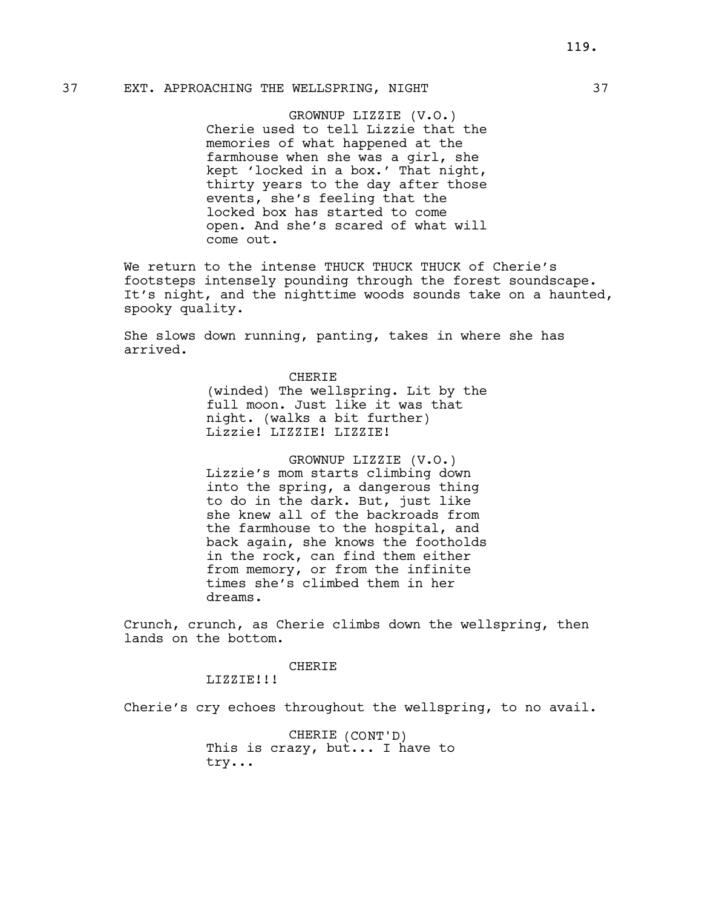# 37 EXT. APPROACHING THE WELLSPRING, NIGHT 37

GROWNUP LIZZIE (V.O.) Cherie used to tell Lizzie that the memories of what happened at the farmhouse when she was a girl, she kept 'locked in a box.' That night, thirty years to the day after those events, she's feeling that the locked box has started to come open. And she's scared of what will come out.

We return to the intense THUCK THUCK THUCK of Cherie's footsteps intensely pounding through the forest soundscape. It's night, and the nighttime woods sounds take on a haunted, spooky quality.

She slows down running, panting, takes in where she has arrived.

> CHERIE (winded) The wellspring. Lit by the full moon. Just like it was that night. (walks a bit further) Lizzie! LIZZIE! LIZZIE!

> GROWNUP LIZZIE (V.O.) Lizzie's mom starts climbing down into the spring, a dangerous thing to do in the dark. But, just like she knew all of the backroads from the farmhouse to the hospital, and back again, she knows the footholds in the rock, can find them either from memory, or from the infinite times she's climbed them in her dreams.

Crunch, crunch, as Cherie climbs down the wellspring, then lands on the bottom.

#### CHERIE

LIZZIE!!!

Cherie's cry echoes throughout the wellspring, to no avail.

CHERIE (CONT'D) This is crazy, but... I have to try...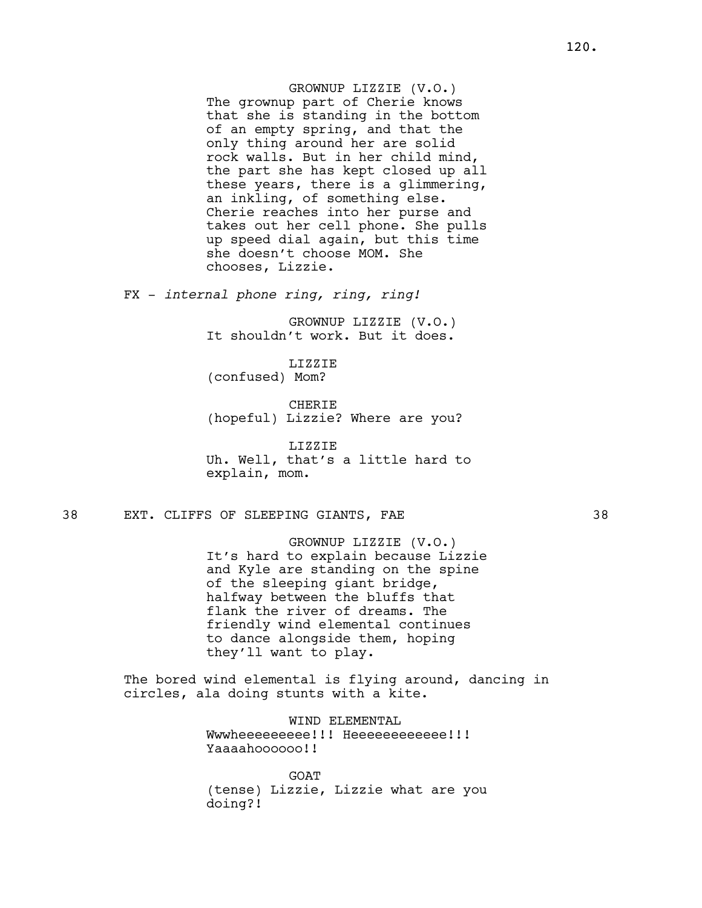# GROWNUP LIZZIE (V.O.)

The grownup part of Cherie knows that she is standing in the bottom of an empty spring, and that the only thing around her are solid rock walls. But in her child mind, the part she has kept closed up all these years, there is a glimmering, an inkling, of something else. Cherie reaches into her purse and takes out her cell phone. She pulls up speed dial again, but this time she doesn't choose MOM. She chooses, Lizzie.

FX - internal phone ring, ring, ring!

GROWNUP LIZZIE (V.O.) It shouldn't work. But it does.

LIZZIE (confused) Mom?

CHERIE (hopeful) Lizzie? Where are you?

LIZZIE Uh. Well, that's a little hard to explain, mom.

# 38 EXT. CLIFFS OF SLEEPING GIANTS, FAE 38

GROWNUP LIZZIE (V.O.) It's hard to explain because Lizzie and Kyle are standing on the spine of the sleeping giant bridge, halfway between the bluffs that flank the river of dreams. The friendly wind elemental continues to dance alongside them, hoping they'll want to play.

The bored wind elemental is flying around, dancing in circles, ala doing stunts with a kite.

> WIND ELEMENTAL Wwwheeeeeeeee!!!! Heeeeeeeeeeee!!!! Yaaaahoooooo!!

**GOAT** (tense) Lizzie, Lizzie what are you doing?!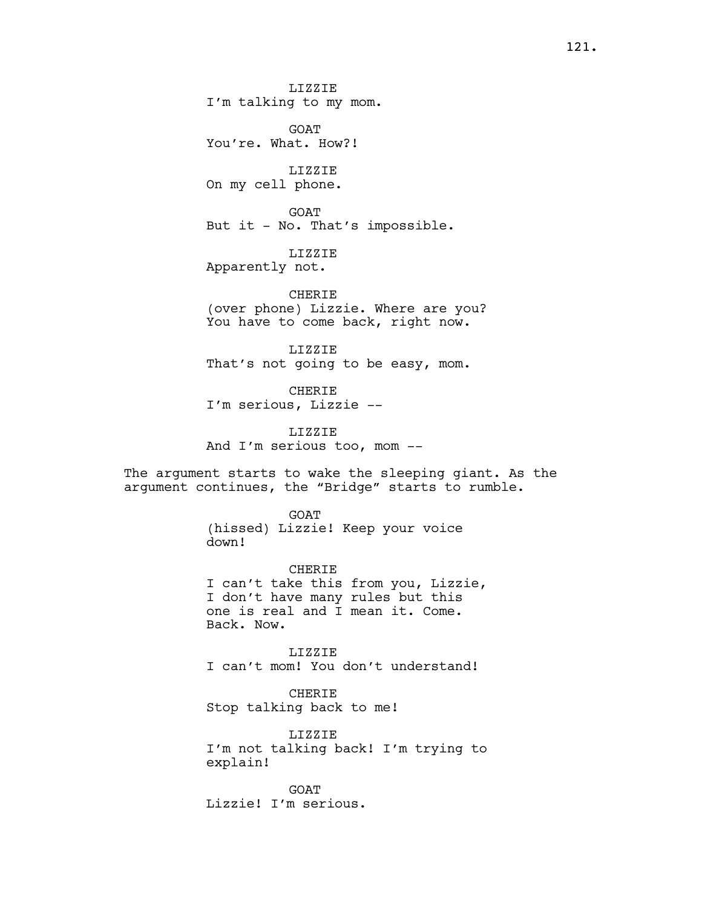LIZZIE I'm talking to my mom.

GOAT You're. What. How?!

LIZZIE On my cell phone.

GOAT But it - No. That's impossible.

LIZZIE Apparently not.

**CHERIE** (over phone) Lizzie. Where are you? You have to come back, right now.

LIZZIE That's not going to be easy, mom.

CHERIE I'm serious, Lizzie --

LIZZIE And I'm serious too, mom --

The argument starts to wake the sleeping giant. As the argument continues, the "Bridge" starts to rumble.

> GOAT (hissed) Lizzie! Keep your voice down!

CHERIE I can't take this from you, Lizzie, I don't have many rules but this one is real and I mean it. Come. Back. Now.

LIZZIE I can't mom! You don't understand!

CHERIE Stop talking back to me!

LIZZIE I'm not talking back! I'm trying to explain!

GOAT Lizzie! I'm serious.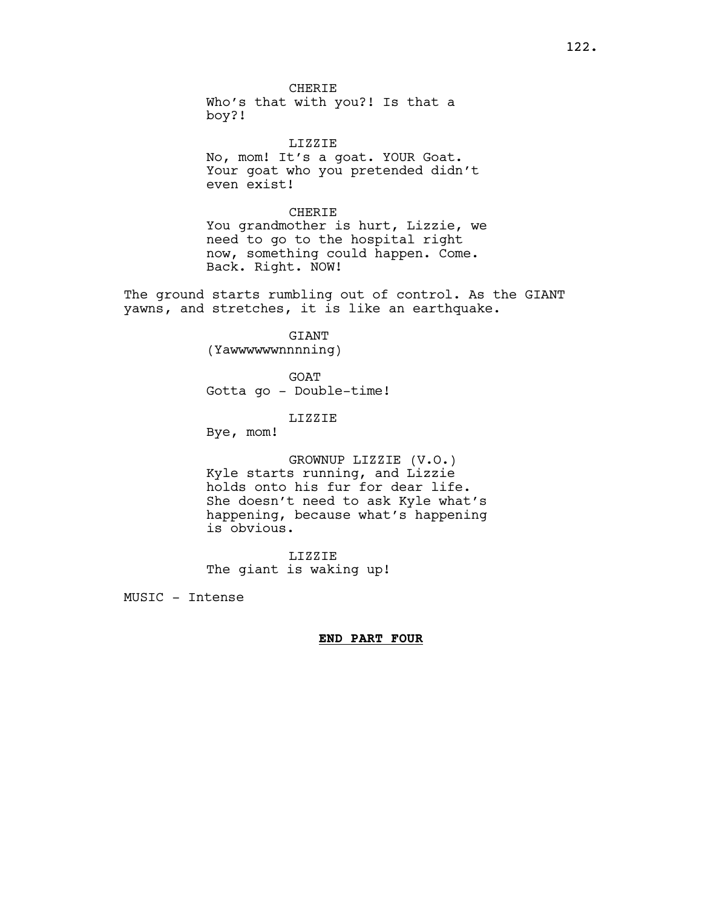CHERIE Who's that with you?! Is that a boy?!

LIZZIE No, mom! It's a goat. YOUR Goat. Your goat who you pretended didn't even exist!

#### CHERIE

You grandmother is hurt, Lizzie, we need to go to the hospital right now, something could happen. Come. Back. Right. NOW!

The ground starts rumbling out of control. As the GIANT yawns, and stretches, it is like an earthquake.

# GIANT

(Yawwwwwwnnnning)

GOAT Gotta go - Double-time!

# LIZZIE

Bye, mom!

GROWNUP LIZZIE (V.O.) Kyle starts running, and Lizzie holds onto his fur for dear life. She doesn't need to ask Kyle what's happening, because what's happening is obvious.

LIZZIE The giant is waking up!

MUSIC - Intense

## END PART FOUR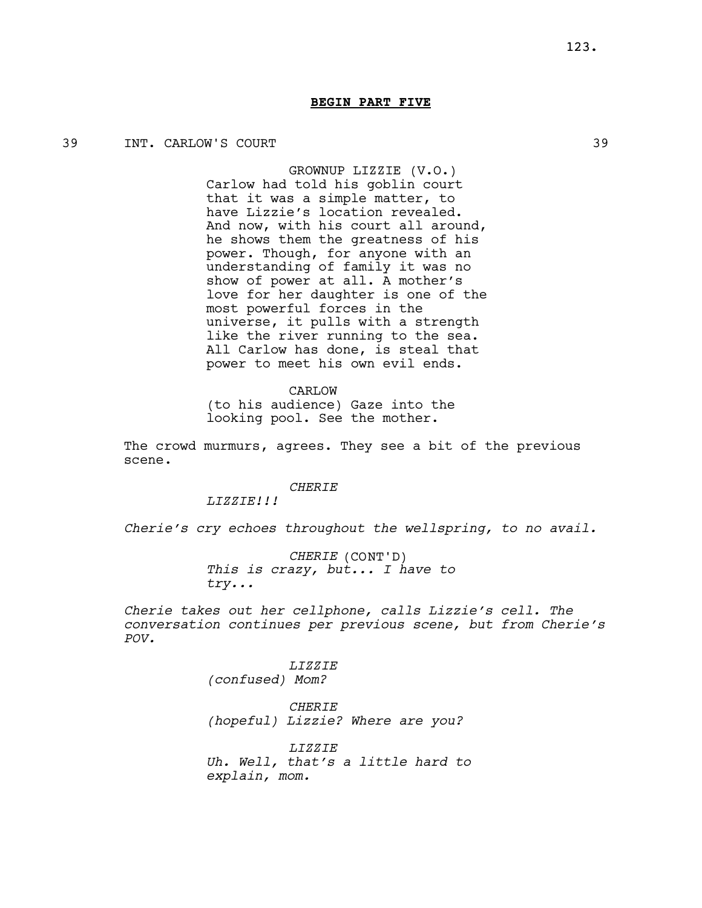## 39 INT. CARLOW'S COURT 39

GROWNUP LIZZIE (V.O.) Carlow had told his goblin court that it was a simple matter, to have Lizzie's location revealed. And now, with his court all around, he shows them the greatness of his power. Though, for anyone with an understanding of family it was no show of power at all. A mother's love for her daughter is one of the most powerful forces in the universe, it pulls with a strength like the river running to the sea. All Carlow has done, is steal that power to meet his own evil ends.

CARLOW (to his audience) Gaze into the looking pool. See the mother.

The crowd murmurs, agrees. They see a bit of the previous scene.

#### **CHERIE**

LIZZIE!!!

Cherie's cry echoes throughout the wellspring, to no avail.

CHERIE (CONT'D) This is crazy, but... I have to try...

Cherie takes out her cellphone, calls Lizzie's cell. The conversation continues per previous scene, but from Cherie's POV.

> LIZZIE (confused) Mom?

CHERIE (hopeful) Lizzie? Where are you?

LIZZIE Uh. Well, that's a little hard to explain, mom.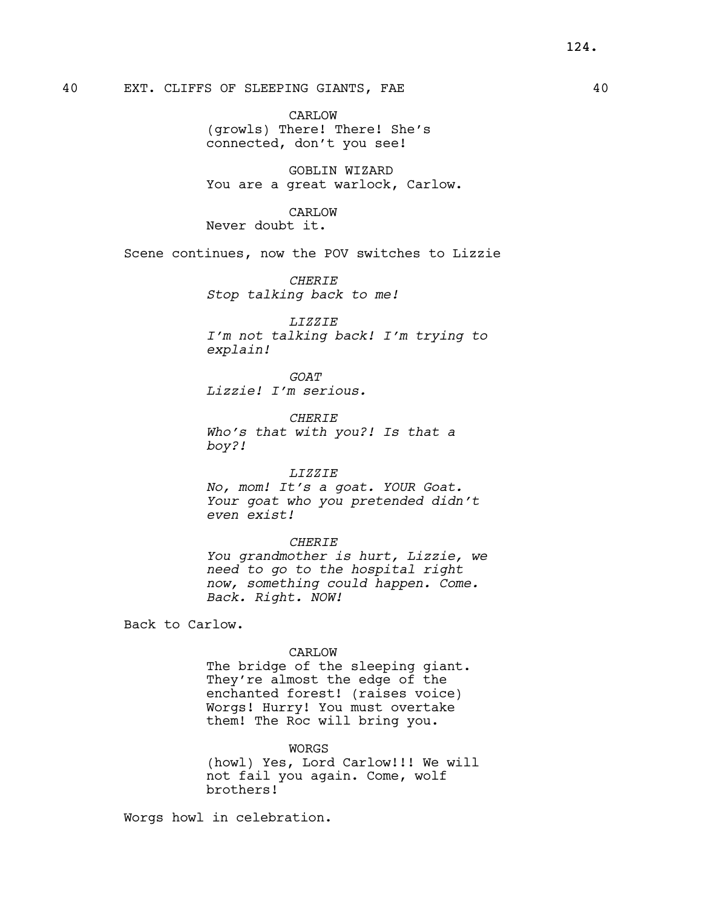CARLOW (growls) There! There! She's connected, don't you see!

GOBLIN WIZARD You are a great warlock, Carlow.

CARLOW Never doubt it.

Scene continues, now the POV switches to Lizzie

**CHERIE** Stop talking back to me!

LIZZIE I'm not talking back! I'm trying to explain!

GOAT Lizzie! I'm serious.

**CHERIE** Who's that with you?! Is that a boy?!

#### LIZZIE

No, mom! It's a goat. YOUR Goat. Your goat who you pretended didn't even exist!

#### **CHERIE**

You grandmother is hurt, Lizzie, we need to go to the hospital right now, something could happen. Come. Back. Right. NOW!

Back to Carlow.

#### CARLOW

The bridge of the sleeping giant. They're almost the edge of the enchanted forest! (raises voice) Worgs! Hurry! You must overtake them! The Roc will bring you.

**WORGS** 

(howl) Yes, Lord Carlow!!! We will not fail you again. Come, wolf brothers!

Worgs howl in celebration.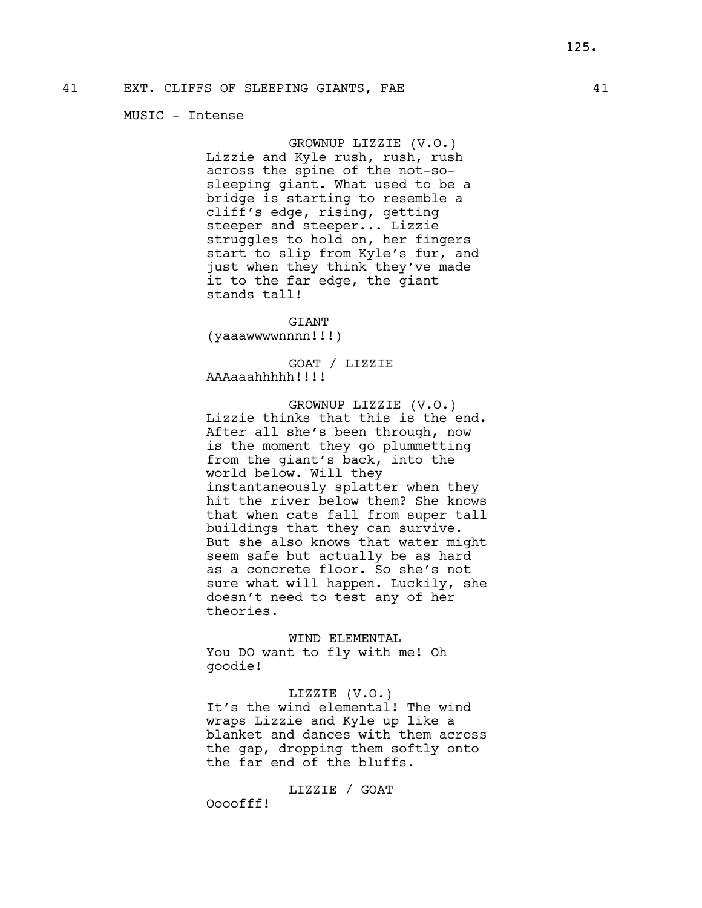## MUSIC - Intense

GROWNUP LIZZIE (V.O.) Lizzie and Kyle rush, rush, rush across the spine of the not-sosleeping giant. What used to be a bridge is starting to resemble a cliff's edge, rising, getting steeper and steeper... Lizzie struggles to hold on, her fingers start to slip from Kyle's fur, and just when they think they've made it to the far edge, the giant stands tall!

GIANT (yaaawwwwnnnn!!!)

GOAT / LIZZIE AAAaaahhhhh!!!!

GROWNUP LIZZIE (V.O.) Lizzie thinks that this is the end. After all she's been through, now is the moment they go plummetting from the giant's back, into the world below. Will they instantaneously splatter when they hit the river below them? She knows that when cats fall from super tall buildings that they can survive. But she also knows that water might seem safe but actually be as hard as a concrete floor. So she's not sure what will happen. Luckily, she doesn't need to test any of her theories.

WIND ELEMENTAL You DO want to fly with me! Oh goodie!

# LIZZIE (V.O.)

It's the wind elemental! The wind wraps Lizzie and Kyle up like a blanket and dances with them across the gap, dropping them softly onto the far end of the bluffs.

## LIZZIE / GOAT

Oooofff!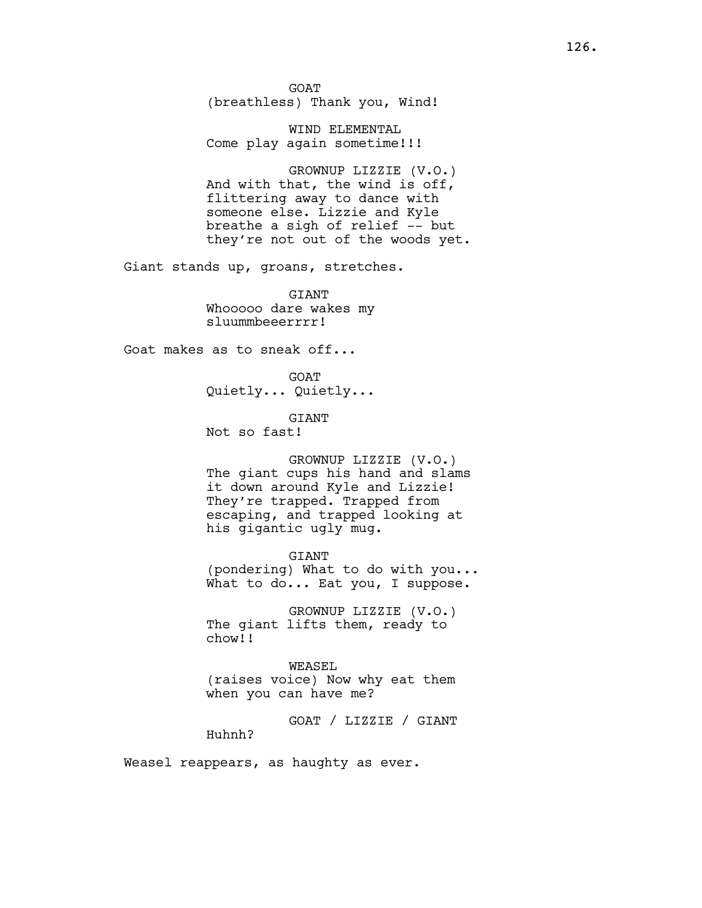GOAT (breathless) Thank you, Wind!

WIND ELEMENTAL Come play again sometime!!!

GROWNUP LIZZIE (V.O.) And with that, the wind is off, flittering away to dance with someone else. Lizzie and Kyle breathe a sigh of relief -- but they're not out of the woods yet.

Giant stands up, groans, stretches.

**GTANT** Whooooo dare wakes my sluummbeeerrrr!

Goat makes as to sneak off...

GOAT Quietly... Quietly...

GIANT Not so fast!

GROWNUP LIZZIE (V.O.) The giant cups his hand and slams it down around Kyle and Lizzie! They're trapped. Trapped from escaping, and trapped looking at his gigantic ugly mug.

GIANT (pondering) What to do with you... What to do... Eat you, I suppose.

GROWNUP LIZZIE (V.O.) The giant lifts them, ready to chow!!

WEASEL (raises voice) Now why eat them when you can have me?

GOAT / LIZZIE / GIANT Huhnh?

Weasel reappears, as haughty as ever.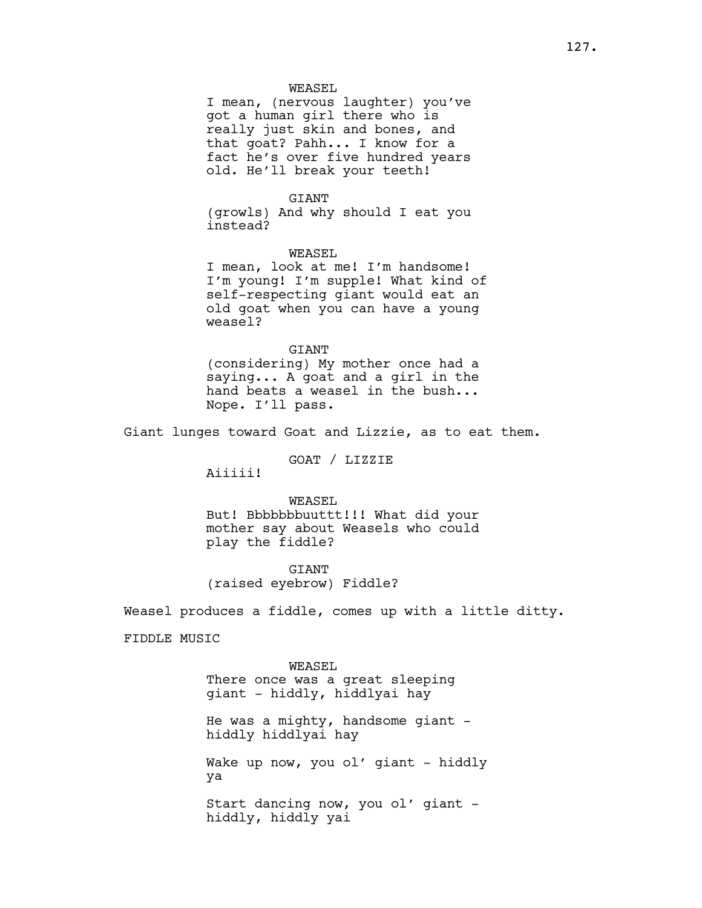## WEASEL

I mean, (nervous laughter) you've got a human girl there who is really just skin and bones, and that goat? Pahh... I know for a fact he's over five hundred years old. He'll break your teeth!

## **GTANT**

(growls) And why should I eat you instead?

WEASEL I mean, look at me! I'm handsome! I'm young! I'm supple! What kind of self-respecting giant would eat an old goat when you can have a young

**GTANT** (considering) My mother once had a saying... A goat and a girl in the hand beats a weasel in the bush... Nope. I'll pass.

Giant lunges toward Goat and Lizzie, as to eat them.

## GOAT / LIZZIE

Aiiiii!

weasel?

WEASEL But! Bbbbbbbuuttt!!! What did your mother say about Weasels who could play the fiddle?

GIANT (raised eyebrow) Fiddle?

Weasel produces a fiddle, comes up with a little ditty.

FIDDLE MUSIC

WEASEL There once was a great sleeping giant - hiddly, hiddlyai hay

He was a mighty, handsome giant hiddly hiddlyai hay

Wake up now, you ol' giant - hiddly ya

Start dancing now, you ol' giant hiddly, hiddly yai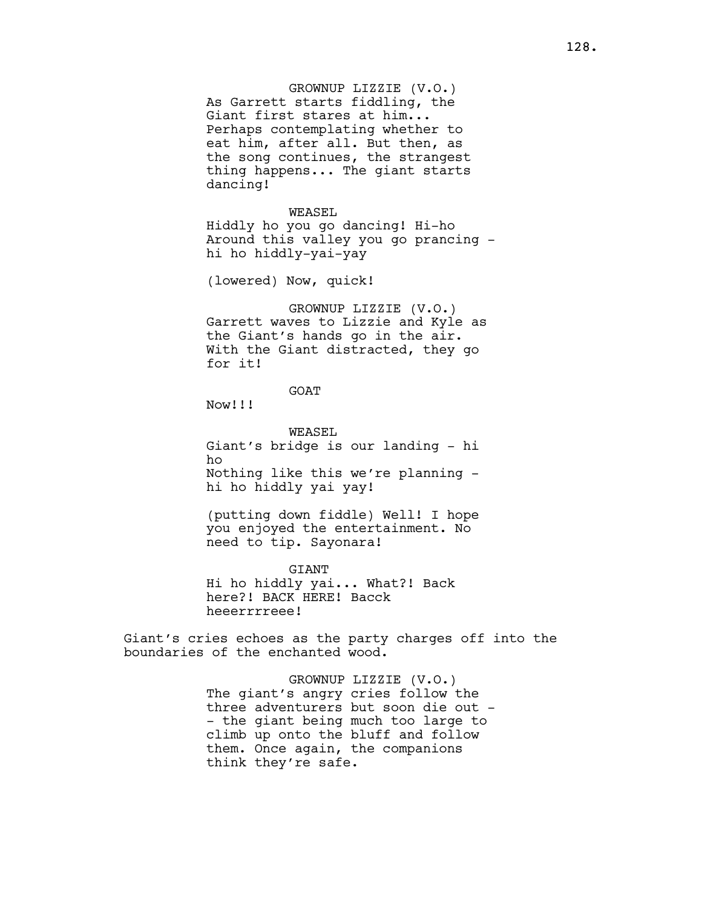GROWNUP LIZZIE (V.O.) As Garrett starts fiddling, the Giant first stares at him... Perhaps contemplating whether to eat him, after all. But then, as the song continues, the strangest thing happens... The giant starts dancing!

#### WEASEL

Hiddly ho you go dancing! Hi-ho Around this valley you go prancing hi ho hiddly-yai-yay

(lowered) Now, quick!

GROWNUP LIZZIE (V.O.) Garrett waves to Lizzie and Kyle as the Giant's hands go in the air. With the Giant distracted, they go for it!

# GOAT

Now!!!

WEASEL Giant's bridge is our landing - hi ho Nothing like this we're planning hi ho hiddly yai yay!

(putting down fiddle) Well! I hope you enjoyed the entertainment. No need to tip. Sayonara!

GIANT Hi ho hiddly yai... What?! Back here?! BACK HERE! Bacck heeerrrreee!

Giant's cries echoes as the party charges off into the boundaries of the enchanted wood.

> GROWNUP LIZZIE (V.O.) The giant's angry cries follow the three adventurers but soon die out - - the giant being much too large to climb up onto the bluff and follow them. Once again, the companions think they're safe.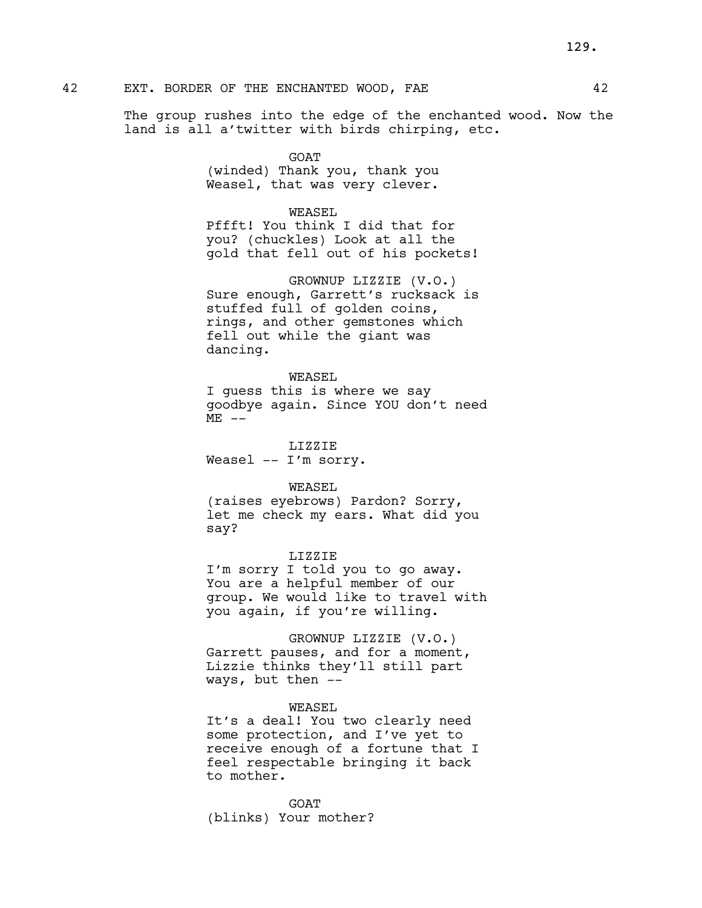# 42 EXT. BORDER OF THE ENCHANTED WOOD, FAE  $42$

The group rushes into the edge of the enchanted wood. Now the land is all a'twitter with birds chirping, etc.

> GOAT (winded) Thank you, thank you Weasel, that was very clever.

# WEASEL

Pffft! You think I did that for you? (chuckles) Look at all the gold that fell out of his pockets!

GROWNUP LIZZIE (V.O.) Sure enough, Garrett's rucksack is stuffed full of golden coins, rings, and other gemstones which fell out while the giant was dancing.

# WEASEL

I guess this is where we say goodbye again. Since YOU don't need  $ME$   $--$ 

LIZZIE Weasel -- I'm sorry.

# WEASEL

(raises eyebrows) Pardon? Sorry, let me check my ears. What did you say?

# LIZZIE

I'm sorry I told you to go away. You are a helpful member of our group. We would like to travel with you again, if you're willing.

GROWNUP LIZZIE (V.O.) Garrett pauses, and for a moment, Lizzie thinks they'll still part ways, but then --

# WEASEL

It's a deal! You two clearly need some protection, and I've yet to receive enough of a fortune that I feel respectable bringing it back to mother.

**GOAT** (blinks) Your mother?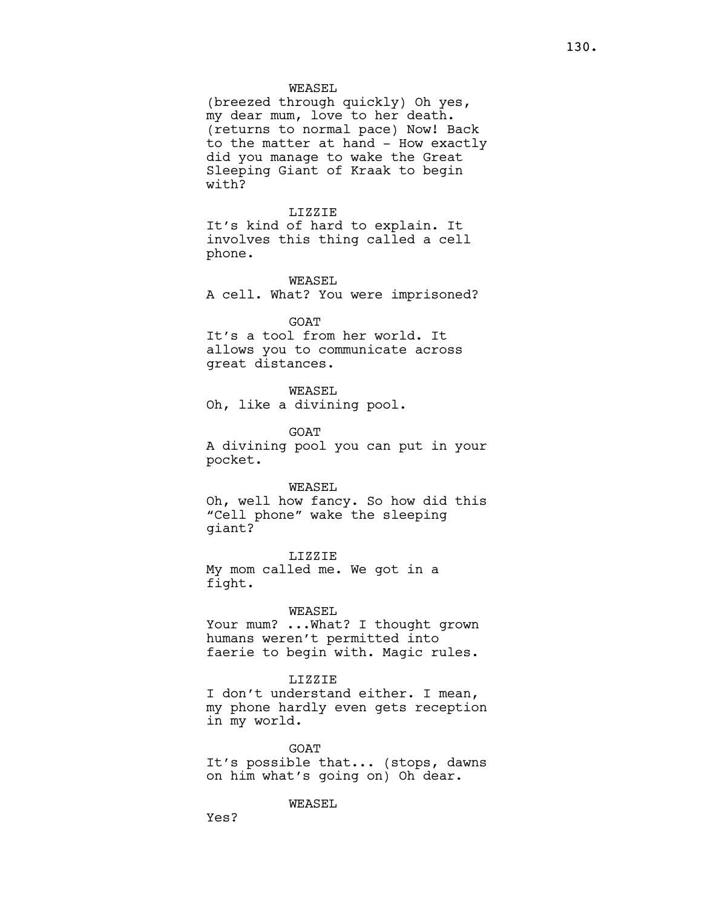#### WEASEL

(breezed through quickly) Oh yes, my dear mum, love to her death. (returns to normal pace) Now! Back to the matter at hand - How exactly did you manage to wake the Great Sleeping Giant of Kraak to begin with?

#### LIZZIE

It's kind of hard to explain. It involves this thing called a cell phone.

WEASEL

A cell. What? You were imprisoned?

#### **GOAT**

It's a tool from her world. It allows you to communicate across great distances.

## WEASEL

Oh, like a divining pool.

GOAT

A divining pool you can put in your pocket.

#### WEASEL

Oh, well how fancy. So how did this "Cell phone" wake the sleeping giant?

LIZZIE My mom called me. We got in a fight.

#### WEASEL

Your mum? ... What? I thought grown humans weren't permitted into faerie to begin with. Magic rules.

#### LIZZIE

I don't understand either. I mean, my phone hardly even gets reception in my world.

GOAT It's possible that... (stops, dawns on him what's going on) Oh dear.

WEASEL

Yes?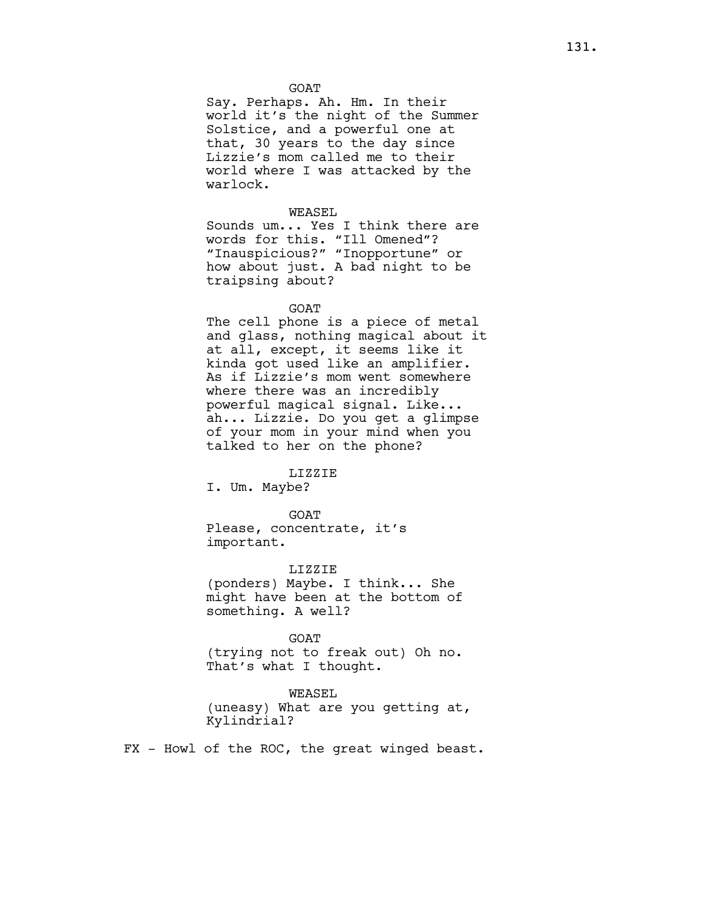GOAT

Say. Perhaps. Ah. Hm. In their world it's the night of the Summer Solstice, and a powerful one at that, 30 years to the day since Lizzie's mom called me to their world where I was attacked by the warlock.

#### WEASEL

Sounds um... Yes I think there are words for this. "Ill Omened"? "Inauspicious?" "Inopportune" or how about just. A bad night to be traipsing about?

#### GOAT

The cell phone is a piece of metal and glass, nothing magical about it at all, except, it seems like it kinda got used like an amplifier. As if Lizzie's mom went somewhere where there was an incredibly powerful magical signal. Like... ah... Lizzie. Do you get a glimpse of your mom in your mind when you talked to her on the phone?

# LIZZIE

I. Um. Maybe?

GOAT Please, concentrate, it's important.

#### LIZZIE

(ponders) Maybe. I think... She might have been at the bottom of something. A well?

GOAT

(trying not to freak out) Oh no. That's what I thought.

## WEASEL

(uneasy) What are you getting at, Kylindrial?

FX - Howl of the ROC, the great winged beast.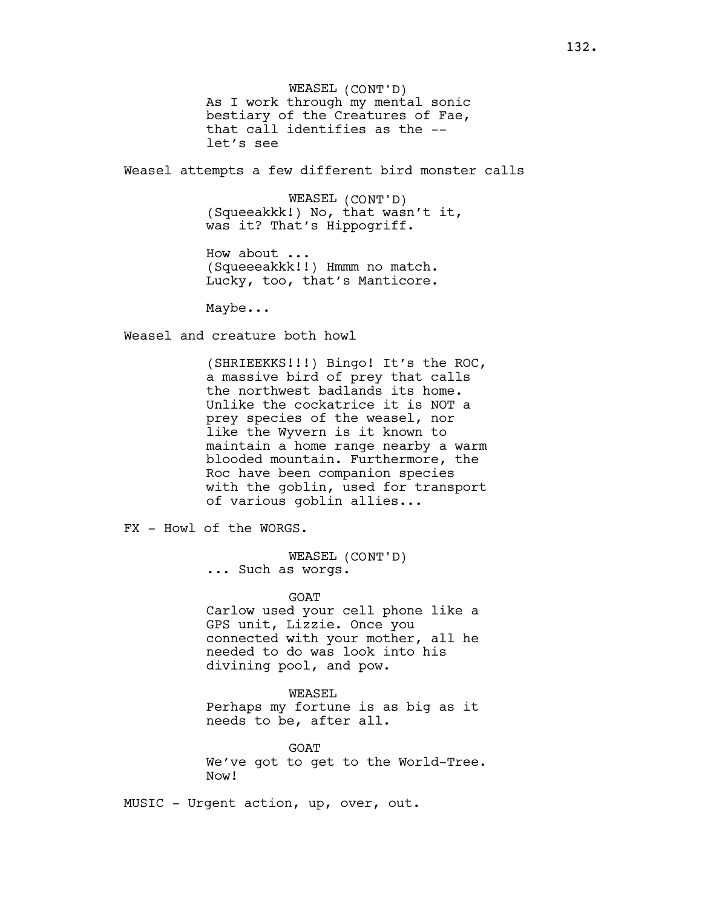WEASEL (CONT'D) As I work through my mental sonic bestiary of the Creatures of Fae, that call identifies as the - let's see

Weasel attempts a few different bird monster calls

WEASEL (CONT'D) (Squeeakkk!) No, that wasn't it, was it? That's Hippogriff.

How about ... (Squeeeakkk!!) Hmmm no match. Lucky, too, that's Manticore.

Maybe...

Weasel and creature both howl

(SHRIEEKKS!!!) Bingo! It's the ROC, a massive bird of prey that calls the northwest badlands its home. Unlike the cockatrice it is NOT a prey species of the weasel, nor like the Wyvern is it known to maintain a home range nearby a warm blooded mountain. Furthermore, the Roc have been companion species with the goblin, used for transport of various goblin allies...

FX - Howl of the WORGS.

WEASEL (CONT'D) ... Such as worgs.

GOAT

Carlow used your cell phone like a GPS unit, Lizzie. Once you connected with your mother, all he needed to do was look into his divining pool, and pow.

WEASEL Perhaps my fortune is as big as it needs to be, after all.

GOAT We've got to get to the World-Tree. Now!

MUSIC - Urgent action, up, over, out.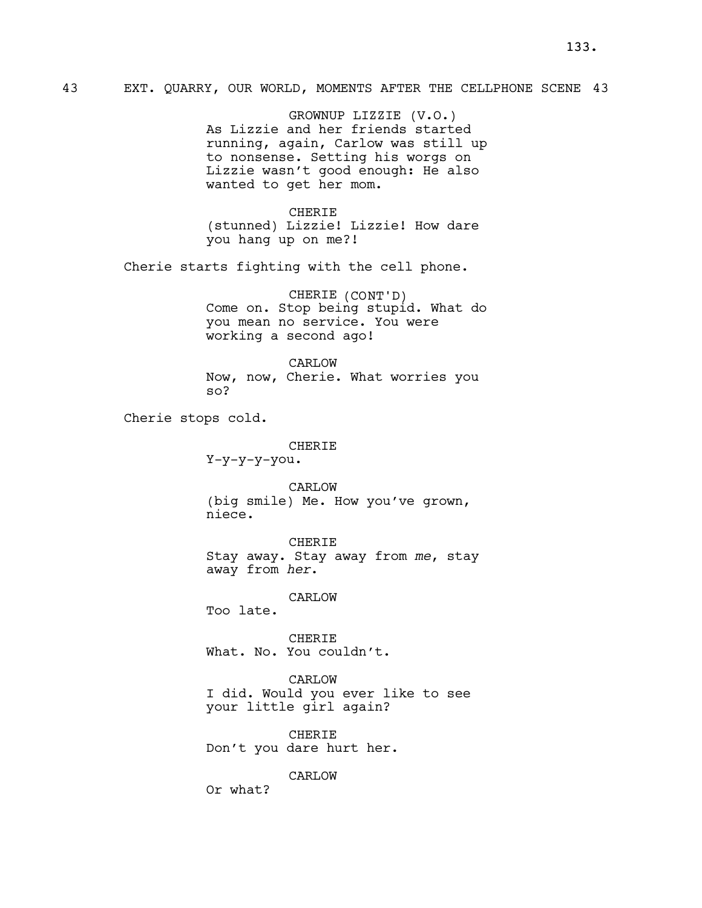GROWNUP LIZZIE (V.O.) As Lizzie and her friends started running, again, Carlow was still up to nonsense. Setting his worgs on Lizzie wasn't good enough: He also wanted to get her mom.

CHERIE (stunned) Lizzie! Lizzie! How dare you hang up on me?!

Cherie starts fighting with the cell phone.

CHERIE (CONT'D) Come on. Stop being stupid. What do you mean no service. You were working a second ago!

CARLOW Now, now, Cherie. What worries you so?

Cherie stops cold.

CHERIE

Y-y-y-y-you.

CARLOW (big smile) Me. How you've grown, niece.

CHERIE Stay away. Stay away from me, stay away from her.

CARLOW

Too late.

CHERIE What. No. You couldn't.

CARLOW

I did. Would you ever like to see your little girl again?

CHERIE Don't you dare hurt her.

CARLOW

Or what?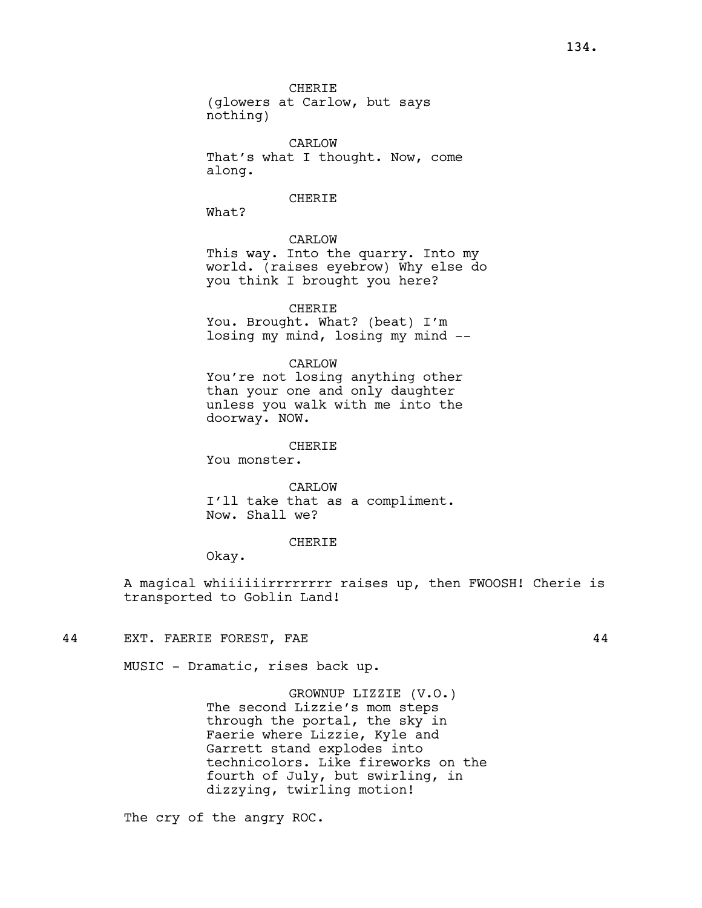CARLOW That's what I thought. Now, come along.

## **CHERIE**

What?

# CARLOW

This way. Into the quarry. Into my world. (raises eyebrow) Why else do you think I brought you here?

CHERIE You. Brought. What? (beat) I'm losing my mind, losing my mind --

CARLOW

You're not losing anything other than your one and only daughter unless you walk with me into the doorway. NOW.

#### **CHERIE**

You monster.

CARLOW I'll take that as a compliment. Now. Shall we?

#### CHERIE

Okay.

A magical whiiiiiirrrrrrrr raises up, then FWOOSH! Cherie is transported to Goblin Land!

44 EXT. FAERIE FOREST, FAE 44

MUSIC - Dramatic, rises back up.

GROWNUP LIZZIE (V.O.) The second Lizzie's mom steps through the portal, the sky in Faerie where Lizzie, Kyle and Garrett stand explodes into technicolors. Like fireworks on the fourth of July, but swirling, in dizzying, twirling motion!

The cry of the angry ROC.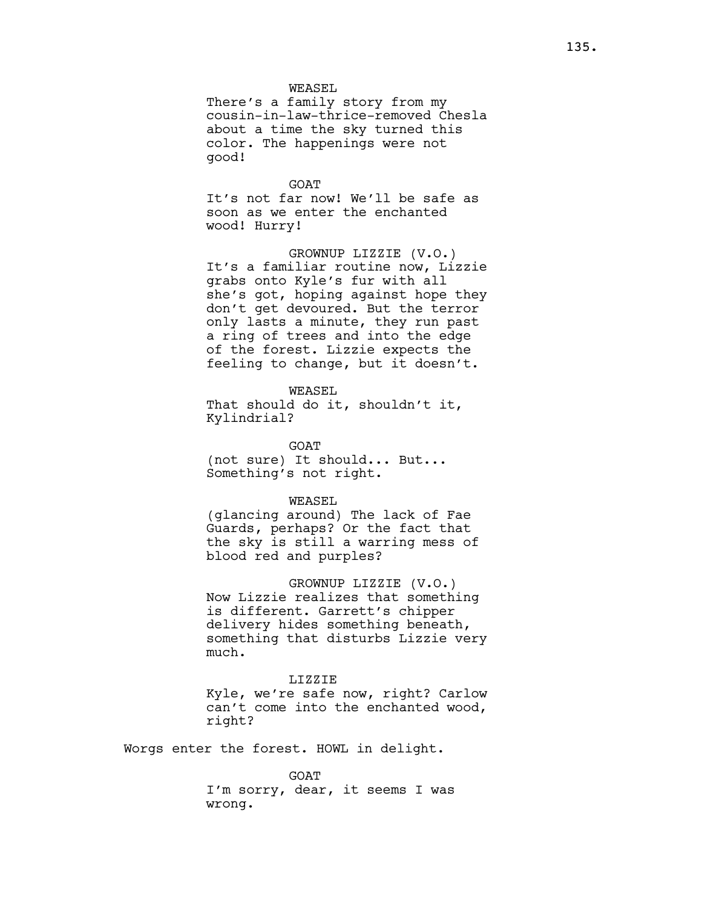WEASEL

There's a family story from my cousin-in-law-thrice-removed Chesla about a time the sky turned this color. The happenings were not good!

GOAT It's not far now! We'll be safe as soon as we enter the enchanted wood! Hurry!

GROWNUP LIZZIE (V.O.) It's a familiar routine now, Lizzie grabs onto Kyle's fur with all she's got, hoping against hope they don't get devoured. But the terror only lasts a minute, they run past a ring of trees and into the edge of the forest. Lizzie expects the feeling to change, but it doesn't.

WEASEL

That should do it, shouldn't it, Kylindrial?

**GOAT** (not sure) It should... But... Something's not right.

#### WEASEL

(glancing around) The lack of Fae Guards, perhaps? Or the fact that the sky is still a warring mess of blood red and purples?

#### GROWNUP LIZZIE (V.O.)

Now Lizzie realizes that something is different. Garrett's chipper delivery hides something beneath, something that disturbs Lizzie very much.

#### LIZZIE

Kyle, we're safe now, right? Carlow can't come into the enchanted wood, right?

Worgs enter the forest. HOWL in delight.

**GOAT** 

I'm sorry, dear, it seems I was wrong.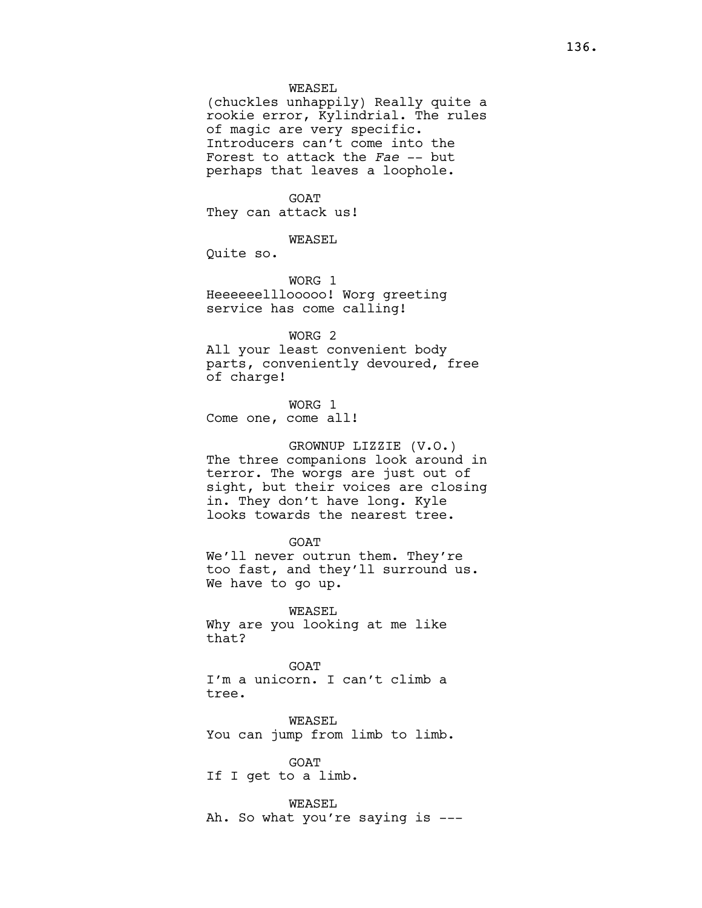### WEASEL

(chuckles unhappily) Really quite a rookie error, Kylindrial. The rules of magic are very specific. Introducers can't come into the Forest to attack the Fae -- but perhaps that leaves a loophole.

## **GOAT**

They can attack us!

WEASEL

Quite so.

WORG 1 Heeeeeelllooooo! Worg greeting service has come calling!

#### WORG 2

All your least convenient body parts, conveniently devoured, free of charge!

WORG 1 Come one, come all!

GROWNUP LIZZIE (V.O.) The three companions look around in terror. The worgs are just out of sight, but their voices are closing in. They don't have long. Kyle looks towards the nearest tree.

GOAT We'll never outrun them. They're too fast, and they'll surround us. We have to go up.

WEASEL Why are you looking at me like that?

GOAT I'm a unicorn. I can't climb a tree.

WEASEL You can jump from limb to limb.

GOAT If I get to a limb.

WEASEL Ah. So what you're saying is ---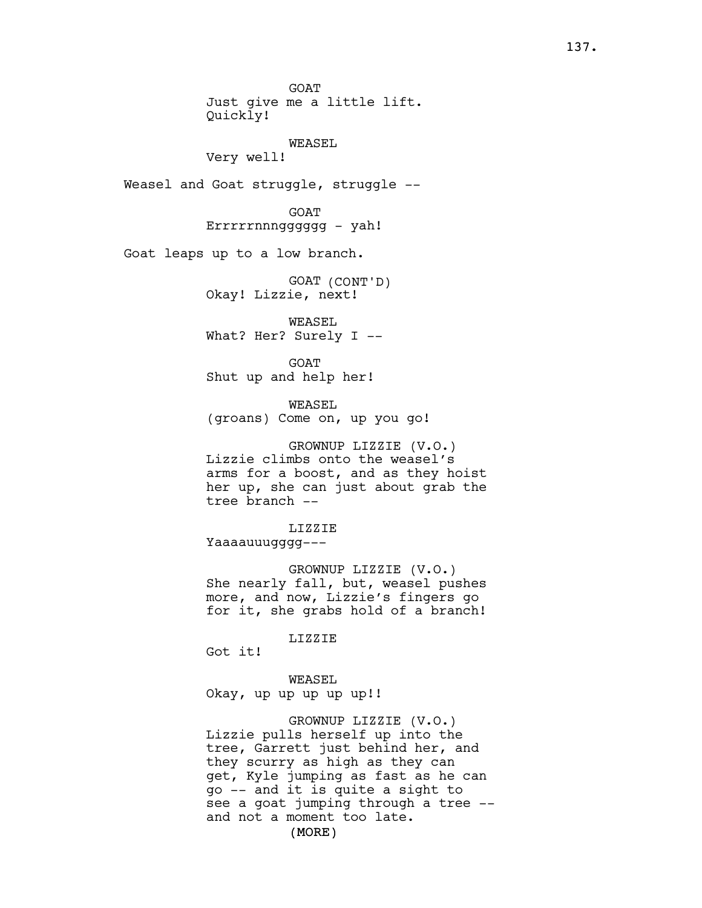GOAT Just give me a little lift. Quickly! WEASEL Very well! Weasel and Goat struggle, struggle -- GOAT Errrrrnnngggggg - yah! Goat leaps up to a low branch. GOAT (CONT'D) Okay! Lizzie, next! WEASEL What? Her? Surely I -- GOAT Shut up and help her! WEASEL (groans) Come on, up you go! GROWNUP LIZZIE (V.O.) Lizzie climbs onto the weasel's arms for a boost, and as they hoist her up, she can just about grab the tree branch -- LIZZIE Yaaaauuugggg--- GROWNUP LIZZIE (V.O.) She nearly fall, but, weasel pushes more, and now, Lizzie's fingers go for it, she grabs hold of a branch! LIZZIE Got it! WEASEL Okay, up up up up up!! GROWNUP LIZZIE (V.O.) Lizzie pulls herself up into the tree, Garrett just behind her, and they scurry as high as they can get, Kyle jumping as fast as he can go -- and it is quite a sight to see a goat jumping through a tree - and not a moment too late.

(MORE)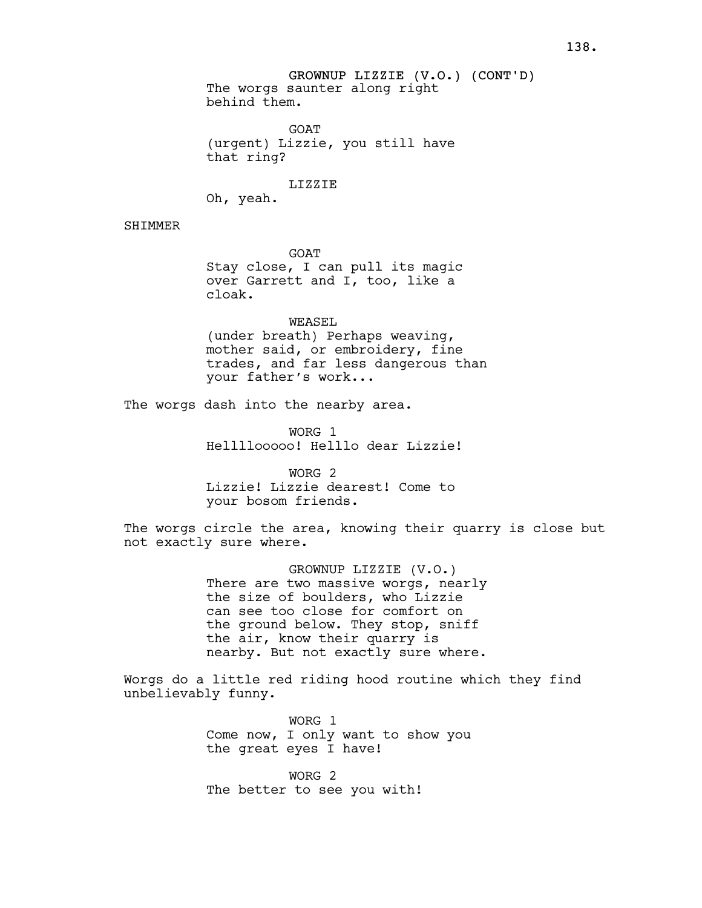GROWNUP LIZZIE (V.O.) (CONT'D) The worgs saunter along right behind them.

**GOAT** (urgent) Lizzie, you still have that ring?

LIZZIE

Oh, yeah.

SHIMMER

GOAT Stay close, I can pull its magic over Garrett and I, too, like a cloak.

WEASEL

(under breath) Perhaps weaving, mother said, or embroidery, fine trades, and far less dangerous than your father's work...

The worgs dash into the nearby area.

WORG 1 Hellllooooo! Helllo dear Lizzie!

WORG 2 Lizzie! Lizzie dearest! Come to your bosom friends.

The worgs circle the area, knowing their quarry is close but not exactly sure where.

> GROWNUP LIZZIE (V.O.) There are two massive worgs, nearly the size of boulders, who Lizzie can see too close for comfort on the ground below. They stop, sniff the air, know their quarry is nearby. But not exactly sure where.

Worgs do a little red riding hood routine which they find unbelievably funny.

> WORG 1 Come now, I only want to show you the great eyes I have!

WORG 2 The better to see you with!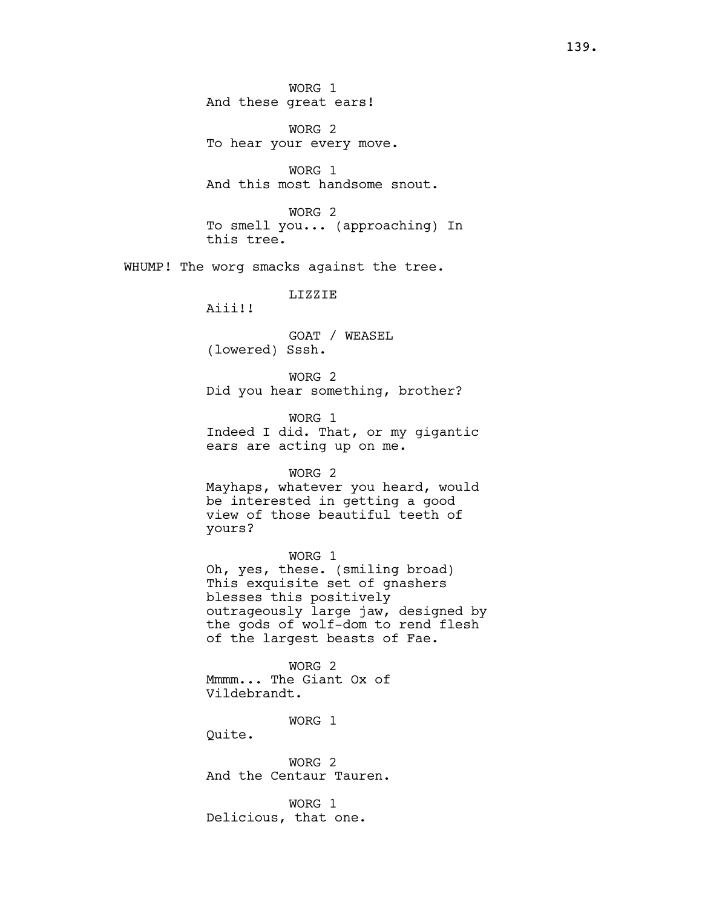WORG 2 To hear your every move.

WORG 1 And this most handsome snout.

WORG 2 To smell you... (approaching) In this tree.

WHUMP! The worg smacks against the tree.

LIZZIE

Aiii!!

GOAT / WEASEL (lowered) Sssh.

WORG 2 Did you hear something, brother?

WORG 1 Indeed I did. That, or my gigantic ears are acting up on me.

## WORG 2

Mayhaps, whatever you heard, would be interested in getting a good view of those beautiful teeth of yours?

WORG 1 Oh, yes, these. (smiling broad) This exquisite set of gnashers blesses this positively outrageously large jaw, designed by the gods of wolf-dom to rend flesh of the largest beasts of Fae.

WORG 2 Mmmm... The Giant Ox of Vildebrandt.

WORG 1

Quite.

WORG 2 And the Centaur Tauren.

WORG 1 Delicious, that one.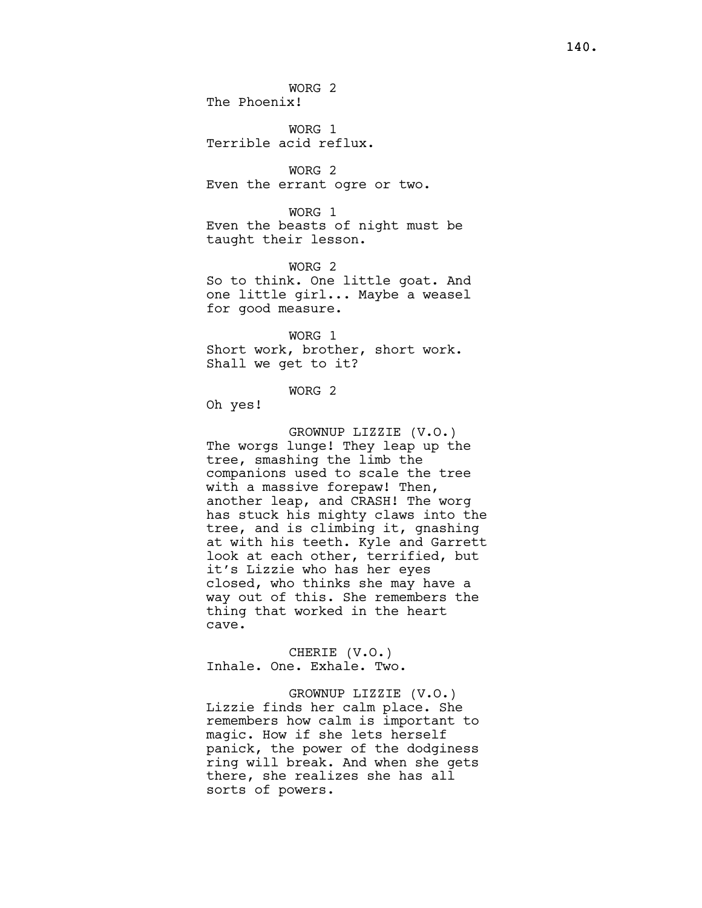WORG 2 The Phoenix!

WORG 1 Terrible acid reflux.

WORG 2 Even the errant ogre or two.

WORG 1 Even the beasts of night must be taught their lesson.

WORG 2 So to think. One little goat. And one little girl... Maybe a weasel for good measure.

WORG 1 Short work, brother, short work. Shall we get to it?

WORG 2

Oh yes!

GROWNUP LIZZIE (V.O.) The worgs lunge! They leap up the tree, smashing the limb the companions used to scale the tree with a massive forepaw! Then, another leap, and CRASH! The worg has stuck his mighty claws into the tree, and is climbing it, gnashing at with his teeth. Kyle and Garrett look at each other, terrified, but it's Lizzie who has her eyes closed, who thinks she may have a way out of this. She remembers the thing that worked in the heart cave.

CHERIE (V.O.) Inhale. One. Exhale. Two.

GROWNUP LIZZIE (V.O.) Lizzie finds her calm place. She remembers how calm is important to magic. How if she lets herself panick, the power of the dodginess ring will break. And when she gets there, she realizes she has all sorts of powers.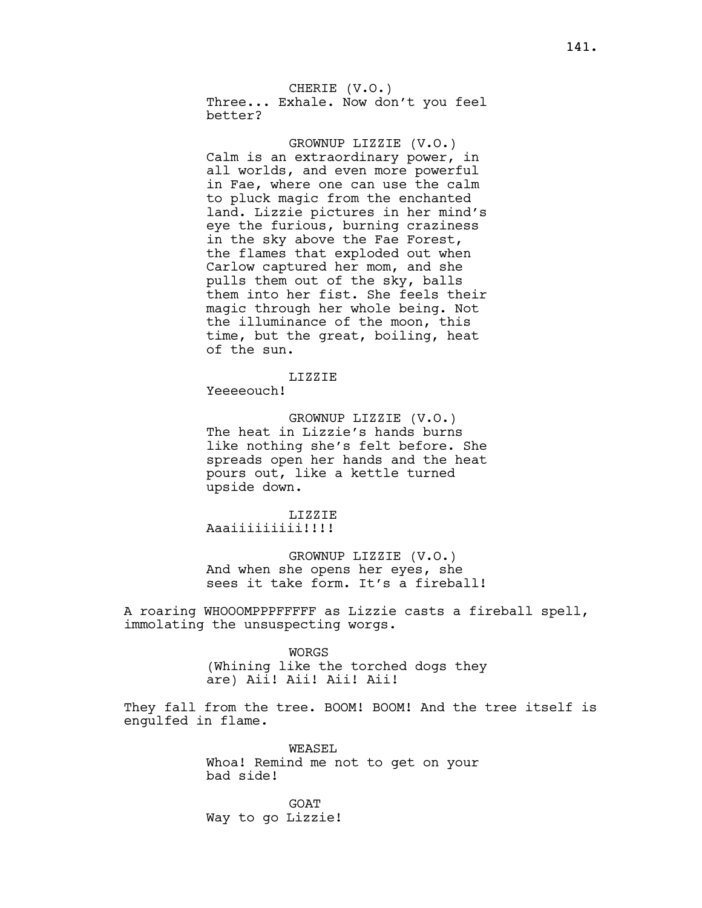CHERIE (V.O.) Three... Exhale. Now don't you feel better?

GROWNUP LIZZIE (V.O.) Calm is an extraordinary power, in all worlds, and even more powerful in Fae, where one can use the calm to pluck magic from the enchanted land. Lizzie pictures in her mind's eye the furious, burning craziness in the sky above the Fae Forest, the flames that exploded out when Carlow captured her mom, and she pulls them out of the sky, balls them into her fist. She feels their magic through her whole being. Not the illuminance of the moon, this time, but the great, boiling, heat of the sun.

LIZZIE

Yeeeeouch!

GROWNUP LIZZIE (V.O.) The heat in Lizzie's hands burns like nothing she's felt before. She spreads open her hands and the heat pours out, like a kettle turned upside down.

# LIZZIE

Aaaiiiiiiiii!!!!

GROWNUP LIZZIE (V.O.) And when she opens her eyes, she sees it take form. It's a fireball!

A roaring WHOOOMPPPFFFFF as Lizzie casts a fireball spell, immolating the unsuspecting worgs.

> WORGS (Whining like the torched dogs they are) Aii! Aii! Aii! Aii!

They fall from the tree. BOOM! BOOM! And the tree itself is engulfed in flame.

> WEASEL. Whoa! Remind me not to get on your bad side!

**GOAT** Way to go Lizzie!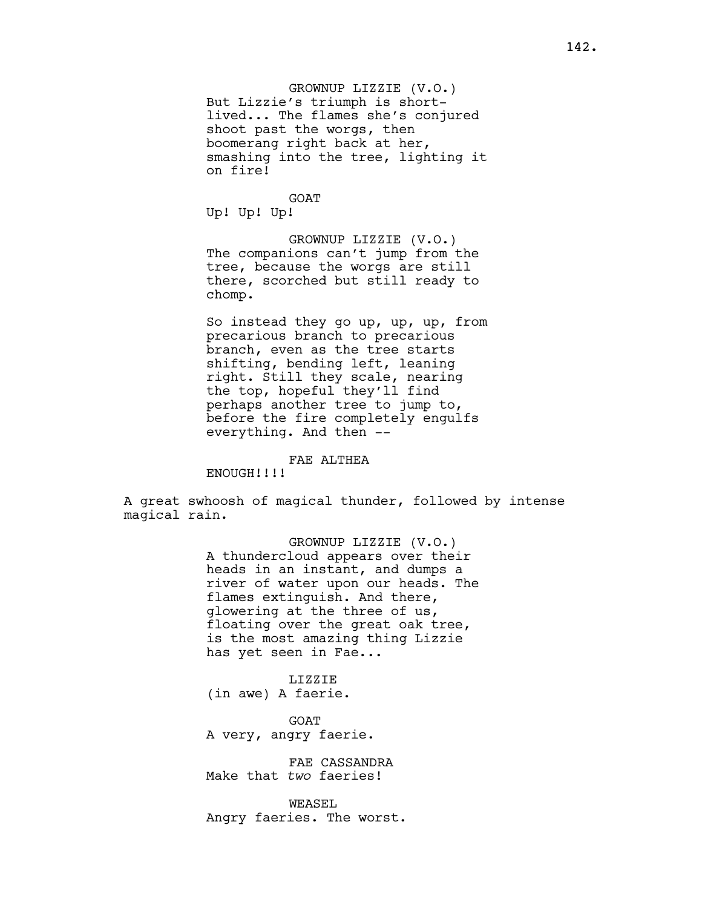**GOAT** Up! Up! Up!

GROWNUP LIZZIE (V.O.) The companions can't jump from the tree, because the worgs are still there, scorched but still ready to chomp.

So instead they go up, up, up, from precarious branch to precarious branch, even as the tree starts shifting, bending left, leaning right. Still they scale, nearing the top, hopeful they'll find perhaps another tree to jump to, before the fire completely engulfs everything. And then --

#### FAE ALTHEA

ENOUGH!!!!

A great swhoosh of magical thunder, followed by intense magical rain.

> GROWNUP LIZZIE (V.O.) A thundercloud appears over their heads in an instant, and dumps a river of water upon our heads. The flames extinguish. And there, glowering at the three of us, floating over the great oak tree, is the most amazing thing Lizzie has yet seen in Fae...

LIZZIE (in awe) A faerie.

GOAT A very, angry faerie.

FAE CASSANDRA Make that two faeries!

WEASEL Angry faeries. The worst.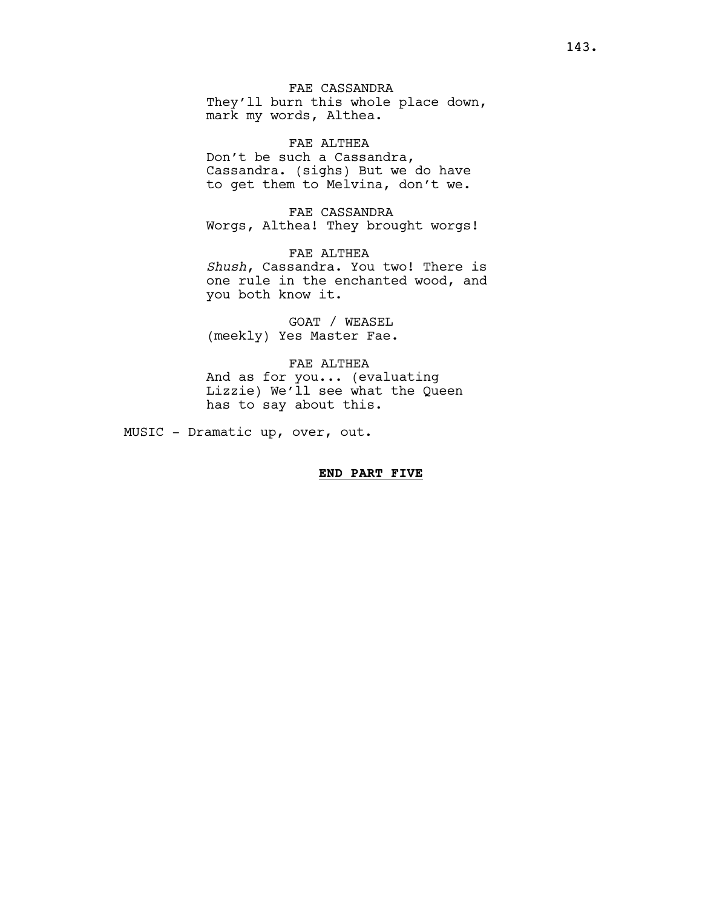FAE CASSANDRA They'll burn this whole place down, mark my words, Althea.

FAE ALTHEA Don't be such a Cassandra, Cassandra. (sighs) But we do have to get them to Melvina, don't we.

FAE CASSANDRA Worgs, Althea! They brought worgs!

FAE ALTHEA Shush, Cassandra. You two! There is one rule in the enchanted wood, and you both know it.

GOAT / WEASEL (meekly) Yes Master Fae.

FAE ALTHEA And as for you... (evaluating Lizzie) We'll see what the Queen has to say about this.

MUSIC - Dramatic up, over, out.

# END PART FIVE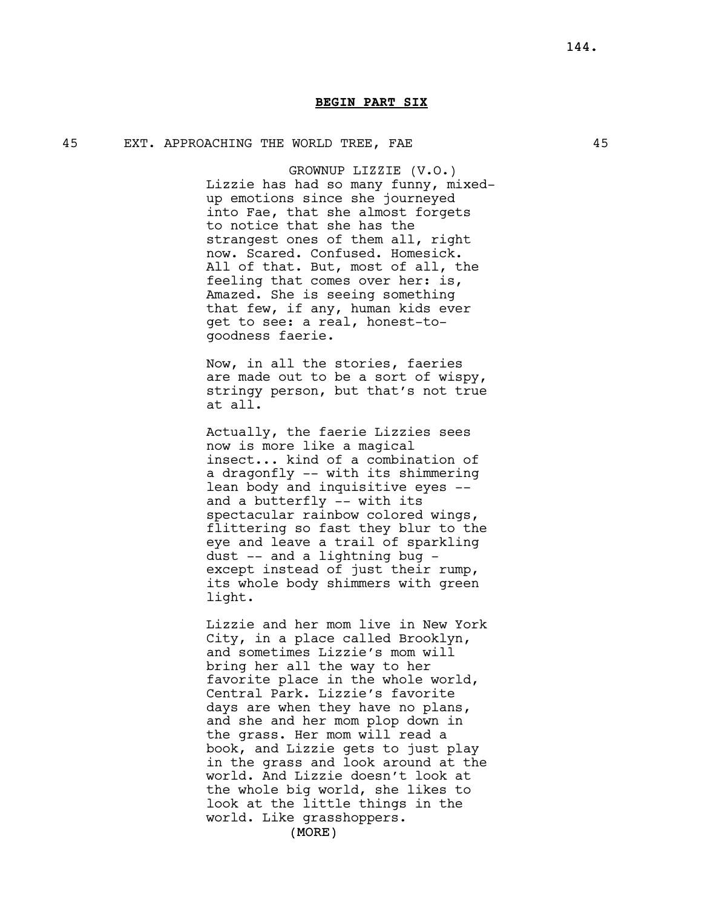# 45 EXT. APPROACHING THE WORLD TREE, FAE 45

GROWNUP LIZZIE (V.O.) Lizzie has had so many funny, mixedup emotions since she journeyed into Fae, that she almost forgets to notice that she has the strangest ones of them all, right now. Scared. Confused. Homesick. All of that. But, most of all, the feeling that comes over her: is, Amazed. She is seeing something that few, if any, human kids ever get to see: a real, honest-togoodness faerie.

Now, in all the stories, faeries are made out to be a sort of wispy, stringy person, but that's not true at all.

Actually, the faerie Lizzies sees now is more like a magical insect... kind of a combination of a dragonfly -- with its shimmering lean body and inquisitive eyes - and a butterfly -- with its spectacular rainbow colored wings, flittering so fast they blur to the eye and leave a trail of sparkling dust -- and a lightning bug except instead of just their rump, its whole body shimmers with green light.

Lizzie and her mom live in New York City, in a place called Brooklyn, and sometimes Lizzie's mom will bring her all the way to her favorite place in the whole world, Central Park. Lizzie's favorite days are when they have no plans, and she and her mom plop down in the grass. Her mom will read a book, and Lizzie gets to just play in the grass and look around at the world. And Lizzie doesn't look at the whole big world, she likes to look at the little things in the world. Like grasshoppers.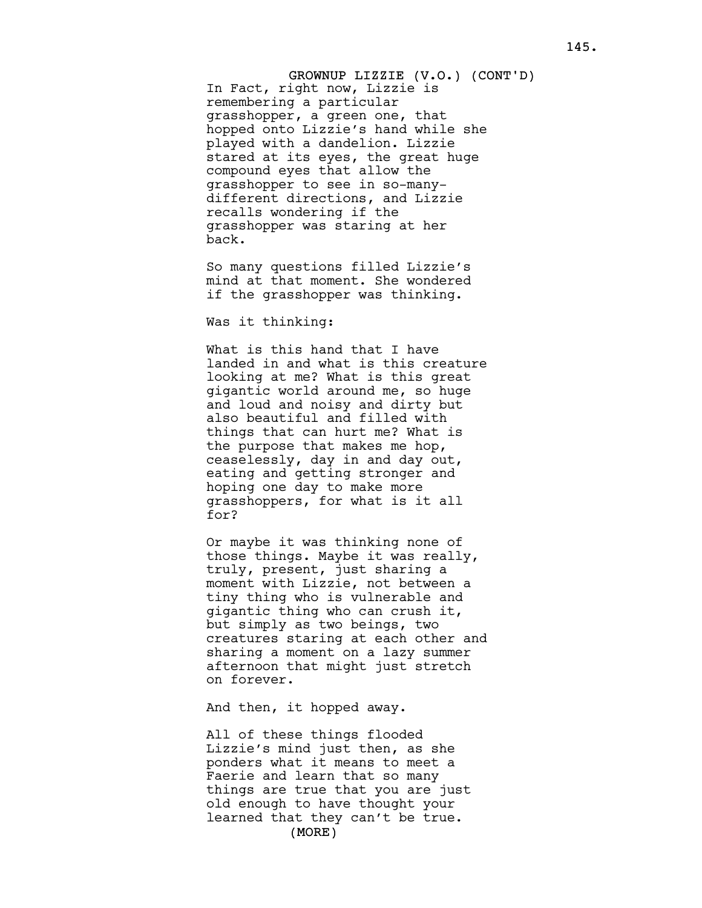GROWNUP LIZZIE (V.O.) (CONT'D) In Fact, right now, Lizzie is remembering a particular grasshopper, a green one, that hopped onto Lizzie's hand while she played with a dandelion. Lizzie stared at its eyes, the great huge compound eyes that allow the grasshopper to see in so-manydifferent directions, and Lizzie recalls wondering if the grasshopper was staring at her back.

So many questions filled Lizzie's mind at that moment. She wondered if the grasshopper was thinking.

Was it thinking:

What is this hand that I have landed in and what is this creature looking at me? What is this great gigantic world around me, so huge and loud and noisy and dirty but also beautiful and filled with things that can hurt me? What is the purpose that makes me hop, ceaselessly, day in and day out, eating and getting stronger and hoping one day to make more grasshoppers, for what is it all for?

Or maybe it was thinking none of those things. Maybe it was really, truly, present, just sharing a moment with Lizzie, not between a tiny thing who is vulnerable and gigantic thing who can crush it, but simply as two beings, two creatures staring at each other and sharing a moment on a lazy summer afternoon that might just stretch on forever.

And then, it hopped away.

(MORE) All of these things flooded Lizzie's mind just then, as she ponders what it means to meet a Faerie and learn that so many things are true that you are just old enough to have thought your learned that they can't be true.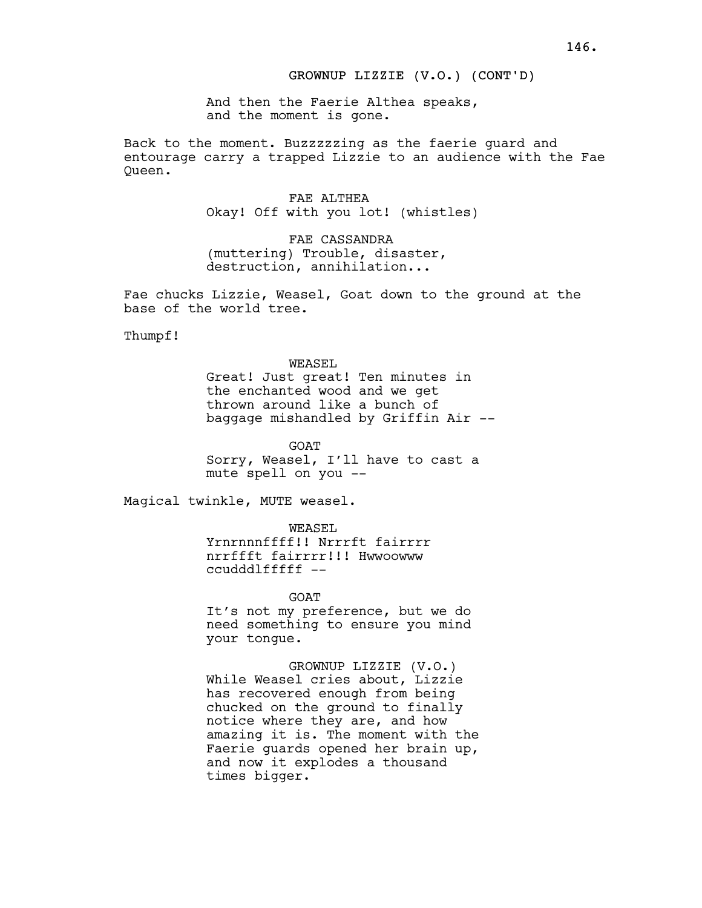# GROWNUP LIZZIE (V.O.) (CONT'D)

And then the Faerie Althea speaks, and the moment is gone.

Back to the moment. Buzzzzzing as the faerie guard and entourage carry a trapped Lizzie to an audience with the Fae Queen.

> FAE ALTHEA Okay! Off with you lot! (whistles)

FAE CASSANDRA (muttering) Trouble, disaster, destruction, annihilation...

Fae chucks Lizzie, Weasel, Goat down to the ground at the base of the world tree.

Thumpf!

WEASEL Great! Just great! Ten minutes in the enchanted wood and we get thrown around like a bunch of baggage mishandled by Griffin Air --

GOAT Sorry, Weasel, I'll have to cast a mute spell on you --

Magical twinkle, MUTE weasel.

WEASEL Yrnrnnnffff!! Nrrrft fairrrr nrrffft fairrrr!!! Hwwoowww ccudddlfffff --

**GOAT** It's not my preference, but we do need something to ensure you mind your tongue.

GROWNUP LIZZIE (V.O.) While Weasel cries about, Lizzie has recovered enough from being chucked on the ground to finally notice where they are, and how amazing it is. The moment with the Faerie guards opened her brain up, and now it explodes a thousand times bigger.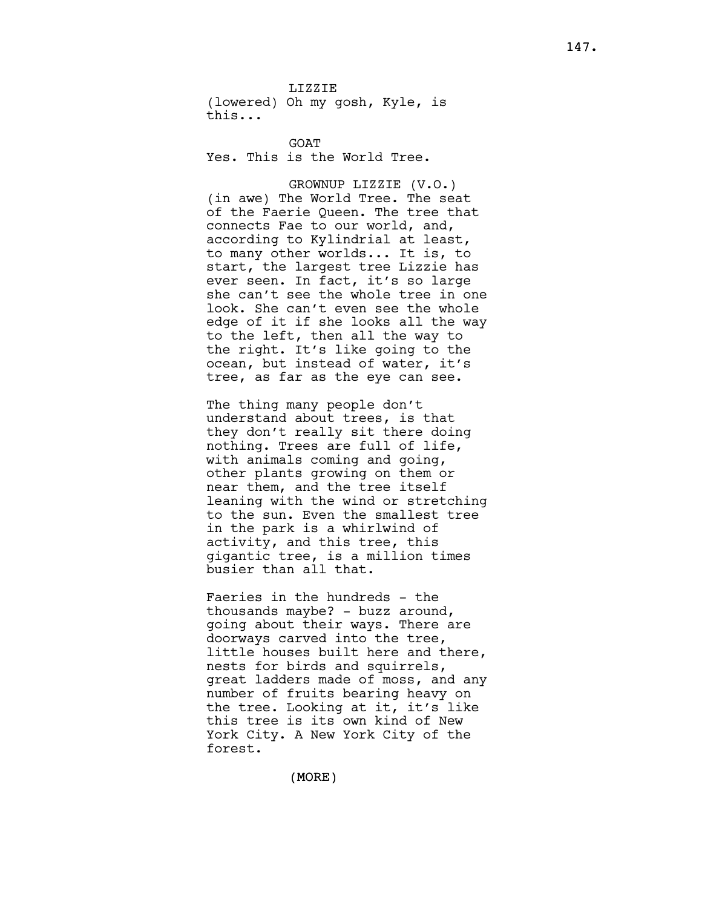LIZZIE (lowered) Oh my gosh, Kyle, is this...

**GOAT** Yes. This is the World Tree.

GROWNUP LIZZIE (V.O.) (in awe) The World Tree. The seat of the Faerie Queen. The tree that connects Fae to our world, and, according to Kylindrial at least, to many other worlds... It is, to start, the largest tree Lizzie has ever seen. In fact, it's so large she can't see the whole tree in one look. She can't even see the whole edge of it if she looks all the way to the left, then all the way to the right. It's like going to the ocean, but instead of water, it's tree, as far as the eye can see.

The thing many people don't understand about trees, is that they don't really sit there doing nothing. Trees are full of life, with animals coming and going, other plants growing on them or near them, and the tree itself leaning with the wind or stretching to the sun. Even the smallest tree in the park is a whirlwind of activity, and this tree, this gigantic tree, is a million times busier than all that.

Faeries in the hundreds - the thousands maybe? - buzz around, going about their ways. There are doorways carved into the tree, little houses built here and there, nests for birds and squirrels, great ladders made of moss, and any number of fruits bearing heavy on the tree. Looking at it, it's like this tree is its own kind of New York City. A New York City of the forest.

(MORE)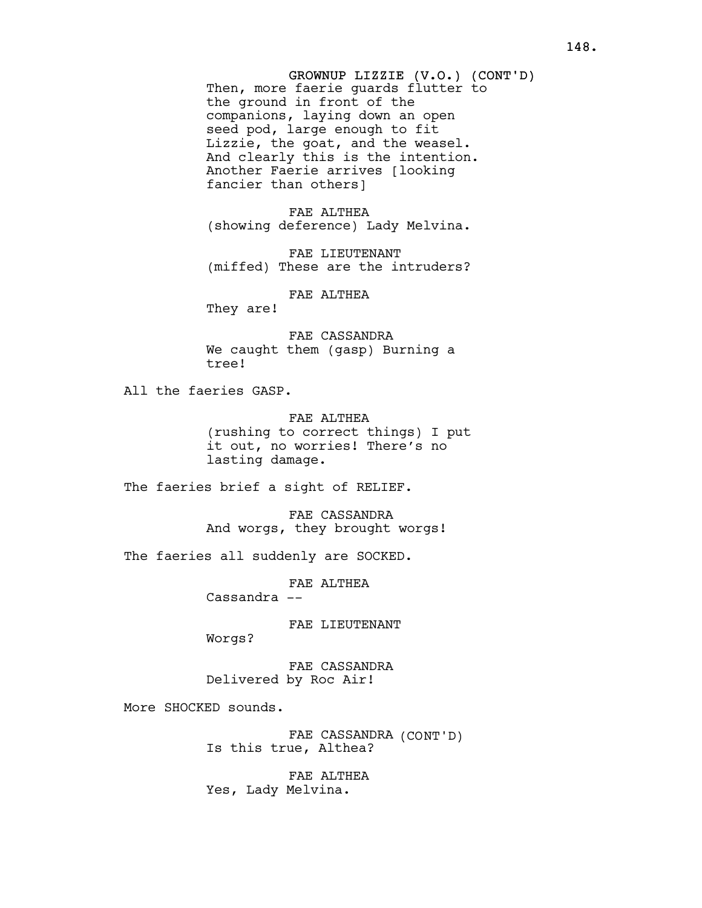GROWNUP LIZZIE (V.O.) (CONT'D) Then, more faerie guards flutter to the ground in front of the companions, laying down an open seed pod, large enough to fit Lizzie, the goat, and the weasel. And clearly this is the intention. Another Faerie arrives [looking fancier than others]

FAE ALTHEA (showing deference) Lady Melvina.

FAE LIEUTENANT (miffed) These are the intruders?

FAE ALTHEA

They are!

FAE CASSANDRA We caught them (gasp) Burning a tree!

All the faeries GASP.

FAE ALTHEA (rushing to correct things) I put it out, no worries! There's no lasting damage.

The faeries brief a sight of RELIEF.

FAE CASSANDRA And worgs, they brought worgs!

The faeries all suddenly are SOCKED.

FAE ALTHEA

 $C$ assandra  $-$ 

FAE LIEUTENANT

Worgs?

FAE CASSANDRA Delivered by Roc Air!

More SHOCKED sounds.

FAE CASSANDRA (CONT'D) Is this true, Althea?

FAE ALTHEA Yes, Lady Melvina.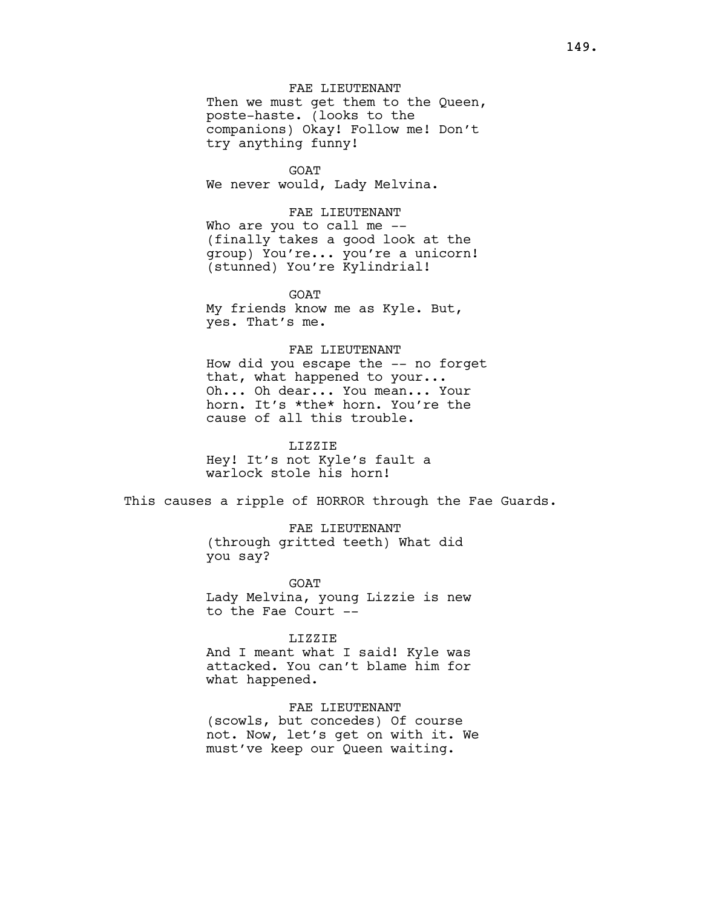FAE LIEUTENANT Then we must get them to the Queen, poste-haste. (looks to the companions) Okay! Follow me! Don't try anything funny!

GOAT We never would, Lady Melvina.

FAE LIEUTENANT Who are you to call me --(finally takes a good look at the group) You're... you're a unicorn! (stunned) You're Kylindrial!

**GOAT** My friends know me as Kyle. But, yes. That's me.

# FAE LIEUTENANT

How did you escape the -- no forget that, what happened to your... Oh... Oh dear... You mean... Your horn. It's \*the\* horn. You're the cause of all this trouble.

#### LIZZIE

Hey! It's not Kyle's fault a warlock stole his horn!

This causes a ripple of HORROR through the Fae Guards.

FAE LIEUTENANT (through gritted teeth) What did you say?

GOAT Lady Melvina, young Lizzie is new to the Fae Court --

### LIZZIE

And I meant what I said! Kyle was attacked. You can't blame him for what happened.

FAE LIEUTENANT (scowls, but concedes) Of course not. Now, let's get on with it. We must've keep our Queen waiting.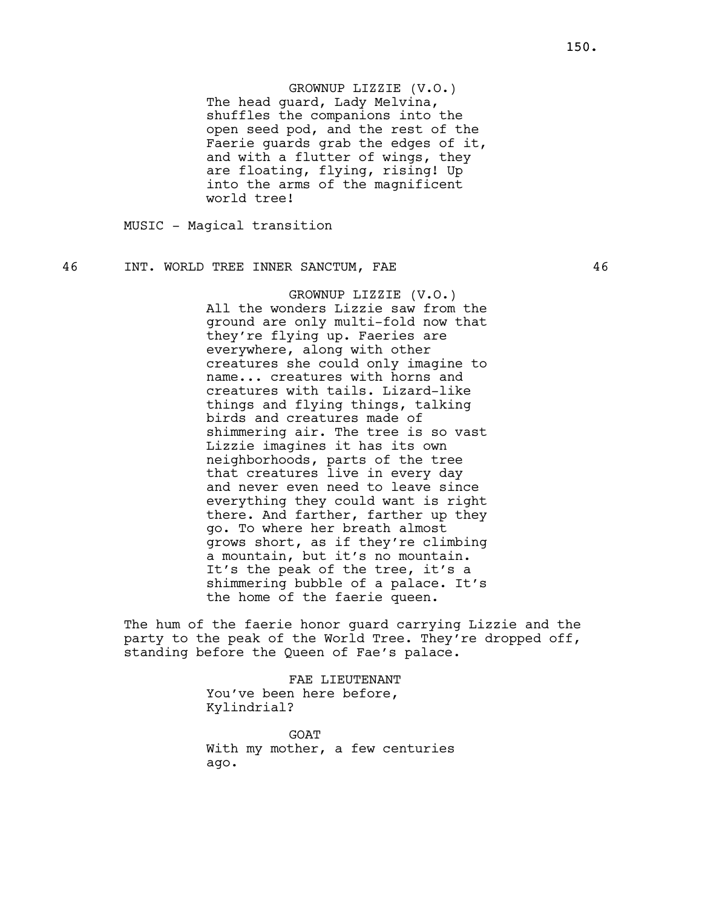# GROWNUP LIZZIE (V.O.)

The head guard, Lady Melvina, shuffles the companions into the open seed pod, and the rest of the Faerie guards grab the edges of it, and with a flutter of wings, they are floating, flying, rising! Up into the arms of the magnificent world tree!

MUSIC - Magical transition

# 46 INT. WORLD TREE INNER SANCTUM, FAE 46

GROWNUP LIZZIE (V.O.) All the wonders Lizzie saw from the ground are only multi-fold now that they're flying up. Faeries are everywhere, along with other creatures she could only imagine to name... creatures with horns and creatures with tails. Lizard-like things and flying things, talking birds and creatures made of shimmering air. The tree is so vast Lizzie imagines it has its own neighborhoods, parts of the tree that creatures live in every day and never even need to leave since everything they could want is right there. And farther, farther up they go. To where her breath almost grows short, as if they're climbing a mountain, but it's no mountain. It's the peak of the tree, it's a shimmering bubble of a palace. It's the home of the faerie queen.

The hum of the faerie honor guard carrying Lizzie and the party to the peak of the World Tree. They're dropped off, standing before the Queen of Fae's palace.

> FAE LIEUTENANT You've been here before, Kylindrial?

GOAT With my mother, a few centuries ago.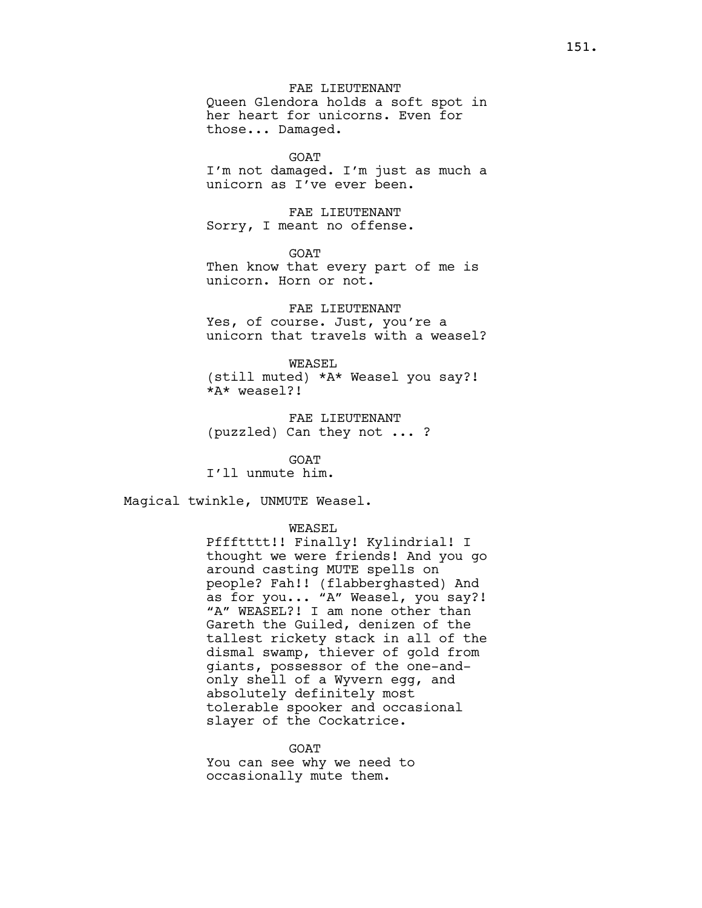FAE LIEUTENANT Queen Glendora holds a soft spot in her heart for unicorns. Even for those... Damaged.

GOAT I'm not damaged. I'm just as much a unicorn as I've ever been.

FAE LIEUTENANT Sorry, I meant no offense.

GOAT Then know that every part of me is unicorn. Horn or not.

FAE LIEUTENANT Yes, of course. Just, you're a unicorn that travels with a weasel?

WEASEL (still muted) \*A\* Weasel you say?! \*A\* weasel?!

FAE LIEUTENANT (puzzled) Can they not ... ?

GOAT

I'll unmute him.

Magical twinkle, UNMUTE Weasel.

WEASEL

Pffftttt!! Finally! Kylindrial! I thought we were friends! And you go around casting MUTE spells on people? Fah!! (flabberghasted) And as for you... "A" Weasel, you say?! "A" WEASEL?! I am none other than Gareth the Guiled, denizen of the tallest rickety stack in all of the dismal swamp, thiever of gold from giants, possessor of the one-andonly shell of a Wyvern egg, and absolutely definitely most tolerable spooker and occasional slayer of the Cockatrice.

GOAT You can see why we need to occasionally mute them.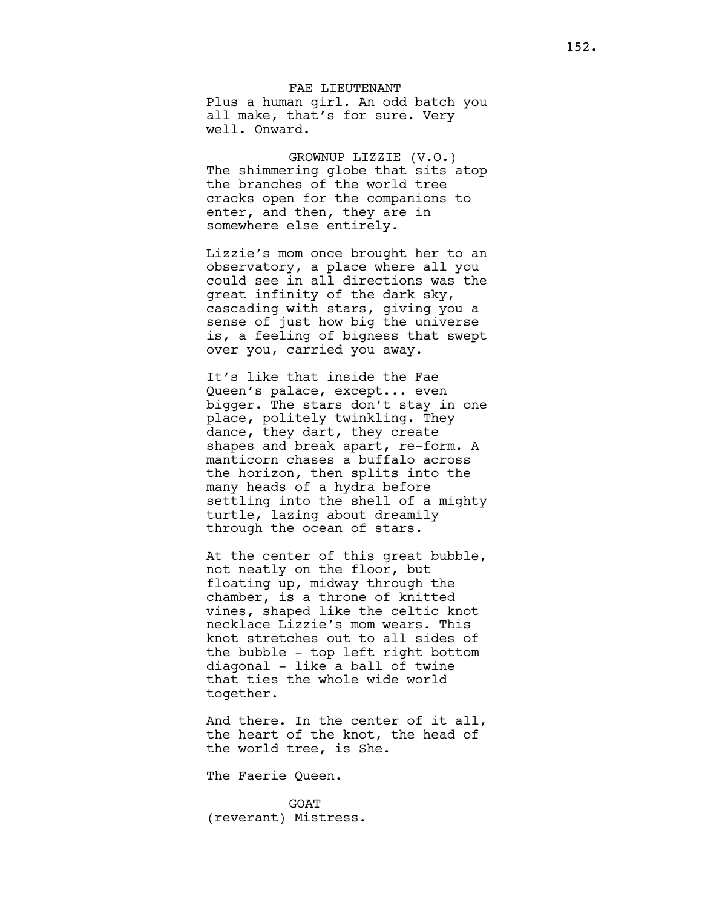FAE LIEUTENANT Plus a human girl. An odd batch you all make, that's for sure. Very well. Onward.

GROWNUP LIZZIE (V.O.) The shimmering globe that sits atop the branches of the world tree cracks open for the companions to enter, and then, they are in somewhere else entirely.

Lizzie's mom once brought her to an observatory, a place where all you could see in all directions was the great infinity of the dark sky, cascading with stars, giving you a sense of just how big the universe is, a feeling of bigness that swept over you, carried you away.

It's like that inside the Fae Queen's palace, except... even bigger. The stars don't stay in one place, politely twinkling. They dance, they dart, they create shapes and break apart, re-form. A manticorn chases a buffalo across the horizon, then splits into the many heads of a hydra before settling into the shell of a mighty turtle, lazing about dreamily through the ocean of stars.

At the center of this great bubble, not neatly on the floor, but floating up, midway through the chamber, is a throne of knitted vines, shaped like the celtic knot necklace Lizzie's mom wears. This knot stretches out to all sides of the bubble - top left right bottom diagonal - like a ball of twine that ties the whole wide world together.

And there. In the center of it all, the heart of the knot, the head of the world tree, is She.

The Faerie Queen.

**GOAT** (reverant) Mistress.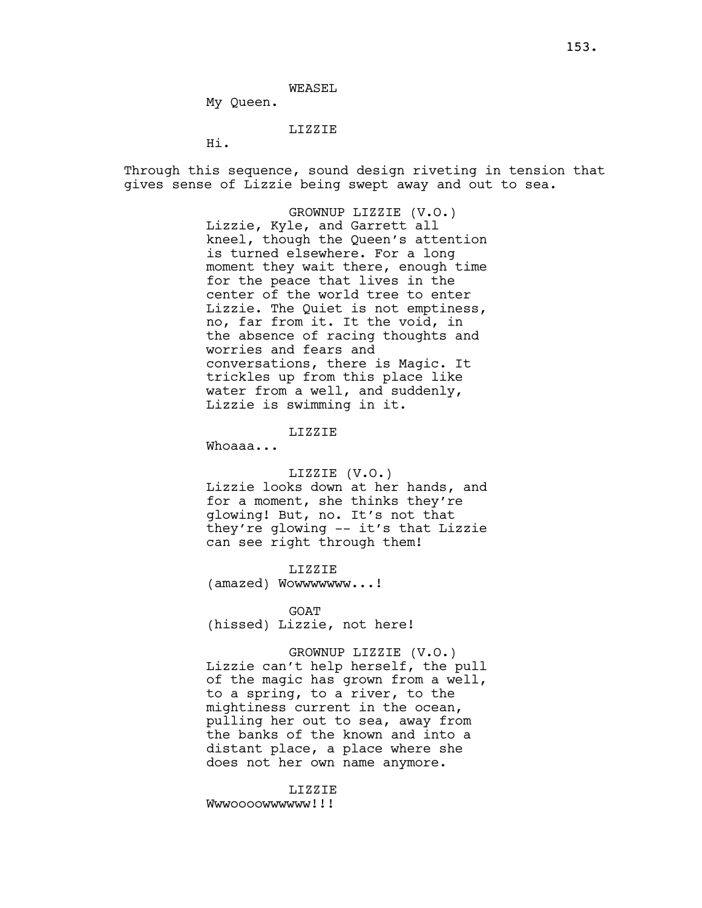WEASEL

My Queen.

# LIZZIE

Hi.

Through this sequence, sound design riveting in tension that gives sense of Lizzie being swept away and out to sea.

> GROWNUP LIZZIE (V.O.) Lizzie, Kyle, and Garrett all kneel, though the Queen's attention is turned elsewhere. For a long moment they wait there, enough time for the peace that lives in the center of the world tree to enter Lizzie. The Quiet is not emptiness, no, far from it. It the void, in the absence of racing thoughts and worries and fears and conversations, there is Magic. It trickles up from this place like water from a well, and suddenly, Lizzie is swimming in it.

> > LIZZIE

Whoaaa...

### LIZZIE (V.O.)

Lizzie looks down at her hands, and for a moment, she thinks they're glowing! But, no. It's not that they're glowing -- it's that Lizzie can see right through them!

LIZZIE (amazed) Wowwwwwww...!

GOAT

(hissed) Lizzie, not here!

# GROWNUP LIZZIE (V.O.)

Lizzie can't help herself, the pull of the magic has grown from a well, to a spring, to a river, to the mightiness current in the ocean, pulling her out to sea, away from the banks of the known and into a distant place, a place where she does not her own name anymore.

LIZZIE Wwwoooowwwwww!!!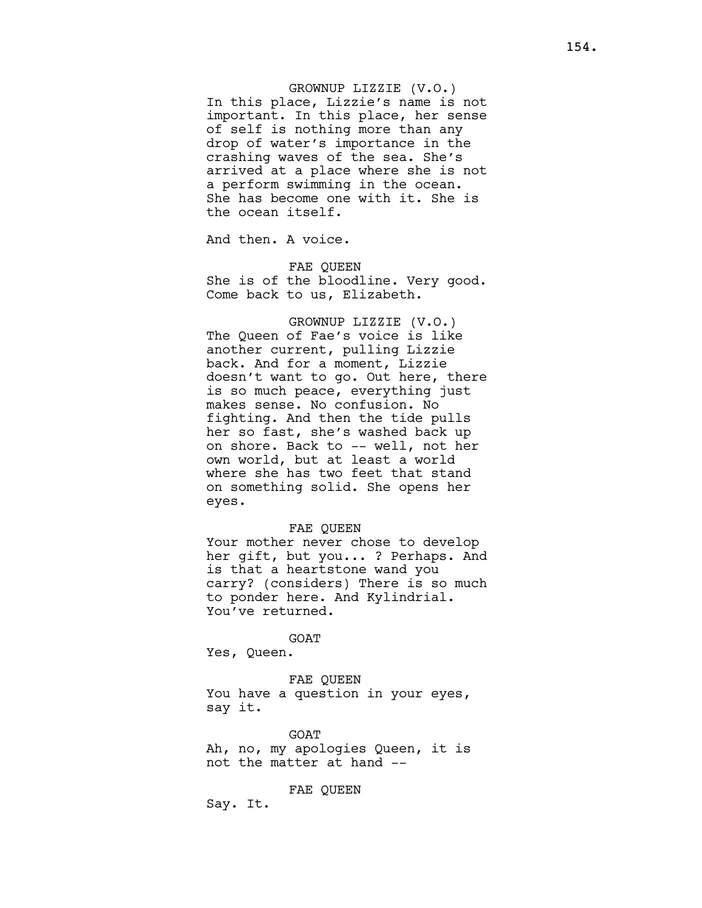# GROWNUP LIZZIE (V.O.)

In this place, Lizzie's name is not important. In this place, her sense of self is nothing more than any drop of water's importance in the crashing waves of the sea. She's arrived at a place where she is not a perform swimming in the ocean. She has become one with it. She is the ocean itself.

And then. A voice.

FAE QUEEN She is of the bloodline. Very good. Come back to us, Elizabeth.

GROWNUP LIZZIE (V.O.) The Queen of Fae's voice is like another current, pulling Lizzie back. And for a moment, Lizzie doesn't want to go. Out here, there is so much peace, everything just makes sense. No confusion. No fighting. And then the tide pulls her so fast, she's washed back up on shore. Back to -- well, not her own world, but at least a world where she has two feet that stand on something solid. She opens her eyes.

### FAE QUEEN

Your mother never chose to develop her gift, but you... ? Perhaps. And is that a heartstone wand you carry? (considers) There is so much to ponder here. And Kylindrial. You've returned.

GOAT

Yes, Queen.

FAE QUEEN You have a question in your eyes, say it.

GOAT Ah, no, my apologies Queen, it is not the matter at hand --

FAE QUEEN

Say. It.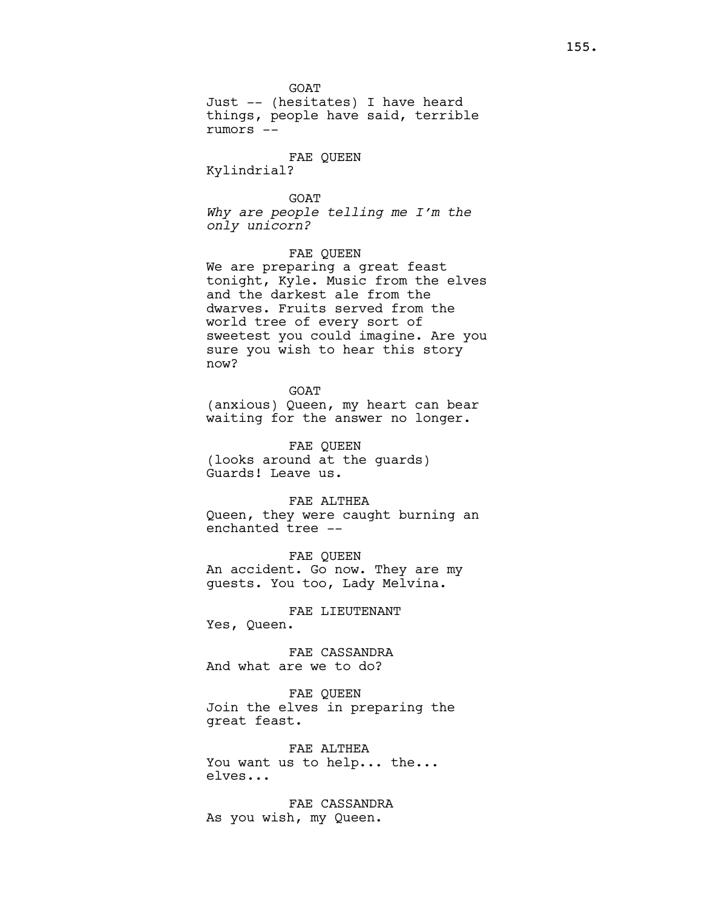Just -- (hesitates) I have heard things, people have said, terrible rumors --

# FAE QUEEN

Kylindrial?

#### **GOAT**

Why are people telling me I'm the only unicorn?

# FAE QUEEN

We are preparing a great feast tonight, Kyle. Music from the elves and the darkest ale from the dwarves. Fruits served from the world tree of every sort of sweetest you could imagine. Are you sure you wish to hear this story now?

GOAT

(anxious) Queen, my heart can bear waiting for the answer no longer.

FAE QUEEN (looks around at the guards) Guards! Leave us.

# FAE ALTHEA

Queen, they were caught burning an enchanted tree --

FAE QUEEN An accident. Go now. They are my guests. You too, Lady Melvina.

# FAE LIEUTENANT

Yes, Queen.

FAE CASSANDRA And what are we to do?

FAE QUEEN Join the elves in preparing the great feast.

FAE ALTHEA You want us to help... the... elves...

FAE CASSANDRA As you wish, my Queen.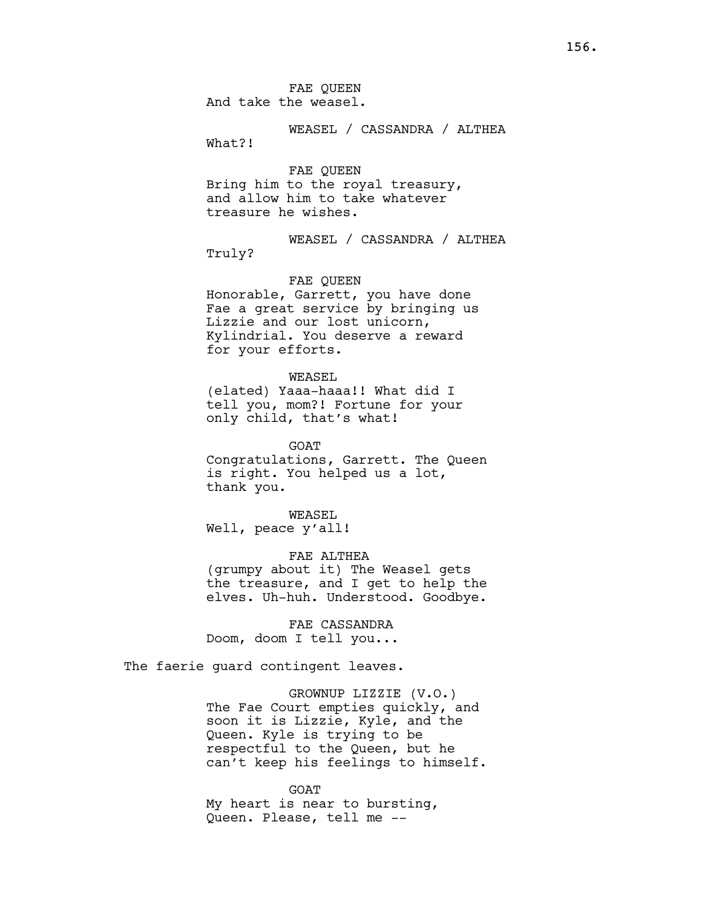FAE QUEEN And take the weasel.

WEASEL / CASSANDRA / ALTHEA What?!

FAE QUEEN Bring him to the royal treasury, and allow him to take whatever treasure he wishes.

WEASEL / CASSANDRA / ALTHEA Truly?

#### FAE QUEEN

Honorable, Garrett, you have done Fae a great service by bringing us Lizzie and our lost unicorn, Kylindrial. You deserve a reward for your efforts.

WEASEL

(elated) Yaaa-haaa!! What did I tell you, mom?! Fortune for your only child, that's what!

GOAT Congratulations, Garrett. The Queen is right. You helped us a lot, thank you.

WEASEL Well, peace y'all!

# FAE ALTHEA

(grumpy about it) The Weasel gets the treasure, and I get to help the elves. Uh-huh. Understood. Goodbye.

FAE CASSANDRA Doom, doom I tell you...

The faerie guard contingent leaves.

GROWNUP LIZZIE (V.O.) The Fae Court empties quickly, and soon it is Lizzie, Kyle, and the Queen. Kyle is trying to be respectful to the Queen, but he can't keep his feelings to himself.

GOAT My heart is near to bursting, Queen. Please, tell me --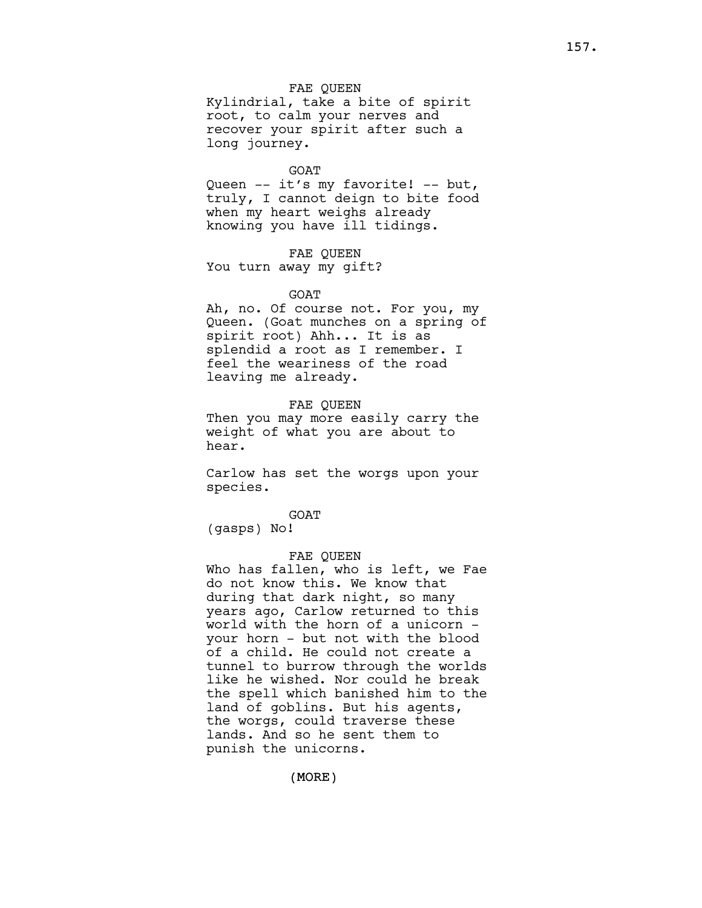# FAE QUEEN

Kylindrial, take a bite of spirit root, to calm your nerves and recover your spirit after such a long journey.

#### GOAT

Queen -- it's my favorite! -- but, truly, I cannot deign to bite food when my heart weighs already knowing you have ill tidings.

FAE QUEEN You turn away my gift?

#### **GOAT**

Ah, no. Of course not. For you, my Queen. (Goat munches on a spring of spirit root) Ahh... It is as splendid a root as I remember. I feel the weariness of the road leaving me already.

#### FAE QUEEN

Then you may more easily carry the weight of what you are about to hear.

Carlow has set the worgs upon your species.

GOAT

(gasps) No!

#### FAE QUEEN

Who has fallen, who is left, we Fae do not know this. We know that during that dark night, so many years ago, Carlow returned to this world with the horn of a unicorn your horn - but not with the blood of a child. He could not create a tunnel to burrow through the worlds like he wished. Nor could he break the spell which banished him to the land of goblins. But his agents, the worgs, could traverse these lands. And so he sent them to punish the unicorns.

(MORE)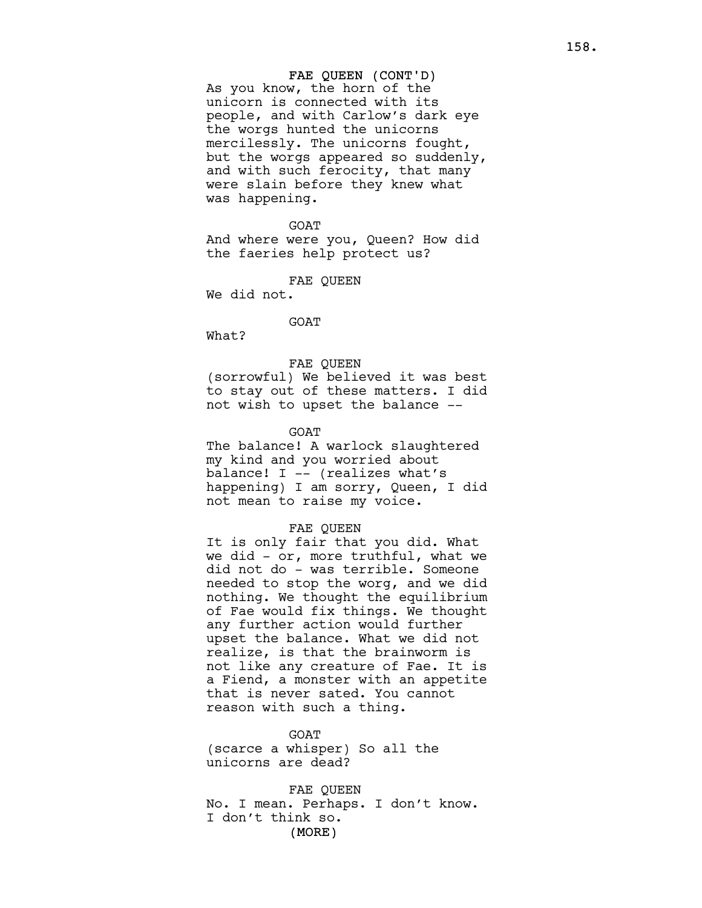#### FAE QUEEN (CONT'D)

As you know, the horn of the unicorn is connected with its people, and with Carlow's dark eye the worgs hunted the unicorns mercilessly. The unicorns fought, but the worgs appeared so suddenly, and with such ferocity, that many were slain before they knew what was happening.

#### GOAT

And where were you, Queen? How did the faeries help protect us?

FAE QUEEN

We did not.

GOAT

What?

# FAE QUEEN

(sorrowful) We believed it was best to stay out of these matters. I did not wish to upset the balance --

#### GOAT

The balance! A warlock slaughtered my kind and you worried about balance! I -- (realizes what's happening) I am sorry, Queen, I did not mean to raise my voice.

#### FAE QUEEN

It is only fair that you did. What we did - or, more truthful, what we did not do - was terrible. Someone needed to stop the worg, and we did nothing. We thought the equilibrium of Fae would fix things. We thought any further action would further upset the balance. What we did not realize, is that the brainworm is not like any creature of Fae. It is a Fiend, a monster with an appetite that is never sated. You cannot reason with such a thing.

GOAT

(scarce a whisper) So all the unicorns are dead?

(MORE) FAE QUEEN No. I mean. Perhaps. I don't know. I don't think so.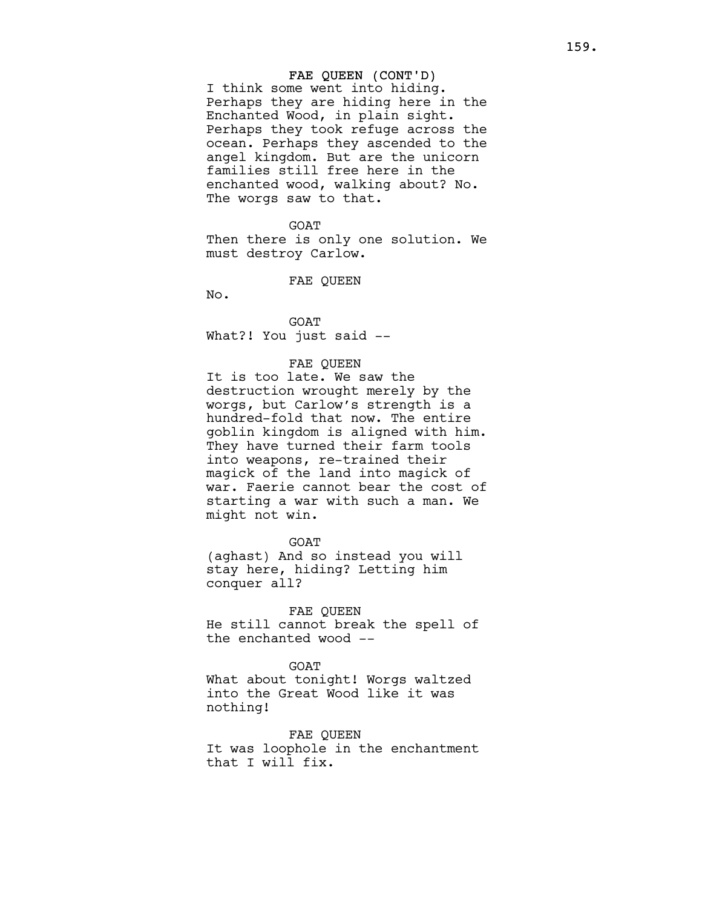# FAE QUEEN (CONT'D)

I think some went into hiding. Perhaps they are hiding here in the Enchanted Wood, in plain sight. Perhaps they took refuge across the ocean. Perhaps they ascended to the angel kingdom. But are the unicorn families still free here in the enchanted wood, walking about? No. The worgs saw to that.

#### GOAT

Then there is only one solution. We must destroy Carlow.

### FAE QUEEN

No.

GOAT What?! You just said --

#### FAE QUEEN

It is too late. We saw the destruction wrought merely by the worgs, but Carlow's strength is a hundred-fold that now. The entire goblin kingdom is aligned with him. They have turned their farm tools into weapons, re-trained their magick of the land into magick of war. Faerie cannot bear the cost of starting a war with such a man. We might not win.

GOAT

(aghast) And so instead you will stay here, hiding? Letting him conquer all?

### FAE QUEEN

He still cannot break the spell of the enchanted wood --

**GOAT** 

What about tonight! Worgs waltzed into the Great Wood like it was nothing!

### FAE QUEEN

It was loophole in the enchantment that I will fix.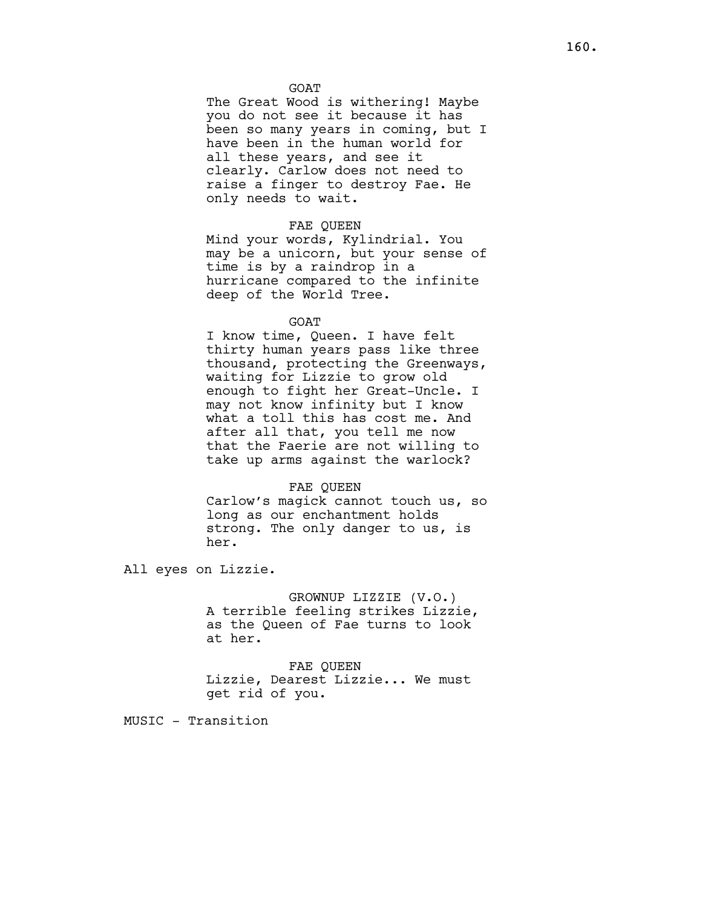### GOAT

The Great Wood is withering! Maybe you do not see it because it has been so many years in coming, but I have been in the human world for all these years, and see it clearly. Carlow does not need to raise a finger to destroy Fae. He only needs to wait.

# FAE QUEEN

Mind your words, Kylindrial. You may be a unicorn, but your sense of time is by a raindrop in a hurricane compared to the infinite deep of the World Tree.

# GOAT

I know time, Queen. I have felt thirty human years pass like three thousand, protecting the Greenways, waiting for Lizzie to grow old enough to fight her Great-Uncle. I may not know infinity but I know what a toll this has cost me. And after all that, you tell me now that the Faerie are not willing to take up arms against the warlock?

#### FAE QUEEN

Carlow's magick cannot touch us, so long as our enchantment holds strong. The only danger to us, is her.

All eyes on Lizzie.

GROWNUP LIZZIE (V.O.) A terrible feeling strikes Lizzie, as the Queen of Fae turns to look at her.

FAE QUEEN Lizzie, Dearest Lizzie... We must get rid of you.

MUSIC - Transition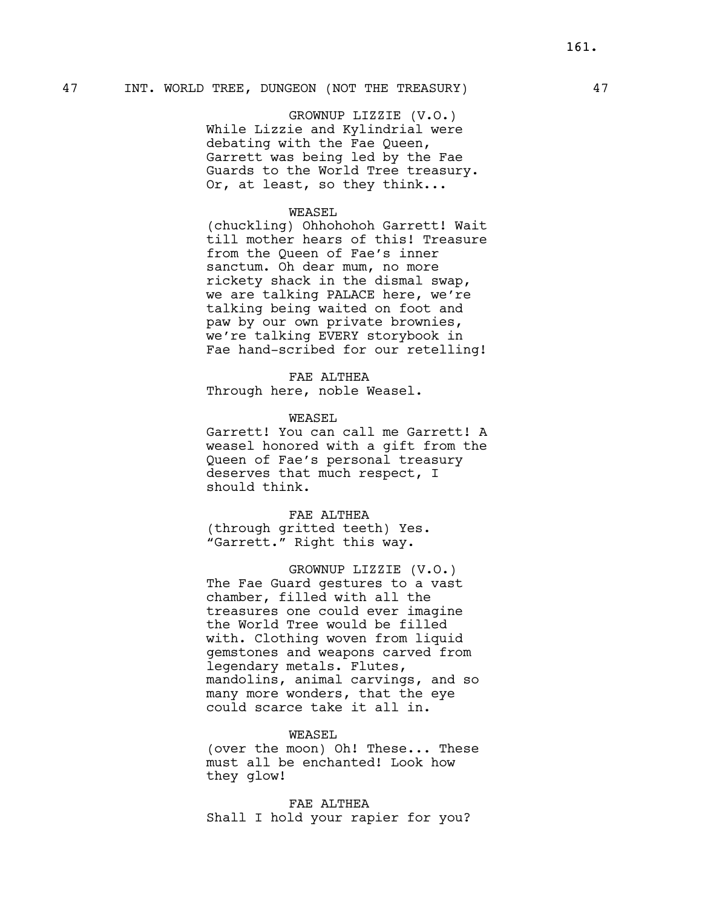# 47 INT. WORLD TREE, DUNGEON (NOT THE TREASURY) 47

GROWNUP LIZZIE (V.O.) While Lizzie and Kylindrial were debating with the Fae Queen, Garrett was being led by the Fae Guards to the World Tree treasury. Or, at least, so they think...

#### WEASEL

(chuckling) Ohhohohoh Garrett! Wait till mother hears of this! Treasure from the Queen of Fae's inner sanctum. Oh dear mum, no more rickety shack in the dismal swap, we are talking PALACE here, we're talking being waited on foot and paw by our own private brownies, we're talking EVERY storybook in Fae hand-scribed for our retelling!

# FAE ALTHEA

Through here, noble Weasel.

#### WEASEL

Garrett! You can call me Garrett! A weasel honored with a gift from the Queen of Fae's personal treasury deserves that much respect, I should think.

# FAE ALTHEA

(through gritted teeth) Yes. "Garrett." Right this way.

GROWNUP LIZZIE (V.O.) The Fae Guard gestures to a vast chamber, filled with all the treasures one could ever imagine the World Tree would be filled with. Clothing woven from liquid gemstones and weapons carved from legendary metals. Flutes, mandolins, animal carvings, and so many more wonders, that the eye could scarce take it all in.

#### WEASEL

(over the moon) Oh! These... These must all be enchanted! Look how they glow!

FAE ALTHEA Shall I hold your rapier for you?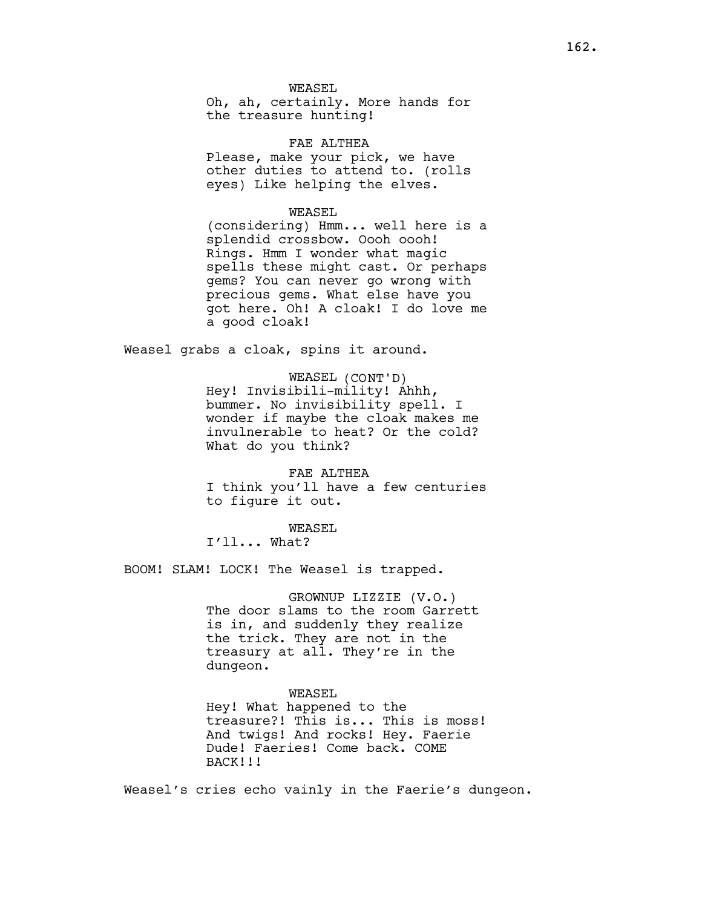# WEASEL

Oh, ah, certainly. More hands for the treasure hunting!

FAE ALTHEA Please, make your pick, we have other duties to attend to. (rolls eyes) Like helping the elves.

#### WEASEL

(considering) Hmm... well here is a splendid crossbow. Oooh oooh! Rings. Hmm I wonder what magic spells these might cast. Or perhaps gems? You can never go wrong with precious gems. What else have you got here. Oh! A cloak! I do love me a good cloak!

Weasel grabs a cloak, spins it around.

WEASEL (CONT'D) Hey! Invisibili-mility! Ahhh, bummer. No invisibility spell. I wonder if maybe the cloak makes me invulnerable to heat? Or the cold? What do you think?

FAE ALTHEA I think you'll have a few centuries to figure it out.

WEASEL I'll... What?

BOOM! SLAM! LOCK! The Weasel is trapped.

GROWNUP LIZZIE (V.O.) The door slams to the room Garrett is in, and suddenly they realize the trick. They are not in the treasury at all. They're in the dungeon.

# WEASEL

Hey! What happened to the treasure?! This is... This is moss! And twigs! And rocks! Hey. Faerie Dude! Faeries! Come back. COME BACK!!!

Weasel's cries echo vainly in the Faerie's dungeon.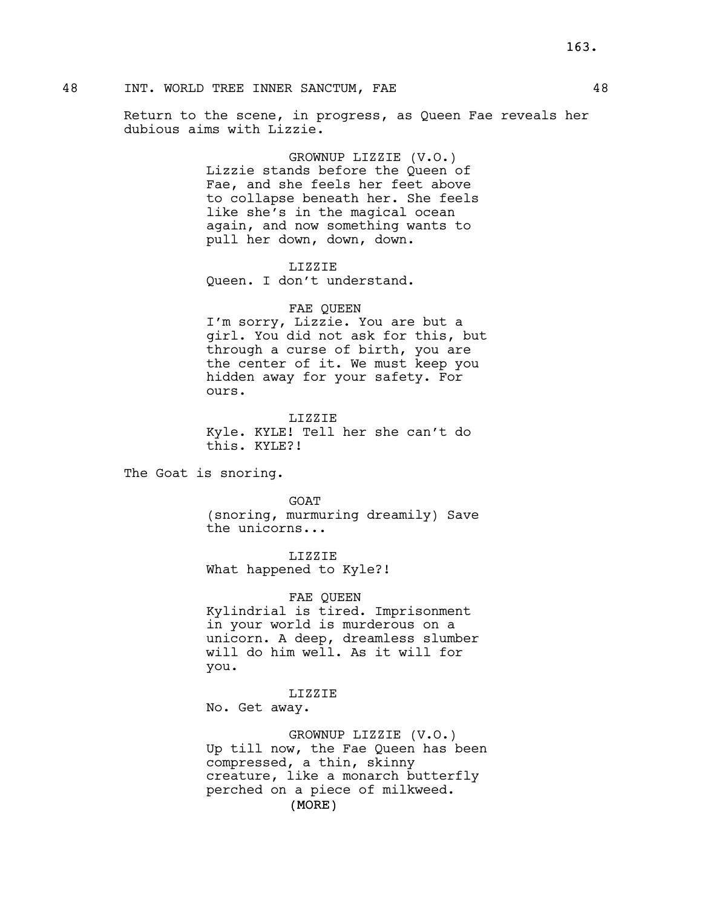# 48 INT. WORLD TREE INNER SANCTUM, FAE 48

Return to the scene, in progress, as Queen Fae reveals her dubious aims with Lizzie.

> GROWNUP LIZZIE (V.O.) Lizzie stands before the Queen of Fae, and she feels her feet above to collapse beneath her. She feels like she's in the magical ocean again, and now something wants to pull her down, down, down.

LIZZIE Queen. I don't understand.

# FAE QUEEN

I'm sorry, Lizzie. You are but a girl. You did not ask for this, but through a curse of birth, you are the center of it. We must keep you hidden away for your safety. For ours.

LIZZIE Kyle. KYLE! Tell her she can't do this. KYLE?!

The Goat is snoring.

GOAT (snoring, murmuring dreamily) Save the unicorns...

LIZZIE What happened to Kyle?!

FAE QUEEN Kylindrial is tired. Imprisonment in your world is murderous on a unicorn. A deep, dreamless slumber will do him well. As it will for you.

LIZZIE No. Get away.

(MORE) GROWNUP LIZZIE (V.O.) Up till now, the Fae Queen has been compressed, a thin, skinny creature, like a monarch butterfly perched on a piece of milkweed.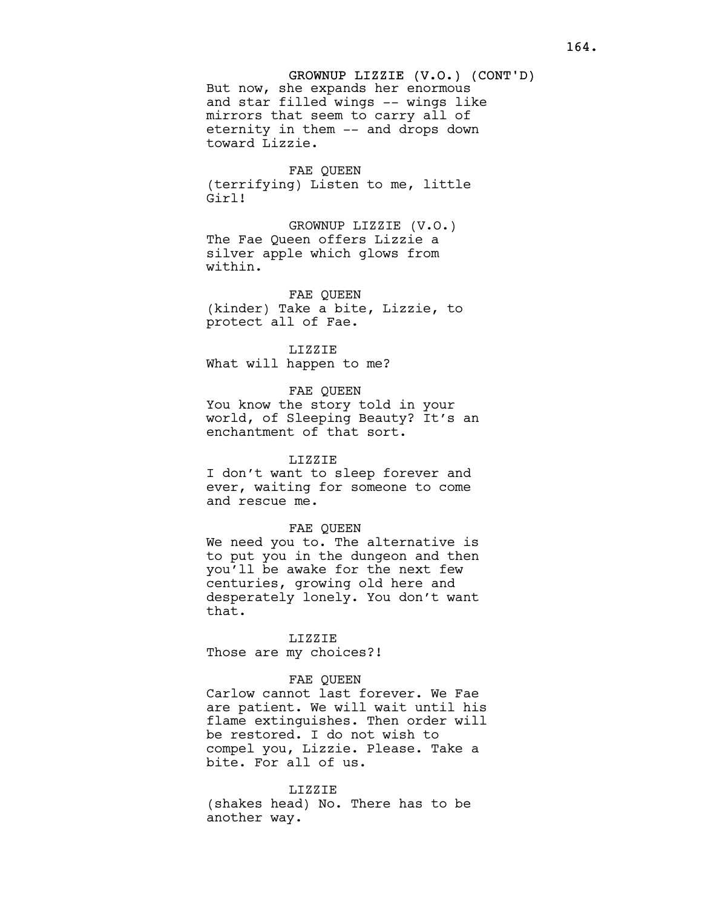# FAE QUEEN

(terrifying) Listen to me, little Girl!

GROWNUP LIZZIE (V.O.) The Fae Queen offers Lizzie a silver apple which glows from within.

FAE QUEEN (kinder) Take a bite, Lizzie, to protect all of Fae.

LIZZIE

What will happen to me?

# FAE QUEEN

You know the story told in your world, of Sleeping Beauty? It's an enchantment of that sort.

#### LIZZIE

I don't want to sleep forever and ever, waiting for someone to come and rescue me.

### FAE QUEEN

We need you to. The alternative is to put you in the dungeon and then you'll be awake for the next few centuries, growing old here and desperately lonely. You don't want that.

#### LIZZIE

Those are my choices?!

# FAE QUEEN

Carlow cannot last forever. We Fae are patient. We will wait until his flame extinguishes. Then order will be restored. I do not wish to compel you, Lizzie. Please. Take a bite. For all of us.

#### LIZZIE

(shakes head) No. There has to be another way.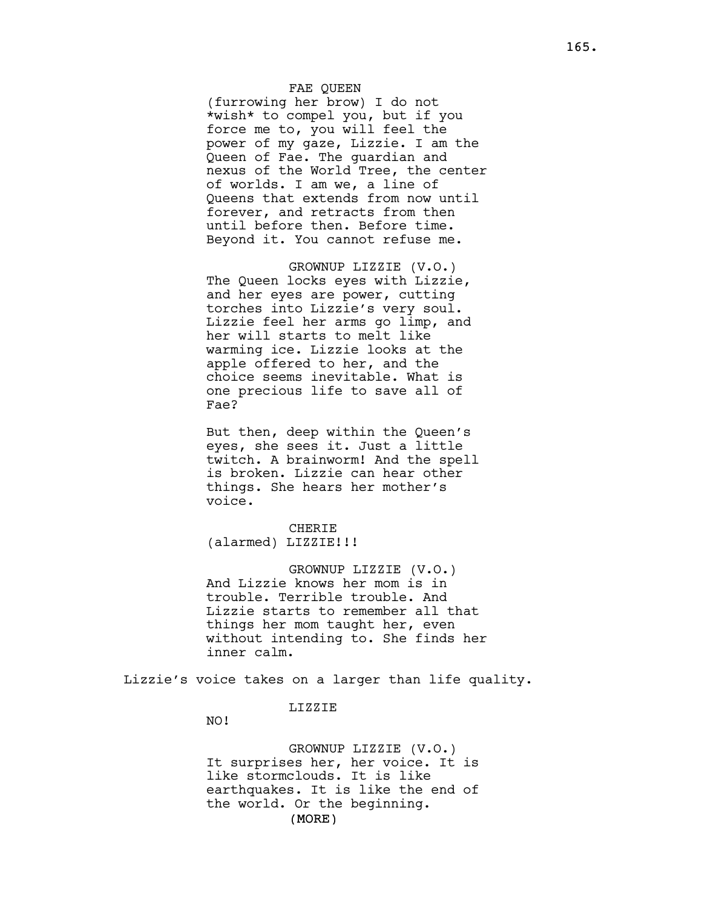# FAE QUEEN

(furrowing her brow) I do not \*wish\* to compel you, but if you force me to, you will feel the power of my gaze, Lizzie. I am the Queen of Fae. The guardian and nexus of the World Tree, the center of worlds. I am we, a line of Queens that extends from now until forever, and retracts from then until before then. Before time. Beyond it. You cannot refuse me.

GROWNUP LIZZIE (V.O.) The Queen locks eyes with Lizzie, and her eyes are power, cutting torches into Lizzie's very soul. Lizzie feel her arms go limp, and her will starts to melt like warming ice. Lizzie looks at the apple offered to her, and the choice seems inevitable. What is one precious life to save all of Fae?

But then, deep within the Queen's eyes, she sees it. Just a little twitch. A brainworm! And the spell is broken. Lizzie can hear other things. She hears her mother's voice.

CHERIE (alarmed) LIZZIE!!!

GROWNUP LIZZIE (V.O.) And Lizzie knows her mom is in trouble. Terrible trouble. And Lizzie starts to remember all that things her mom taught her, even without intending to. She finds her inner calm.

Lizzie's voice takes on a larger than life quality.

### LIZZIE

NO!

(MORE) GROWNUP LIZZIE (V.O.) It surprises her, her voice. It is like stormclouds. It is like earthquakes. It is like the end of the world. Or the beginning.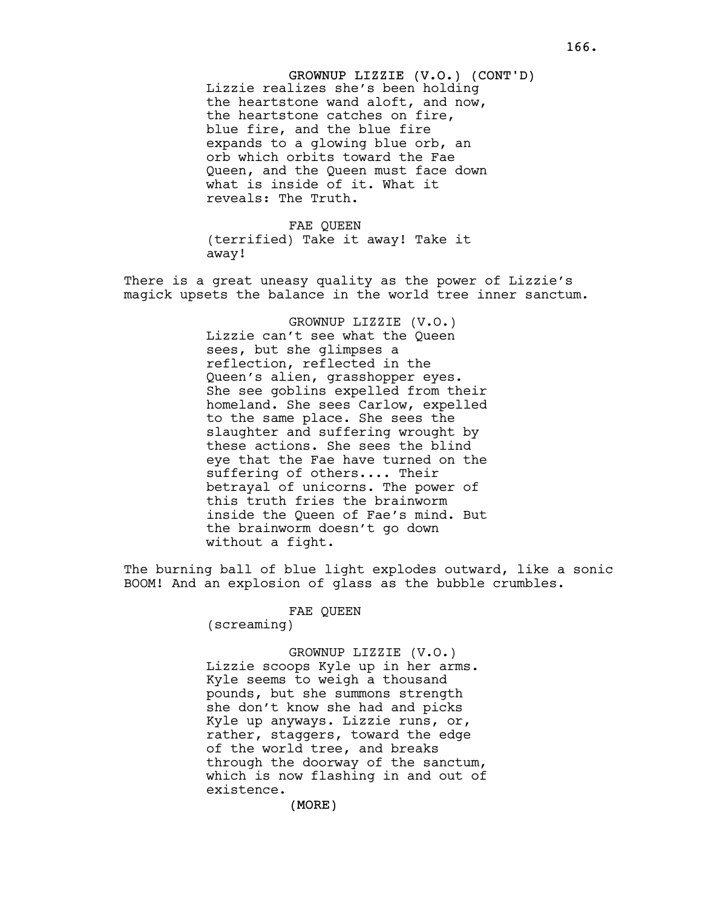GROWNUP LIZZIE (V.O.) (CONT'D) Lizzie realizes she's been holding the heartstone wand aloft, and now, the heartstone catches on fire, blue fire, and the blue fire expands to a glowing blue orb, an orb which orbits toward the Fae Queen, and the Queen must face down what is inside of it. What it reveals: The Truth.

FAE QUEEN (terrified) Take it away! Take it away!

There is a great uneasy quality as the power of Lizzie's magick upsets the balance in the world tree inner sanctum.

> GROWNUP LIZZIE (V.O.) Lizzie can't see what the Queen sees, but she glimpses a reflection, reflected in the Queen's alien, grasshopper eyes. She see goblins expelled from their homeland. She sees Carlow, expelled to the same place. She sees the slaughter and suffering wrought by these actions. She sees the blind eye that the Fae have turned on the suffering of others.... Their betrayal of unicorns. The power of this truth fries the brainworm inside the Queen of Fae's mind. But the brainworm doesn't go down without a fight.

The burning ball of blue light explodes outward, like a sonic BOOM! And an explosion of glass as the bubble crumbles.

FAE QUEEN

(screaming)

GROWNUP LIZZIE (V.O.) Lizzie scoops Kyle up in her arms. Kyle seems to weigh a thousand pounds, but she summons strength she don't know she had and picks Kyle up anyways. Lizzie runs, or, rather, staggers, toward the edge of the world tree, and breaks through the doorway of the sanctum, which is now flashing in and out of existence.

(MORE)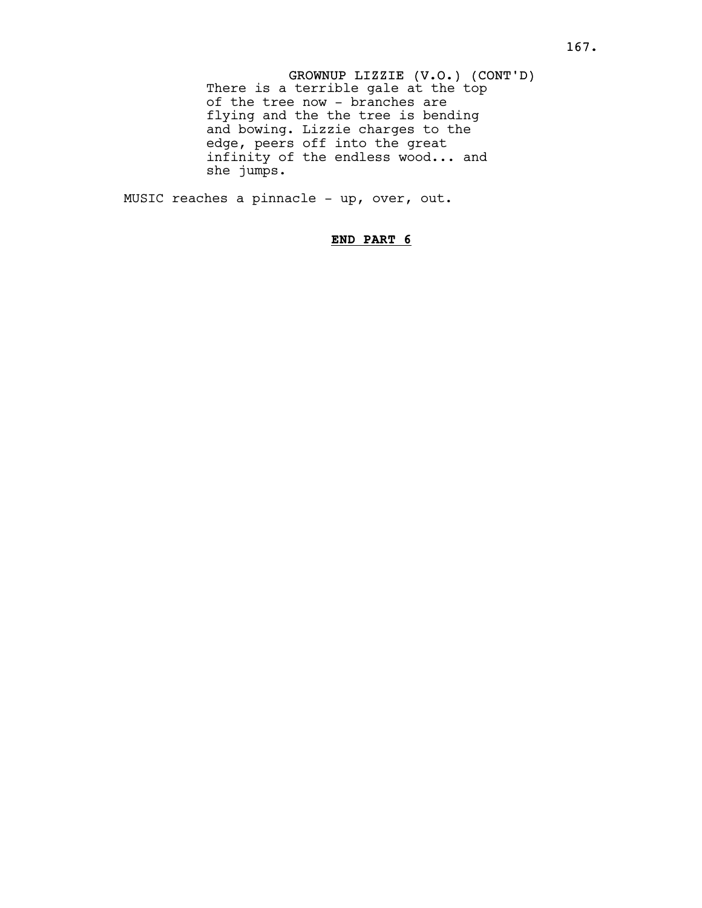GROWNUP LIZZIE (V.O.) (CONT'D) There is a terrible gale at the top of the tree now - branches are flying and the the tree is bending and bowing. Lizzie charges to the edge, peers off into the great infinity of the endless wood... and she jumps.

MUSIC reaches a pinnacle - up, over, out.

# END PART 6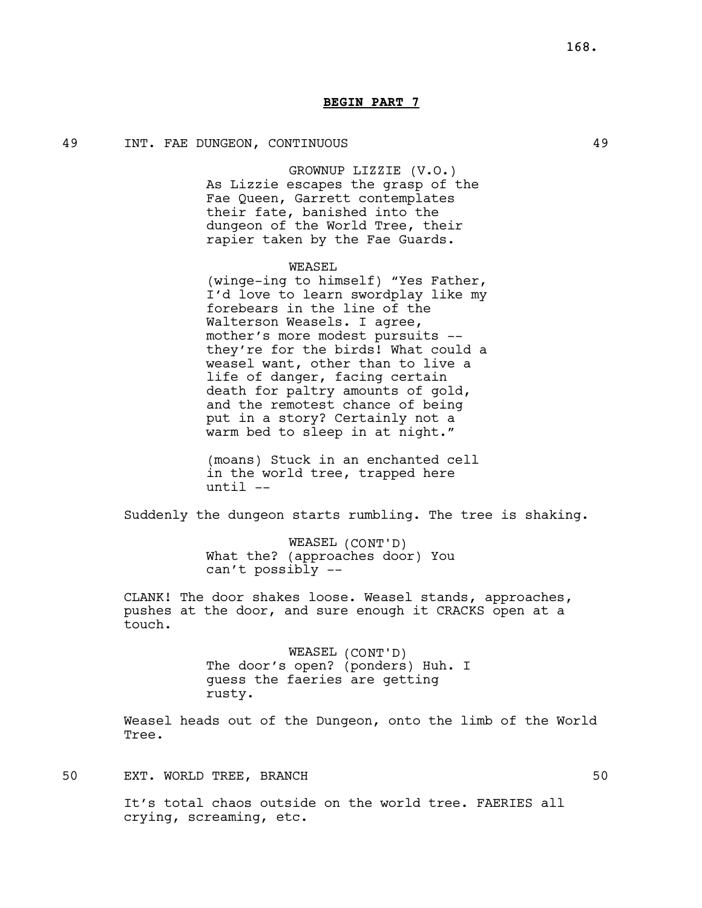# BEGIN PART 7

# 49 INT. FAE DUNGEON, CONTINUOUS 49

GROWNUP LIZZIE (V.O.) As Lizzie escapes the grasp of the Fae Queen, Garrett contemplates their fate, banished into the dungeon of the World Tree, their rapier taken by the Fae Guards.

### WEASEL

(winge-ing to himself) "Yes Father, I'd love to learn swordplay like my forebears in the line of the Walterson Weasels. I agree, mother's more modest pursuits - they're for the birds! What could a weasel want, other than to live a life of danger, facing certain death for paltry amounts of gold, and the remotest chance of being put in a story? Certainly not a warm bed to sleep in at night."

(moans) Stuck in an enchanted cell in the world tree, trapped here until --

Suddenly the dungeon starts rumbling. The tree is shaking.

WEASEL (CONT'D) What the? (approaches door) You can't possibly --

CLANK! The door shakes loose. Weasel stands, approaches, pushes at the door, and sure enough it CRACKS open at a touch.

> WEASEL (CONT'D) The door's open? (ponders) Huh. I guess the faeries are getting rusty.

Weasel heads out of the Dungeon, onto the limb of the World Tree.

# 50 EXT. WORLD TREE, BRANCH 50

It's total chaos outside on the world tree. FAERIES all crying, screaming, etc.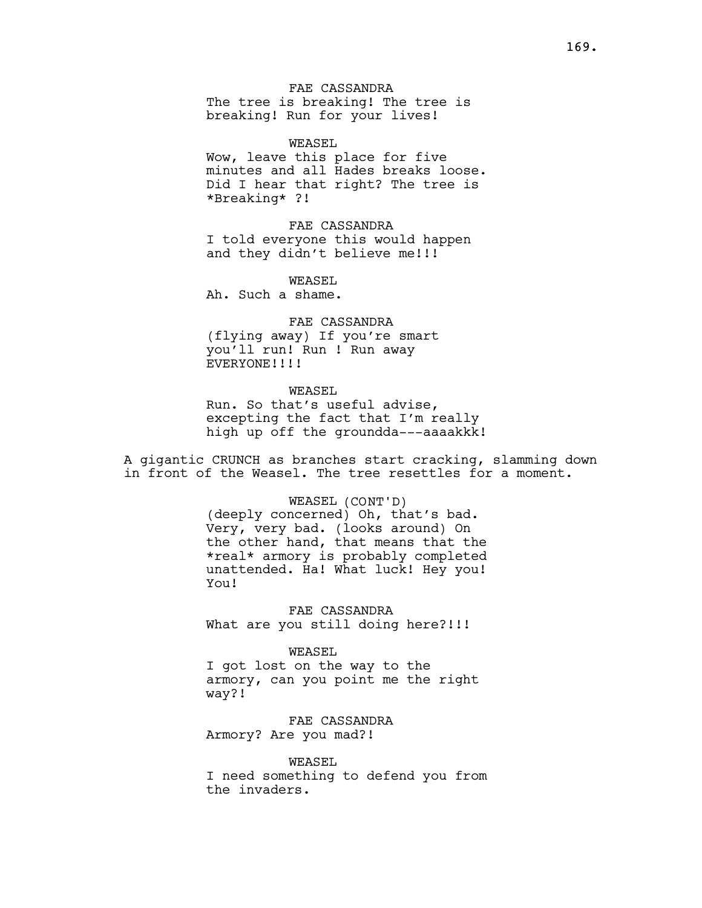FAE CASSANDRA The tree is breaking! The tree is breaking! Run for your lives!

WEASEL Wow, leave this place for five minutes and all Hades breaks loose. Did I hear that right? The tree is \*Breaking\* ?!

FAE CASSANDRA I told everyone this would happen and they didn't believe me!!!

WEASEL.

Ah. Such a shame.

# FAE CASSANDRA

(flying away) If you're smart you'll run! Run ! Run away EVERYONE!!!!

# WEASEL

Run. So that's useful advise, excepting the fact that I'm really high up off the groundda---aaaakkk!

A gigantic CRUNCH as branches start cracking, slamming down in front of the Weasel. The tree resettles for a moment.

> WEASEL (CONT'D) (deeply concerned) Oh, that's bad. Very, very bad. (looks around) On the other hand, that means that the \*real\* armory is probably completed unattended. Ha! What luck! Hey you! You!

FAE CASSANDRA What are you still doing here?!!!

### WEASEL

I got lost on the way to the armory, can you point me the right way?!

FAE CASSANDRA Armory? Are you mad?!

WEASEL I need something to defend you from the invaders.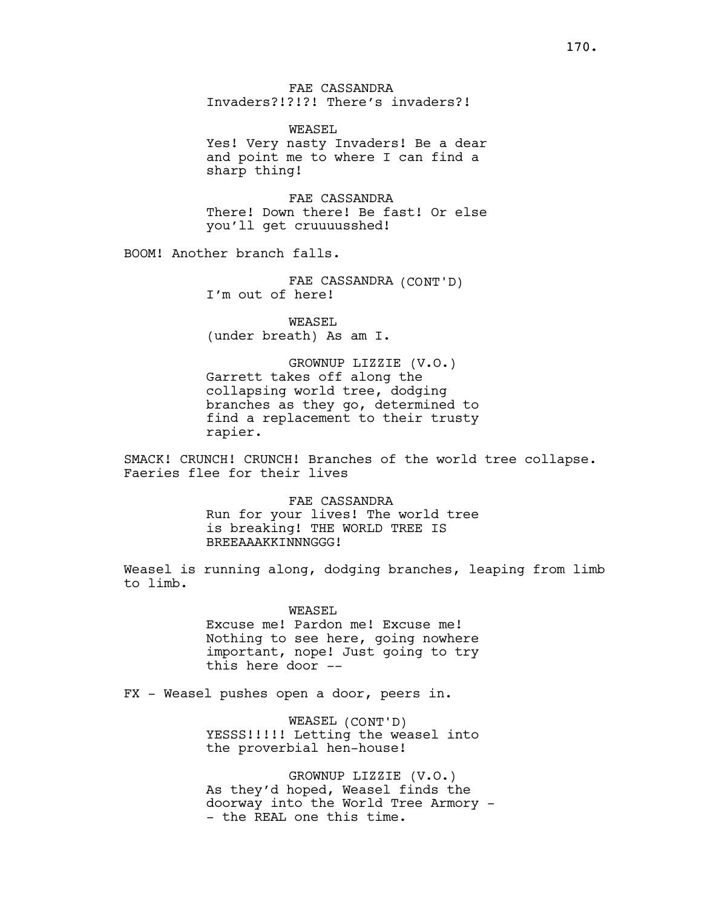FAE CASSANDRA Invaders?!?!?! There's invaders?!

WEASEL. Yes! Very nasty Invaders! Be a dear and point me to where I can find a sharp thing!

FAE CASSANDRA There! Down there! Be fast! Or else you'll get cruuuusshed!

BOOM! Another branch falls.

FAE CASSANDRA (CONT'D) I'm out of here!

WEASEL. (under breath) As am I.

GROWNUP LIZZIE (V.O.) Garrett takes off along the collapsing world tree, dodging branches as they go, determined to find a replacement to their trusty rapier.

SMACK! CRUNCH! CRUNCH! Branches of the world tree collapse. Faeries flee for their lives

> FAE CASSANDRA Run for your lives! The world tree is breaking! THE WORLD TREE IS BREEAAAKKINNNGGG!

Weasel is running along, dodging branches, leaping from limb to limb.

> WEASEL Excuse me! Pardon me! Excuse me! Nothing to see here, going nowhere important, nope! Just going to try this here door --

FX - Weasel pushes open a door, peers in.

WEASEL (CONT'D) YESSS!!!!! Letting the weasel into the proverbial hen-house!

GROWNUP LIZZIE (V.O.) As they'd hoped, Weasel finds the doorway into the World Tree Armory - - the REAL one this time.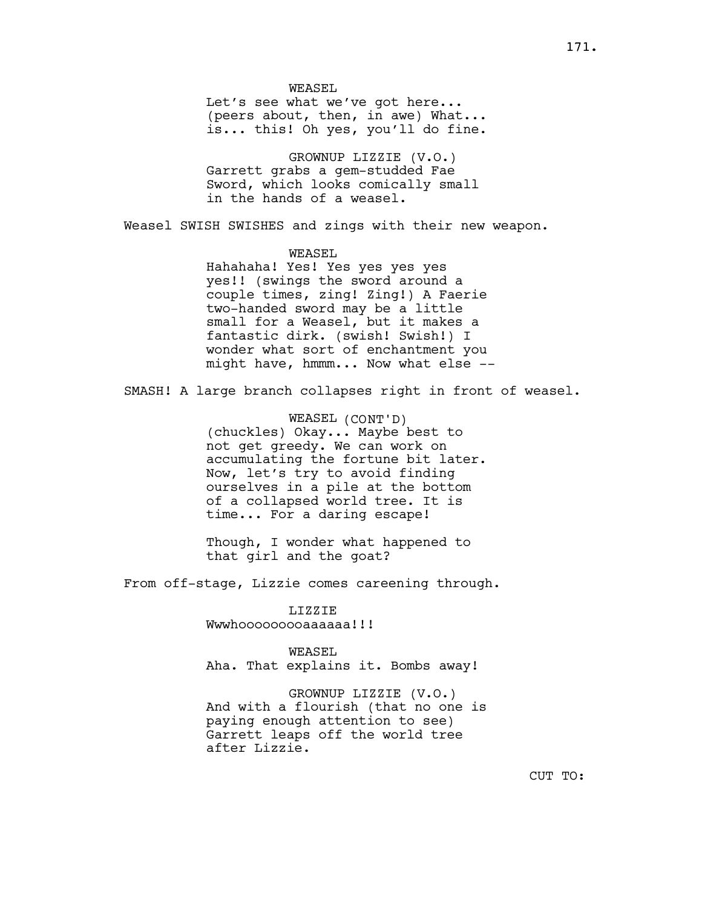WEASEL Let's see what we've got here... (peers about, then, in awe) What... is... this! Oh yes, you'll do fine.

GROWNUP LIZZIE (V.O.) Garrett grabs a gem-studded Fae Sword, which looks comically small in the hands of a weasel.

Weasel SWISH SWISHES and zings with their new weapon.

WEASEL Hahahaha! Yes! Yes yes yes yes yes!! (swings the sword around a couple times, zing! Zing!) A Faerie two-handed sword may be a little small for a Weasel, but it makes a fantastic dirk. (swish! Swish!) I wonder what sort of enchantment you might have, hmmm... Now what else --

SMASH! A large branch collapses right in front of weasel.

WEASEL (CONT'D) (chuckles) Okay... Maybe best to not get greedy. We can work on accumulating the fortune bit later. Now, let's try to avoid finding ourselves in a pile at the bottom of a collapsed world tree. It is time... For a daring escape!

Though, I wonder what happened to that girl and the goat?

From off-stage, Lizzie comes careening through.

LIZZIE Wwwhooooooooaaaaaa!!!

WEASEL. Aha. That explains it. Bombs away!

GROWNUP LIZZIE (V.O.) And with a flourish (that no one is paying enough attention to see) Garrett leaps off the world tree after Lizzie.

CUT TO: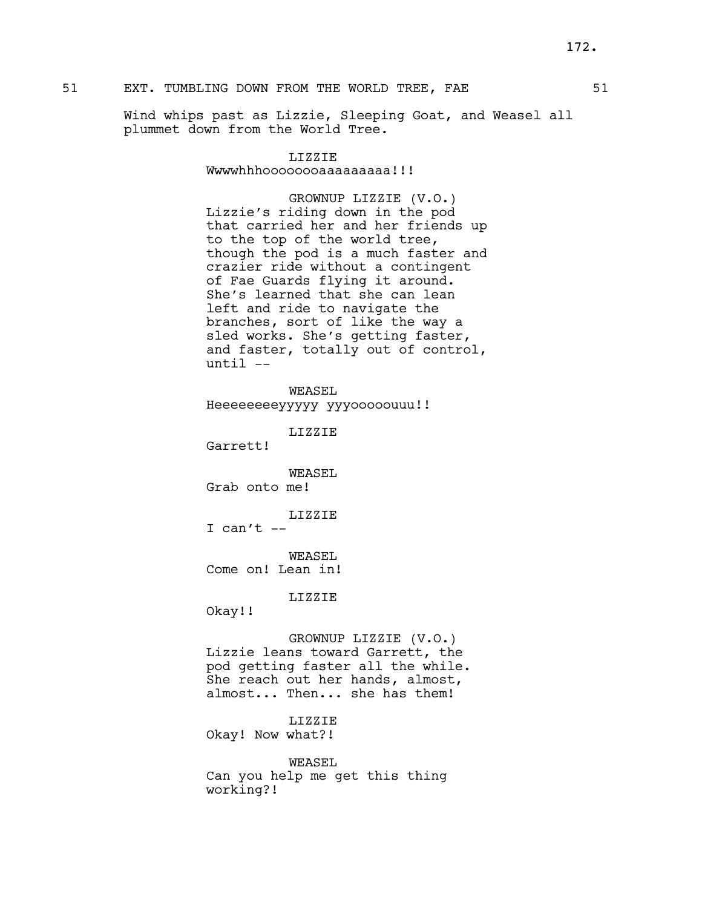# 51 EXT. TUMBLING DOWN FROM THE WORLD TREE, FAE 51

Wind whips past as Lizzie, Sleeping Goat, and Weasel all plummet down from the World Tree.

# LIZZIE

Wwwwhhhoooooooaaaaaaaaa!!!

GROWNUP LIZZIE (V.O.) Lizzie's riding down in the pod that carried her and her friends up to the top of the world tree, though the pod is a much faster and crazier ride without a contingent of Fae Guards flying it around. She's learned that she can lean left and ride to navigate the branches, sort of like the way a sled works. She's getting faster, and faster, totally out of control, until --

WEASEL Heeeeeeeeyyyyy yyyooooouuu!!

LIZZIE

Garrett!

WEASEL Grab onto me!

# LIZZIE

I can't  $--$ 

WEASEL Come on! Lean in!

LIZZIE

Okay!!

GROWNUP LIZZIE (V.O.) Lizzie leans toward Garrett, the pod getting faster all the while. She reach out her hands, almost, almost... Then... she has them!

LIZZIE Okay! Now what?!

WEASEL Can you help me get this thing working?!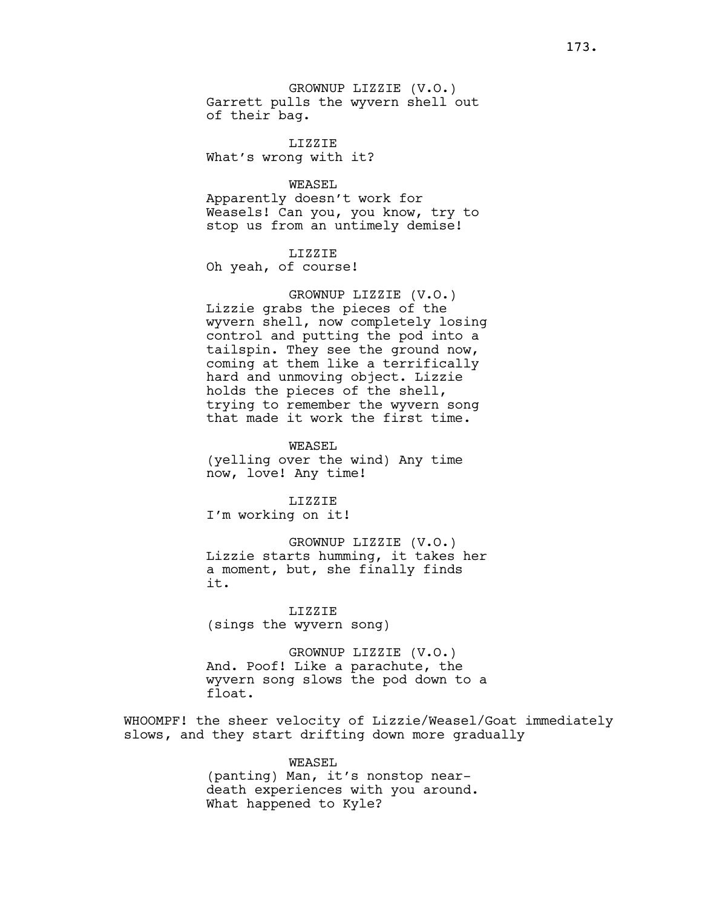GROWNUP LIZZIE (V.O.) Garrett pulls the wyvern shell out of their bag.

LIZZIE What's wrong with it?

WEASEL

Apparently doesn't work for Weasels! Can you, you know, try to stop us from an untimely demise!

LIZZIE

Oh yeah, of course!

GROWNUP LIZZIE (V.O.) Lizzie grabs the pieces of the wyvern shell, now completely losing control and putting the pod into a tailspin. They see the ground now, coming at them like a terrifically hard and unmoving object. Lizzie holds the pieces of the shell, trying to remember the wyvern song that made it work the first time.

WEASEL (yelling over the wind) Any time now, love! Any time!

LIZZIE I'm working on it!

GROWNUP LIZZIE (V.O.) Lizzie starts humming, it takes her a moment, but, she finally finds it.

LIZZIE (sings the wyvern song)

GROWNUP LIZZIE (V.O.) And. Poof! Like a parachute, the wyvern song slows the pod down to a float.

WHOOMPF! the sheer velocity of Lizzie/Weasel/Goat immediately slows, and they start drifting down more gradually

> WEASEL (panting) Man, it's nonstop neardeath experiences with you around. What happened to Kyle?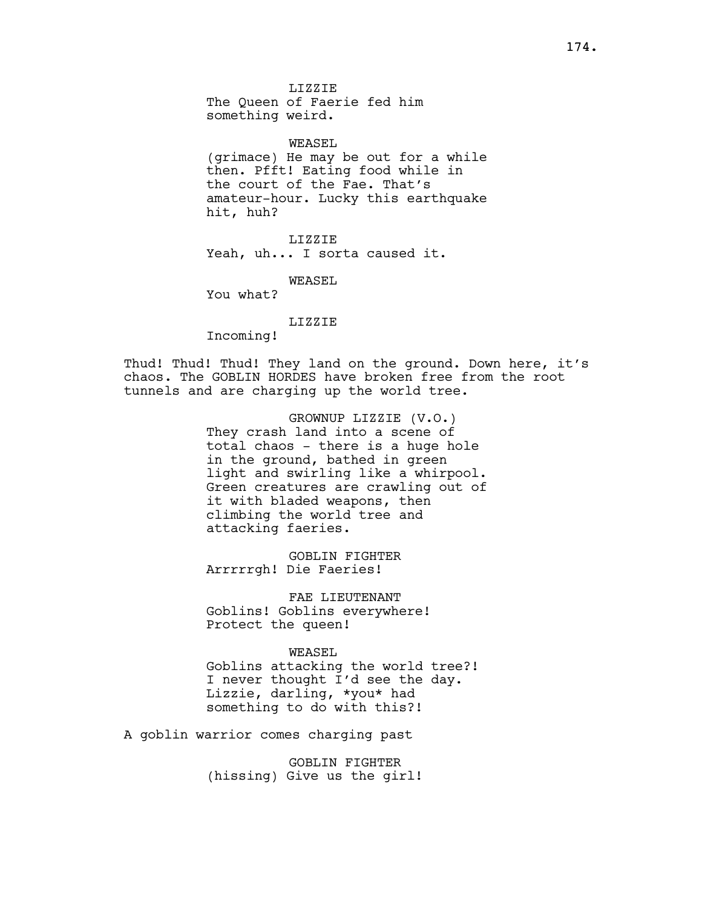WEASEL (grimace) He may be out for a while then. Pfft! Eating food while in the court of the Fae. That's amateur-hour. Lucky this earthquake hit, huh?

LIZZIE Yeah, uh... I sorta caused it.

WEASEL

You what?

LIZZIE

Incoming!

Thud! Thud! Thud! They land on the ground. Down here, it's chaos. The GOBLIN HORDES have broken free from the root tunnels and are charging up the world tree.

> GROWNUP LIZZIE (V.O.) They crash land into a scene of total chaos - there is a huge hole in the ground, bathed in green light and swirling like a whirpool. Green creatures are crawling out of it with bladed weapons, then climbing the world tree and attacking faeries.

GOBLIN FIGHTER Arrrrrgh! Die Faeries!

FAE LIEUTENANT Goblins! Goblins everywhere! Protect the queen!

WEASEL. Goblins attacking the world tree?! I never thought I'd see the day. Lizzie, darling, \*you\* had something to do with this?!

A goblin warrior comes charging past

GOBLIN FIGHTER (hissing) Give us the girl!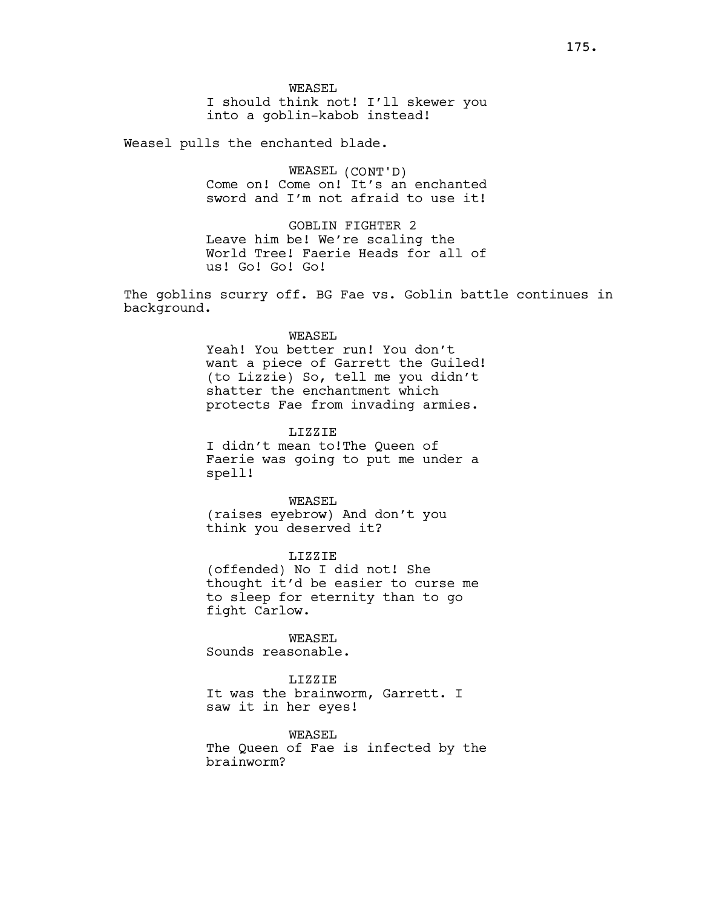Weasel pulls the enchanted blade.

WEASEL (CONT'D) Come on! Come on! It's an enchanted sword and I'm not afraid to use it!

GOBLIN FIGHTER 2 Leave him be! We're scaling the World Tree! Faerie Heads for all of us! Go! Go! Go!

The goblins scurry off. BG Fae vs. Goblin battle continues in background.

### WEASEL

Yeah! You better run! You don't want a piece of Garrett the Guiled! (to Lizzie) So, tell me you didn't shatter the enchantment which protects Fae from invading armies.

LIZZIE

I didn't mean to!The Queen of Faerie was going to put me under a spell!

WEASEL (raises eyebrow) And don't you think you deserved it?

LIZZIE (offended) No I did not! She thought it'd be easier to curse me to sleep for eternity than to go fight Carlow.

WEASEL Sounds reasonable.

LIZZIE It was the brainworm, Garrett. I saw it in her eyes!

WEASEL The Queen of Fae is infected by the brainworm?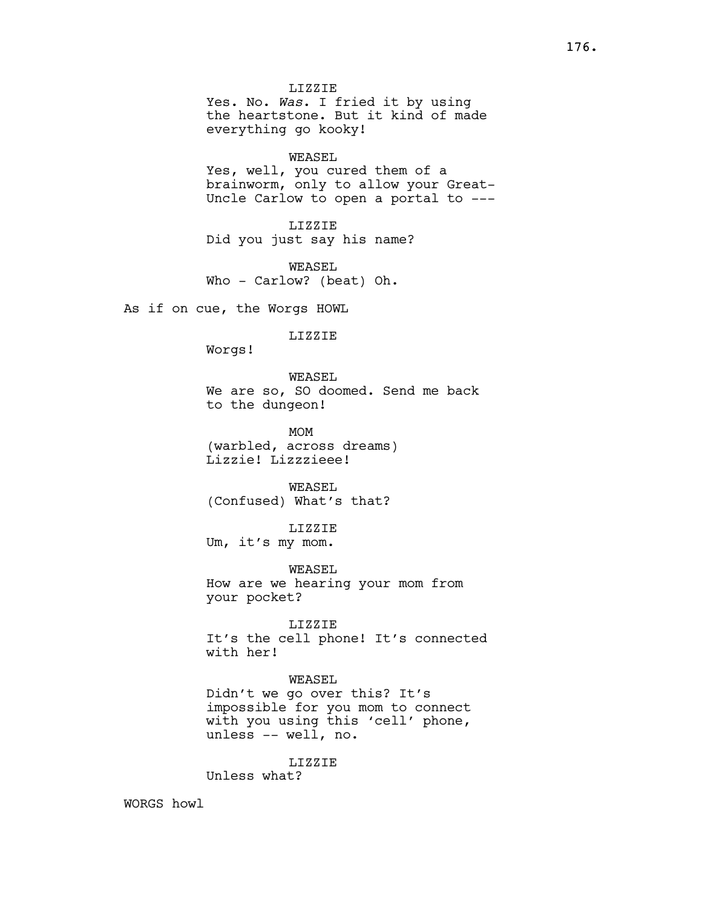LIZZIE Yes. No. Was. I fried it by using the heartstone. But it kind of made everything go kooky!

#### WEASEL

Yes, well, you cured them of a brainworm, only to allow your Great-Uncle Carlow to open a portal to ---

LIZZIE Did you just say his name?

WEASEL Who - Carlow? (beat) Oh.

As if on cue, the Worgs HOWL

LIZZIE

Worgs!

WEASEL We are so, SO doomed. Send me back to the dungeon!

MOM (warbled, across dreams) Lizzie! Lizzzieee!

WEASEL (Confused) What's that?

LIZZIE Um, it's my mom.

WEASEL How are we hearing your mom from your pocket?

LIZZIE It's the cell phone! It's connected with her!

WEASEL Didn't we go over this? It's impossible for you mom to connect with you using this 'cell' phone, unless -- well, no.

LIZZIE Unless what?

WORGS howl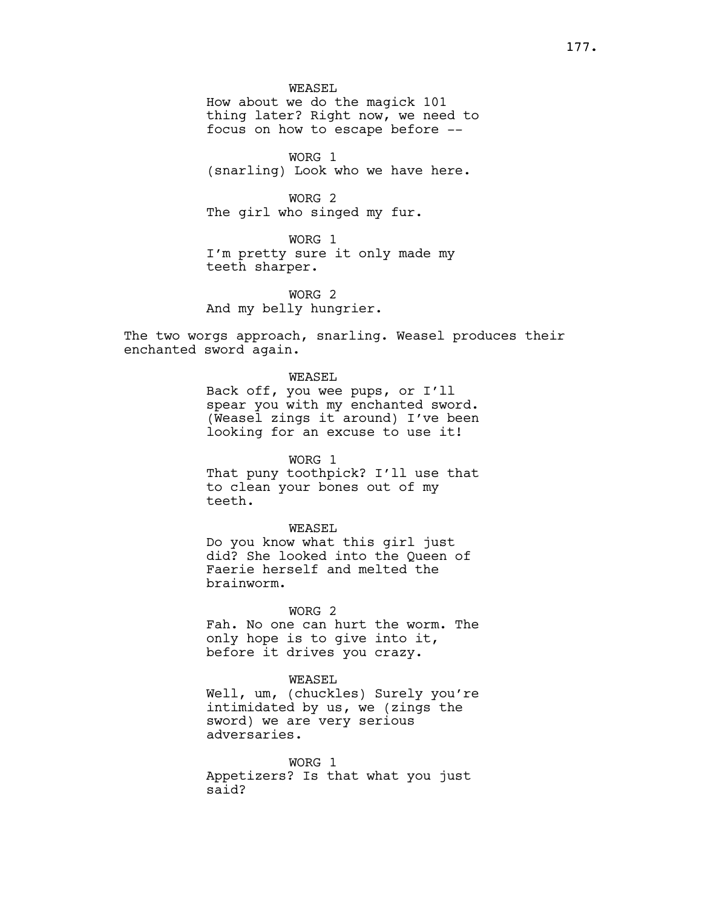WORG 1 (snarling) Look who we have here.

WORG 2 The girl who singed my fur.

WORG 1 I'm pretty sure it only made my teeth sharper.

WORG 2 And my belly hungrier.

The two worgs approach, snarling. Weasel produces their enchanted sword again.

WEASEL

Back off, you wee pups, or I'll spear you with my enchanted sword. (Weasel zings it around) I've been looking for an excuse to use it!

WORG 1 That puny toothpick? I'll use that to clean your bones out of my teeth.

WEASEL Do you know what this girl just did? She looked into the Queen of Faerie herself and melted the

brainworm.

WORG 2

Fah. No one can hurt the worm. The only hope is to give into it, before it drives you crazy.

WEASEL

Well, um, (chuckles) Surely you're intimidated by us, we (zings the sword) we are very serious adversaries.

WORG 1 Appetizers? Is that what you just said?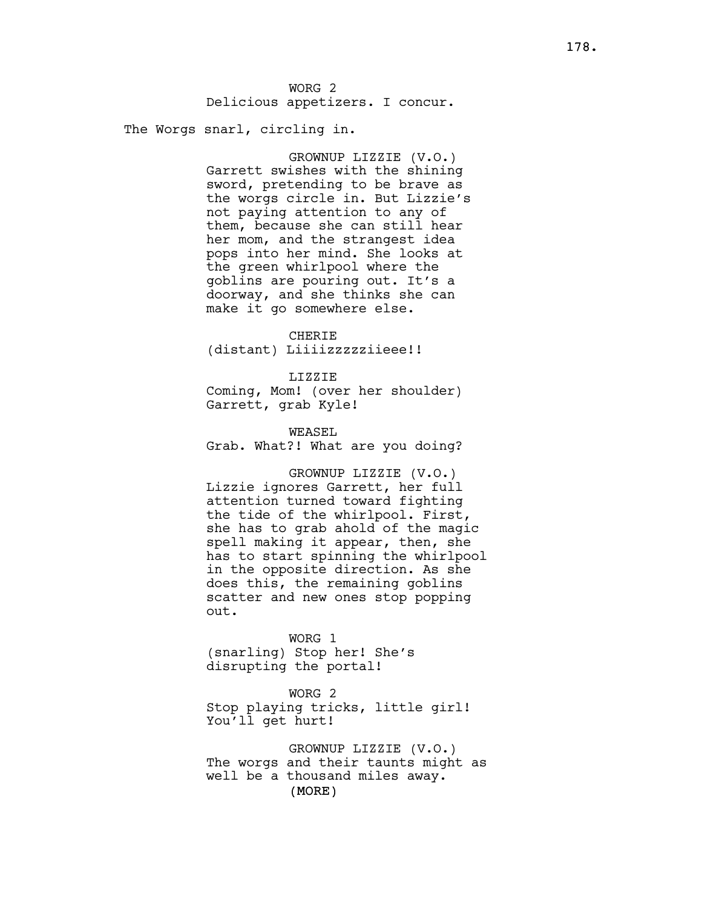The Worgs snarl, circling in.

GROWNUP LIZZIE (V.O.) Garrett swishes with the shining sword, pretending to be brave as the worgs circle in. But Lizzie's not paying attention to any of them, because she can still hear her mom, and the strangest idea pops into her mind. She looks at the green whirlpool where the goblins are pouring out. It's a doorway, and she thinks she can make it go somewhere else.

CHERIE (distant) Liiiizzzzziieee!!

LIZZIE Coming, Mom! (over her shoulder) Garrett, grab Kyle!

WEASEL Grab. What?! What are you doing?

GROWNUP LIZZIE (V.O.) Lizzie ignores Garrett, her full attention turned toward fighting the tide of the whirlpool. First, she has to grab ahold of the magic spell making it appear, then, she has to start spinning the whirlpool in the opposite direction. As she does this, the remaining goblins scatter and new ones stop popping out.

WORG 1 (snarling) Stop her! She's disrupting the portal!

WORG 2 Stop playing tricks, little girl! You'll get hurt!

(MORE) GROWNUP LIZZIE (V.O.) The worgs and their taunts might as well be a thousand miles away.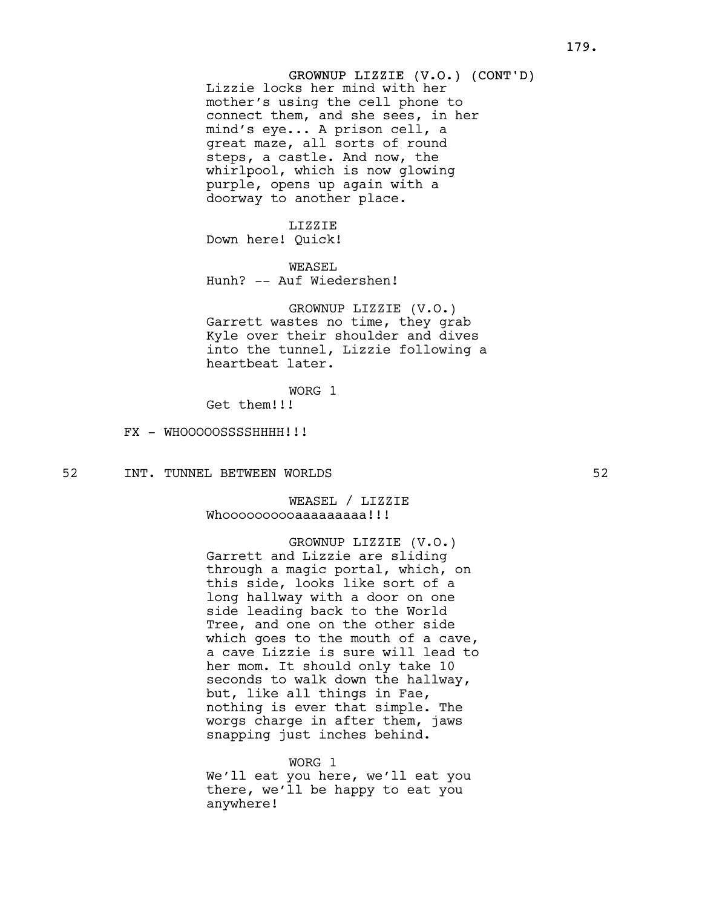# GROWNUP LIZZIE (V.O.) (CONT'D) Lizzie locks her mind with her mother's using the cell phone to connect them, and she sees, in her mind's eye... A prison cell, a great maze, all sorts of round steps, a castle. And now, the whirlpool, which is now glowing purple, opens up again with a doorway to another place.

LIZZIE Down here! Quick!

WEASEL Hunh? -- Auf Wiedershen!

GROWNUP LIZZIE (V.O.) Garrett wastes no time, they grab Kyle over their shoulder and dives into the tunnel, Lizzie following a heartbeat later.

WORG 1

Get them!!!

FX - WHOOOOOSSSSHHHH!!!!

52 INT. TUNNEL BETWEEN WORLDS 52

WEASEL / LIZZTF Whooooooooaaaaaaaaa!!!

# GROWNUP LIZZIE (V.O.) Garrett and Lizzie are sliding through a magic portal, which, on this side, looks like sort of a long hallway with a door on one side leading back to the World Tree, and one on the other side which goes to the mouth of a cave, a cave Lizzie is sure will lead to her mom. It should only take 10 seconds to walk down the hallway, but, like all things in Fae, nothing is ever that simple. The worgs charge in after them, jaws snapping just inches behind.

### WORG 1

We'll eat you here, we'll eat you there, we'll be happy to eat you anywhere!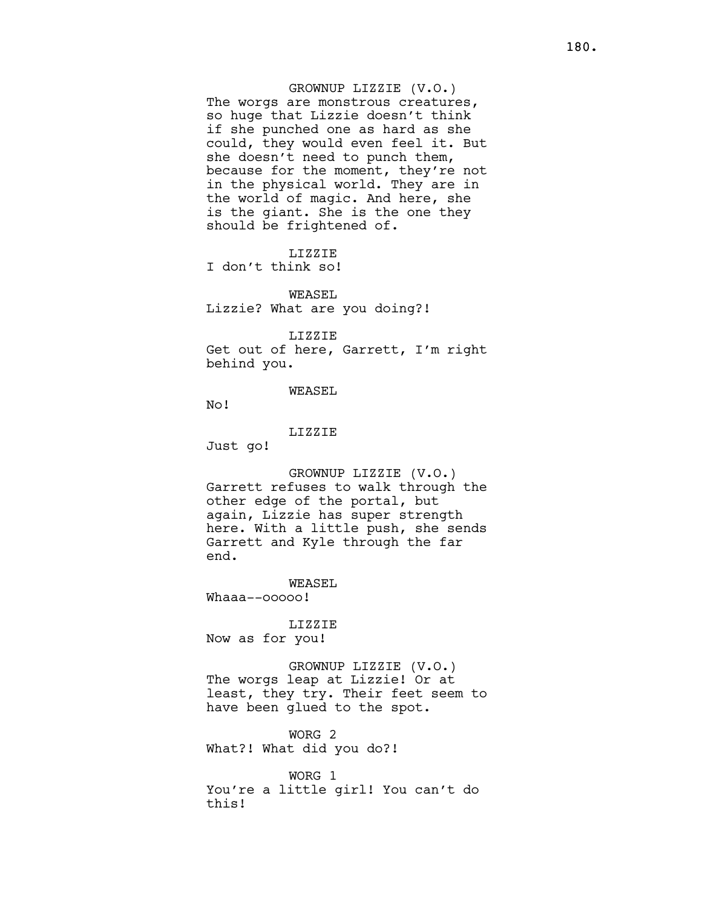# GROWNUP LIZZIE (V.O.) The worgs are monstrous creatures, so huge that Lizzie doesn't think if she punched one as hard as she could, they would even feel it. But she doesn't need to punch them, because for the moment, they're not in the physical world. They are in the world of magic. And here, she is the giant. She is the one they should be frightened of.

LIZZIE I don't think so!

WEASEL Lizzie? What are you doing?!

LIZZIE

Get out of here, Garrett, I'm right behind you.

WEASEL

No!

LIZZIE

Just go!

GROWNUP LIZZIE (V.O.) Garrett refuses to walk through the other edge of the portal, but again, Lizzie has super strength here. With a little push, she sends Garrett and Kyle through the far end.

WEASEL Whaaa--ooooo!

LIZZIE Now as for you!

GROWNUP LIZZIE (V.O.) The worgs leap at Lizzie! Or at least, they try. Their feet seem to have been glued to the spot.

WORG 2 What?! What did you do?!

WORG 1 You're a little girl! You can't do this!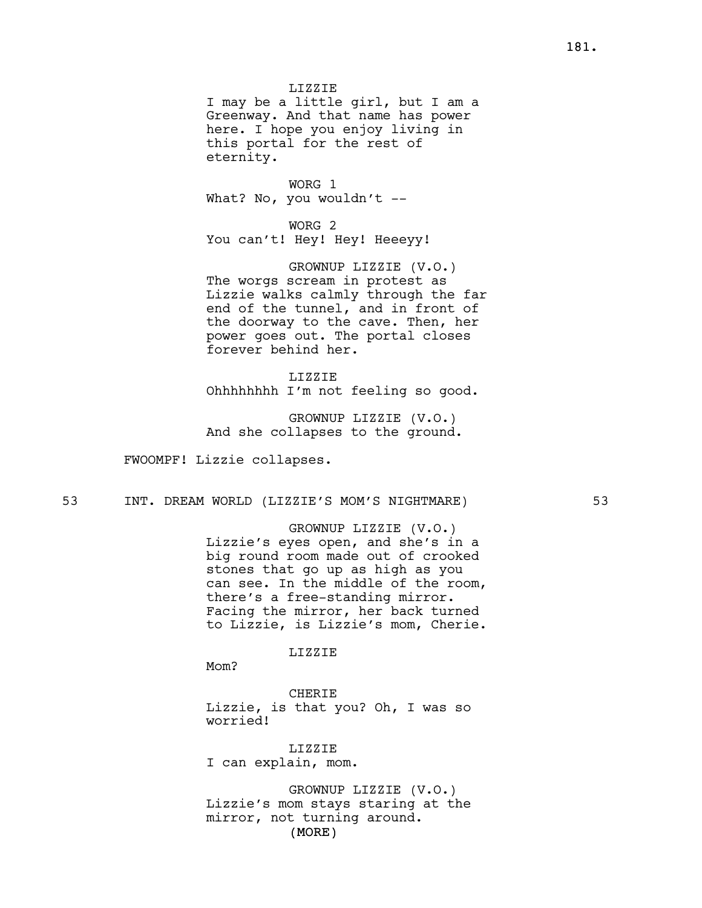LIZZIE

I may be a little girl, but I am a Greenway. And that name has power here. I hope you enjoy living in this portal for the rest of eternity.

WORG 1 What? No, you wouldn't --

WORG 2 You can't! Hey! Hey! Heeeyy!

GROWNUP LIZZIE (V.O.) The worgs scream in protest as Lizzie walks calmly through the far end of the tunnel, and in front of the doorway to the cave. Then, her power goes out. The portal closes forever behind her.

LIZZIE Ohhhhhhhh I'm not feeling so good.

GROWNUP LIZZIE (V.O.) And she collapses to the ground.

FWOOMPF! Lizzie collapses.

53 INT. DREAM WORLD (LIZZIE'S MOM'S NIGHTMARE) 53

GROWNUP LIZZIE (V.O.) Lizzie's eyes open, and she's in a big round room made out of crooked stones that go up as high as you can see. In the middle of the room, there's a free-standing mirror. Facing the mirror, her back turned to Lizzie, is Lizzie's mom, Cherie.

LIZZIE

Mom?

CHERIE Lizzie, is that you? Oh, I was so worried!

LIZZIE I can explain, mom.

(MORE) GROWNUP LIZZIE (V.O.) Lizzie's mom stays staring at the mirror, not turning around.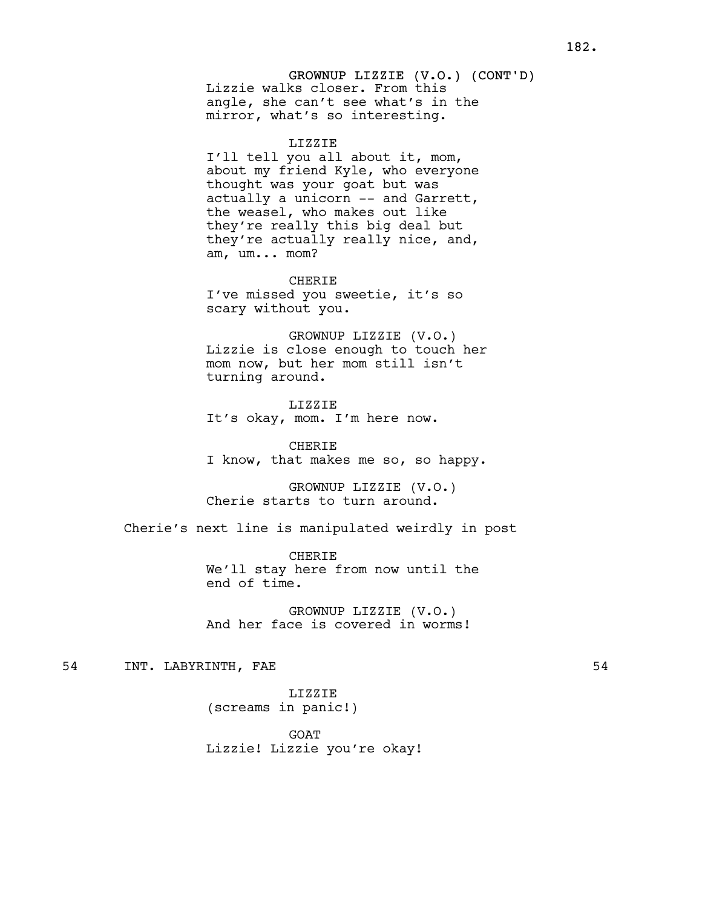# GROWNUP LIZZIE (V.O.) (CONT'D) Lizzie walks closer. From this angle, she can't see what's in the mirror, what's so interesting.

#### LIZZIE

I'll tell you all about it, mom, about my friend Kyle, who everyone thought was your goat but was actually a unicorn -- and Garrett, the weasel, who makes out like they're really this big deal but they're actually really nice, and, am, um... mom?

CHERIE I've missed you sweetie, it's so scary without you.

GROWNUP LIZZIE (V.O.) Lizzie is close enough to touch her mom now, but her mom still isn't turning around.

LIZZIE It's okay, mom. I'm here now.

**CHERIE** I know, that makes me so, so happy.

GROWNUP LIZZIE (V.O.) Cherie starts to turn around.

Cherie's next line is manipulated weirdly in post

CHERIE We'll stay here from now until the end of time.

GROWNUP LIZZIE (V.O.) And her face is covered in worms!

# 54 INT. LABYRINTH, FAE 54

LIZZIE (screams in panic!)

GOAT Lizzie! Lizzie you're okay!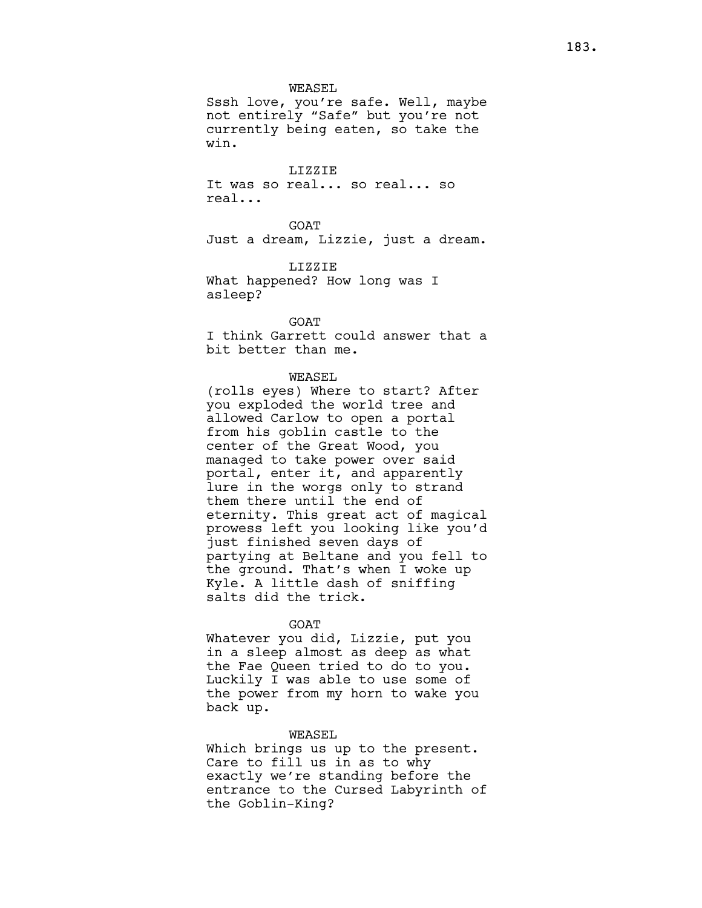## WEASEL

Sssh love, you're safe. Well, maybe not entirely "Safe" but you're not currently being eaten, so take the win.

## LIZZIE

It was so real... so real... so real...

GOAT Just a dream, Lizzie, just a dream.

LIZZIE What happened? How long was I asleep?

GOAT

I think Garrett could answer that a bit better than me.

## WEASEL

(rolls eyes) Where to start? After you exploded the world tree and allowed Carlow to open a portal from his goblin castle to the center of the Great Wood, you managed to take power over said portal, enter it, and apparently lure in the worgs only to strand them there until the end of eternity. This great act of magical prowess left you looking like you'd just finished seven days of partying at Beltane and you fell to the ground. That's when I woke up Kyle. A little dash of sniffing salts did the trick.

#### GOAT

Whatever you did, Lizzie, put you in a sleep almost as deep as what the Fae Queen tried to do to you. Luckily I was able to use some of the power from my horn to wake you back up.

#### WEASEL

Which brings us up to the present. Care to fill us in as to why exactly we're standing before the entrance to the Cursed Labyrinth of the Goblin-King?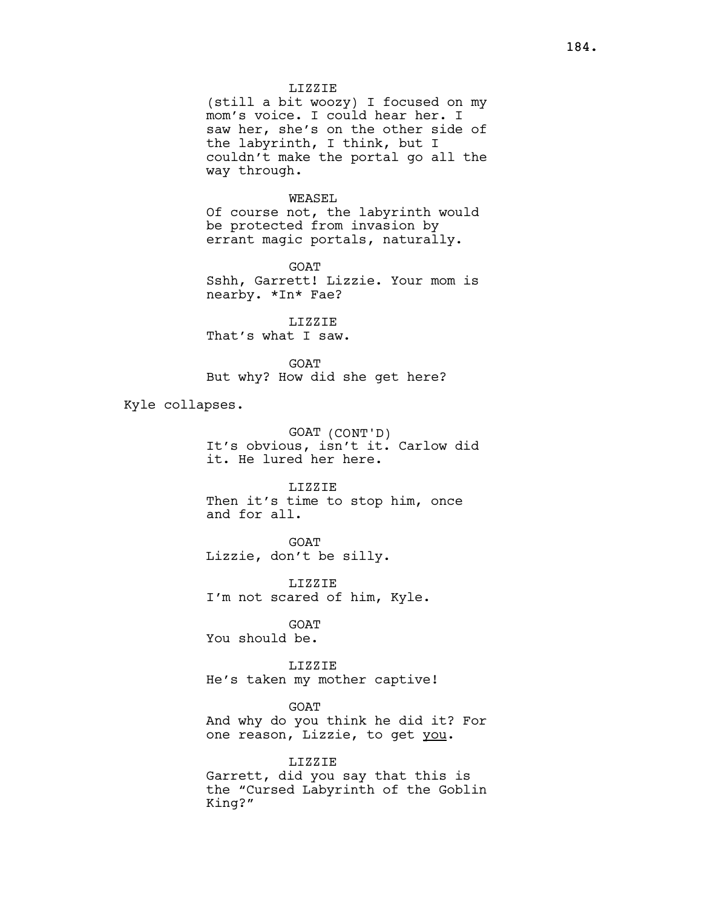## LIZZIE

(still a bit woozy) I focused on my mom's voice. I could hear her. I saw her, she's on the other side of the labyrinth, I think, but I couldn't make the portal go all the way through.

## WEASEL

Of course not, the labyrinth would be protected from invasion by errant magic portals, naturally.

GOAT Sshh, Garrett! Lizzie. Your mom is nearby. \*In\* Fae?

LIZZIE That's what I saw.

GOAT But why? How did she get here?

Kyle collapses.

GOAT (CONT'D) It's obvious, isn't it. Carlow did it. He lured her here.

LIZZIE Then it's time to stop him, once and for all.

GOAT Lizzie, don't be silly.

LIZZIE I'm not scared of him, Kyle.

GOAT You should be.

LIZZIE He's taken my mother captive!

GOAT And why do you think he did it? For one reason, Lizzie, to get you.

LIZZIE Garrett, did you say that this is the "Cursed Labyrinth of the Goblin King?"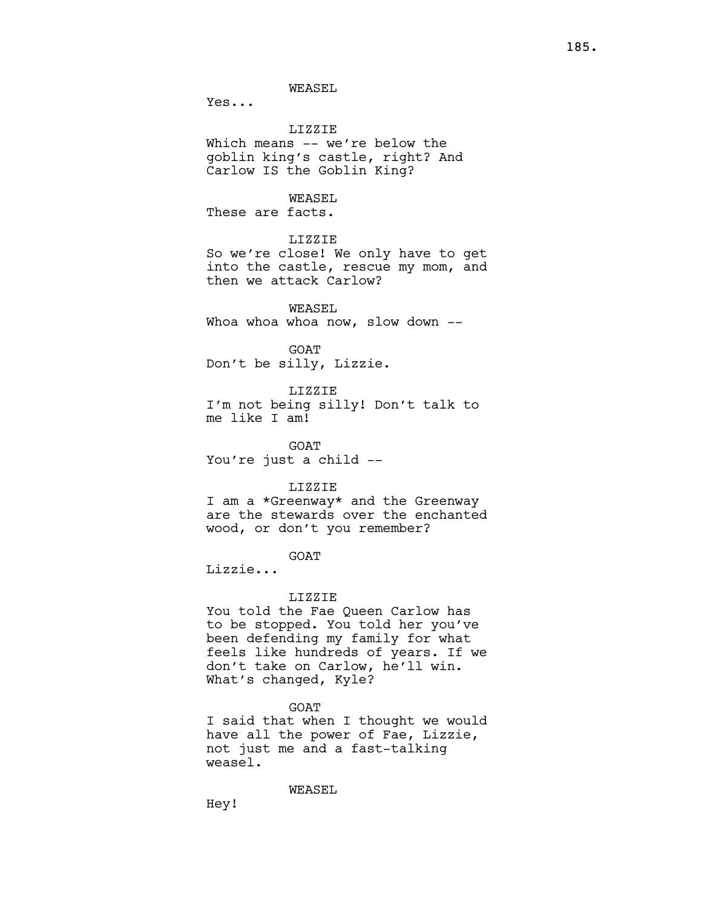WEASEL

Yes...

# LIZZIE

Which means -- we're below the goblin king's castle, right? And Carlow IS the Goblin King?

# WEASEL.

These are facts.

# LIZZIE

So we're close! We only have to get into the castle, rescue my mom, and then we attack Carlow?

WEASEL Whoa whoa whoa now, slow down --

**GOAT** Don't be silly, Lizzie.

LIZZIE

I'm not being silly! Don't talk to me like I am!

GOAT You're just a child --

#### LIZZIE

I am a \*Greenway\* and the Greenway are the stewards over the enchanted wood, or don't you remember?

GOAT

Lizzie...

## LIZZIE

You told the Fae Queen Carlow has to be stopped. You told her you've been defending my family for what feels like hundreds of years. If we don't take on Carlow, he'll win. What's changed, Kyle?

GOAT

I said that when I thought we would have all the power of Fae, Lizzie, not just me and a fast-talking weasel.

WEASEL

Hey!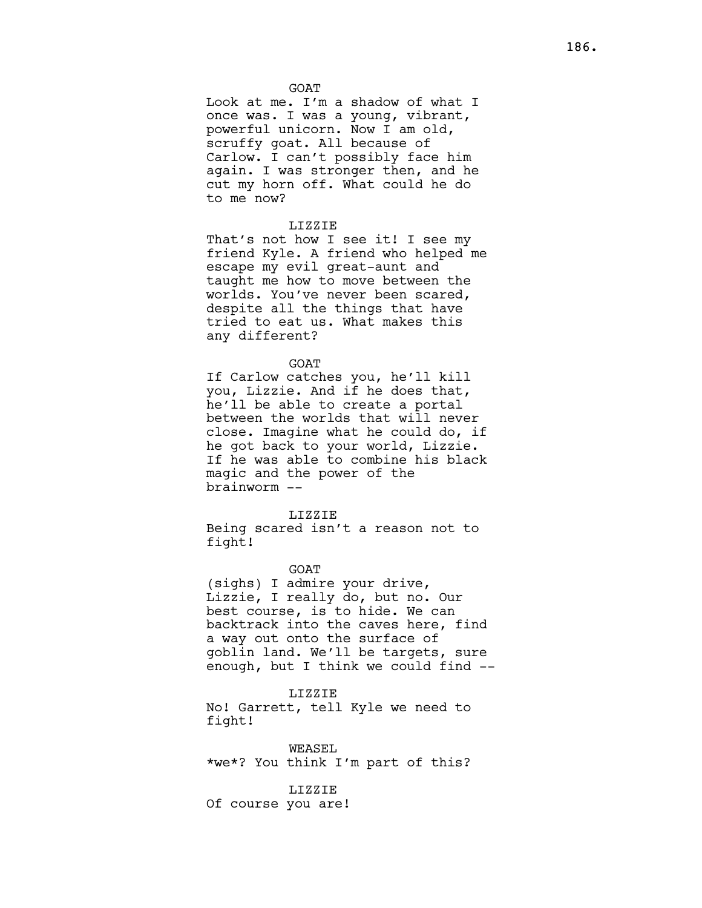**GOAT** 

Look at me. I'm a shadow of what I once was. I was a young, vibrant, powerful unicorn. Now I am old, scruffy goat. All because of Carlow. I can't possibly face him again. I was stronger then, and he cut my horn off. What could he do to me now?

# LIZZIE

That's not how I see it! I see my friend Kyle. A friend who helped me escape my evil great-aunt and taught me how to move between the worlds. You've never been scared, despite all the things that have tried to eat us. What makes this any different?

## GOAT

If Carlow catches you, he'll kill you, Lizzie. And if he does that, he'll be able to create a portal between the worlds that will never close. Imagine what he could do, if he got back to your world, Lizzie. If he was able to combine his black magic and the power of the brainworm --

#### LIZZIE

Being scared isn't a reason not to fight!

GOAT

(sighs) I admire your drive, Lizzie, I really do, but no. Our best course, is to hide. We can backtrack into the caves here, find a way out onto the surface of goblin land. We'll be targets, sure enough, but I think we could find --

## LIZZIE

No! Garrett, tell Kyle we need to fight!

WEASEL \*we\*? You think I'm part of this?

## LIZZIE

Of course you are!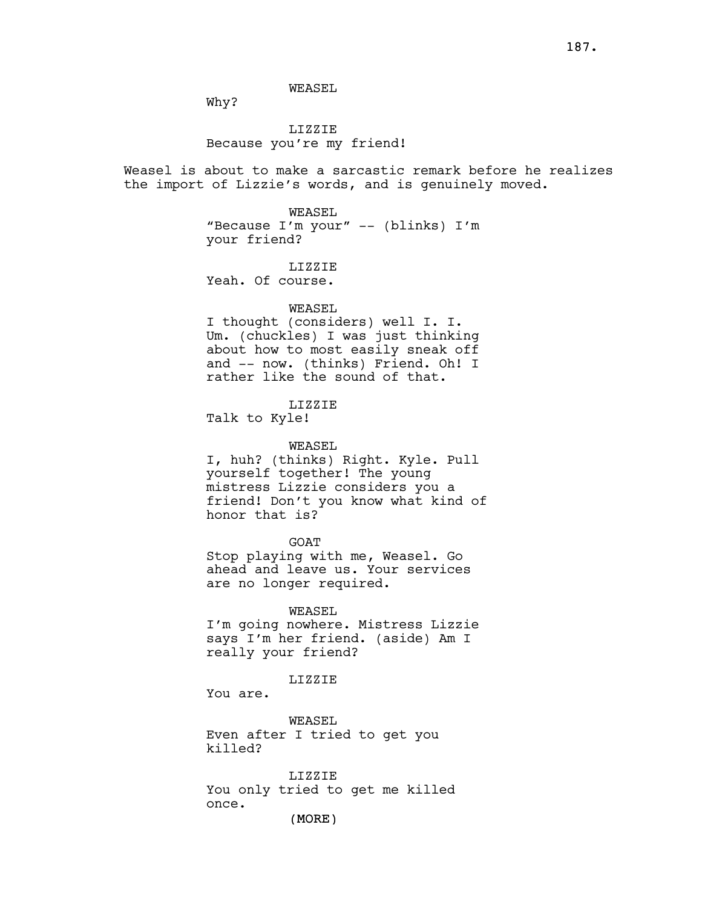WEASEL

Why?

# LIZZIE Because you're my friend!

Weasel is about to make a sarcastic remark before he realizes the import of Lizzie's words, and is genuinely moved.

> WEASEL "Because I'm your" -- (blinks) I'm your friend?

> > LIZZIE

Yeah. Of course.

# WEASEL

I thought (considers) well I. I. Um. (chuckles) I was just thinking about how to most easily sneak off and -- now. (thinks) Friend. Oh! I rather like the sound of that.

# LIZZIE

Talk to Kyle!

# WEASEL

I, huh? (thinks) Right. Kyle. Pull yourself together! The young mistress Lizzie considers you a friend! Don't you know what kind of honor that is?

GOAT

Stop playing with me, Weasel. Go ahead and leave us. Your services are no longer required.

## WEASEL

I'm going nowhere. Mistress Lizzie says I'm her friend. (aside) Am I really your friend?

# LIZZIE

You are.

WEASEL Even after I tried to get you killed?

LIZZIE You only tried to get me killed once.

(MORE)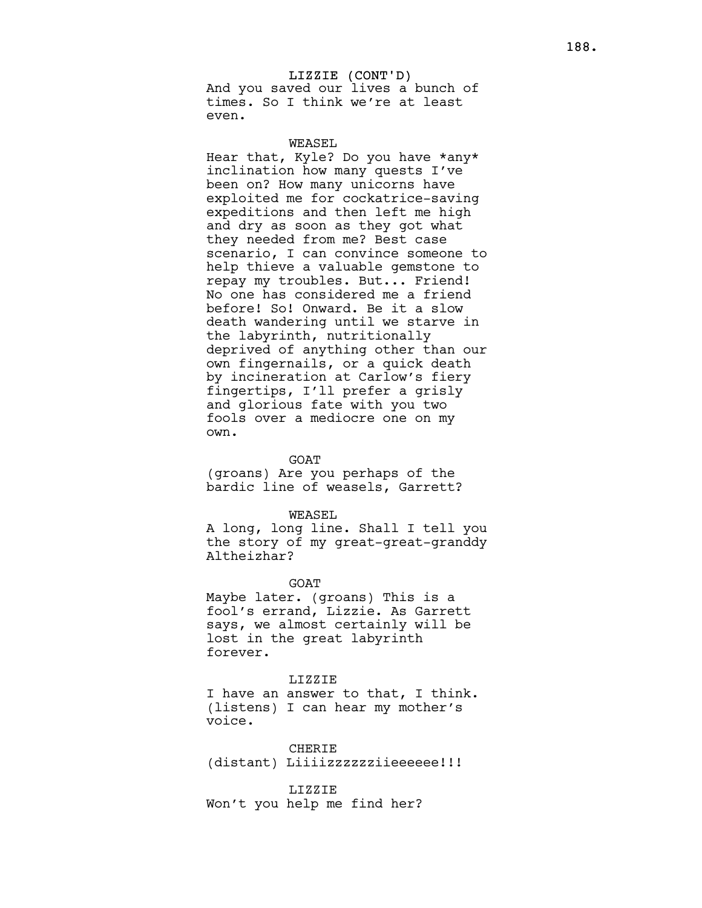# LIZZIE (CONT'D) And you saved our lives a bunch of times. So I think we're at least even.

## WEASEL.

Hear that, Kyle? Do you have \*any\* inclination how many quests I've been on? How many unicorns have exploited me for cockatrice-saving expeditions and then left me high and dry as soon as they got what they needed from me? Best case scenario, I can convince someone to help thieve a valuable gemstone to repay my troubles. But... Friend! No one has considered me a friend before! So! Onward. Be it a slow death wandering until we starve in the labyrinth, nutritionally deprived of anything other than our own fingernails, or a quick death by incineration at Carlow's fiery fingertips, I'll prefer a grisly and glorious fate with you two fools over a mediocre one on my own.

#### GOAT

(groans) Are you perhaps of the bardic line of weasels, Garrett?

#### WEASEL

A long, long line. Shall I tell you the story of my great-great-granddy Altheizhar?

#### GOAT

Maybe later. (groans) This is a fool's errand, Lizzie. As Garrett says, we almost certainly will be lost in the great labyrinth forever.

## LIZZIE

I have an answer to that, I think. (listens) I can hear my mother's voice.

**CHERIE** (distant) Liiiizzzzzzziieeeeee!!!

# LIZZIE Won't you help me find her?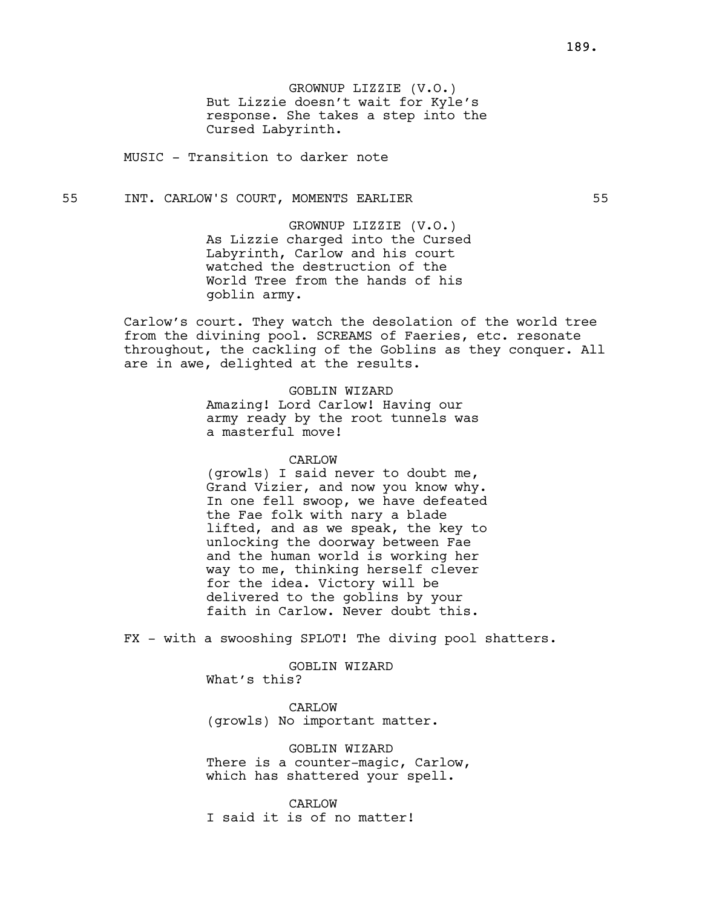GROWNUP LIZZIE (V.O.) But Lizzie doesn't wait for Kyle's response. She takes a step into the Cursed Labyrinth.

MUSIC - Transition to darker note

55 INT. CARLOW'S COURT, MOMENTS EARLIER 55

GROWNUP LIZZIE (V.O.) As Lizzie charged into the Cursed Labyrinth, Carlow and his court watched the destruction of the World Tree from the hands of his goblin army.

Carlow's court. They watch the desolation of the world tree from the divining pool. SCREAMS of Faeries, etc. resonate throughout, the cackling of the Goblins as they conquer. All are in awe, delighted at the results.

# GOBLIN WIZARD

Amazing! Lord Carlow! Having our army ready by the root tunnels was a masterful move!

#### CARLOW

(growls) I said never to doubt me, Grand Vizier, and now you know why. In one fell swoop, we have defeated the Fae folk with nary a blade lifted, and as we speak, the key to unlocking the doorway between Fae and the human world is working her way to me, thinking herself clever for the idea. Victory will be delivered to the goblins by your faith in Carlow. Never doubt this.

FX - with a swooshing SPLOT! The diving pool shatters.

## GOBLIN WIZARD What's this?

CARLOW (growls) No important matter.

GOBLIN WIZARD There is a counter-magic, Carlow, which has shattered your spell.

CARLOW I said it is of no matter!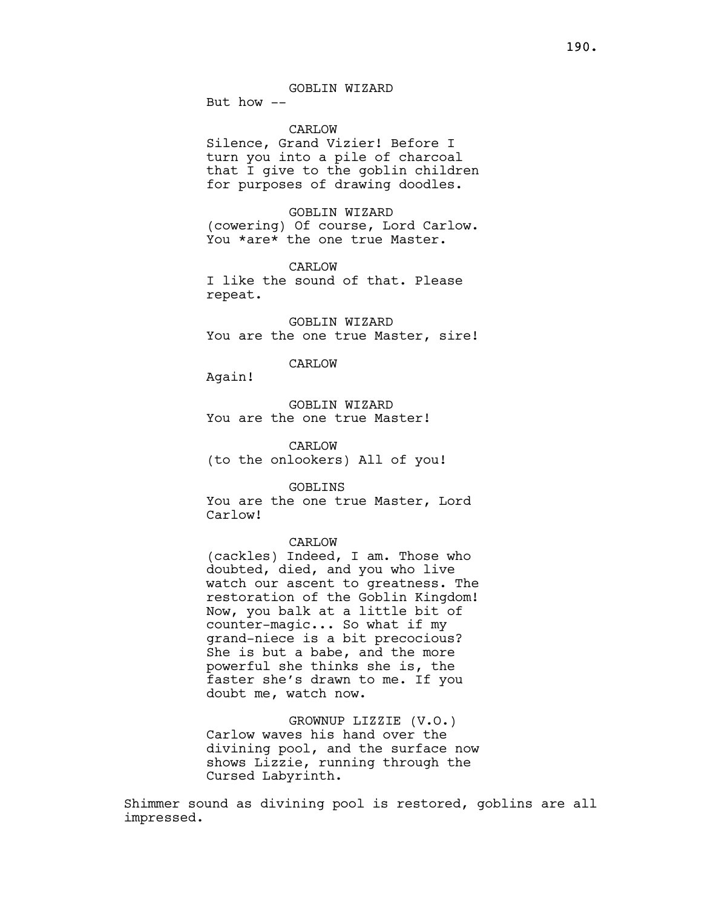But how --

# CARLOW

Silence, Grand Vizier! Before I turn you into a pile of charcoal that I give to the goblin children for purposes of drawing doodles.

GOBLIN WIZARD (cowering) Of course, Lord Carlow. You \*are\* the one true Master.

CARLOW I like the sound of that. Please repeat.

GOBLIN WIZARD You are the one true Master, sire!

## CARLOW

Again!

GOBLIN WIZARD You are the one true Master!

CARLOW (to the onlookers) All of you!

GOBLINS

You are the one true Master, Lord Carlow!

# CARLOW

(cackles) Indeed, I am. Those who doubted, died, and you who live watch our ascent to greatness. The restoration of the Goblin Kingdom! Now, you balk at a little bit of counter-magic... So what if my grand-niece is a bit precocious? She is but a babe, and the more powerful she thinks she is, the faster she's drawn to me. If you doubt me, watch now.

GROWNUP LIZZIE (V.O.) Carlow waves his hand over the divining pool, and the surface now shows Lizzie, running through the Cursed Labyrinth.

Shimmer sound as divining pool is restored, goblins are all impressed.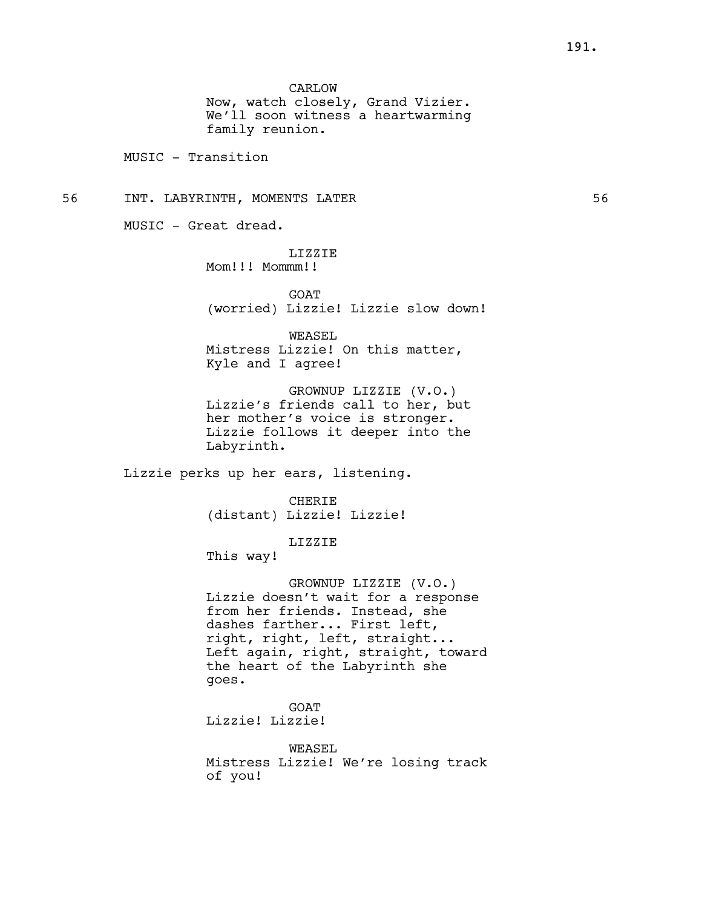CARLOW

Now, watch closely, Grand Vizier. We'll soon witness a heartwarming family reunion.

MUSIC - Transition

56 INT. LABYRINTH, MOMENTS LATER 56

MUSIC - Great dread.

LIZZIE Mom!!! Mommm!!

**GOAT** (worried) Lizzie! Lizzie slow down!

WEASEL Mistress Lizzie! On this matter, Kyle and I agree!

GROWNUP LIZZIE (V.O.) Lizzie's friends call to her, but her mother's voice is stronger. Lizzie follows it deeper into the Labyrinth.

Lizzie perks up her ears, listening.

CHERIE (distant) Lizzie! Lizzie!

LIZZIE

This way!

GROWNUP LIZZIE (V.O.) Lizzie doesn't wait for a response from her friends. Instead, she dashes farther... First left, right, right, left, straight... Left again, right, straight, toward the heart of the Labyrinth she goes.

GOAT Lizzie! Lizzie!

WEASEL Mistress Lizzie! We're losing track of you!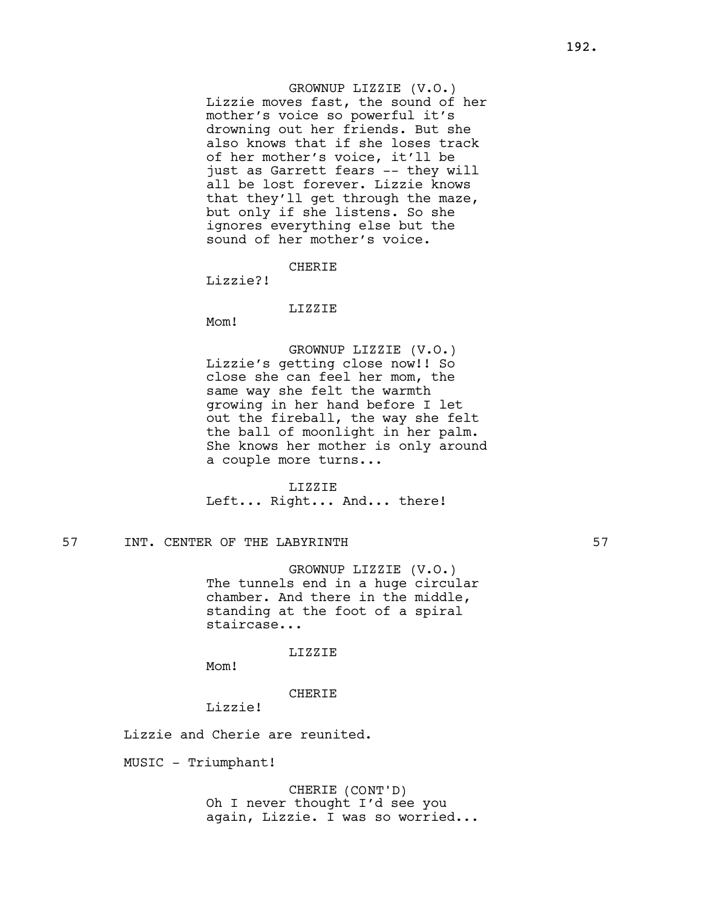GROWNUP LIZZIE (V.O.) Lizzie moves fast, the sound of her mother's voice so powerful it's drowning out her friends. But she also knows that if she loses track of her mother's voice, it'll be just as Garrett fears -- they will all be lost forever. Lizzie knows that they'll get through the maze, but only if she listens. So she ignores everything else but the sound of her mother's voice.

**CHERIF** 

Lizzie?!

## LIZZIE

Mom!

GROWNUP LIZZIE (V.O.) Lizzie's getting close now!! So close she can feel her mom, the same way she felt the warmth growing in her hand before I let out the fireball, the way she felt the ball of moonlight in her palm. She knows her mother is only around a couple more turns...

LIZZIE

Left... Right... And... there!

# 57 INT. CENTER OF THE LABYRINTH 57

GROWNUP LIZZIE (V.O.) The tunnels end in a huge circular chamber. And there in the middle, standing at the foot of a spiral staircase...

LIZZIE

Mom!

# CHERIE

Lizzie!

Lizzie and Cherie are reunited.

MUSIC - Triumphant!

CHERIE (CONT'D) Oh I never thought I'd see you again, Lizzie. I was so worried...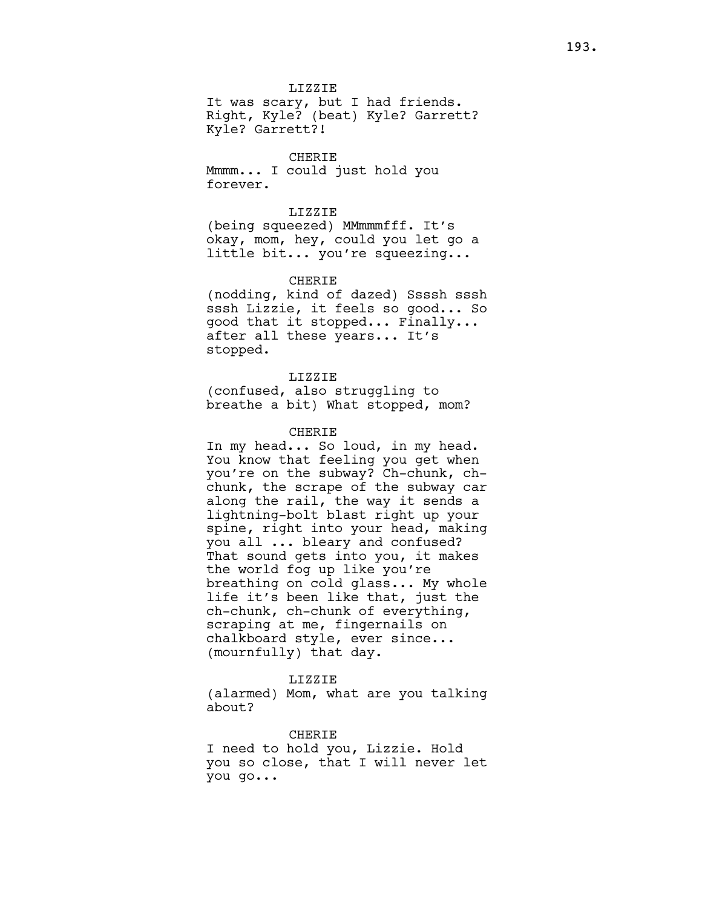LIZZIE

It was scary, but I had friends. Right, Kyle? (beat) Kyle? Garrett? Kyle? Garrett?!

CHERIE Mmmm... I could just hold you forever.

# LIZZIE

(being squeezed) MMmmmfff. It's okay, mom, hey, could you let go a little bit... you're squeezing...

# CHERIE

(nodding, kind of dazed) Ssssh sssh sssh Lizzie, it feels so good... So good that it stopped... Finally... after all these years... It's stopped.

# LIZZIE

(confused, also struggling to breathe a bit) What stopped, mom?

# CHERIE

In my head... So loud, in my head. You know that feeling you get when you're on the subway? Ch-chunk, chchunk, the scrape of the subway car along the rail, the way it sends a lightning-bolt blast right up your spine, right into your head, making you all ... bleary and confused? That sound gets into you, it makes the world fog up like you're breathing on cold glass... My whole life it's been like that, just the ch-chunk, ch-chunk of everything, scraping at me, fingernails on chalkboard style, ever since... (mournfully) that day.

# LIZZIE

(alarmed) Mom, what are you talking about?

#### CHERIE

I need to hold you, Lizzie. Hold you so close, that I will never let you go...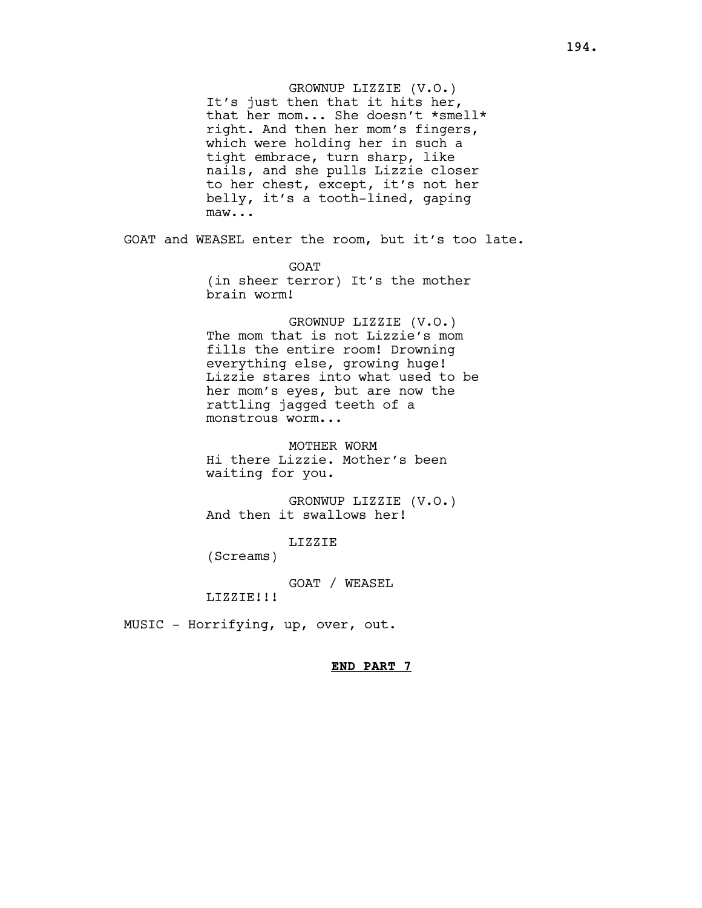GROWNUP LIZZIE (V.O.) It's just then that it hits her, that her mom... She doesn't \*smell\* right. And then her mom's fingers, which were holding her in such a tight embrace, turn sharp, like nails, and she pulls Lizzie closer to her chest, except, it's not her belly, it's a tooth-lined, gaping maw...

GOAT and WEASEL enter the room, but it's too late.

GOAT (in sheer terror) It's the mother brain worm!

GROWNUP LIZZIE (V.O.) The mom that is not Lizzie's mom fills the entire room! Drowning everything else, growing huge! Lizzie stares into what used to be her mom's eyes, but are now the rattling jagged teeth of a monstrous worm...

MOTHER WORM Hi there Lizzie. Mother's been waiting for you.

GRONWUP LIZZIE (V.O.) And then it swallows her!

LIZZIE

(Screams)

GOAT / WEASEL LIZZIE!!!

MUSIC - Horrifying, up, over, out.

END PART 7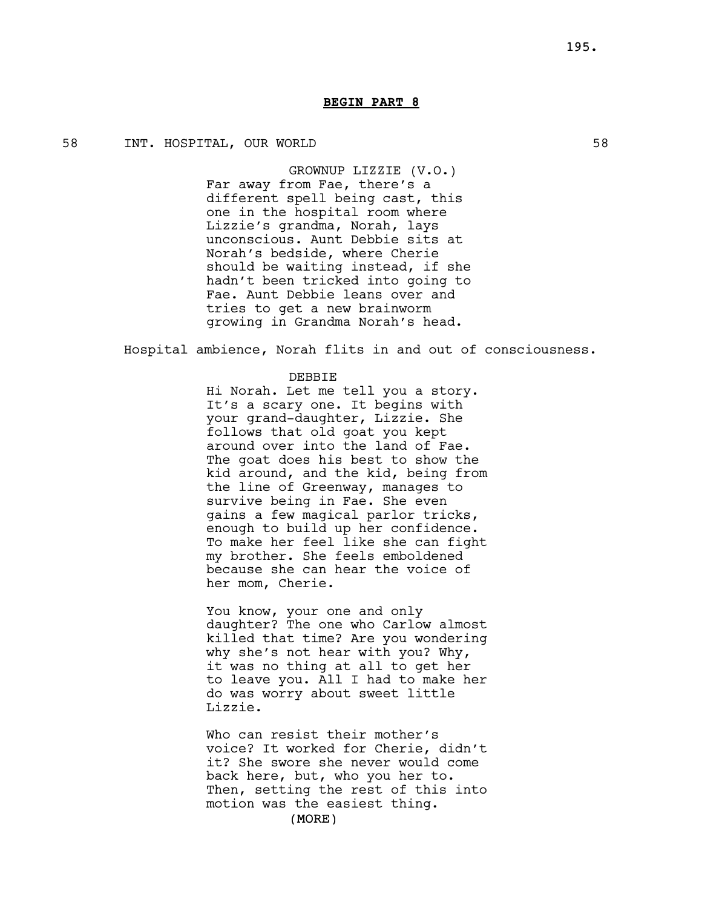# BEGIN PART 8

# 58 INT. HOSPITAL, OUR WORLD 58

GROWNUP LIZZIE (V.O.) Far away from Fae, there's a different spell being cast, this one in the hospital room where Lizzie's grandma, Norah, lays unconscious. Aunt Debbie sits at Norah's bedside, where Cherie should be waiting instead, if she hadn't been tricked into going to Fae. Aunt Debbie leans over and tries to get a new brainworm growing in Grandma Norah's head.

Hospital ambience, Norah flits in and out of consciousness.

## DEBBIE

Hi Norah. Let me tell you a story. It's a scary one. It begins with your grand-daughter, Lizzie. She follows that old goat you kept around over into the land of Fae. The goat does his best to show the kid around, and the kid, being from the line of Greenway, manages to survive being in Fae. She even gains a few magical parlor tricks, enough to build up her confidence. To make her feel like she can fight my brother. She feels emboldened because she can hear the voice of her mom, Cherie.

You know, your one and only daughter? The one who Carlow almost killed that time? Are you wondering why she's not hear with you? Why, it was no thing at all to get her to leave you. All I had to make her do was worry about sweet little Lizzie.

Who can resist their mother's voice? It worked for Cherie, didn't it? She swore she never would come back here, but, who you her to. Then, setting the rest of this into motion was the easiest thing.

(MORE)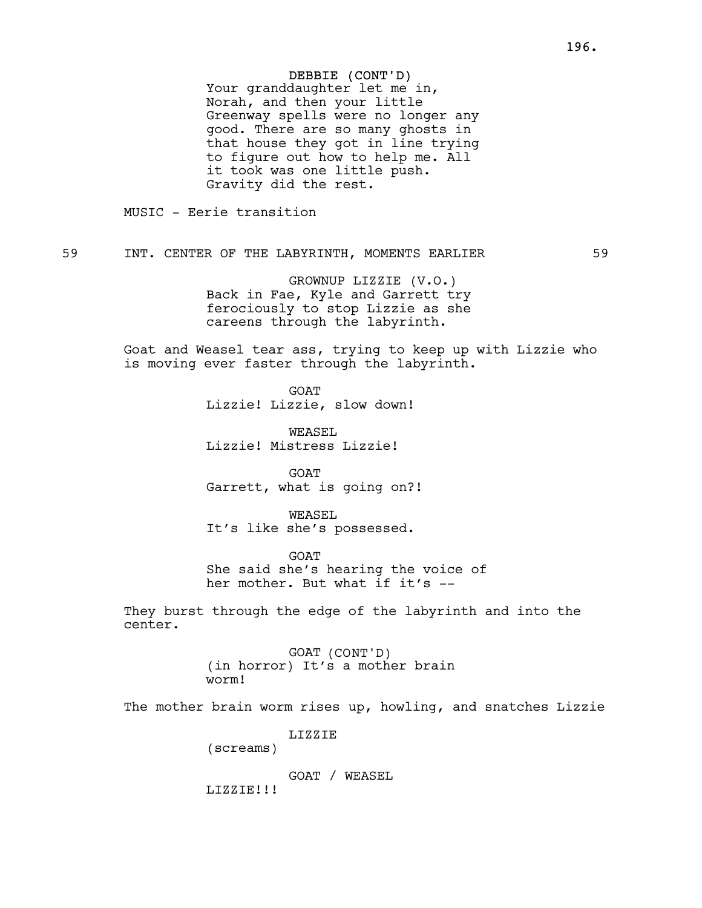# DEBBIE (CONT'D)

Your granddaughter let me in, Norah, and then your little Greenway spells were no longer any good. There are so many ghosts in that house they got in line trying to figure out how to help me. All it took was one little push. Gravity did the rest.

MUSIC - Eerie transition

59 INT. CENTER OF THE LABYRINTH, MOMENTS EARLIER 59

GROWNUP LIZZIE (V.O.) Back in Fae, Kyle and Garrett try ferociously to stop Lizzie as she careens through the labyrinth.

Goat and Weasel tear ass, trying to keep up with Lizzie who is moving ever faster through the labyrinth.

> **GOAT** Lizzie! Lizzie, slow down!

WEASEL Lizzie! Mistress Lizzie!

**GOAT** Garrett, what is going on?!

WEASEL It's like she's possessed.

GOAT She said she's hearing the voice of her mother. But what if it's --

They burst through the edge of the labyrinth and into the center.

> GOAT (CONT'D) (in horror) It's a mother brain worm!

The mother brain worm rises up, howling, and snatches Lizzie

LIZZIE

(screams)

GOAT / WEASEL

LIZZIE!!!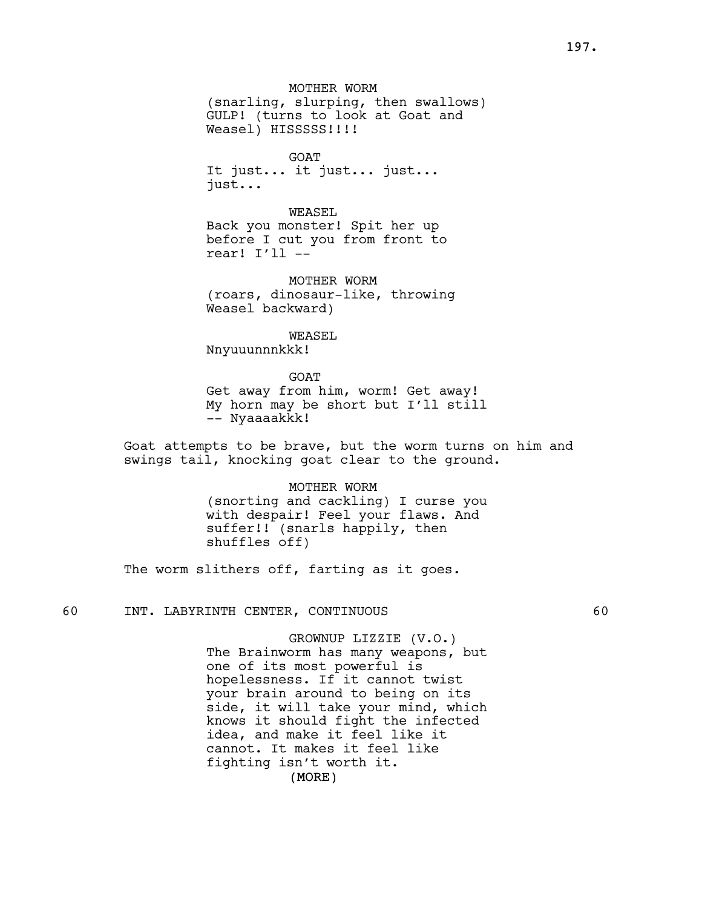MOTHER WORM (snarling, slurping, then swallows) GULP! (turns to look at Goat and Weasel) HISSSSS!!!!

GOAT It just... it just... just... just...

WEASEL Back you monster! Spit her up before I cut you from front to rear! I'll --

MOTHER WORM (roars, dinosaur-like, throwing Weasel backward)

WEASEL

Nnyuuunnnkkk!

GOAT

Get away from him, worm! Get away! My horn may be short but I'll still -- Nyaaaakkk!

Goat attempts to be brave, but the worm turns on him and swings tail, knocking goat clear to the ground.

> MOTHER WORM (snorting and cackling) I curse you with despair! Feel your flaws. And suffer!! (snarls happily, then shuffles off)

The worm slithers off, farting as it goes.

60 INT. LABYRINTH CENTER, CONTINUOUS 60

GROWNUP LIZZIE (V.O.) The Brainworm has many weapons, but one of its most powerful is hopelessness. If it cannot twist your brain around to being on its side, it will take your mind, which knows it should fight the infected idea, and make it feel like it cannot. It makes it feel like fighting isn't worth it.

(MORE)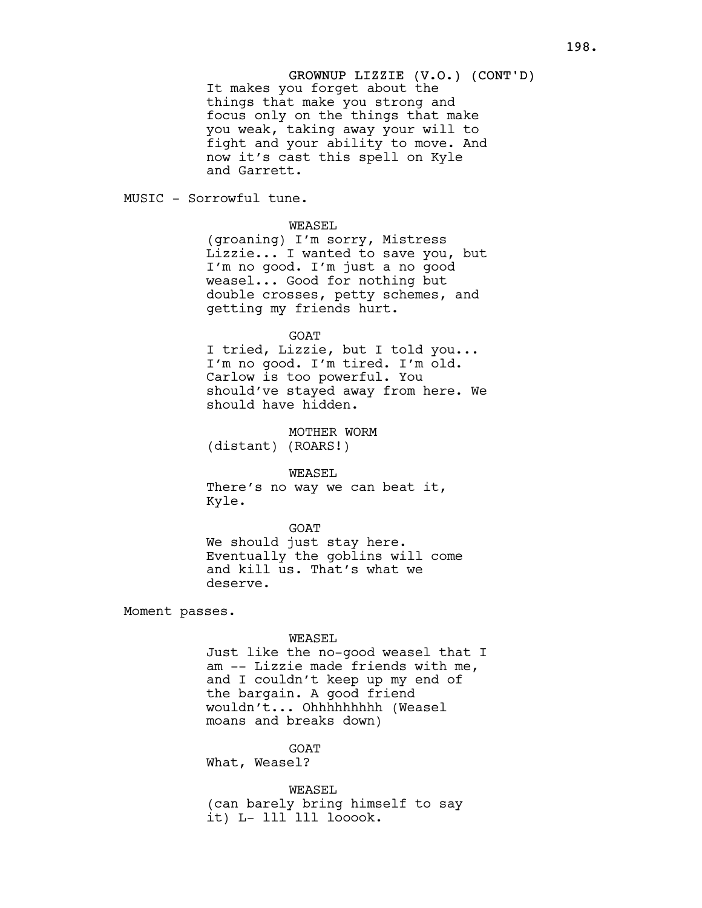# GROWNUP LIZZIE (V.O.) (CONT'D) It makes you forget about the things that make you strong and focus only on the things that make you weak, taking away your will to fight and your ability to move. And now it's cast this spell on Kyle and Garrett.

MUSIC - Sorrowful tune.

WEASEL

(groaning) I'm sorry, Mistress Lizzie... I wanted to save you, but I'm no good. I'm just a no good weasel... Good for nothing but double crosses, petty schemes, and getting my friends hurt.

#### GOAT

I tried, Lizzie, but I told you... I'm no good. I'm tired. I'm old. Carlow is too powerful. You should've stayed away from here. We should have hidden.

MOTHER WORM (distant) (ROARS!)

WEASEL

There's no way we can beat it, Kyle.

GOAT

We should just stay here. Eventually the goblins will come and kill us. That's what we deserve.

Moment passes.

#### WEASEL

Just like the no-good weasel that I am -- Lizzie made friends with me, and I couldn't keep up my end of the bargain. A good friend wouldn't... Ohhhhhhhhh (Weasel moans and breaks down)

GOAT

What, Weasel?

WEASEL (can barely bring himself to say it) L- lll lll looook.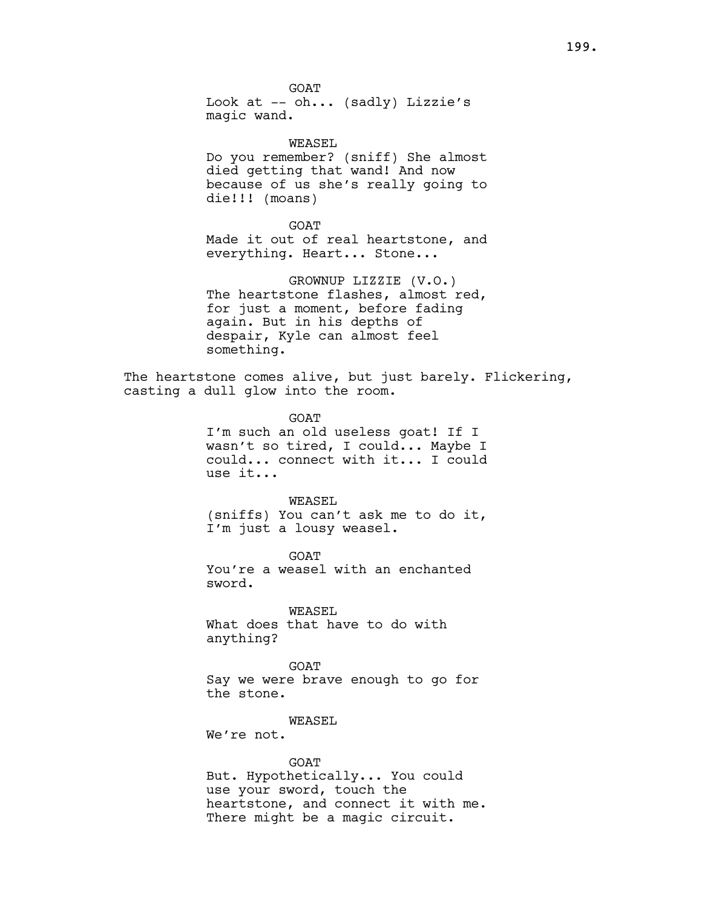GOAT Look at -- oh... (sadly) Lizzie's magic wand.

WEASEL Do you remember? (sniff) She almost died getting that wand! And now because of us she's really going to die!!! (moans)

GOAT

Made it out of real heartstone, and everything. Heart... Stone...

GROWNUP LIZZIE (V.O.) The heartstone flashes, almost red, for just a moment, before fading again. But in his depths of despair, Kyle can almost feel something.

The heartstone comes alive, but just barely. Flickering, casting a dull glow into the room.

> GOAT I'm such an old useless goat! If I wasn't so tired, I could... Maybe I could... connect with it... I could use it...

> WEASEL (sniffs) You can't ask me to do it, I'm just a lousy weasel.

**GOAT** You're a weasel with an enchanted sword.

WEASEL What does that have to do with anything?

GOAT Say we were brave enough to go for the stone.

WEASEL

We're not.

## GOAT

But. Hypothetically... You could use your sword, touch the heartstone, and connect it with me. There might be a magic circuit.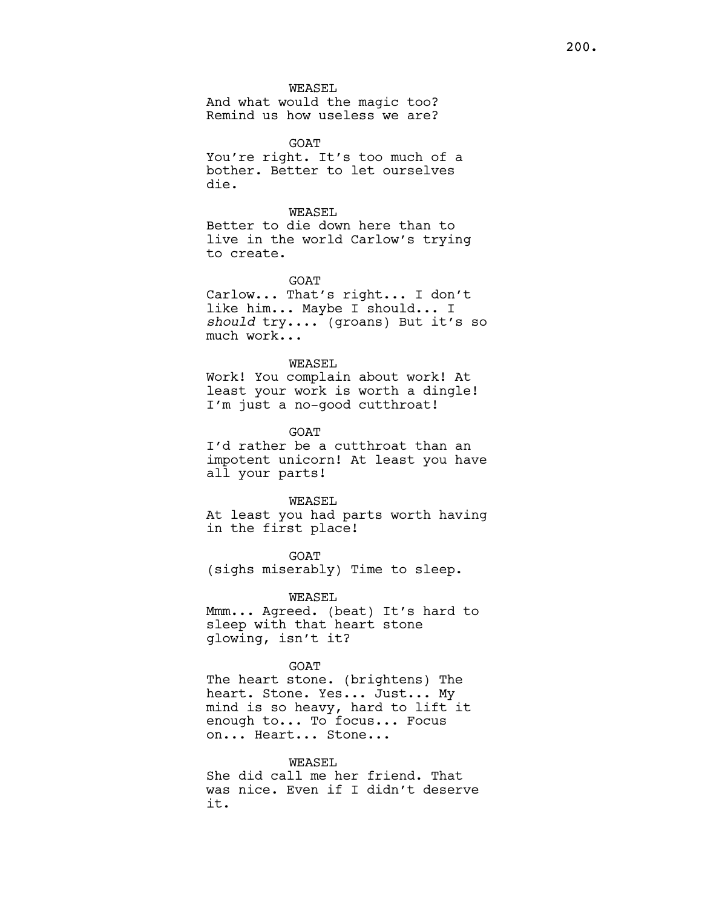WEASEL

And what would the magic too? Remind us how useless we are?

**GOAT** You're right. It's too much of a bother. Better to let ourselves die.

WEASEL.

Better to die down here than to live in the world Carlow's trying to create.

GOAT

Carlow... That's right... I don't like him... Maybe I should... I should try.... (groans) But it's so much work...

WEASEL

Work! You complain about work! At least your work is worth a dingle! I'm just a no-good cutthroat!

GOAT

I'd rather be a cutthroat than an impotent unicorn! At least you have all your parts!

WEASEL

At least you had parts worth having in the first place!

GOAT (sighs miserably) Time to sleep.

WEASEL

Mmm... Agreed. (beat) It's hard to sleep with that heart stone glowing, isn't it?

GOAT

The heart stone. (brightens) The heart. Stone. Yes... Just... My mind is so heavy, hard to lift it enough to... To focus... Focus on... Heart... Stone...

# WEASEL

She did call me her friend. That was nice. Even if I didn't deserve it.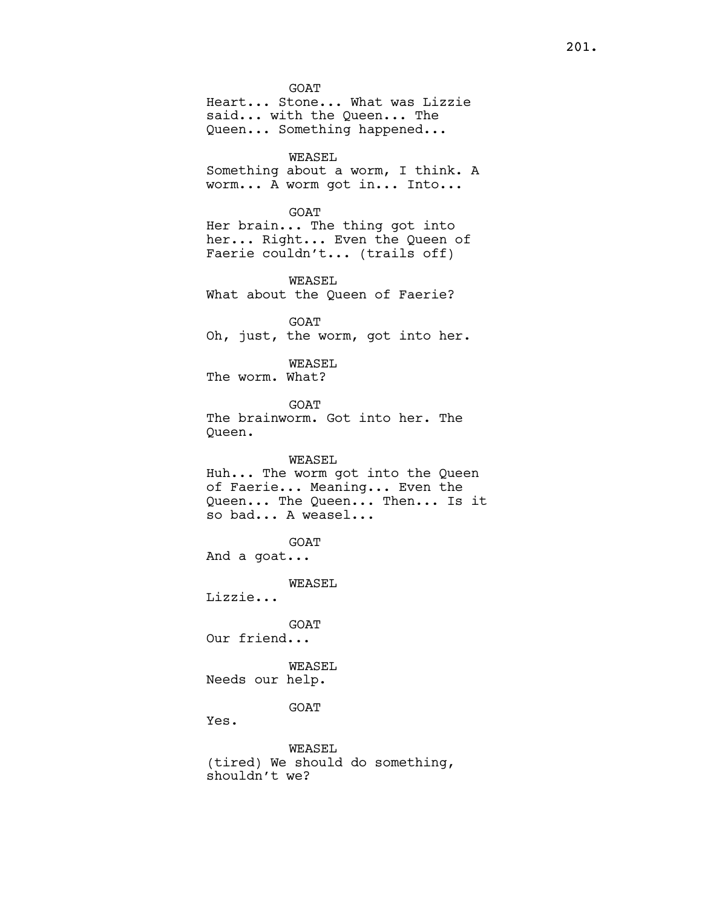GOAT Heart... Stone... What was Lizzie said... with the Queen... The Queen... Something happened... WEASEL Something about a worm, I think. A worm... A worm got in... Into... GOAT Her brain... The thing got into her... Right... Even the Queen of Faerie couldn't... (trails off) WEASEL What about the Queen of Faerie? GOAT Oh, just, the worm, got into her. WEASEL The worm. What? GOAT The brainworm. Got into her. The Queen. WEASEL Huh... The worm got into the Queen of Faerie... Meaning... Even the Queen... The Queen... Then... Is it so bad... A weasel... GOAT And a goat... WEASEL Lizzie... GOAT Our friend... WEASEL Needs our help. GOAT Yes. WEASEL (tired) We should do something, shouldn't we?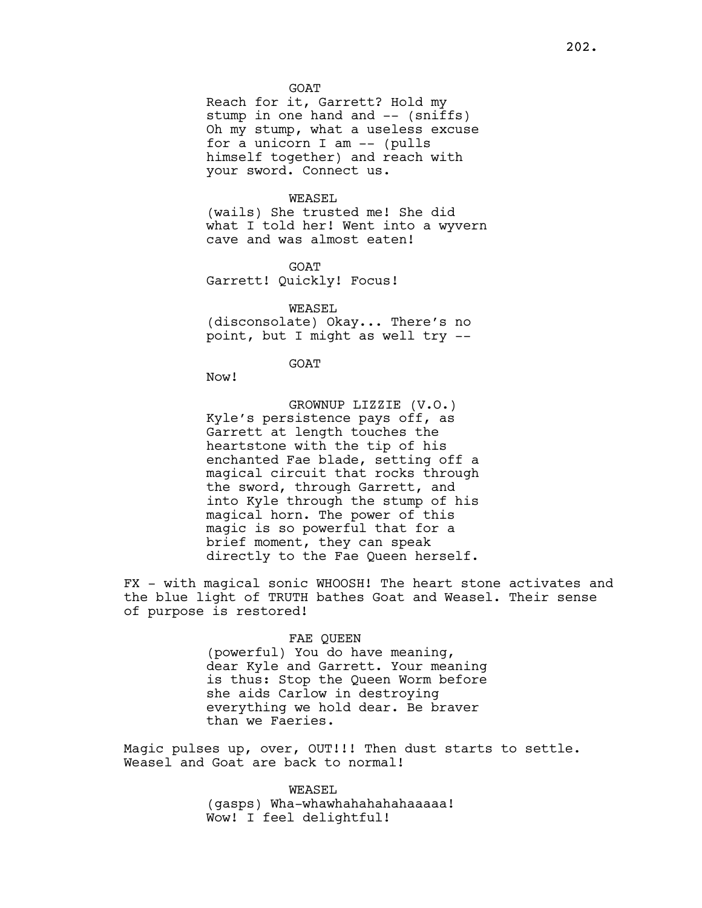GOAT

Reach for it, Garrett? Hold my stump in one hand and -- (sniffs) Oh my stump, what a useless excuse for a unicorn I am -- (pulls himself together) and reach with your sword. Connect us.

# WEASEL

(wails) She trusted me! She did what I told her! Went into a wyvern cave and was almost eaten!

GOAT Garrett! Quickly! Focus!

WEASEL (disconsolate) Okay... There's no point, but I might as well try --

GOAT

Now!

GROWNUP LIZZIE (V.O.) Kyle's persistence pays off, as Garrett at length touches the heartstone with the tip of his enchanted Fae blade, setting off a magical circuit that rocks through the sword, through Garrett, and into Kyle through the stump of his magical horn. The power of this magic is so powerful that for a brief moment, they can speak directly to the Fae Queen herself.

FX - with magical sonic WHOOSH! The heart stone activates and the blue light of TRUTH bathes Goat and Weasel. Their sense of purpose is restored!

#### FAE QUEEN

(powerful) You do have meaning, dear Kyle and Garrett. Your meaning is thus: Stop the Queen Worm before she aids Carlow in destroying everything we hold dear. Be braver than we Faeries.

Magic pulses up, over, OUT!!! Then dust starts to settle. Weasel and Goat are back to normal!

> WEASEL (gasps) Wha-whawhahahahahaaaaa! Wow! I feel delightful!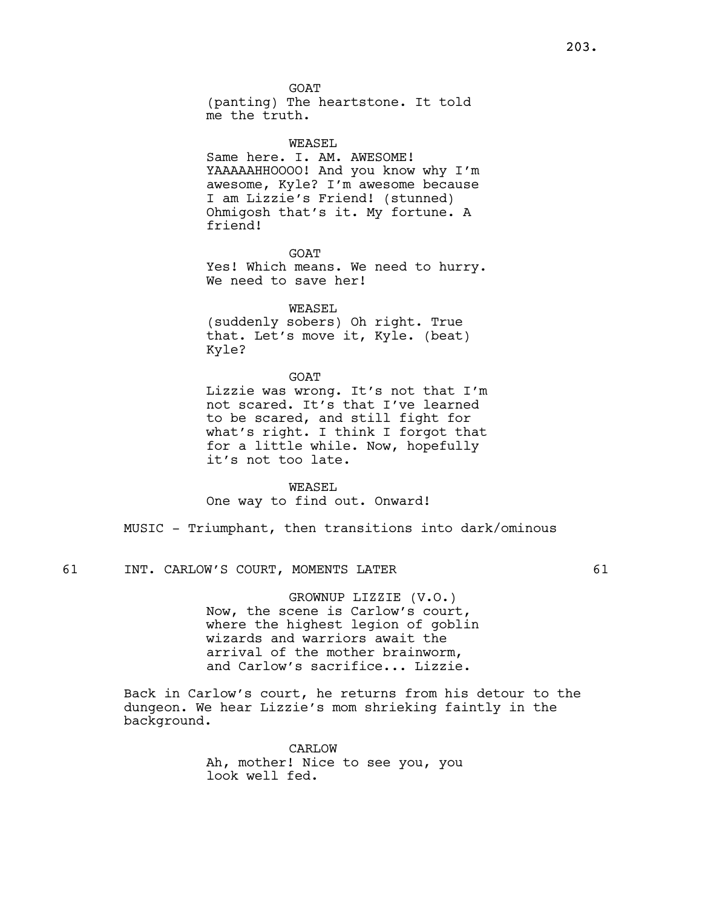GOAT (panting) The heartstone. It told me the truth.

WEASEL Same here. I. AM. AWESOME! YAAAAAHHOOOO! And you know why I'm awesome, Kyle? I'm awesome because I am Lizzie's Friend! (stunned) Ohmigosh that's it. My fortune. A friend!

GOAT Yes! Which means. We need to hurry. We need to save her!

WEASEL (suddenly sobers) Oh right. True that. Let's move it, Kyle. (beat) Kyle?

GOAT Lizzie was wrong. It's not that I'm not scared. It's that I've learned to be scared, and still fight for what's right. I think I forgot that for a little while. Now, hopefully it's not too late.

WEASEL One way to find out. Onward!

MUSIC - Triumphant, then transitions into dark/ominous

61 INT. CARLOW'S COURT, MOMENTS LATER 61

GROWNUP LIZZIE (V.O.) Now, the scene is Carlow's court, where the highest legion of goblin wizards and warriors await the arrival of the mother brainworm, and Carlow's sacrifice... Lizzie.

Back in Carlow's court, he returns from his detour to the dungeon. We hear Lizzie's mom shrieking faintly in the background.

> CARLOW Ah, mother! Nice to see you, you look well fed.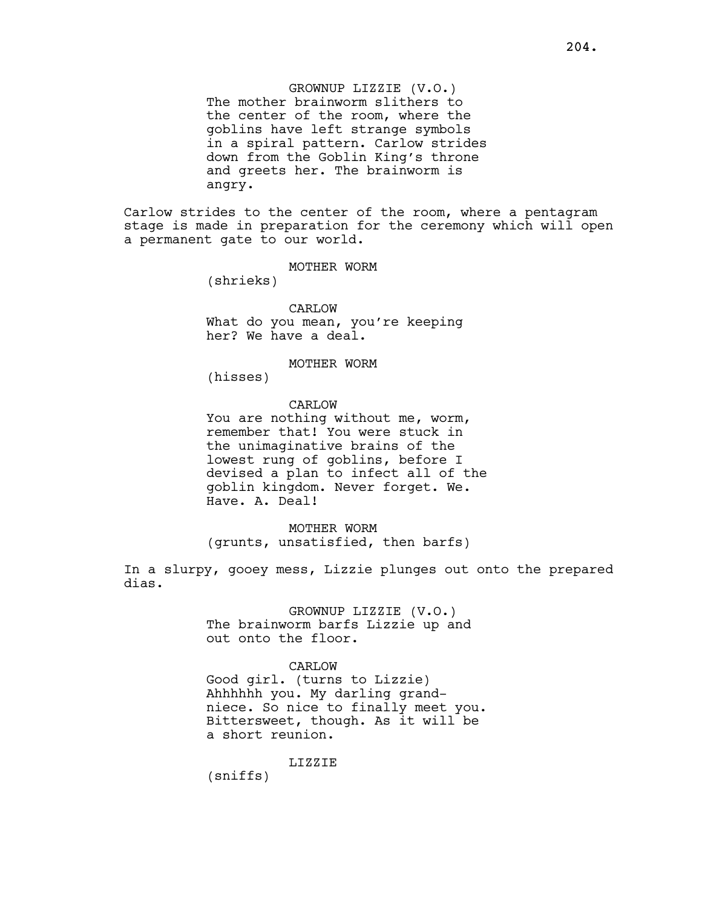GROWNUP LIZZIE (V.O.) The mother brainworm slithers to the center of the room, where the goblins have left strange symbols in a spiral pattern. Carlow strides down from the Goblin King's throne and greets her. The brainworm is angry.

Carlow strides to the center of the room, where a pentagram stage is made in preparation for the ceremony which will open a permanent gate to our world.

MOTHER WORM

(shrieks)

# CARLOW

What do you mean, you're keeping her? We have a deal.

MOTHER WORM

(hisses)

# CARLOW

You are nothing without me, worm, remember that! You were stuck in the unimaginative brains of the lowest rung of goblins, before I devised a plan to infect all of the goblin kingdom. Never forget. We. Have. A. Deal!

MOTHER WORM (grunts, unsatisfied, then barfs)

In a slurpy, gooey mess, Lizzie plunges out onto the prepared dias.

> GROWNUP LIZZIE (V.O.) The brainworm barfs Lizzie up and out onto the floor.

## CARLOW

Good girl. (turns to Lizzie) Ahhhhhh you. My darling grandniece. So nice to finally meet you. Bittersweet, though. As it will be a short reunion.

LIZZIE

(sniffs)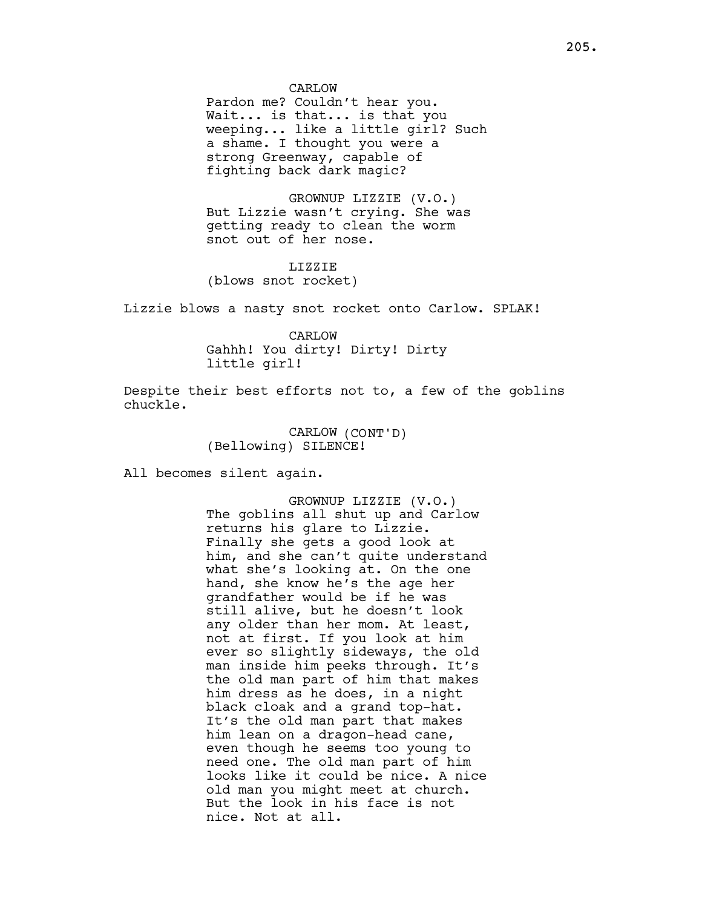Pardon me? Couldn't hear you. Wait... is that... is that you weeping... like a little girl? Such a shame. I thought you were a strong Greenway, capable of fighting back dark magic?

GROWNUP LIZZIE (V.O.) But Lizzie wasn't crying. She was getting ready to clean the worm snot out of her nose.

# LIZZIE (blows snot rocket)

Lizzie blows a nasty snot rocket onto Carlow. SPLAK!

CARLOW Gahhh! You dirty! Dirty! Dirty little girl!

Despite their best efforts not to, a few of the goblins chuckle.

> CARLOW (CONT'D) (Bellowing) SILENCE!

All becomes silent again.

GROWNUP LIZZIE (V.O.) The goblins all shut up and Carlow returns his glare to Lizzie. Finally she gets a good look at him, and she can't quite understand what she's looking at. On the one hand, she know he's the age her grandfather would be if he was still alive, but he doesn't look any older than her mom. At least, not at first. If you look at him ever so slightly sideways, the old man inside him peeks through. It's the old man part of him that makes him dress as he does, in a night black cloak and a grand top-hat. It's the old man part that makes him lean on a dragon-head cane, even though he seems too young to need one. The old man part of him looks like it could be nice. A nice old man you might meet at church. But the look in his face is not nice. Not at all.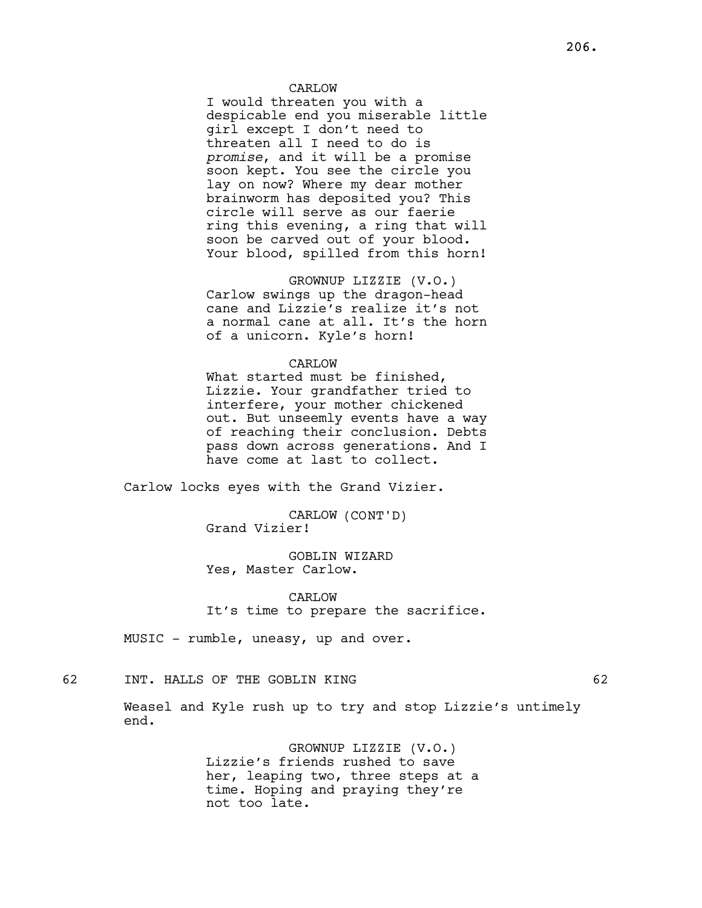# CARLOW

I would threaten you with a despicable end you miserable little girl except I don't need to threaten all I need to do is promise, and it will be a promise soon kept. You see the circle you lay on now? Where my dear mother brainworm has deposited you? This circle will serve as our faerie ring this evening, a ring that will soon be carved out of your blood. Your blood, spilled from this horn!

GROWNUP LIZZIE (V.O.) Carlow swings up the dragon-head cane and Lizzie's realize it's not a normal cane at all. It's the horn of a unicorn. Kyle's horn!

#### CARLOW

What started must be finished, Lizzie. Your grandfather tried to interfere, your mother chickened out. But unseemly events have a way of reaching their conclusion. Debts pass down across generations. And I have come at last to collect.

Carlow locks eyes with the Grand Vizier.

CARLOW (CONT'D) Grand Vizier!

GOBLIN WIZARD Yes, Master Carlow.

CARLOW It's time to prepare the sacrifice.

MUSIC - rumble, uneasy, up and over.

62 INT. HALLS OF THE GOBLIN KING 62

Weasel and Kyle rush up to try and stop Lizzie's untimely end.

> GROWNUP LIZZIE (V.O.) Lizzie's friends rushed to save her, leaping two, three steps at a time. Hoping and praying they're not too late.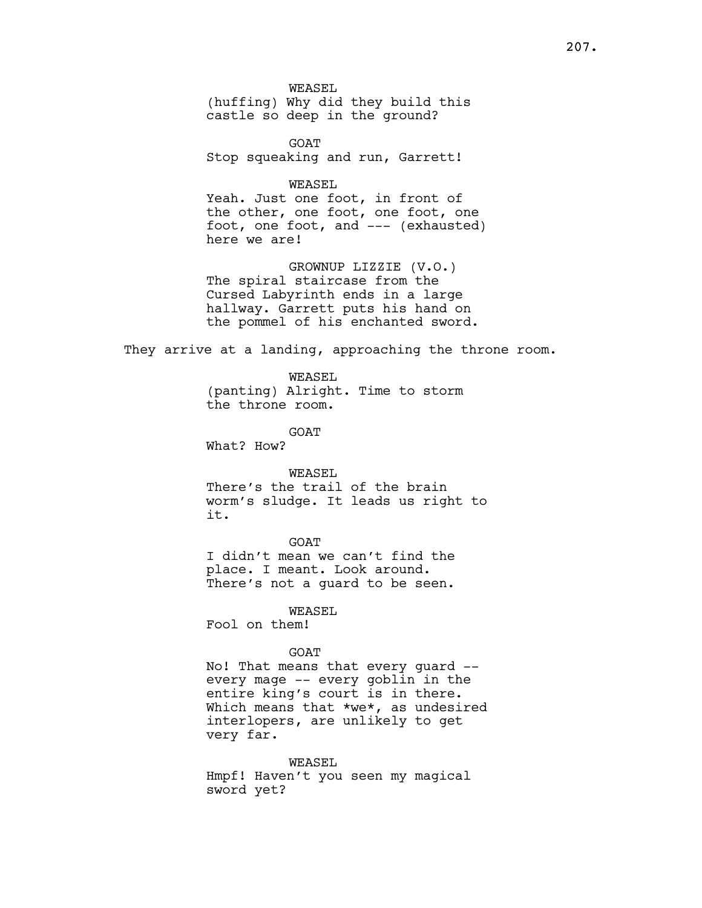WEASEL (huffing) Why did they build this castle so deep in the ground?

GOAT Stop squeaking and run, Garrett!

WEASEL Yeah. Just one foot, in front of the other, one foot, one foot, one foot, one foot, and --- (exhausted) here we are!

GROWNUP LIZZIE (V.O.) The spiral staircase from the Cursed Labyrinth ends in a large hallway. Garrett puts his hand on the pommel of his enchanted sword.

They arrive at a landing, approaching the throne room.

WEASEL (panting) Alright. Time to storm the throne room.

GOAT

What? How?

## WEASEL

There's the trail of the brain worm's sludge. It leads us right to it.

GOAT

I didn't mean we can't find the place. I meant. Look around. There's not a guard to be seen.

WEASEL

Fool on them!

## GOAT

No! That means that every guard - every mage -- every goblin in the entire king's court is in there. Which means that \*we\*, as undesired interlopers, are unlikely to get very far.

WEASEL Hmpf! Haven't you seen my magical sword yet?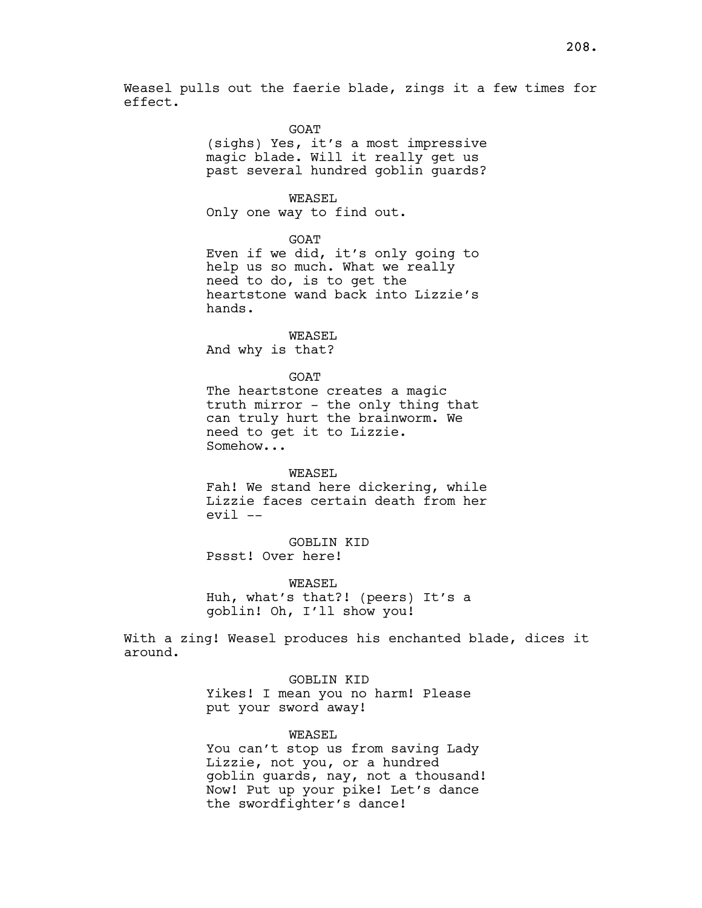Weasel pulls out the faerie blade, zings it a few times for effect.

# GOAT

(sighs) Yes, it's a most impressive magic blade. Will it really get us past several hundred goblin guards?

#### WEASEL.

Only one way to find out.

GOAT

Even if we did, it's only going to help us so much. What we really need to do, is to get the heartstone wand back into Lizzie's hands.

WEASEL

And why is that?

GOAT

The heartstone creates a magic truth mirror - the only thing that can truly hurt the brainworm. We need to get it to Lizzie. Somehow...

## WEASEL

Fah! We stand here dickering, while Lizzie faces certain death from her  $evil$  --

GOBLIN KID Pssst! Over here!

WEASEL

Huh, what's that?! (peers) It's a goblin! Oh, I'll show you!

With a zing! Weasel produces his enchanted blade, dices it around.

GOBLIN KID

Yikes! I mean you no harm! Please put your sword away!

## WEASEL

You can't stop us from saving Lady Lizzie, not you, or a hundred goblin guards, nay, not a thousand! Now! Put up your pike! Let's dance the swordfighter's dance!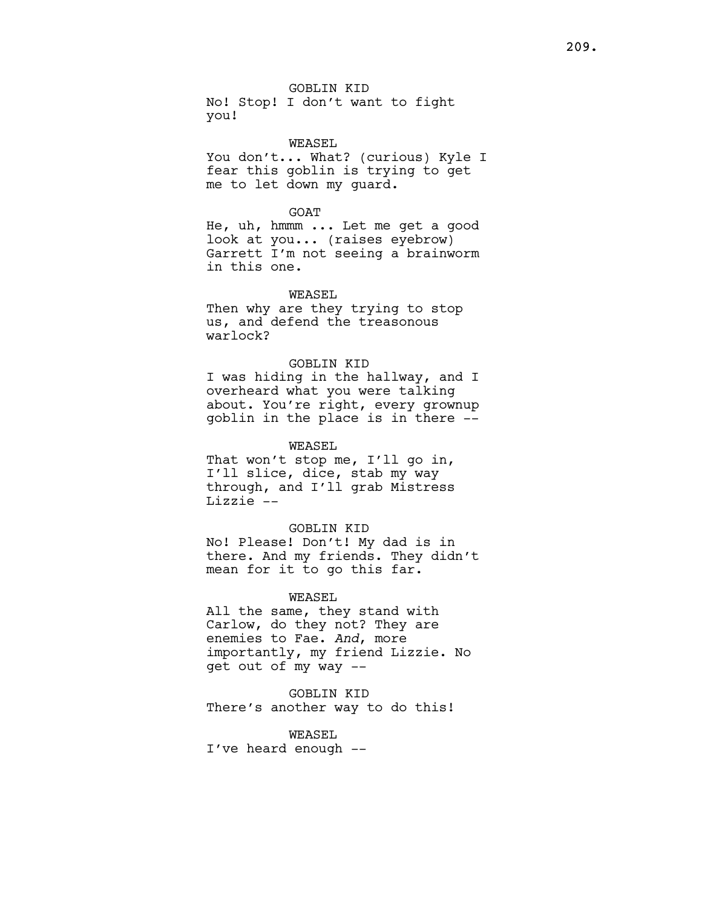GOBLIN KID No! Stop! I don't want to fight you!

WEASEL

You don't... What? (curious) Kyle I fear this goblin is trying to get me to let down my guard.

## GOAT

He, uh, hmmm ... Let me get a good look at you... (raises eyebrow) Garrett I'm not seeing a brainworm in this one.

# WEASEL

Then why are they trying to stop us, and defend the treasonous warlock?

## GOBLIN KID

I was hiding in the hallway, and I overheard what you were talking about. You're right, every grownup goblin in the place is in there --

# WEASEL

That won't stop me, I'll go in, I'll slice, dice, stab my way through, and I'll grab Mistress Lizzie --

## GOBLIN KID

No! Please! Don't! My dad is in there. And my friends. They didn't mean for it to go this far.

## WEASEL

All the same, they stand with Carlow, do they not? They are enemies to Fae. And, more importantly, my friend Lizzie. No get out of my way --

GOBLIN KID There's another way to do this!

WEASEL I've heard enough --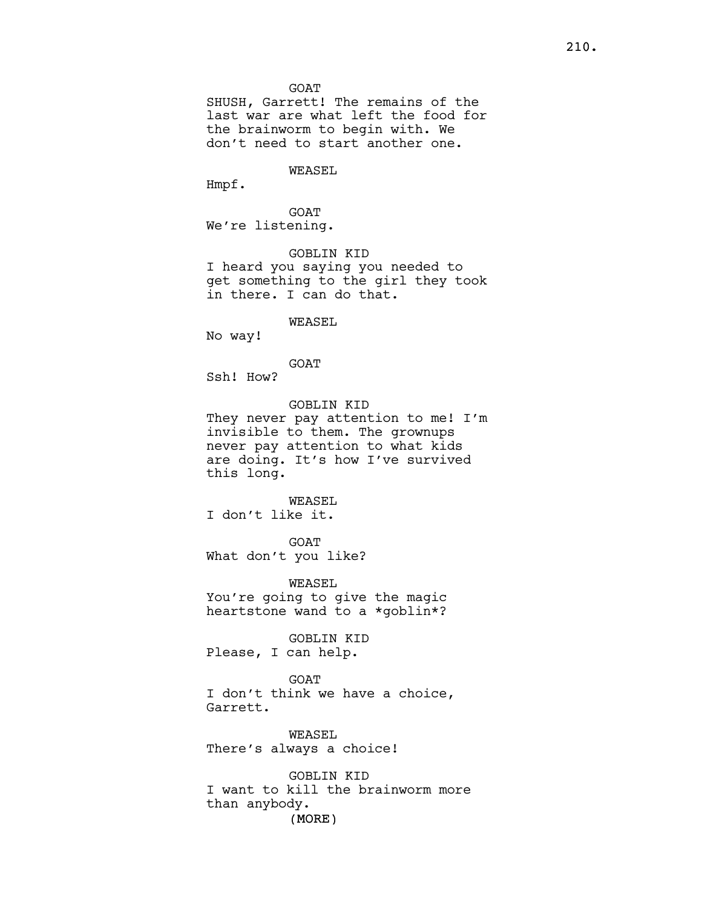SHUSH, Garrett! The remains of the last war are what left the food for the brainworm to begin with. We don't need to start another one.

WEASEL

Hmpf.

GOAT We're listening.

GOBLIN KID

I heard you saying you needed to get something to the girl they took in there. I can do that.

WEASEL

No way!

GOAT

Ssh! How?

GOBLIN KID

They never pay attention to me! I'm invisible to them. The grownups never pay attention to what kids are doing. It's how I've survived this long.

WEASEL

I don't like it.

GOAT What don't you like?

WEASEL You're going to give the magic heartstone wand to a \*goblin\*?

GOBLIN KID Please, I can help.

GOAT I don't think we have a choice, Garrett.

WEASEL There's always a choice!

(MORE) GOBLIN KID I want to kill the brainworm more than anybody.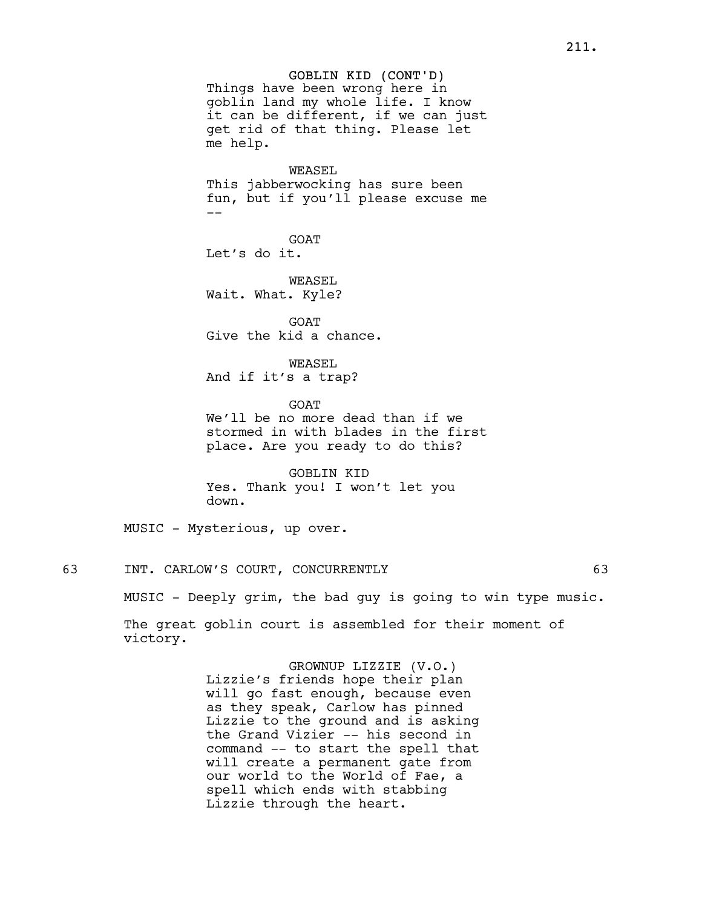GOBLIN KID (CONT'D) Things have been wrong here in goblin land my whole life. I know it can be different, if we can just get rid of that thing. Please let me help.

WEASEL

This jabberwocking has sure been fun, but if you'll please excuse me --

GOAT Let's do it.

WEASEL Wait. What. Kyle?

**GOAT** Give the kid a chance.

WEASEL And if it's a trap?

**GOAT** We'll be no more dead than if we stormed in with blades in the first place. Are you ready to do this?

GOBLIN KID Yes. Thank you! I won't let you down.

MUSIC - Mysterious, up over.

63 INT. CARLOW'S COURT, CONCURRENTLY 63

MUSIC - Deeply grim, the bad guy is going to win type music.

The great goblin court is assembled for their moment of victory.

> GROWNUP LIZZIE (V.O.) Lizzie's friends hope their plan will go fast enough, because even as they speak, Carlow has pinned Lizzie to the ground and is asking the Grand Vizier -- his second in command -- to start the spell that will create a permanent gate from our world to the World of Fae, a spell which ends with stabbing Lizzie through the heart.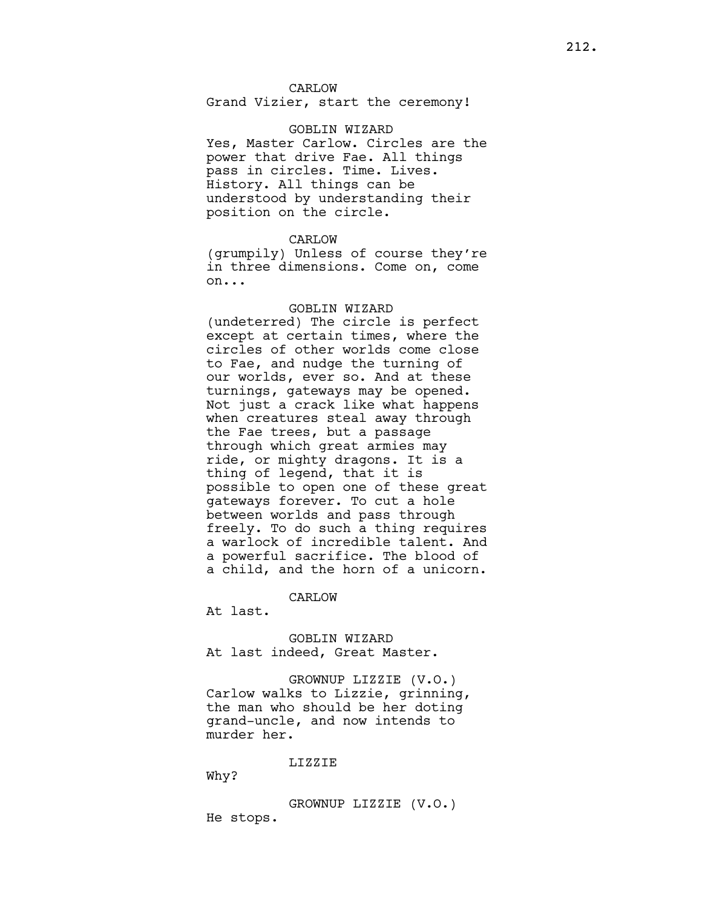Grand Vizier, start the ceremony!

## GOBLIN WIZARD

Yes, Master Carlow. Circles are the power that drive Fae. All things pass in circles. Time. Lives. History. All things can be understood by understanding their position on the circle.

# CARLOW

(grumpily) Unless of course they're in three dimensions. Come on, come on...

## GOBLIN WIZARD

(undeterred) The circle is perfect except at certain times, where the circles of other worlds come close to Fae, and nudge the turning of our worlds, ever so. And at these turnings, gateways may be opened. Not just a crack like what happens when creatures steal away through the Fae trees, but a passage through which great armies may ride, or mighty dragons. It is a thing of legend, that it is possible to open one of these great gateways forever. To cut a hole between worlds and pass through freely. To do such a thing requires a warlock of incredible talent. And a powerful sacrifice. The blood of a child, and the horn of a unicorn.

## CARLOW

At last.

GOBLIN WIZARD At last indeed, Great Master.

GROWNUP LIZZIE (V.O.) Carlow walks to Lizzie, grinning, the man who should be her doting grand-uncle, and now intends to murder her.

LIZZIE

Why?

GROWNUP LIZZIE (V.O.) He stops.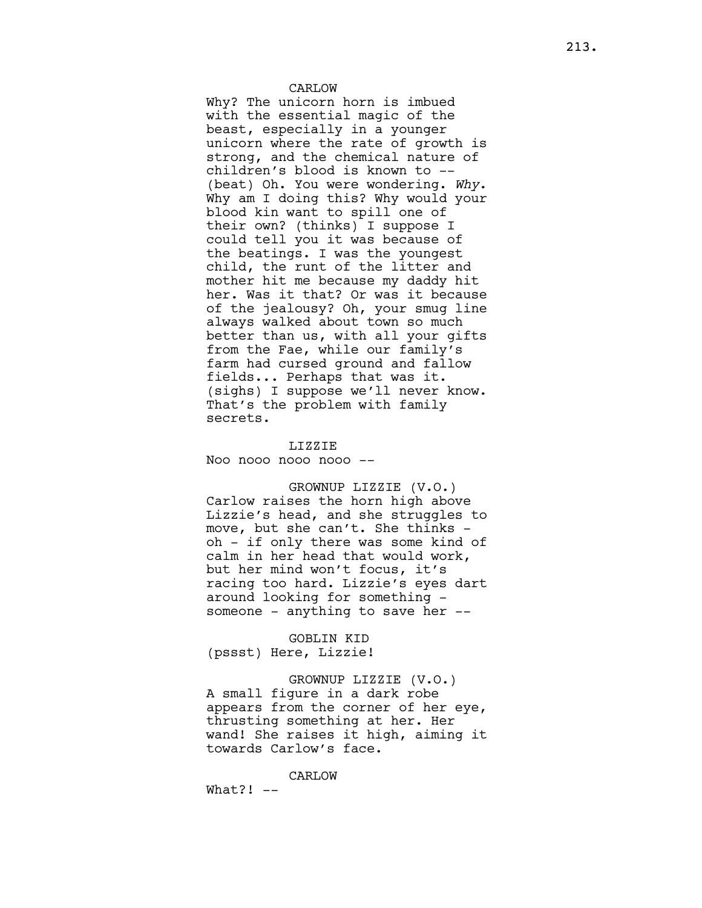## CARLOW

Why? The unicorn horn is imbued with the essential magic of the beast, especially in a younger unicorn where the rate of growth is strong, and the chemical nature of children's blood is known to -- (beat) Oh. You were wondering. Why. Why am I doing this? Why would your blood kin want to spill one of their own? (thinks) I suppose I could tell you it was because of the beatings. I was the youngest child, the runt of the litter and mother hit me because my daddy hit her. Was it that? Or was it because of the jealousy? Oh, your smug line always walked about town so much better than us, with all your gifts from the Fae, while our family's farm had cursed ground and fallow fields... Perhaps that was it. (sighs) I suppose we'll never know. That's the problem with family secrets.

LIZZIE Noo nooo nooo nooo --

GROWNUP LIZZIE (V.O.) Carlow raises the horn high above Lizzie's head, and she struggles to move, but she can't. She thinks oh - if only there was some kind of calm in her head that would work, but her mind won't focus, it's racing too hard. Lizzie's eyes dart around looking for something someone - anything to save her --

GOBLIN KID (pssst) Here, Lizzie!

GROWNUP LIZZIE (V.O.) A small figure in a dark robe appears from the corner of her eye, thrusting something at her. Her wand! She raises it high, aiming it towards Carlow's face.

CARLOW What?!  $--$ 

213.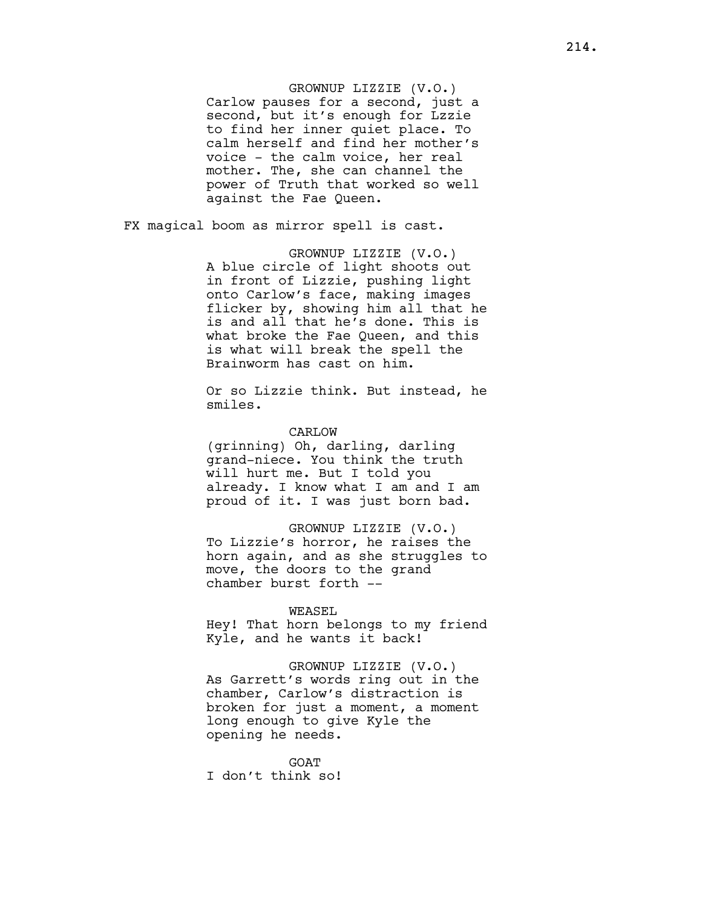# GROWNUP LIZZIE (V.O.)

Carlow pauses for a second, just a second, but it's enough for Lzzie to find her inner quiet place. To calm herself and find her mother's voice - the calm voice, her real mother. The, she can channel the power of Truth that worked so well against the Fae Queen.

FX magical boom as mirror spell is cast.

GROWNUP LIZZIE (V.O.) A blue circle of light shoots out in front of Lizzie, pushing light onto Carlow's face, making images flicker by, showing him all that he is and all that he's done. This is what broke the Fae Queen, and this is what will break the spell the Brainworm has cast on him.

Or so Lizzie think. But instead, he smiles.

## CARLOW

(grinning) Oh, darling, darling grand-niece. You think the truth will hurt me. But I told you already. I know what I am and I am proud of it. I was just born bad.

GROWNUP LIZZIE (V.O.) To Lizzie's horror, he raises the horn again, and as she struggles to move, the doors to the grand chamber burst forth --

#### WEASEL

Hey! That horn belongs to my friend Kyle, and he wants it back!

GROWNUP LIZZIE (V.O.) As Garrett's words ring out in the chamber, Carlow's distraction is broken for just a moment, a moment long enough to give Kyle the opening he needs.

GOAT I don't think so!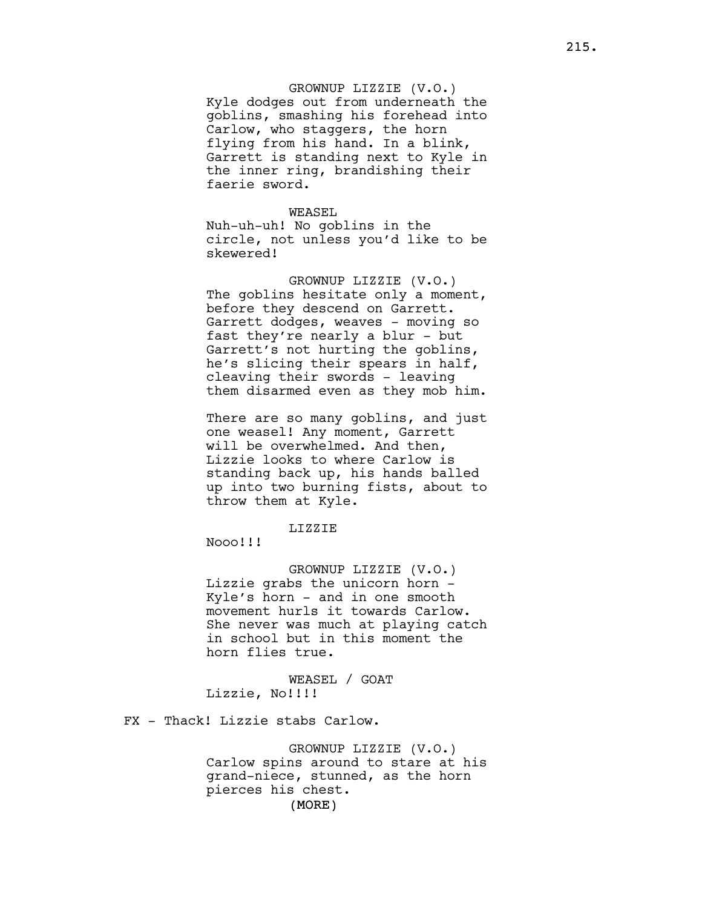# GROWNUP LIZZIE (V.O.) Kyle dodges out from underneath the goblins, smashing his forehead into Carlow, who staggers, the horn flying from his hand. In a blink, Garrett is standing next to Kyle in the inner ring, brandishing their faerie sword.

# WEASEL Nuh-uh-uh! No goblins in the circle, not unless you'd like to be skewered!

GROWNUP LIZZIE (V.O.) The goblins hesitate only a moment, before they descend on Garrett. Garrett dodges, weaves - moving so fast they're nearly a blur - but Garrett's not hurting the goblins, he's slicing their spears in half, cleaving their swords - leaving them disarmed even as they mob him.

There are so many goblins, and just one weasel! Any moment, Garrett will be overwhelmed. And then, Lizzie looks to where Carlow is standing back up, his hands balled up into two burning fists, about to throw them at Kyle.

# LIZZIE

Nooo!!!

GROWNUP LIZZIE (V.O.) Lizzie grabs the unicorn horn - Kyle's horn - and in one smooth movement hurls it towards Carlow. She never was much at playing catch in school but in this moment the horn flies true.

WEASEL / GOAT Lizzie, No!!!!

FX - Thack! Lizzie stabs Carlow.

(MORE) GROWNUP LIZZIE (V.O.) Carlow spins around to stare at his grand-niece, stunned, as the horn pierces his chest.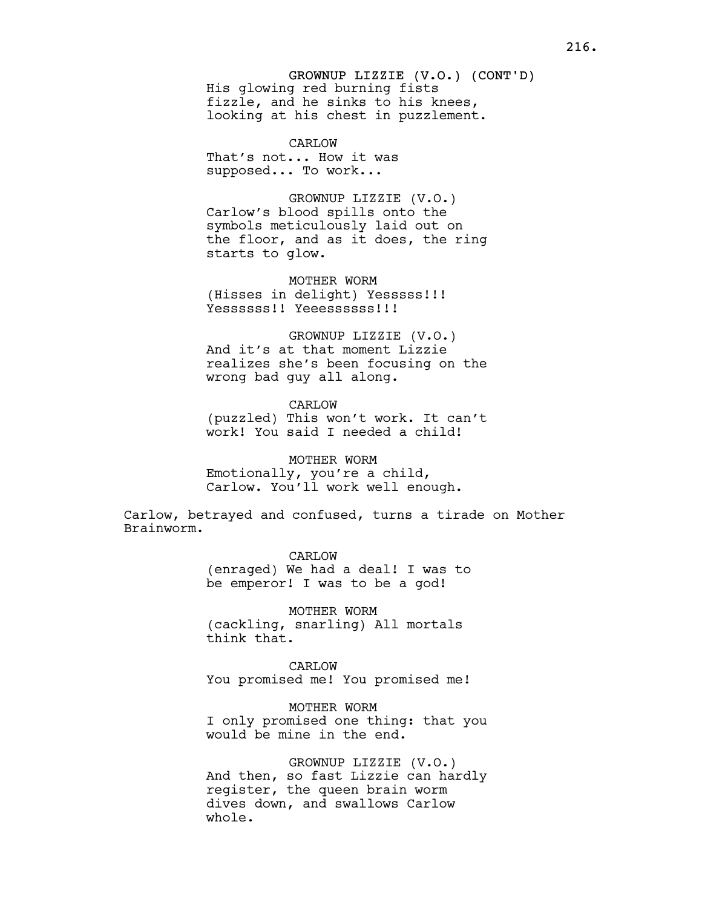# GROWNUP LIZZIE (V.O.) (CONT'D) His glowing red burning fists fizzle, and he sinks to his knees, looking at his chest in puzzlement.

CARLOW That's not... How it was supposed... To work...

GROWNUP LIZZIE (V.O.) Carlow's blood spills onto the symbols meticulously laid out on the floor, and as it does, the ring starts to glow.

MOTHER WORM (Hisses in delight) Yesssss!!! Yessssss!! Yeeessssss!!!

GROWNUP LIZZIE (V.O.) And it's at that moment Lizzie realizes she's been focusing on the wrong bad guy all along.

CARLOW (puzzled) This won't work. It can't work! You said I needed a child!

MOTHER WORM Emotionally, you're a child, Carlow. You'll work well enough.

Carlow, betrayed and confused, turns a tirade on Mother Brainworm.

> CARLOW (enraged) We had a deal! I was to be emperor! I was to be a god!

MOTHER WORM (cackling, snarling) All mortals think that.

CARLOW You promised me! You promised me!

MOTHER WORM I only promised one thing: that you would be mine in the end.

GROWNUP LIZZIE (V.O.) And then, so fast Lizzie can hardly register, the queen brain worm dives down, and swallows Carlow whole.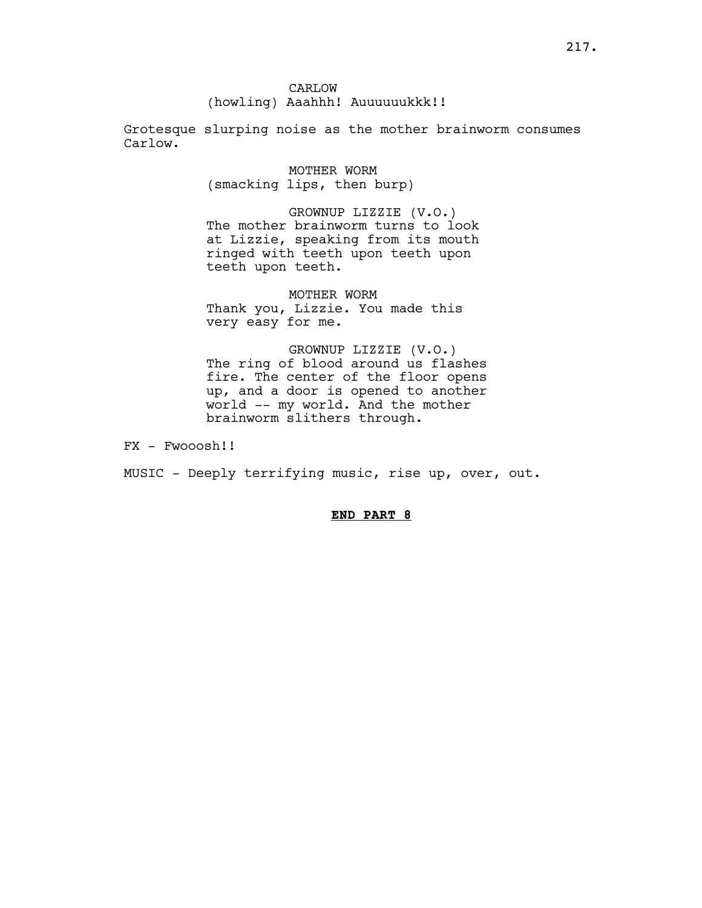CARLOW (howling) Aaahhh! Auuuuuukkk!!

Grotesque slurping noise as the mother brainworm consumes Carlow.

> MOTHER WORM (smacking lips, then burp)

GROWNUP LIZZIE (V.O.) The mother brainworm turns to look at Lizzie, speaking from its mouth ringed with teeth upon teeth upon teeth upon teeth.

MOTHER WORM Thank you, Lizzie. You made this very easy for me.

GROWNUP LIZZIE (V.O.) The ring of blood around us flashes fire. The center of the floor opens up, and a door is opened to another world -- my world. And the mother brainworm slithers through.

FX - Fwooosh!!

MUSIC - Deeply terrifying music, rise up, over, out.

# END PART 8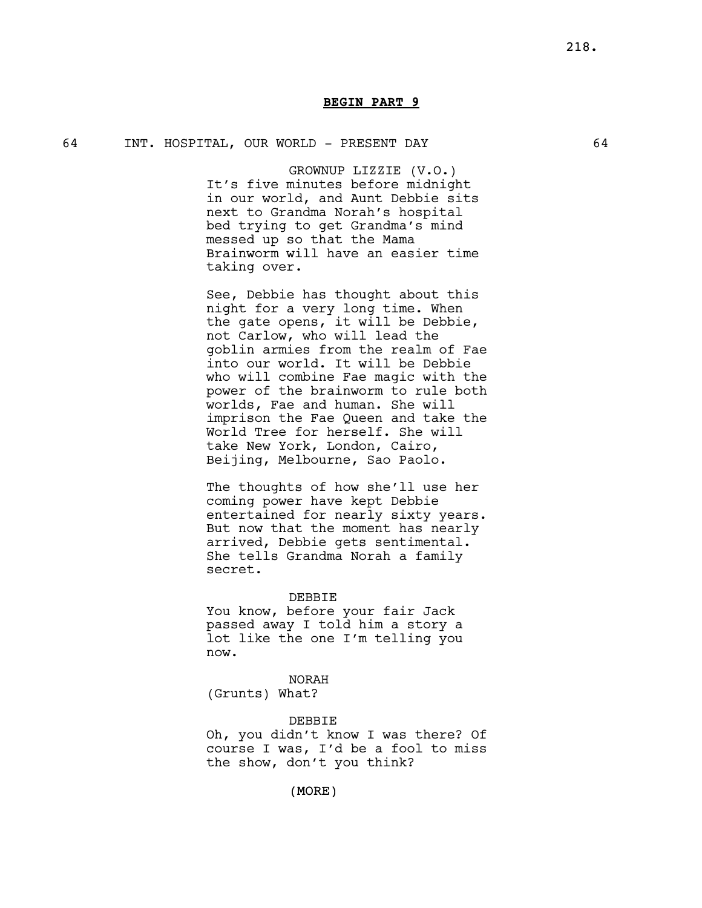# BEGIN PART 9

## 64 INT. HOSPITAL, OUR WORLD - PRESENT DAY 64

GROWNUP LIZZIE (V.O.) It's five minutes before midnight in our world, and Aunt Debbie sits next to Grandma Norah's hospital bed trying to get Grandma's mind messed up so that the Mama Brainworm will have an easier time taking over.

See, Debbie has thought about this night for a very long time. When the gate opens, it will be Debbie, not Carlow, who will lead the goblin armies from the realm of Fae into our world. It will be Debbie who will combine Fae magic with the power of the brainworm to rule both worlds, Fae and human. She will imprison the Fae Queen and take the World Tree for herself. She will take New York, London, Cairo, Beijing, Melbourne, Sao Paolo.

The thoughts of how she'll use her coming power have kept Debbie entertained for nearly sixty years. But now that the moment has nearly arrived, Debbie gets sentimental. She tells Grandma Norah a family secret.

#### DEBBIE

You know, before your fair Jack passed away I told him a story a lot like the one I'm telling you now.

NORAH (Grunts) What?

#### DEBBIE

Oh, you didn't know I was there? Of course I was, I'd be a fool to miss the show, don't you think?

(MORE)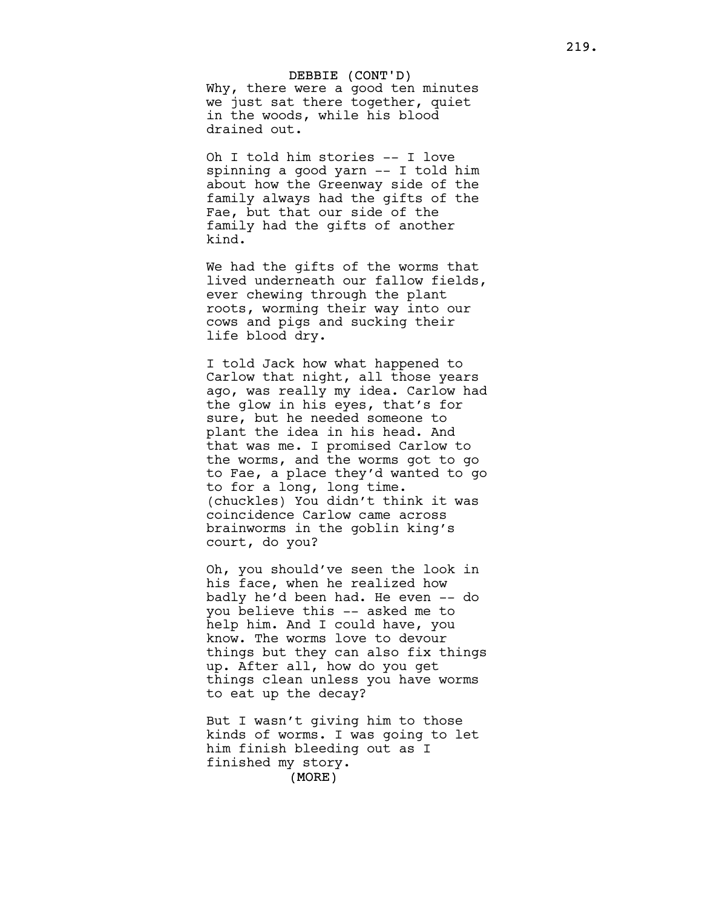DEBBIE (CONT'D) Why, there were a good ten minutes we just sat there together, quiet in the woods, while his blood drained out.

Oh I told him stories -- I love spinning a good yarn -- I told him about how the Greenway side of the family always had the gifts of the Fae, but that our side of the family had the gifts of another kind.

We had the gifts of the worms that lived underneath our fallow fields, ever chewing through the plant roots, worming their way into our cows and pigs and sucking their life blood dry.

I told Jack how what happened to Carlow that night, all those years ago, was really my idea. Carlow had the glow in his eyes, that's for sure, but he needed someone to plant the idea in his head. And that was me. I promised Carlow to the worms, and the worms got to go to Fae, a place they'd wanted to go to for a long, long time. (chuckles) You didn't think it was coincidence Carlow came across brainworms in the goblin king's court, do you?

Oh, you should've seen the look in his face, when he realized how badly he'd been had. He even -- do you believe this -- asked me to help him. And I could have, you know. The worms love to devour things but they can also fix things up. After all, how do you get things clean unless you have worms to eat up the decay?

(MORE) But I wasn't giving him to those kinds of worms. I was going to let him finish bleeding out as I finished my story.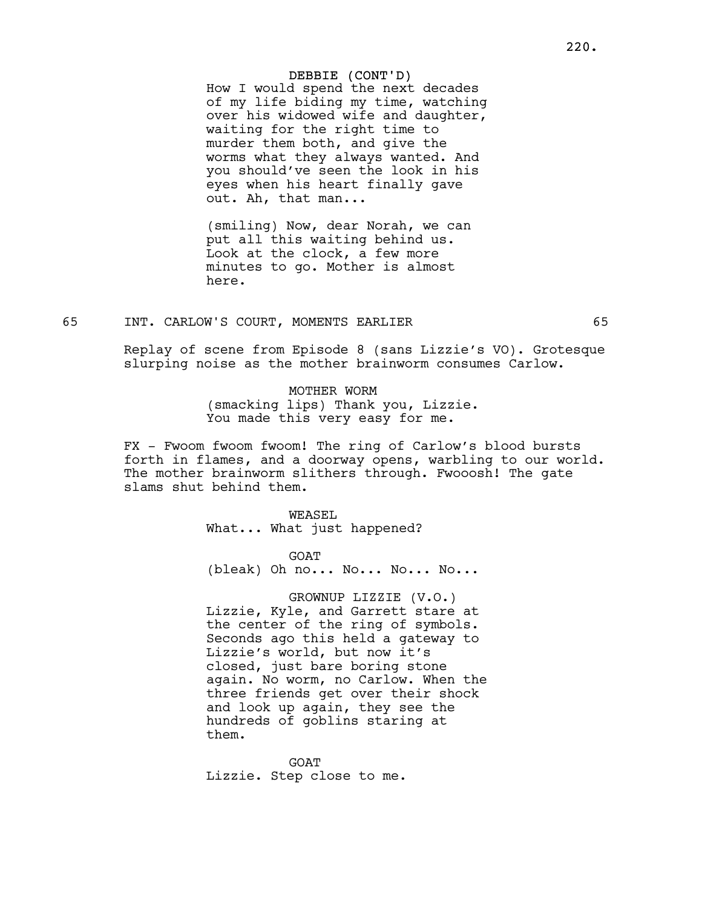How I would spend the next decades of my life biding my time, watching over his widowed wife and daughter, waiting for the right time to murder them both, and give the worms what they always wanted. And you should've seen the look in his eyes when his heart finally gave out. Ah, that man...

(smiling) Now, dear Norah, we can put all this waiting behind us. Look at the clock, a few more minutes to go. Mother is almost here.

# 65 INT. CARLOW'S COURT, MOMENTS EARLIER 65

Replay of scene from Episode 8 (sans Lizzie's VO). Grotesque slurping noise as the mother brainworm consumes Carlow.

> MOTHER WORM (smacking lips) Thank you, Lizzie. You made this very easy for me.

FX - Fwoom fwoom fwoom! The ring of Carlow's blood bursts forth in flames, and a doorway opens, warbling to our world. The mother brainworm slithers through. Fwooosh! The gate slams shut behind them.

> WEASEL What... What just happened?

GOAT (bleak) Oh no... No... No... No...

GROWNUP LIZZIE (V.O.) Lizzie, Kyle, and Garrett stare at the center of the ring of symbols. Seconds ago this held a gateway to Lizzie's world, but now it's closed, just bare boring stone again. No worm, no Carlow. When the three friends get over their shock and look up again, they see the hundreds of goblins staring at them.

GOAT Lizzie. Step close to me.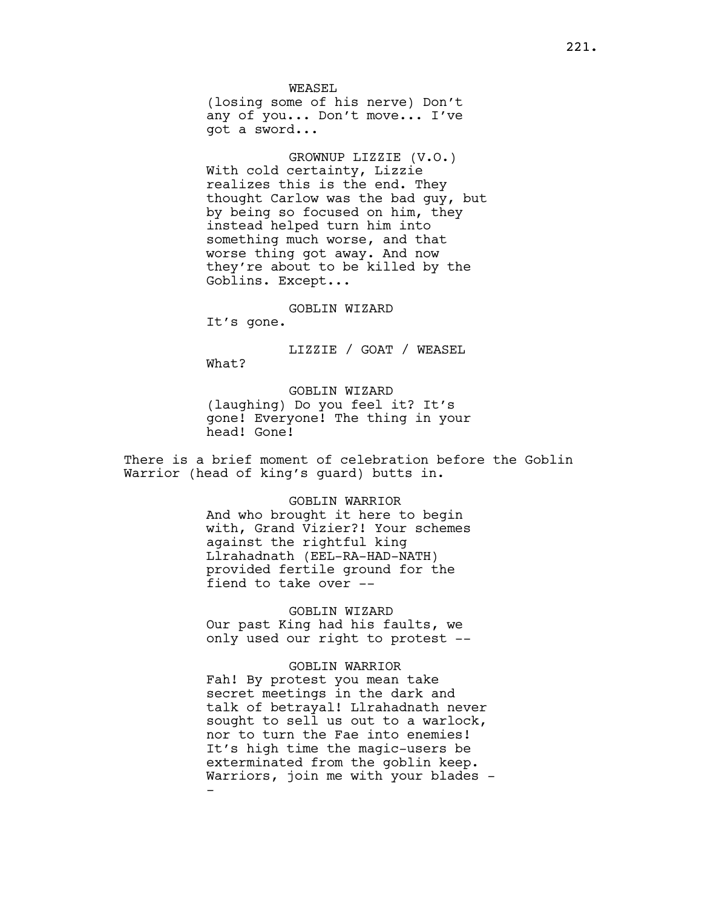WEASEL (losing some of his nerve) Don't any of you... Don't move... I've got a sword...

GROWNUP LIZZIE (V.O.) With cold certainty, Lizzie realizes this is the end. They thought Carlow was the bad guy, but by being so focused on him, they instead helped turn him into something much worse, and that worse thing got away. And now they're about to be killed by the Goblins. Except...

GOBLIN WIZARD

It's gone.

LIZZIE / GOAT / WEASEL What?

GOBLIN WIZARD (laughing) Do you feel it? It's gone! Everyone! The thing in your head! Gone!

There is a brief moment of celebration before the Goblin Warrior (head of king's guard) butts in.

> GOBLIN WARRIOR And who brought it here to begin with, Grand Vizier?! Your schemes against the rightful king Llrahadnath (EEL-RA-HAD-NATH) provided fertile ground for the fiend to take over --

> GOBLIN WIZARD Our past King had his faults, we only used our right to protest --

GOBLIN WARRIOR Fah! By protest you mean take secret meetings in the dark and talk of betrayal! Llrahadnath never sought to sell us out to a warlock, nor to turn the Fae into enemies! It's high time the magic-users be exterminated from the goblin keep. Warriors, join me with your blades --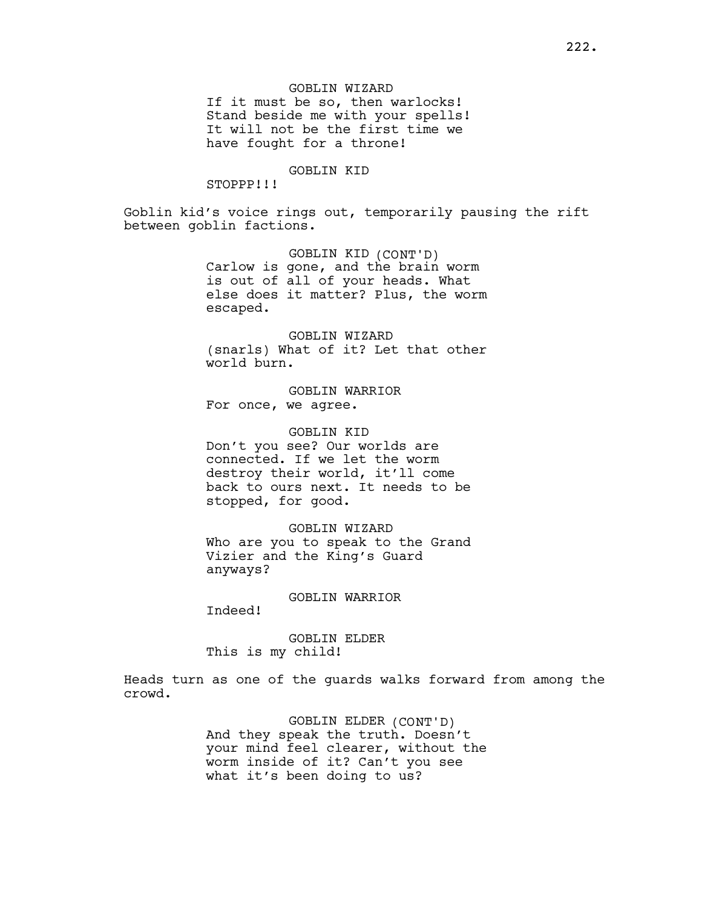## GOBLIN WIZARD

If it must be so, then warlocks! Stand beside me with your spells! It will not be the first time we have fought for a throne!

# GOBLIN KID

STOPPP!!!

Goblin kid's voice rings out, temporarily pausing the rift between goblin factions.

> GOBLIN KID (CONT'D) Carlow is gone, and the brain worm is out of all of your heads. What else does it matter? Plus, the worm escaped.

> GOBLIN WIZARD (snarls) What of it? Let that other world burn.

GOBLIN WARRIOR For once, we agree.

GOBLIN KID Don't you see? Our worlds are connected. If we let the worm destroy their world, it'll come back to ours next. It needs to be stopped, for good.

GOBLIN WIZARD Who are you to speak to the Grand Vizier and the King's Guard anyways?

## GOBLIN WARRIOR

Indeed!

GOBLIN ELDER This is my child!

Heads turn as one of the guards walks forward from among the crowd.

> GOBLIN ELDER (CONT'D) And they speak the truth. Doesn't your mind feel clearer, without the worm inside of it? Can't you see what it's been doing to us?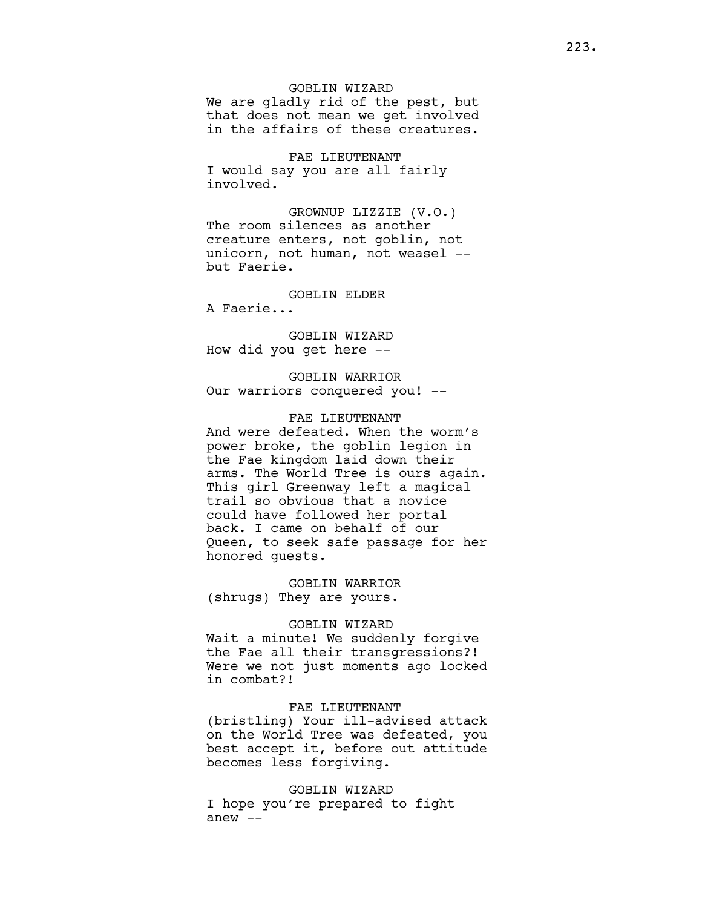# GOBLIN WIZARD

We are gladly rid of the pest, but that does not mean we get involved in the affairs of these creatures.

FAE LIEUTENANT I would say you are all fairly involved.

GROWNUP LIZZIE (V.O.) The room silences as another creature enters, not goblin, not unicorn, not human, not weasel - but Faerie.

GOBLIN ELDER

A Faerie...

GOBLIN WIZARD How did you get here --

GOBLIN WARRIOR Our warriors conquered you! --

## FAE LIEUTENANT

And were defeated. When the worm's power broke, the goblin legion in the Fae kingdom laid down their arms. The World Tree is ours again. This girl Greenway left a magical trail so obvious that a novice could have followed her portal back. I came on behalf of our Queen, to seek safe passage for her honored guests.

GOBLIN WARRIOR (shrugs) They are yours.

# GOBLIN WIZARD

Wait a minute! We suddenly forgive the Fae all their transgressions?! Were we not just moments ago locked in combat?!

# FAE LIEUTENANT

(bristling) Your ill-advised attack on the World Tree was defeated, you best accept it, before out attitude becomes less forgiving.

## GOBLIN WIZARD

I hope you're prepared to fight anew  $--$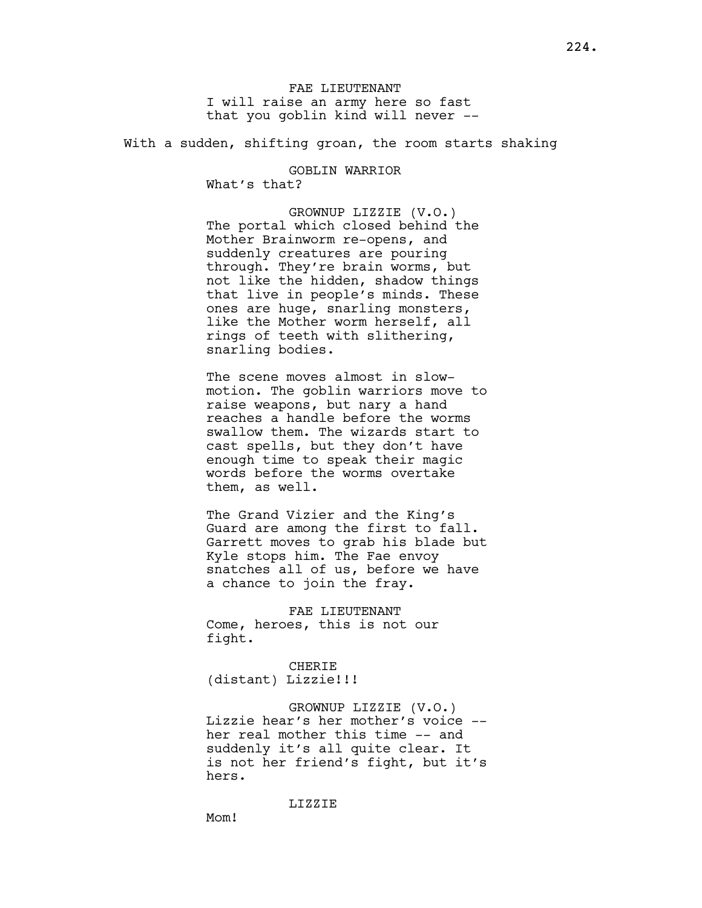FAE LIEUTENANT I will raise an army here so fast that you goblin kind will never --

With a sudden, shifting groan, the room starts shaking

GOBLIN WARRIOR What's that?

GROWNUP LIZZIE (V.O.) The portal which closed behind the Mother Brainworm re-opens, and suddenly creatures are pouring through. They're brain worms, but not like the hidden, shadow things that live in people's minds. These ones are huge, snarling monsters, like the Mother worm herself, all rings of teeth with slithering, snarling bodies.

The scene moves almost in slowmotion. The goblin warriors move to raise weapons, but nary a hand reaches a handle before the worms swallow them. The wizards start to cast spells, but they don't have enough time to speak their magic words before the worms overtake them, as well.

The Grand Vizier and the King's Guard are among the first to fall. Garrett moves to grab his blade but Kyle stops him. The Fae envoy snatches all of us, before we have a chance to join the fray.

FAE LIEUTENANT Come, heroes, this is not our fight.

CHERIE (distant) Lizzie!!!

GROWNUP LIZZIE (V.O.) Lizzie hear's her mother's voice - her real mother this time -- and suddenly it's all quite clear. It is not her friend's fight, but it's hers.

LIZZIE

M<sub>O</sub>m!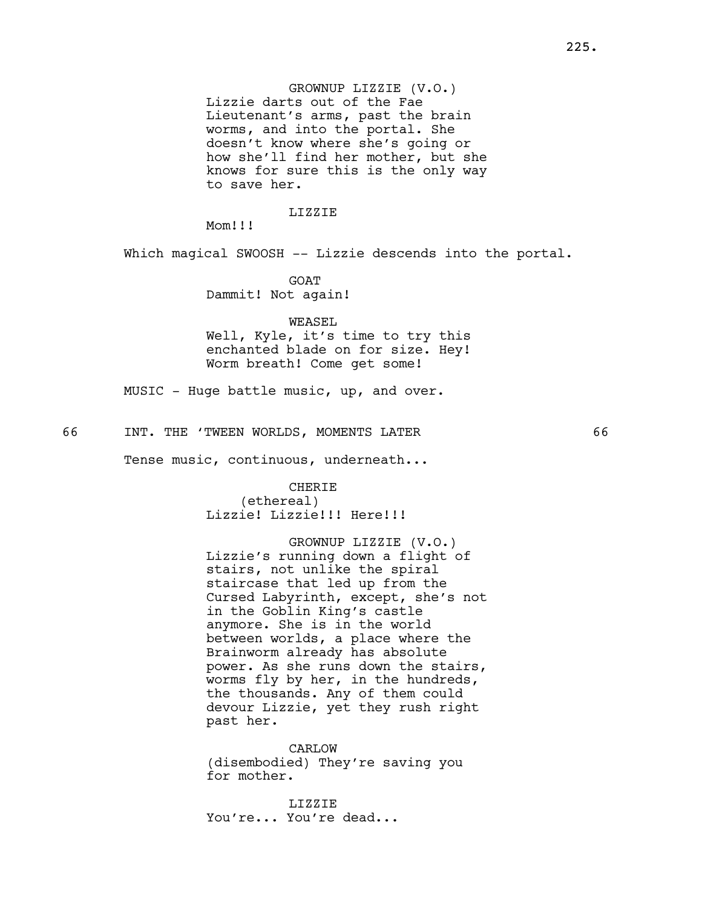## GROWNUP LIZZIE (V.O.)

Lizzie darts out of the Fae Lieutenant's arms, past the brain worms, and into the portal. She doesn't know where she's going or how she'll find her mother, but she knows for sure this is the only way to save her.

## LIZZIE

Mom!!!

Which magical SWOOSH -- Lizzie descends into the portal.

GOAT Dammit! Not again!

WEASEL

Well, Kyle, it's time to try this enchanted blade on for size. Hey! Worm breath! Come get some!

MUSIC - Huge battle music, up, and over.

66 INT. THE 'TWEEN WORLDS, MOMENTS LATER 66

Tense music, continuous, underneath...

# CHERIE

(ethereal) Lizzie! Lizzie!!! Here!!!

GROWNUP LIZZIE (V.O.) Lizzie's running down a flight of stairs, not unlike the spiral staircase that led up from the Cursed Labyrinth, except, she's not in the Goblin King's castle anymore. She is in the world between worlds, a place where the Brainworm already has absolute power. As she runs down the stairs, worms fly by her, in the hundreds, the thousands. Any of them could devour Lizzie, yet they rush right past her.

CARLOW (disembodied) They're saving you for mother.

LIZZIE You're... You're dead...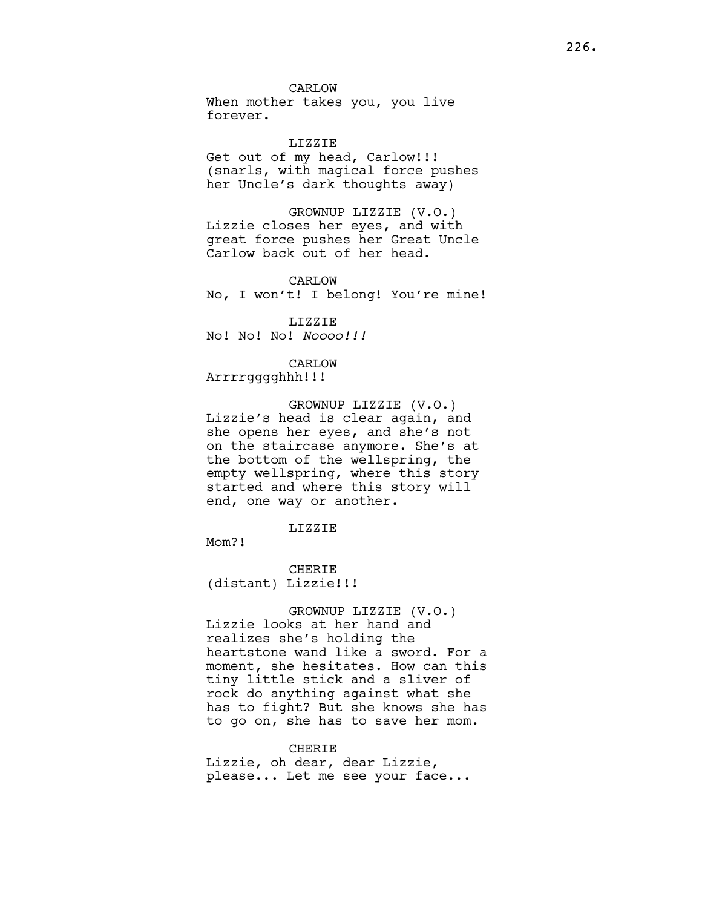When mother takes you, you live forever.

LIZZIE Get out of my head, Carlow!!! (snarls, with magical force pushes her Uncle's dark thoughts away)

GROWNUP LIZZIE (V.O.) Lizzie closes her eyes, and with great force pushes her Great Uncle Carlow back out of her head.

CARLOW No, I won't! I belong! You're mine!

LIZZIE No! No! Noooo!!!!

# CARLOW

Arrrrgggghhh!!!

GROWNUP LIZZIE (V.O.) Lizzie's head is clear again, and she opens her eyes, and she's not on the staircase anymore. She's at the bottom of the wellspring, the empty wellspring, where this story started and where this story will end, one way or another.

## LIZZIE

Mom?!

CHERIE (distant) Lizzie!!!

GROWNUP LIZZIE (V.O.) Lizzie looks at her hand and realizes she's holding the heartstone wand like a sword. For a moment, she hesitates. How can this tiny little stick and a sliver of rock do anything against what she has to fight? But she knows she has to go on, she has to save her mom.

CHERIE

Lizzie, oh dear, dear Lizzie, please... Let me see your face...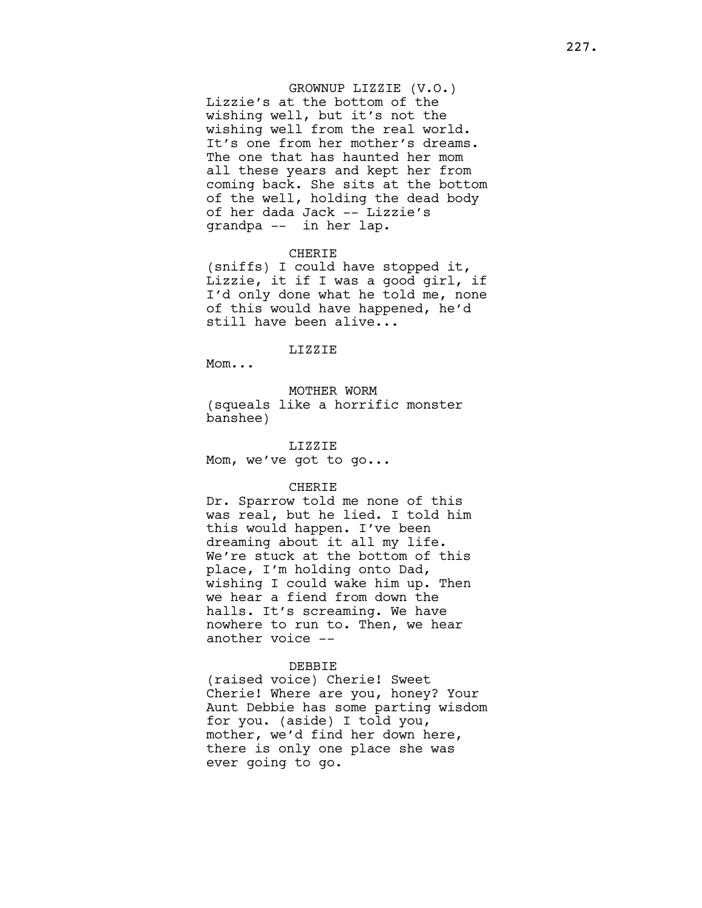## GROWNUP LIZZIE (V.O.)

Lizzie's at the bottom of the wishing well, but it's not the wishing well from the real world. It's one from her mother's dreams. The one that has haunted her mom all these years and kept her from coming back. She sits at the bottom of the well, holding the dead body of her dada Jack -- Lizzie's grandpa -- in her lap.

# CHERIE

(sniffs) I could have stopped it, Lizzie, it if I was a good girl, if I'd only done what he told me, none of this would have happened, he'd still have been alive...

## LIZZIE

Mom...

## MOTHER WORM

(squeals like a horrific monster banshee)

LIZZIE Mom, we've got to go...

#### CHERIE

Dr. Sparrow told me none of this was real, but he lied. I told him this would happen. I've been dreaming about it all my life. We're stuck at the bottom of this place, I'm holding onto Dad, wishing I could wake him up. Then we hear a fiend from down the halls. It's screaming. We have nowhere to run to. Then, we hear another voice --

#### DEBBIE

(raised voice) Cherie! Sweet Cherie! Where are you, honey? Your Aunt Debbie has some parting wisdom for you. (aside) I told you, mother, we'd find her down here, there is only one place she was ever going to go.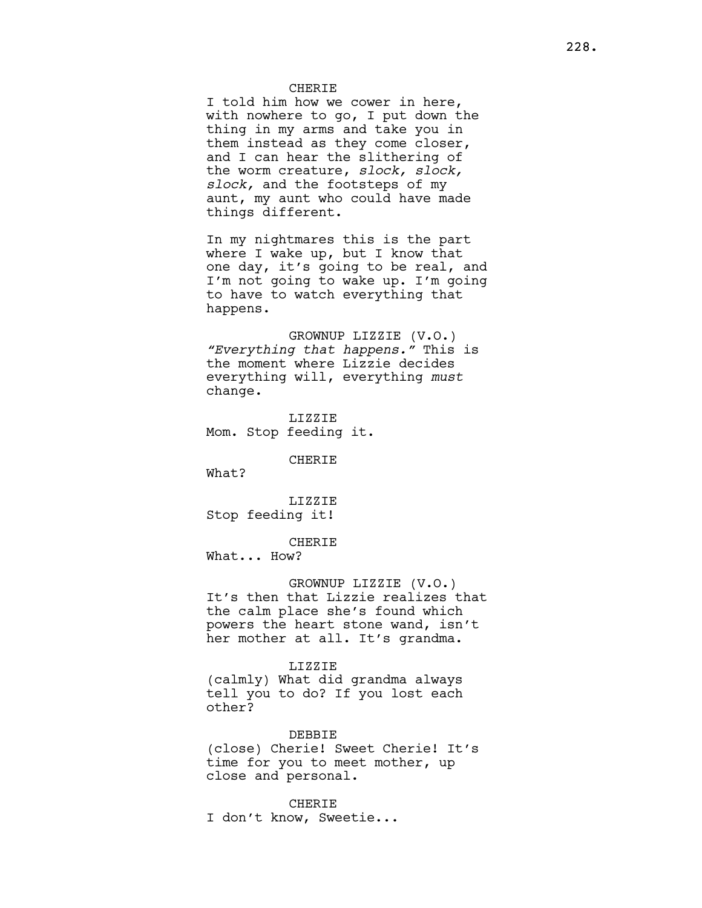## CHERIE

I told him how we cower in here, with nowhere to go, I put down the thing in my arms and take you in them instead as they come closer, and I can hear the slithering of the worm creature, slock, slock, slock, and the footsteps of my aunt, my aunt who could have made things different.

In my nightmares this is the part where I wake up, but I know that one day, it's going to be real, and I'm not going to wake up. I'm going to have to watch everything that happens.

GROWNUP LIZZIE (V.O.) "Everything that happens." This is the moment where Lizzie decides everything will, everything must change.

LIZZIE Mom. Stop feeding it.

CHERIE

What?

LIZZIE Stop feeding it!

CHERIE

What... How?

#### GROWNUP LIZZIE (V.O.)

It's then that Lizzie realizes that the calm place she's found which powers the heart stone wand, isn't her mother at all. It's grandma.

### LIZZIE

(calmly) What did grandma always tell you to do? If you lost each other?

#### DEBBIE

(close) Cherie! Sweet Cherie! It's time for you to meet mother, up close and personal.

## **CHERIE**

I don't know, Sweetie...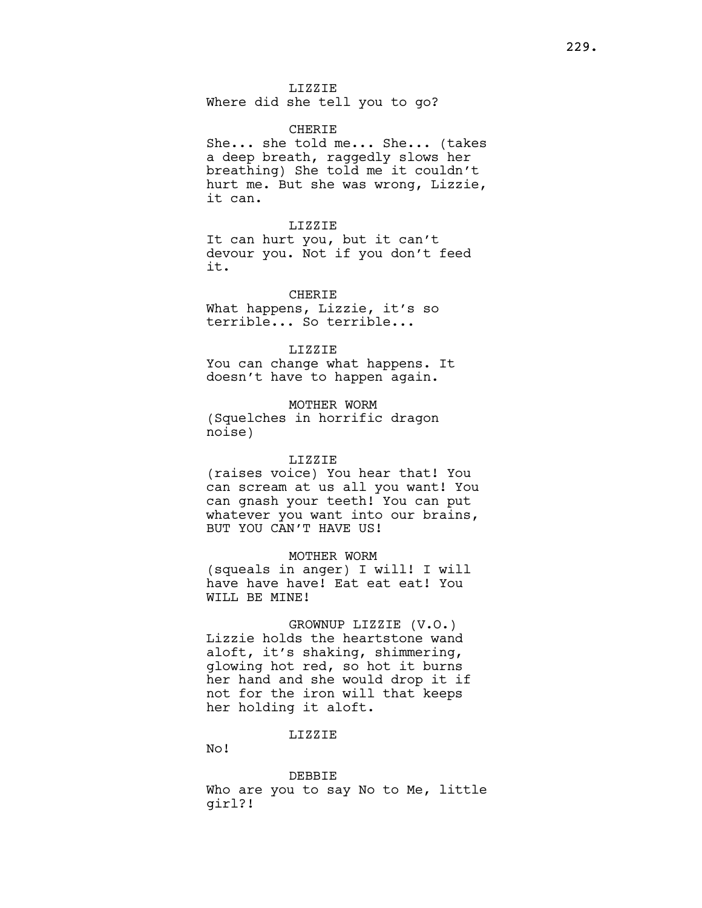Where did she tell you to go?

# CHERIE

She... she told me... She... (takes a deep breath, raggedly slows her breathing) She told me it couldn't hurt me. But she was wrong, Lizzie, it can.

### LIZZIE

It can hurt you, but it can't devour you. Not if you don't feed it.

CHERIE What happens, Lizzie, it's so terrible... So terrible...

## LIZZIE

You can change what happens. It doesn't have to happen again.

MOTHER WORM

# (Squelches in horrific dragon noise)

#### LIZZIE

(raises voice) You hear that! You can scream at us all you want! You can gnash your teeth! You can put whatever you want into our brains, BUT YOU CAN'T HAVE US!

MOTHER WORM

(squeals in anger) I will! I will have have have! Eat eat eat! You WILL BE MINE!

# GROWNUP LIZZIE (V.O.)

Lizzie holds the heartstone wand aloft, it's shaking, shimmering, glowing hot red, so hot it burns her hand and she would drop it if not for the iron will that keeps her holding it aloft.

## LIZZIE

No!

DEBBIE Who are you to say No to Me, little girl?!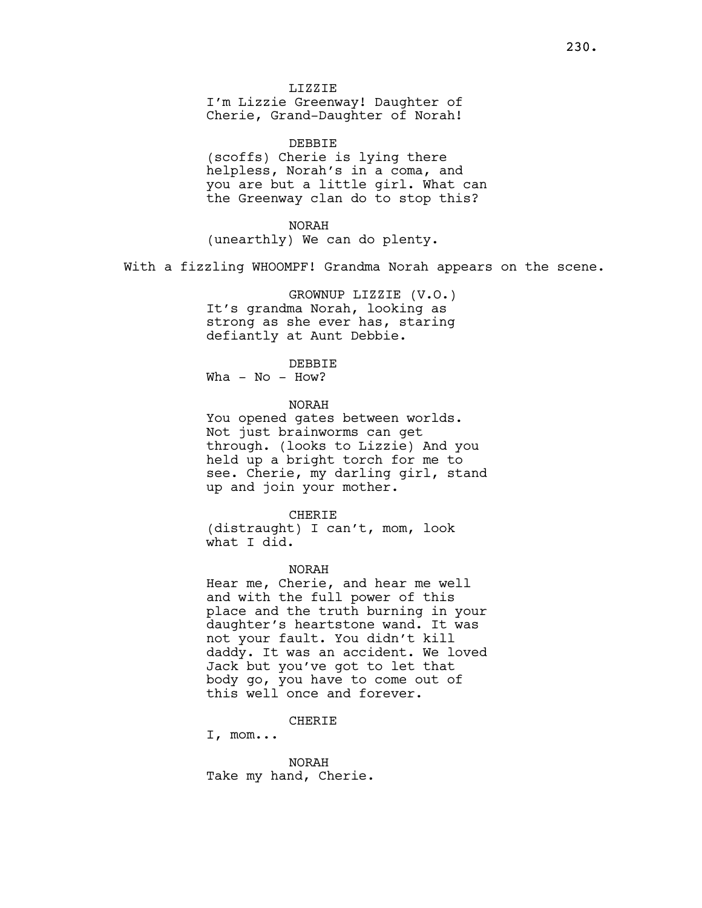DEBBIE (scoffs) Cherie is lying there helpless, Norah's in a coma, and you are but a little girl. What can the Greenway clan do to stop this?

NORAH (unearthly) We can do plenty.

With a fizzling WHOOMPF! Grandma Norah appears on the scene.

GROWNUP LIZZIE (V.O.) It's grandma Norah, looking as strong as she ever has, staring defiantly at Aunt Debbie.

DEBBIE

 $Wha - No - How?$ 

NORAH

You opened gates between worlds. Not just brainworms can get through. (looks to Lizzie) And you held up a bright torch for me to see. Cherie, my darling girl, stand up and join your mother.

CHERIE (distraught) I can't, mom, look what I did.

NORAH

Hear me, Cherie, and hear me well and with the full power of this place and the truth burning in your daughter's heartstone wand. It was not your fault. You didn't kill daddy. It was an accident. We loved Jack but you've got to let that body go, you have to come out of this well once and forever.

CHERIE

I, mom...

NORAH Take my hand, Cherie.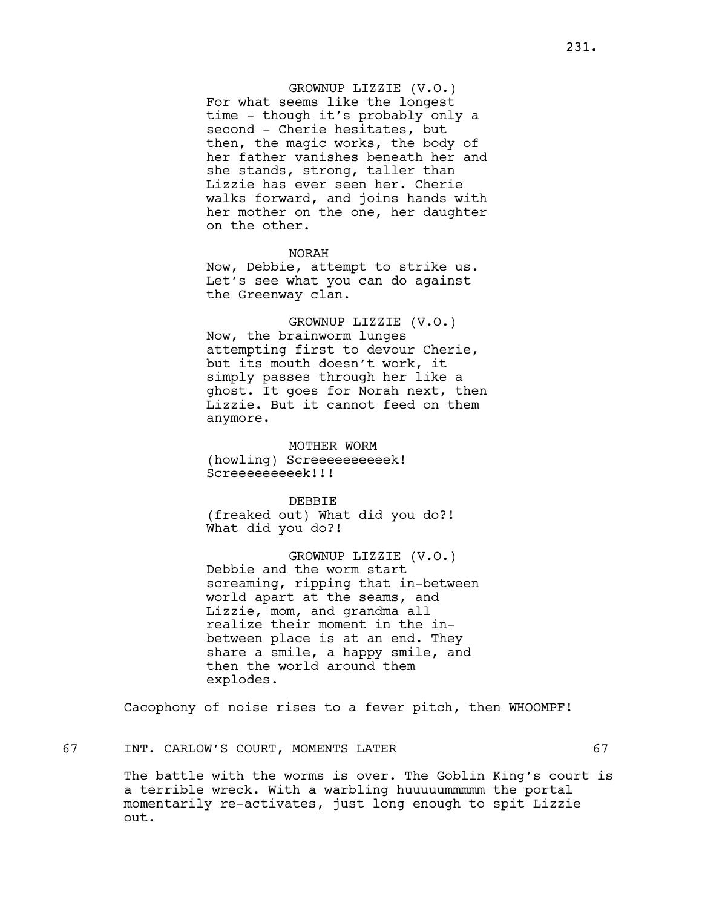# GROWNUP LIZZIE (V.O.)

For what seems like the longest time - though it's probably only a second - Cherie hesitates, but then, the magic works, the body of her father vanishes beneath her and she stands, strong, taller than Lizzie has ever seen her. Cherie walks forward, and joins hands with her mother on the one, her daughter on the other.

NORAH Now, Debbie, attempt to strike us. Let's see what you can do against the Greenway clan.

GROWNUP LIZZIE (V.O.) Now, the brainworm lunges attempting first to devour Cherie, but its mouth doesn't work, it simply passes through her like a ghost. It goes for Norah next, then Lizzie. But it cannot feed on them anymore.

MOTHER WORM (howling) Screeeeeeeeeek! Screeeeeeeeek!!!

DEBBIE

(freaked out) What did you do?! What did you do?!

GROWNUP LIZZIE (V.O.) Debbie and the worm start screaming, ripping that in-between world apart at the seams, and Lizzie, mom, and grandma all realize their moment in the inbetween place is at an end. They share a smile, a happy smile, and then the world around them explodes.

Cacophony of noise rises to a fever pitch, then WHOOMPF!

The battle with the worms is over. The Goblin King's court is a terrible wreck. With a warbling huuuuummmmm the portal momentarily re-activates, just long enough to spit Lizzie out.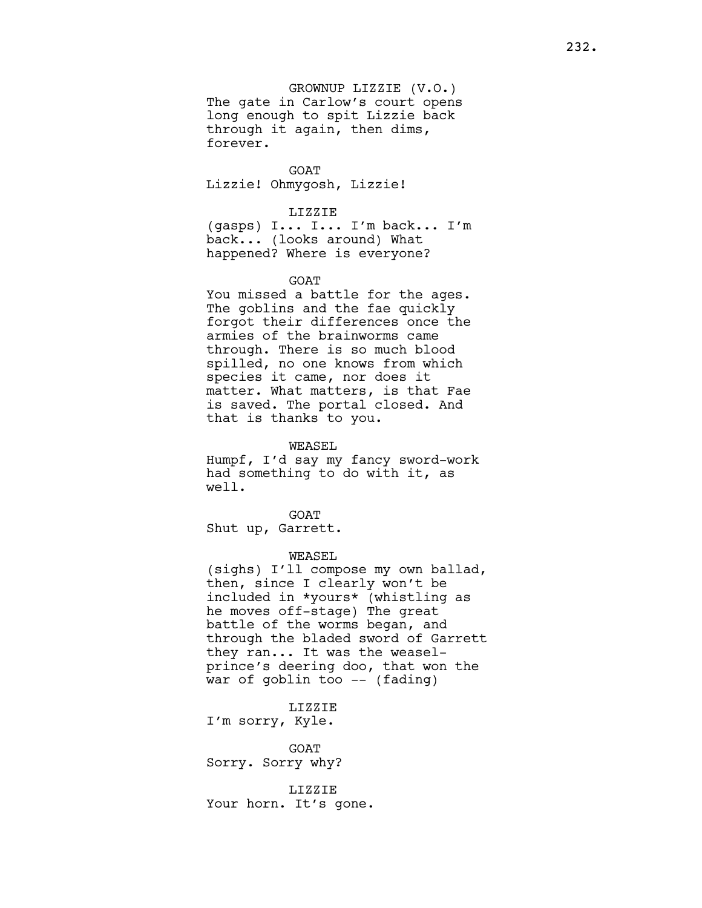GROWNUP LIZZIE (V.O.) The gate in Carlow's court opens long enough to spit Lizzie back through it again, then dims, forever.

GOAT Lizzie! Ohmygosh, Lizzie!

#### LIZZIE

(gasps) I... I... I'm back... I'm back... (looks around) What happened? Where is everyone?

#### GOAT

You missed a battle for the ages. The goblins and the fae quickly forgot their differences once the armies of the brainworms came through. There is so much blood spilled, no one knows from which species it came, nor does it matter. What matters, is that Fae is saved. The portal closed. And that is thanks to you.

WEASEL

Humpf, I'd say my fancy sword-work had something to do with it, as well.

GOAT Shut up, Garrett.

### WEASEL

(sighs) I'll compose my own ballad, then, since I clearly won't be included in \*yours\* (whistling as he moves off-stage) The great battle of the worms began, and through the bladed sword of Garrett they ran... It was the weaselprince's deering doo, that won the war of goblin too -- (fading)

LIZZIE

I'm sorry, Kyle.

**GOAT** Sorry. Sorry why?

LIZZIE Your horn. It's gone.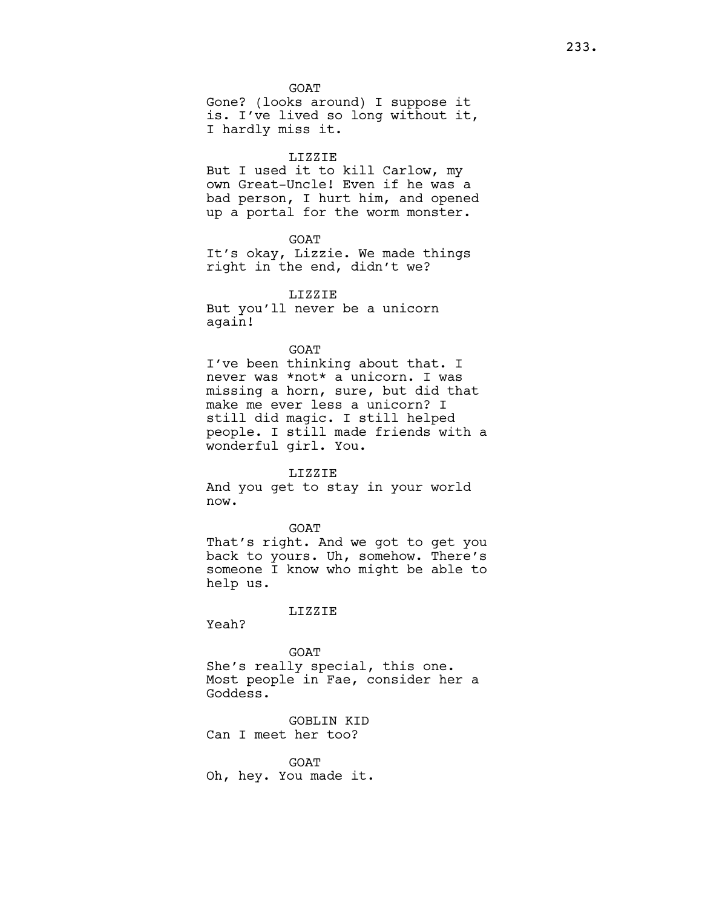GOAT Gone? (looks around) I suppose it is. I've lived so long without it, I hardly miss it.

#### LIZZIE

But I used it to kill Carlow, my own Great-Uncle! Even if he was a bad person, I hurt him, and opened up a portal for the worm monster.

GOAT

It's okay, Lizzie. We made things right in the end, didn't we?

LIZZIE

But you'll never be a unicorn again!

## GOAT

I've been thinking about that. I never was \*not\* a unicorn. I was missing a horn, sure, but did that make me ever less a unicorn? I still did magic. I still helped people. I still made friends with a wonderful girl. You.

#### LIZZIE

And you get to stay in your world now.

#### GOAT

That's right. And we got to get you back to yours. Uh, somehow. There's someone I know who might be able to help us.

#### LIZZIE

Yeah?

## GOAT

She's really special, this one. Most people in Fae, consider her a Goddess.

GOBLIN KID Can I meet her too?

GOAT Oh, hey. You made it.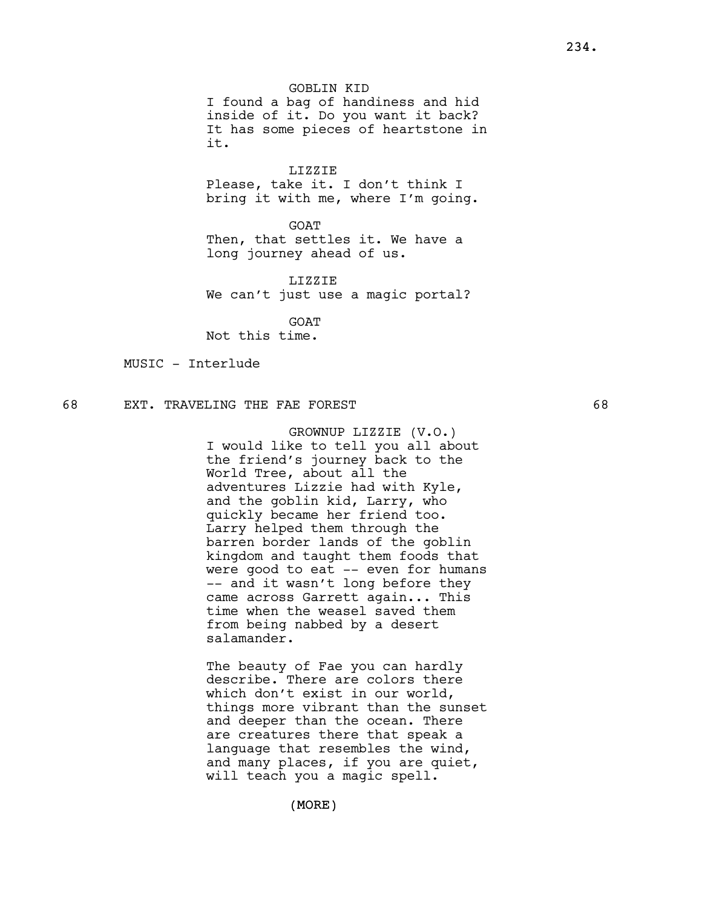GOBLIN KID

I found a bag of handiness and hid inside of it. Do you want it back? It has some pieces of heartstone in it.

LIZZIE

Please, take it. I don't think I bring it with me, where I'm going.

GOAT

Then, that settles it. We have a long journey ahead of us.

LIZZIE We can't just use a magic portal?

**GOAT** Not this time.

MUSIC - Interlude

# 68 EXT. TRAVELING THE FAE FOREST 68

GROWNUP LIZZIE (V.O.) I would like to tell you all about the friend's journey back to the World Tree, about all the adventures Lizzie had with Kyle, and the goblin kid, Larry, who quickly became her friend too. Larry helped them through the barren border lands of the goblin kingdom and taught them foods that were good to eat -- even for humans -- and it wasn't long before they came across Garrett again... This time when the weasel saved them from being nabbed by a desert salamander.

The beauty of Fae you can hardly describe. There are colors there which don't exist in our world, things more vibrant than the sunset and deeper than the ocean. There are creatures there that speak a language that resembles the wind, and many places, if you are quiet, will teach you a magic spell.

(MORE)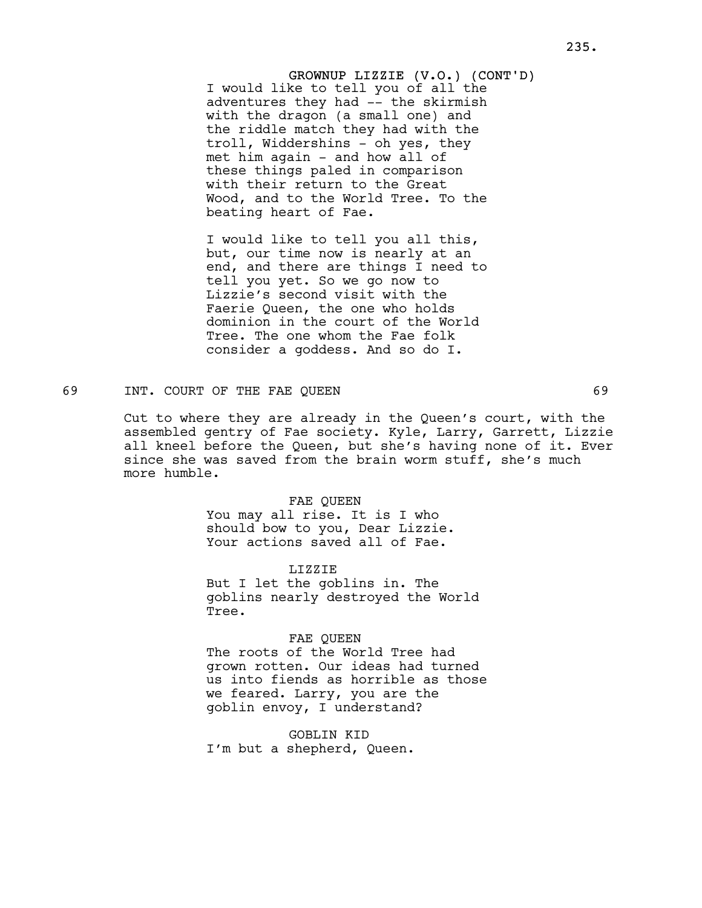GROWNUP LIZZIE (V.O.) (CONT'D) I would like to tell you of all the adventures they had -- the skirmish with the dragon (a small one) and the riddle match they had with the troll, Widdershins - oh yes, they met him again - and how all of these things paled in comparison with their return to the Great Wood, and to the World Tree. To the beating heart of Fae.

I would like to tell you all this, but, our time now is nearly at an end, and there are things I need to tell you yet. So we go now to Lizzie's second visit with the Faerie Queen, the one who holds dominion in the court of the World Tree. The one whom the Fae folk consider a goddess. And so do I.

## 69 INT. COURT OF THE FAE QUEEN 69

Cut to where they are already in the Queen's court, with the assembled gentry of Fae society. Kyle, Larry, Garrett, Lizzie all kneel before the Queen, but she's having none of it. Ever since she was saved from the brain worm stuff, she's much more humble.

### FAE QUEEN

You may all rise. It is I who should bow to you, Dear Lizzie. Your actions saved all of Fae.

LIZZIE

But I let the goblins in. The goblins nearly destroyed the World Tree.

## FAE QUEEN

The roots of the World Tree had grown rotten. Our ideas had turned us into fiends as horrible as those we feared. Larry, you are the goblin envoy, I understand?

GOBLIN KID I'm but a shepherd, Queen.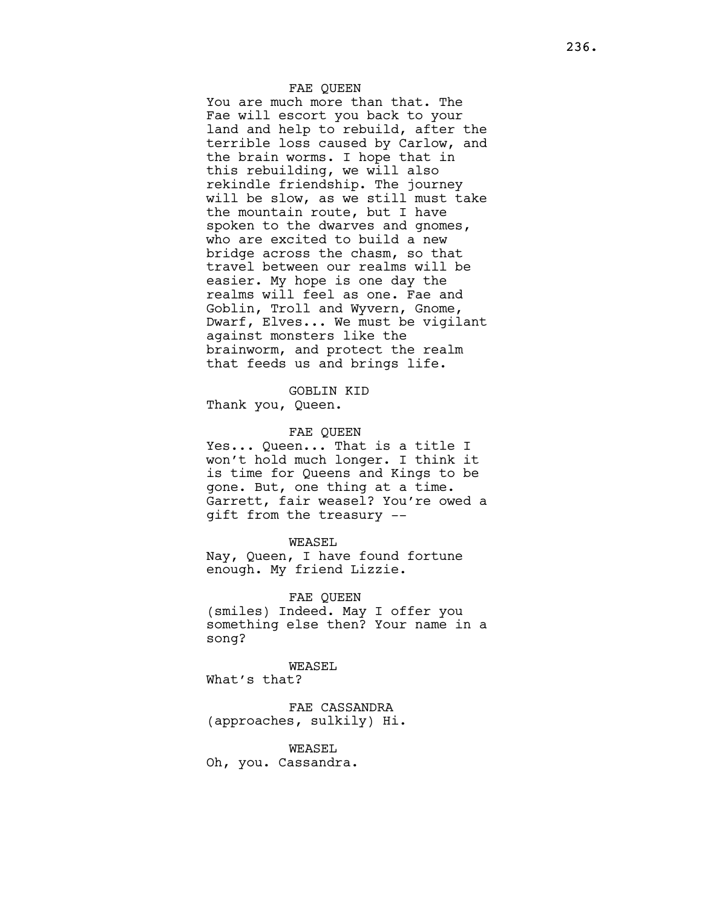## FAE QUEEN

You are much more than that. The Fae will escort you back to your land and help to rebuild, after the terrible loss caused by Carlow, and the brain worms. I hope that in this rebuilding, we will also rekindle friendship. The journey will be slow, as we still must take the mountain route, but I have spoken to the dwarves and gnomes, who are excited to build a new bridge across the chasm, so that travel between our realms will be easier. My hope is one day the realms will feel as one. Fae and Goblin, Troll and Wyvern, Gnome, Dwarf, Elves... We must be vigilant against monsters like the brainworm, and protect the realm that feeds us and brings life.

# GOBLIN KID

Thank you, Queen.

#### FAE QUEEN

Yes... Queen... That is a title I won't hold much longer. I think it is time for Queens and Kings to be gone. But, one thing at a time. Garrett, fair weasel? You're owed a gift from the treasury --

## WEASEL

Nay, Queen, I have found fortune enough. My friend Lizzie.

FAE QUEEN (smiles) Indeed. May I offer you something else then? Your name in a song?

WEASEL What's that?

FAE CASSANDRA (approaches, sulkily) Hi.

WEASEL Oh, you. Cassandra.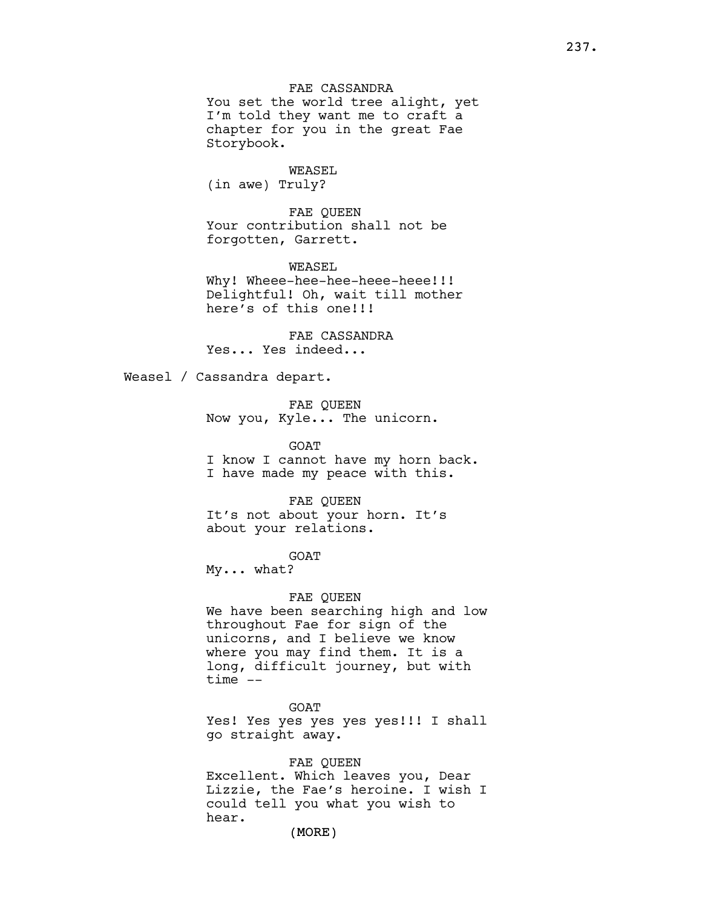You set the world tree alight, yet I'm told they want me to craft a chapter for you in the great Fae Storybook.

# WEASEL

(in awe) Truly?

FAE QUEEN Your contribution shall not be forgotten, Garrett.

WEASEL Why! Wheee-hee-hee-heee-heee!!! Delightful! Oh, wait till mother here's of this one!!!

FAE CASSANDRA Yes... Yes indeed...

Weasel / Cassandra depart.

FAE QUEEN Now you, Kyle... The unicorn.

**GOAT** I know I cannot have my horn back. I have made my peace with this.

FAE QUEEN It's not about your horn. It's about your relations.

GOAT

My... what?

FAE QUEEN

We have been searching high and low throughout Fae for sign of the unicorns, and I believe we know where you may find them. It is a long, difficult journey, but with time --

GOAT Yes! Yes yes yes yes yes!!! I shall go straight away.

FAE QUEEN Excellent. Which leaves you, Dear Lizzie, the Fae's heroine. I wish I could tell you what you wish to hear.

(MORE)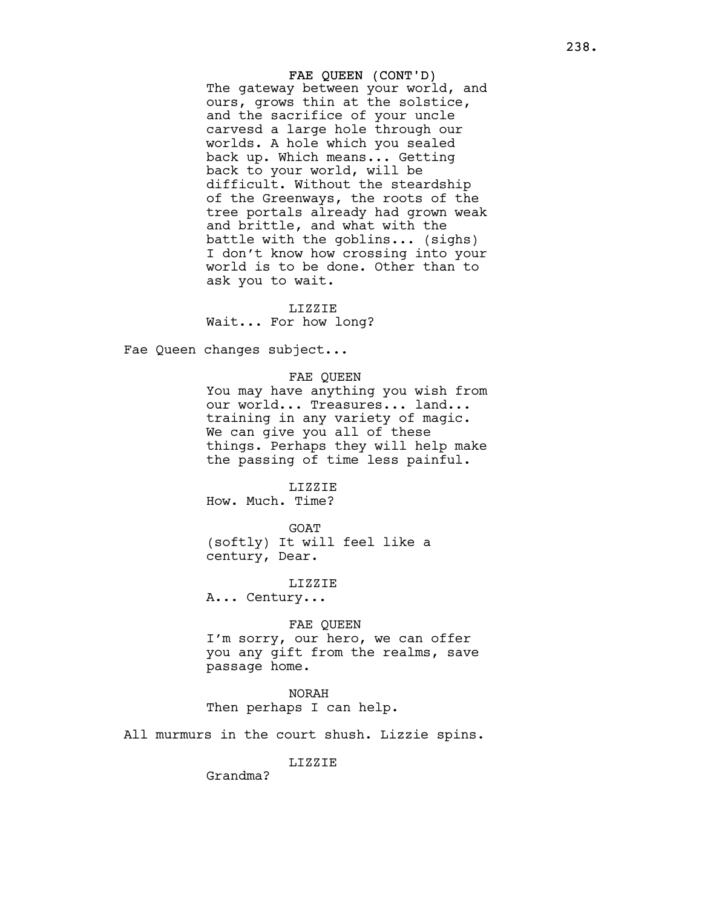FAE QUEEN (CONT'D) The gateway between your world, and ours, grows thin at the solstice, and the sacrifice of your uncle carvesd a large hole through our worlds. A hole which you sealed back up. Which means... Getting back to your world, will be difficult. Without the steardship of the Greenways, the roots of the tree portals already had grown weak and brittle, and what with the battle with the goblins... (sighs) I don't know how crossing into your world is to be done. Other than to ask you to wait.

#### LIZZIE

Wait... For how long?

Fae Queen changes subject...

# FAE QUEEN

You may have anything you wish from our world... Treasures... land... training in any variety of magic. We can give you all of these things. Perhaps they will help make the passing of time less painful.

### LIZZIE

How. Much. Time?

GOAT (softly) It will feel like a century, Dear.

LIZZIE

A... Century...

## FAE QUEEN

I'm sorry, our hero, we can offer you any gift from the realms, save passage home.

# NORAH

Then perhaps I can help.

All murmurs in the court shush. Lizzie spins.

## LIZZIE

Grandma?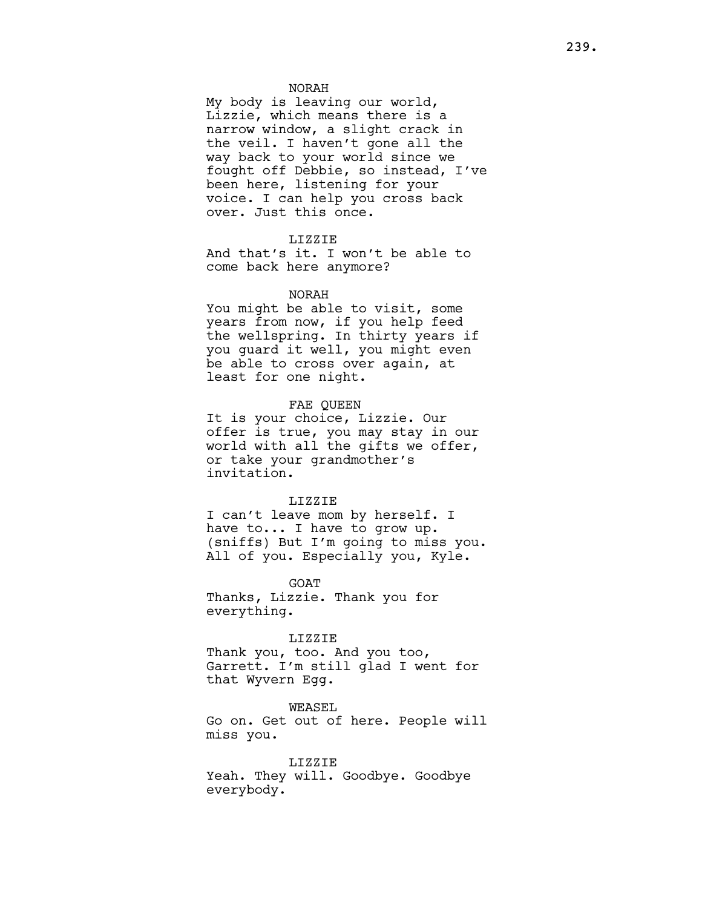## NORAH

My body is leaving our world, Lizzie, which means there is a narrow window, a slight crack in the veil. I haven't gone all the way back to your world since we fought off Debbie, so instead, I've been here, listening for your voice. I can help you cross back over. Just this once.

## LIZZIE

And that's it. I won't be able to come back here anymore?

### NORAH

You might be able to visit, some years from now, if you help feed the wellspring. In thirty years if you guard it well, you might even be able to cross over again, at least for one night.

## FAE QUEEN

It is your choice, Lizzie. Our offer is true, you may stay in our world with all the gifts we offer, or take your grandmother's invitation.

### LIZZIE

I can't leave mom by herself. I have to... I have to grow up. (sniffs) But I'm going to miss you. All of you. Especially you, Kyle.

GOAT Thanks, Lizzie. Thank you for everything.

#### LIZZIE

Thank you, too. And you too, Garrett. I'm still glad I went for that Wyvern Egg.

WEASEL Go on. Get out of here. People will miss you.

LIZZIE Yeah. They will. Goodbye. Goodbye everybody.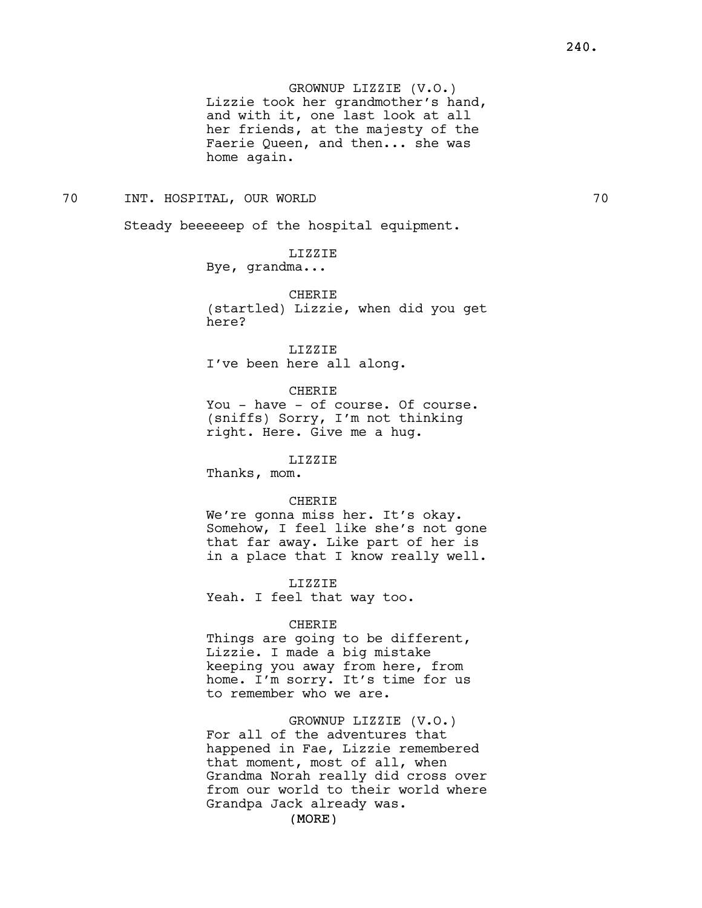GROWNUP LIZZIE (V.O.) Lizzie took her grandmother's hand, and with it, one last look at all her friends, at the majesty of the Faerie Queen, and then... she was home again.

# 70 INT. HOSPITAL, OUR WORLD 70

Steady beeeeeep of the hospital equipment.

LIZZIE Bye, grandma...

**CHERIE** (startled) Lizzie, when did you get here?

LIZZIE I've been here all along.

CHERIE You - have - of course. Of course.

(sniffs) Sorry, I'm not thinking right. Here. Give me a hug.

### LIZZIE

Thanks, mom.

## CHERIE

We're gonna miss her. It's okay. Somehow, I feel like she's not gone that far away. Like part of her is in a place that I know really well.

LIZZIE Yeah. I feel that way too.

#### CHERIE

Things are going to be different, Lizzie. I made a big mistake keeping you away from here, from home. I'm sorry. It's time for us to remember who we are.

GROWNUP LIZZIE (V.O.) For all of the adventures that happened in Fae, Lizzie remembered that moment, most of all, when Grandma Norah really did cross over from our world to their world where Grandpa Jack already was.

(MORE)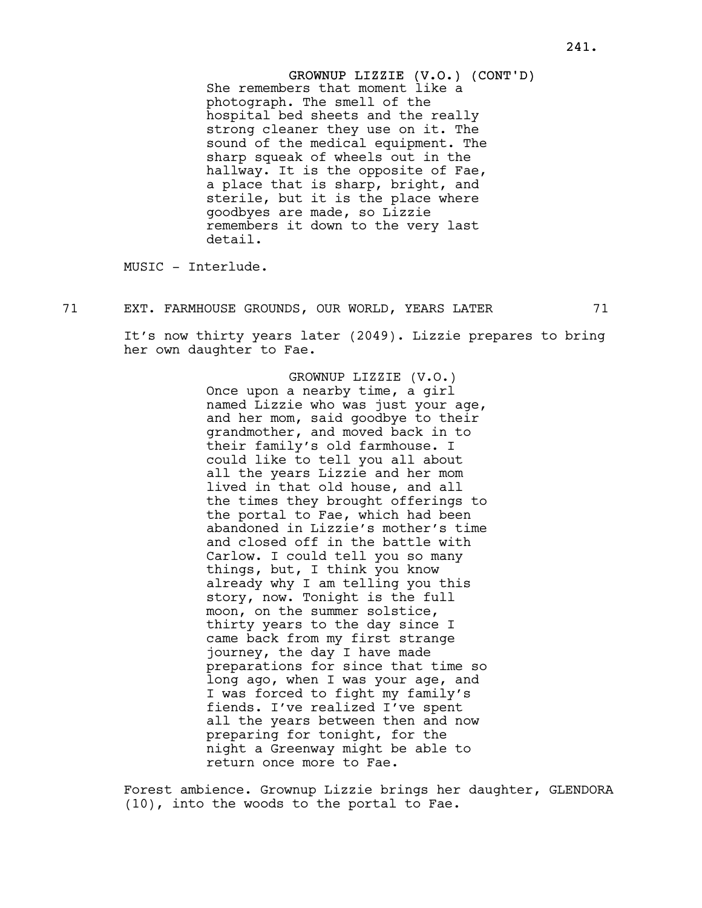GROWNUP LIZZIE (V.O.) (CONT'D) She remembers that moment like a photograph. The smell of the hospital bed sheets and the really strong cleaner they use on it. The sound of the medical equipment. The sharp squeak of wheels out in the hallway. It is the opposite of Fae, a place that is sharp, bright, and sterile, but it is the place where goodbyes are made, so Lizzie remembers it down to the very last detail.

MUSIC - Interlude.

71 EXT. FARMHOUSE GROUNDS, OUR WORLD, YEARS LATER 71

It's now thirty years later (2049). Lizzie prepares to bring her own daughter to Fae.

> GROWNUP LIZZIE (V.O.) Once upon a nearby time, a girl named Lizzie who was just your age, and her mom, said goodbye to their grandmother, and moved back in to their family's old farmhouse. I could like to tell you all about all the years Lizzie and her mom lived in that old house, and all the times they brought offerings to the portal to Fae, which had been abandoned in Lizzie's mother's time and closed off in the battle with Carlow. I could tell you so many things, but, I think you know already why I am telling you this story, now. Tonight is the full moon, on the summer solstice, thirty years to the day since I came back from my first strange journey, the day I have made preparations for since that time so long ago, when I was your age, and I was forced to fight my family's fiends. I've realized I've spent all the years between then and now preparing for tonight, for the night a Greenway might be able to return once more to Fae.

Forest ambience. Grownup Lizzie brings her daughter, GLENDORA (10), into the woods to the portal to Fae.